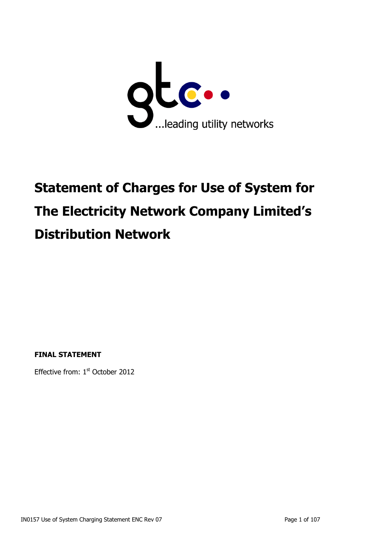

# **Statement of Charges for Use of System for The Electricity Network Company Limited's Distribution Network**

**FINAL STATEMENT**

Effective from: 1<sup>st</sup> October 2012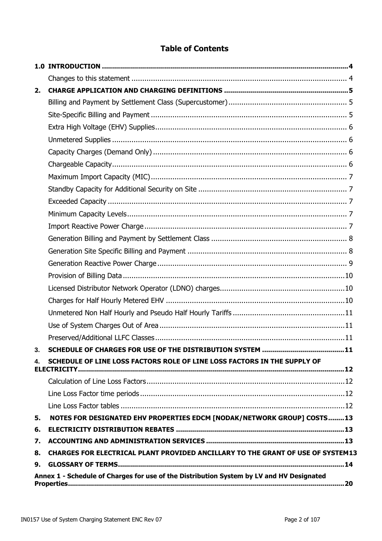# **Table of Contents**

| 2. |                                                                                                |
|----|------------------------------------------------------------------------------------------------|
|    |                                                                                                |
|    |                                                                                                |
|    |                                                                                                |
|    |                                                                                                |
|    |                                                                                                |
|    |                                                                                                |
|    |                                                                                                |
|    |                                                                                                |
|    |                                                                                                |
|    |                                                                                                |
|    |                                                                                                |
|    |                                                                                                |
|    |                                                                                                |
|    |                                                                                                |
|    |                                                                                                |
|    |                                                                                                |
|    |                                                                                                |
|    |                                                                                                |
|    |                                                                                                |
|    |                                                                                                |
|    |                                                                                                |
| 4. | SCHEDULE OF LINE LOSS FACTORS ROLE OF LINE LOSS FACTORS IN THE SUPPLY OF<br><b>ELECTRICITY</b> |
|    |                                                                                                |
|    |                                                                                                |
|    |                                                                                                |
| 5. | NOTES FOR DESIGNATED EHV PROPERTIES EDCM [NODAK/NETWORK GROUP] COSTS13                         |
| 6. |                                                                                                |
| 7. |                                                                                                |
| 8. | CHARGES FOR ELECTRICAL PLANT PROVIDED ANCILLARY TO THE GRANT OF USE OF SYSTEM13                |
| 9. |                                                                                                |
|    | Annex 1 - Schedule of Charges for use of the Distribution System by LV and HV Designated       |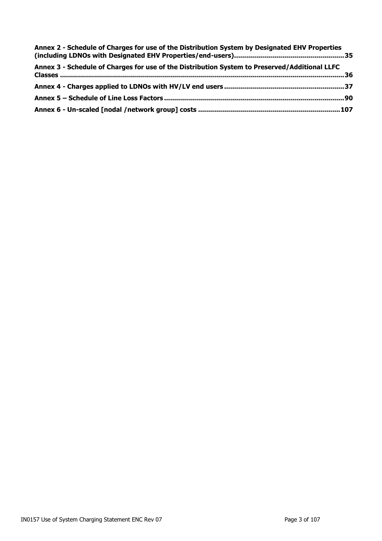| Annex 2 - Schedule of Charges for use of the Distribution System by Designated EHV Properties |  |
|-----------------------------------------------------------------------------------------------|--|
| Annex 3 - Schedule of Charges for use of the Distribution System to Preserved/Additional LLFC |  |
|                                                                                               |  |
|                                                                                               |  |
|                                                                                               |  |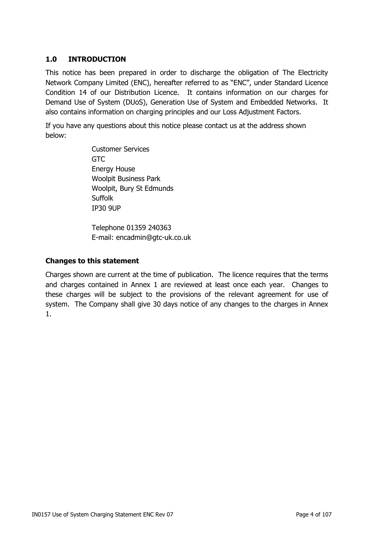# <span id="page-3-0"></span>**1.0 INTRODUCTION**

This notice has been prepared in order to discharge the obligation of The Electricity Network Company Limited (ENC), hereafter referred to as "ENC", under Standard Licence Condition 14 of our Distribution Licence. It contains information on our charges for Demand Use of System (DUoS), Generation Use of System and Embedded Networks. It also contains information on charging principles and our Loss Adjustment Factors.

If you have any questions about this notice please contact us at the address shown below:

> Customer Services GTC Energy House Woolpit Business Park Woolpit, Bury St Edmunds **Suffolk** IP30 9UP

Telephone 01359 240363 E-mail: encadmin@gtc-uk.co.uk

#### <span id="page-3-1"></span>**Changes to this statement**

Charges shown are current at the time of publication. The licence requires that the terms and charges contained in Annex 1 are reviewed at least once each year. Changes to these charges will be subject to the provisions of the relevant agreement for use of system. The Company shall give 30 days notice of any changes to the charges in Annex 1.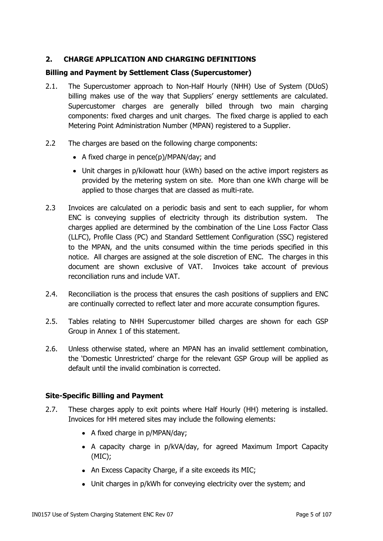# <span id="page-4-0"></span>**2. CHARGE APPLICATION AND CHARGING DEFINITIONS**

## <span id="page-4-1"></span>**Billing and Payment by Settlement Class (Supercustomer)**

- 2.1. The Supercustomer approach to Non-Half Hourly (NHH) Use of System (DUoS) billing makes use of the way that Suppliers' energy settlements are calculated. Supercustomer charges are generally billed through two main charging components: fixed charges and unit charges. The fixed charge is applied to each Metering Point Administration Number (MPAN) registered to a Supplier.
- 2.2 The charges are based on the following charge components:
	- A fixed charge in pence(p)/MPAN/day; and
	- Unit charges in p/kilowatt hour (kWh) based on the active import registers as provided by the metering system on site. More than one kWh charge will be applied to those charges that are classed as multi-rate.
- 2.3 Invoices are calculated on a periodic basis and sent to each supplier, for whom ENC is conveying supplies of electricity through its distribution system. The charges applied are determined by the combination of the Line Loss Factor Class (LLFC), Profile Class (PC) and Standard Settlement Configuration (SSC) registered to the MPAN, and the units consumed within the time periods specified in this notice. All charges are assigned at the sole discretion of ENC. The charges in this document are shown exclusive of VAT. Invoices take account of previous reconciliation runs and include VAT.
- 2.4. Reconciliation is the process that ensures the cash positions of suppliers and ENC are continually corrected to reflect later and more accurate consumption figures.
- 2.5. Tables relating to NHH Supercustomer billed charges are shown for each GSP Group in Annex 1 of this statement.
- 2.6. Unless otherwise stated, where an MPAN has an invalid settlement combination, the 'Domestic Unrestricted' charge for the relevant GSP Group will be applied as default until the invalid combination is corrected.

#### <span id="page-4-2"></span>**Site-Specific Billing and Payment**

- 2.7. These charges apply to exit points where Half Hourly (HH) metering is installed. Invoices for HH metered sites may include the following elements:
	- A fixed charge in p/MPAN/day;
	- A capacity charge in p/kVA/day, for agreed Maximum Import Capacity (MIC);
	- An Excess Capacity Charge, if a site exceeds its MIC;
	- Unit charges in p/kWh for conveying electricity over the system; and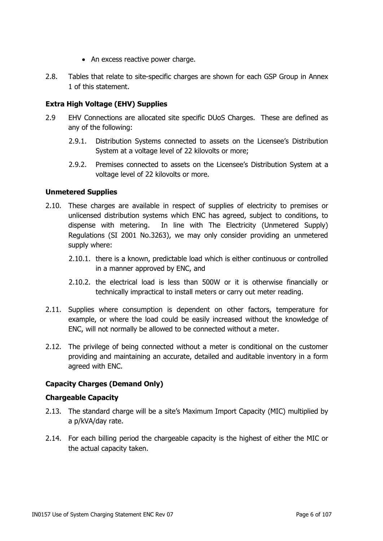- An excess reactive power charge.
- 2.8. Tables that relate to site-specific charges are shown for each GSP Group in Annex 1 of this statement.

# <span id="page-5-0"></span>**Extra High Voltage (EHV) Supplies**

- 2.9 EHV Connections are allocated site specific DUoS Charges. These are defined as any of the following:
	- 2.9.1. Distribution Systems connected to assets on the Licensee's Distribution System at a voltage level of 22 kilovolts or more;
	- 2.9.2. Premises connected to assets on the Licensee's Distribution System at a voltage level of 22 kilovolts or more.

#### <span id="page-5-1"></span>**Unmetered Supplies**

- 2.10. These charges are available in respect of supplies of electricity to premises or unlicensed distribution systems which ENC has agreed, subject to conditions, to dispense with metering. In line with The Electricity (Unmetered Supply) Regulations (SI 2001 No.3263), we may only consider providing an unmetered supply where:
	- 2.10.1. there is a known, predictable load which is either continuous or controlled in a manner approved by ENC, and
	- 2.10.2. the electrical load is less than 500W or it is otherwise financially or technically impractical to install meters or carry out meter reading.
- 2.11. Supplies where consumption is dependent on other factors, temperature for example, or where the load could be easily increased without the knowledge of ENC, will not normally be allowed to be connected without a meter.
- 2.12. The privilege of being connected without a meter is conditional on the customer providing and maintaining an accurate, detailed and auditable inventory in a form agreed with ENC.

# <span id="page-5-2"></span>**Capacity Charges (Demand Only)**

#### <span id="page-5-3"></span>**Chargeable Capacity**

- 2.13. The standard charge will be a site's Maximum Import Capacity (MIC) multiplied by a p/kVA/day rate.
- 2.14. For each billing period the chargeable capacity is the highest of either the MIC or the actual capacity taken.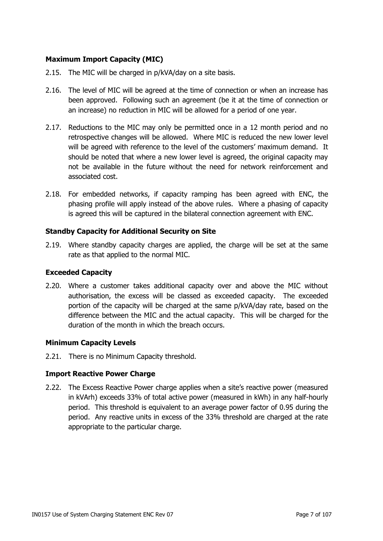# <span id="page-6-0"></span>**Maximum Import Capacity (MIC)**

- 2.15. The MIC will be charged in p/kVA/day on a site basis.
- 2.16. The level of MIC will be agreed at the time of connection or when an increase has been approved. Following such an agreement (be it at the time of connection or an increase) no reduction in MIC will be allowed for a period of one year.
- 2.17. Reductions to the MIC may only be permitted once in a 12 month period and no retrospective changes will be allowed. Where MIC is reduced the new lower level will be agreed with reference to the level of the customers' maximum demand. It should be noted that where a new lower level is agreed, the original capacity may not be available in the future without the need for network reinforcement and associated cost.
- 2.18. For embedded networks, if capacity ramping has been agreed with ENC, the phasing profile will apply instead of the above rules. Where a phasing of capacity is agreed this will be captured in the bilateral connection agreement with ENC.

#### <span id="page-6-1"></span>**Standby Capacity for Additional Security on Site**

2.19. Where standby capacity charges are applied, the charge will be set at the same rate as that applied to the normal MIC.

#### <span id="page-6-2"></span>**Exceeded Capacity**

2.20. Where a customer takes additional capacity over and above the MIC without authorisation, the excess will be classed as exceeded capacity. The exceeded portion of the capacity will be charged at the same p/kVA/day rate, based on the difference between the MIC and the actual capacity. This will be charged for the duration of the month in which the breach occurs.

#### <span id="page-6-3"></span>**Minimum Capacity Levels**

2.21. There is no Minimum Capacity threshold.

# <span id="page-6-4"></span>**Import Reactive Power Charge**

2.22. The Excess Reactive Power charge applies when a site's reactive power (measured in kVArh) exceeds 33% of total active power (measured in kWh) in any half-hourly period. This threshold is equivalent to an average power factor of 0.95 during the period. Any reactive units in excess of the 33% threshold are charged at the rate appropriate to the particular charge.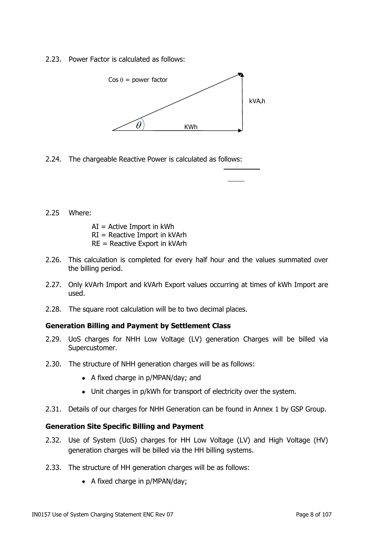2.23. Power Factor is calculated as follows:



2.24. The chargeable Reactive Power is calculated as follows:

2.25 Where:

 $AI =$  Active Import in kWh RI = Reactive Import in kVArh

- RE = Reactive Export in kVArh
- 2.26. This calculation is completed for every half hour and the values summated over the billing period.
- 2.27. Only kVArh Import and kVArh Export values occurring at times of kWh Import are used.
- 2.28. The square root calculation will be to two decimal places.

#### <span id="page-7-0"></span>**Generation Billing and Payment by Settlement Class**

- 2.29. UoS charges for NHH Low Voltage (LV) generation Charges will be billed via Supercustomer.
- 2.30. The structure of NHH generation charges will be as follows:
	- A fixed charge in p/MPAN/day; and
	- Unit charges in p/kWh for transport of electricity over the system.
- 2.31. Details of our charges for NHH Generation can be found in Annex 1 by GSP Group.

#### <span id="page-7-1"></span>**Generation Site Specific Billing and Payment**

- 2.32. Use of System (UoS) charges for HH Low Voltage (LV) and High Voltage (HV) generation charges will be billed via the HH billing systems.
- 2.33. The structure of HH generation charges will be as follows:
	- A fixed charge in p/MPAN/day;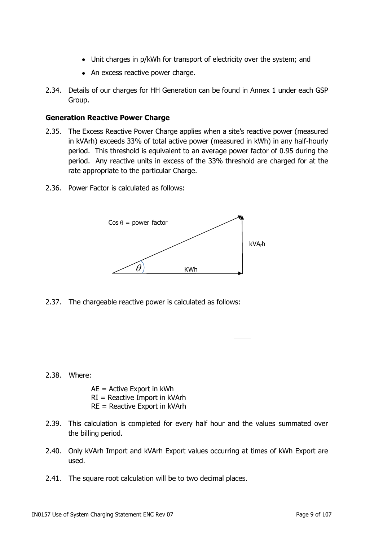- Unit charges in p/kWh for transport of electricity over the system; and
- An excess reactive power charge.
- 2.34. Details of our charges for HH Generation can be found in Annex 1 under each GSP Group.

#### <span id="page-8-0"></span>**Generation Reactive Power Charge**

- 2.35. The Excess Reactive Power Charge applies when a site's reactive power (measured in kVArh) exceeds 33% of total active power (measured in kWh) in any half-hourly period. This threshold is equivalent to an average power factor of 0.95 during the period. Any reactive units in excess of the 33% threshold are charged for at the rate appropriate to the particular Charge.
- 2.36. Power Factor is calculated as follows:



2.37. The chargeable reactive power is calculated as follows:

#### 2.38. Where:

- AE = Active Export in kWh RI = Reactive Import in kVArh RE = Reactive Export in kVArh
- 2.39. This calculation is completed for every half hour and the values summated over the billing period.
- 2.40. Only kVArh Import and kVArh Export values occurring at times of kWh Export are used.
- 2.41. The square root calculation will be to two decimal places.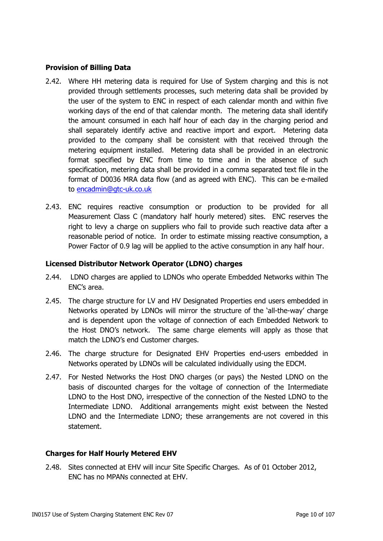## <span id="page-9-0"></span>**Provision of Billing Data**

- 2.42. Where HH metering data is required for Use of System charging and this is not provided through settlements processes, such metering data shall be provided by the user of the system to ENC in respect of each calendar month and within five working days of the end of that calendar month. The metering data shall identify the amount consumed in each half hour of each day in the charging period and shall separately identify active and reactive import and export. Metering data provided to the company shall be consistent with that received through the metering equipment installed. Metering data shall be provided in an electronic format specified by ENC from time to time and in the absence of such specification, metering data shall be provided in a comma separated text file in the format of D0036 MRA data flow (and as agreed with ENC). This can be e-mailed to [encadmin@gtc-uk.co.uk](mailto:encadmin@gtc-uk.co.uk)
- 2.43. ENC requires reactive consumption or production to be provided for all Measurement Class C (mandatory half hourly metered) sites. ENC reserves the right to levy a charge on suppliers who fail to provide such reactive data after a reasonable period of notice. In order to estimate missing reactive consumption, a Power Factor of 0.9 lag will be applied to the active consumption in any half hour.

#### <span id="page-9-1"></span>**Licensed Distributor Network Operator (LDNO) charges**

- 2.44. LDNO charges are applied to LDNOs who operate Embedded Networks within The ENC's area.
- 2.45. The charge structure for LV and HV Designated Properties end users embedded in Networks operated by LDNOs will mirror the structure of the 'all-the-way' charge and is dependent upon the voltage of connection of each Embedded Network to the Host DNO's network. The same charge elements will apply as those that match the LDNO's end Customer charges.
- 2.46. The charge structure for Designated EHV Properties end-users embedded in Networks operated by LDNOs will be calculated individually using the EDCM.
- 2.47. For Nested Networks the Host DNO charges (or pays) the Nested LDNO on the basis of discounted charges for the voltage of connection of the Intermediate LDNO to the Host DNO, irrespective of the connection of the Nested LDNO to the Intermediate LDNO. Additional arrangements might exist between the Nested LDNO and the Intermediate LDNO; these arrangements are not covered in this statement.

#### <span id="page-9-2"></span>**Charges for Half Hourly Metered EHV**

2.48. Sites connected at EHV will incur Site Specific Charges. As of 01 October 2012, ENC has no MPANs connected at EHV.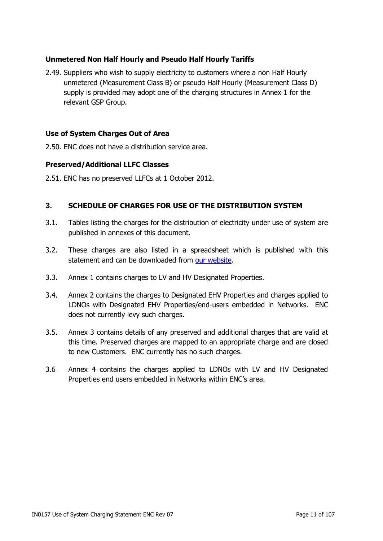# <span id="page-10-0"></span>**Unmetered Non Half Hourly and Pseudo Half Hourly Tariffs**

2.49. Suppliers who wish to supply electricity to customers where a non Half Hourly unmetered (Measurement Class B) or pseudo Half Hourly (Measurement Class D) supply is provided may adopt one of the charging structures in Annex 1 for the relevant GSP Group.

## <span id="page-10-1"></span>**Use of System Charges Out of Area**

2.50. ENC does not have a distribution service area.

#### <span id="page-10-2"></span>**Preserved/Additional LLFC Classes**

2.51. ENC has no preserved LLFCs at 1 October 2012.

#### <span id="page-10-3"></span>**3. SCHEDULE OF CHARGES FOR USE OF THE DISTRIBUTION SYSTEM**

- 3.1. Tables listing the charges for the distribution of electricity under use of system are published in annexes of this document.
- 3.2. These charges are also listed in a spreadsheet which is published with this statement and can be downloaded from [our website.](http://www.gtc-uk.co.uk/about-us/our-regulated-businesses)
- 3.3. Annex 1 contains charges to LV and HV Designated Properties.
- 3.4. Annex 2 contains the charges to Designated EHV Properties and charges applied to LDNOs with Designated EHV Properties/end-users embedded in Networks. ENC does not currently levy such charges.
- 3.5. Annex 3 contains details of any preserved and additional charges that are valid at this time. Preserved charges are mapped to an appropriate charge and are closed to new Customers. ENC currently has no such charges.
- 3.6 Annex 4 contains the charges applied to LDNOs with LV and HV Designated Properties end users embedded in Networks within ENC's area.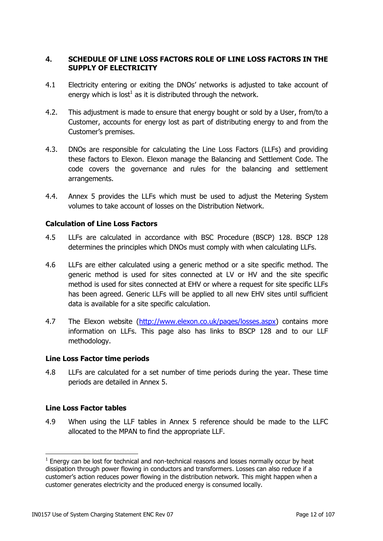## <span id="page-11-0"></span>**4. SCHEDULE OF LINE LOSS FACTORS ROLE OF LINE LOSS FACTORS IN THE SUPPLY OF ELECTRICITY**

- 4.1 Electricity entering or exiting the DNOs' networks is adjusted to take account of energy which is lost $^1$  as it is distributed through the network.
- 4.2. This adjustment is made to ensure that energy bought or sold by a User, from/to a Customer, accounts for energy lost as part of distributing energy to and from the Customer's premises.
- 4.3. DNOs are responsible for calculating the Line Loss Factors (LLFs) and providing these factors to Elexon. Elexon manage the Balancing and Settlement Code. The code covers the governance and rules for the balancing and settlement arrangements.
- 4.4. Annex 5 provides the LLFs which must be used to adjust the Metering System volumes to take account of losses on the Distribution Network.

#### <span id="page-11-1"></span>**Calculation of Line Loss Factors**

- 4.5 LLFs are calculated in accordance with BSC Procedure (BSCP) 128. BSCP 128 determines the principles which DNOs must comply with when calculating LLFs.
- 4.6 LLFs are either calculated using a generic method or a site specific method. The generic method is used for sites connected at LV or HV and the site specific method is used for sites connected at EHV or where a request for site specific LLFs has been agreed. Generic LLFs will be applied to all new EHV sites until sufficient data is available for a site specific calculation.
- 4.7 The Elexon website [\(http://www.elexon.co.uk/pages/losses.aspx\)](http://www.elexon.co.uk/pages/losses.aspx) contains more information on LLFs. This page also has links to BSCP 128 and to our LLF methodology.

#### <span id="page-11-2"></span>**Line Loss Factor time periods**

4.8 LLFs are calculated for a set number of time periods during the year. These time periods are detailed in Annex 5.

#### <span id="page-11-3"></span>**Line Loss Factor tables**

4.9 When using the LLF tables in Annex 5 reference should be made to the LLFC allocated to the MPAN to find the appropriate LLF.

 $1$  Energy can be lost for technical and non-technical reasons and losses normally occur by heat dissipation through power flowing in conductors and transformers. Losses can also reduce if a customer's action reduces power flowing in the distribution network. This might happen when a customer generates electricity and the produced energy is consumed locally.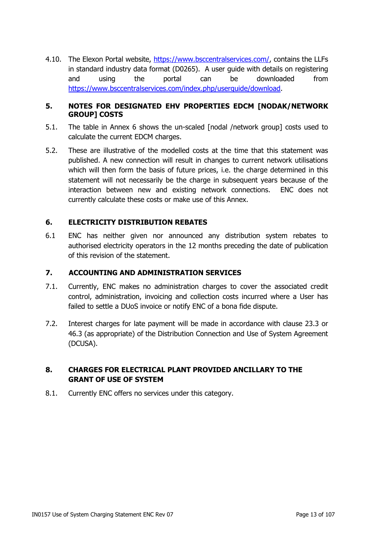4.10. The Elexon Portal website, [https://www.bsccentralservices.com/,](https://www.bsccentralservices.com/) contains the LLFs in standard industry data format (D0265). A user guide with details on registering and using the portal can be downloaded from [https://www.bsccentralservices.com/index.php/userguide/download.](https://www.bsccentralservices.com/index.php/userguide/download)

## <span id="page-12-0"></span>**5. NOTES FOR DESIGNATED EHV PROPERTIES EDCM [NODAK/NETWORK GROUP] COSTS**

- 5.1. The table in Annex 6 shows the un-scaled [nodal /network group] costs used to calculate the current EDCM charges.
- 5.2. These are illustrative of the modelled costs at the time that this statement was published. A new connection will result in changes to current network utilisations which will then form the basis of future prices, i.e. the charge determined in this statement will not necessarily be the charge in subsequent years because of the interaction between new and existing network connections. ENC does not currently calculate these costs or make use of this Annex.

# <span id="page-12-1"></span>**6. ELECTRICITY DISTRIBUTION REBATES**

6.1 ENC has neither given nor announced any distribution system rebates to authorised electricity operators in the 12 months preceding the date of publication of this revision of the statement.

## <span id="page-12-2"></span>**7. ACCOUNTING AND ADMINISTRATION SERVICES**

- 7.1. Currently, ENC makes no administration charges to cover the associated credit control, administration, invoicing and collection costs incurred where a User has failed to settle a DUoS invoice or notify ENC of a bona fide dispute.
- 7.2. Interest charges for late payment will be made in accordance with clause 23.3 or 46.3 (as appropriate) of the Distribution Connection and Use of System Agreement (DCUSA).

# <span id="page-12-3"></span>**8. CHARGES FOR ELECTRICAL PLANT PROVIDED ANCILLARY TO THE GRANT OF USE OF SYSTEM**

<span id="page-12-4"></span>8.1. Currently ENC offers no services under this category.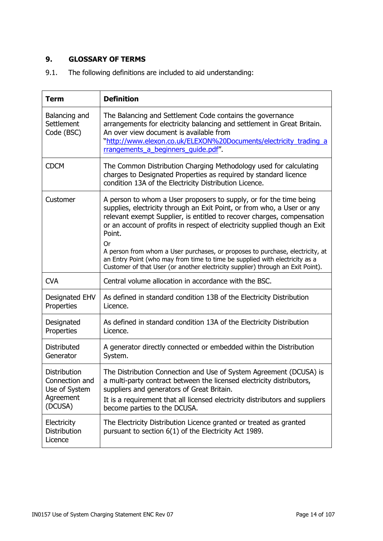# **9. GLOSSARY OF TERMS**

9.1. The following definitions are included to aid understanding:

| <b>Term</b>                                                             | <b>Definition</b>                                                                                                                                                                                                                                                                                                                                                                                                                                                                                                                                                               |
|-------------------------------------------------------------------------|---------------------------------------------------------------------------------------------------------------------------------------------------------------------------------------------------------------------------------------------------------------------------------------------------------------------------------------------------------------------------------------------------------------------------------------------------------------------------------------------------------------------------------------------------------------------------------|
| Balancing and<br>Settlement<br>Code (BSC)                               | The Balancing and Settlement Code contains the governance<br>arrangements for electricity balancing and settlement in Great Britain.<br>An over view document is available from<br>"http://www.elexon.co.uk/ELEXON%20Documents/electricity_trading_a<br>rrangements a beginners quide.pdf".                                                                                                                                                                                                                                                                                     |
| <b>CDCM</b>                                                             | The Common Distribution Charging Methodology used for calculating<br>charges to Designated Properties as required by standard licence<br>condition 13A of the Electricity Distribution Licence.                                                                                                                                                                                                                                                                                                                                                                                 |
| Customer                                                                | A person to whom a User proposers to supply, or for the time being<br>supplies, electricity through an Exit Point, or from who, a User or any<br>relevant exempt Supplier, is entitled to recover charges, compensation<br>or an account of profits in respect of electricity supplied though an Exit<br>Point.<br><b>Or</b><br>A person from whom a User purchases, or proposes to purchase, electricity, at<br>an Entry Point (who may from time to time be supplied with electricity as a<br>Customer of that User (or another electricity supplier) through an Exit Point). |
| <b>CVA</b>                                                              | Central volume allocation in accordance with the BSC.                                                                                                                                                                                                                                                                                                                                                                                                                                                                                                                           |
| Designated EHV<br>Properties                                            | As defined in standard condition 13B of the Electricity Distribution<br>Licence.                                                                                                                                                                                                                                                                                                                                                                                                                                                                                                |
| Designated<br>Properties                                                | As defined in standard condition 13A of the Electricity Distribution<br>Licence.                                                                                                                                                                                                                                                                                                                                                                                                                                                                                                |
| <b>Distributed</b><br>Generator                                         | A generator directly connected or embedded within the Distribution<br>System.                                                                                                                                                                                                                                                                                                                                                                                                                                                                                                   |
| Distribution<br>Connection and<br>Use of System<br>Agreement<br>(DCUSA) | The Distribution Connection and Use of System Agreement (DCUSA) is<br>a multi-party contract between the licensed electricity distributors,<br>suppliers and generators of Great Britain.<br>It is a requirement that all licensed electricity distributors and suppliers<br>become parties to the DCUSA.                                                                                                                                                                                                                                                                       |
| Electricity<br>Distribution<br>Licence                                  | The Electricity Distribution Licence granted or treated as granted<br>pursuant to section 6(1) of the Electricity Act 1989.                                                                                                                                                                                                                                                                                                                                                                                                                                                     |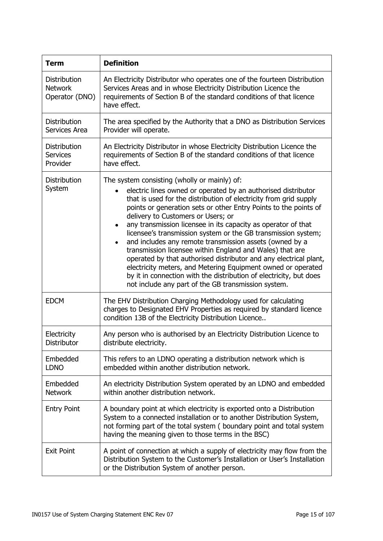| <b>Term</b>                                        | <b>Definition</b>                                                                                                                                                                                                                                                                                                                                                                                                                                                                                                                                                                                                                                                                                                                                                                                                                         |
|----------------------------------------------------|-------------------------------------------------------------------------------------------------------------------------------------------------------------------------------------------------------------------------------------------------------------------------------------------------------------------------------------------------------------------------------------------------------------------------------------------------------------------------------------------------------------------------------------------------------------------------------------------------------------------------------------------------------------------------------------------------------------------------------------------------------------------------------------------------------------------------------------------|
| Distribution<br><b>Network</b><br>Operator (DNO)   | An Electricity Distributor who operates one of the fourteen Distribution<br>Services Areas and in whose Electricity Distribution Licence the<br>requirements of Section B of the standard conditions of that licence<br>have effect.                                                                                                                                                                                                                                                                                                                                                                                                                                                                                                                                                                                                      |
| <b>Distribution</b><br>Services Area               | The area specified by the Authority that a DNO as Distribution Services<br>Provider will operate.                                                                                                                                                                                                                                                                                                                                                                                                                                                                                                                                                                                                                                                                                                                                         |
| <b>Distribution</b><br><b>Services</b><br>Provider | An Electricity Distributor in whose Electricity Distribution Licence the<br>requirements of Section B of the standard conditions of that licence<br>have effect.                                                                                                                                                                                                                                                                                                                                                                                                                                                                                                                                                                                                                                                                          |
| Distribution<br>System                             | The system consisting (wholly or mainly) of:<br>electric lines owned or operated by an authorised distributor<br>that is used for the distribution of electricity from grid supply<br>points or generation sets or other Entry Points to the points of<br>delivery to Customers or Users; or<br>any transmission licensee in its capacity as operator of that<br>٠<br>licensee's transmission system or the GB transmission system;<br>and includes any remote transmission assets (owned by a<br>$\bullet$<br>transmission licensee within England and Wales) that are<br>operated by that authorised distributor and any electrical plant,<br>electricity meters, and Metering Equipment owned or operated<br>by it in connection with the distribution of electricity, but does<br>not include any part of the GB transmission system. |
| <b>EDCM</b>                                        | The EHV Distribution Charging Methodology used for calculating<br>charges to Designated EHV Properties as required by standard licence<br>condition 13B of the Electricity Distribution Licence                                                                                                                                                                                                                                                                                                                                                                                                                                                                                                                                                                                                                                           |
| Electricity<br>Distributor                         | Any person who is authorised by an Electricity Distribution Licence to<br>distribute electricity.                                                                                                                                                                                                                                                                                                                                                                                                                                                                                                                                                                                                                                                                                                                                         |
| Embedded<br><b>LDNO</b>                            | This refers to an LDNO operating a distribution network which is<br>embedded within another distribution network.                                                                                                                                                                                                                                                                                                                                                                                                                                                                                                                                                                                                                                                                                                                         |
| Embedded<br><b>Network</b>                         | An electricity Distribution System operated by an LDNO and embedded<br>within another distribution network.                                                                                                                                                                                                                                                                                                                                                                                                                                                                                                                                                                                                                                                                                                                               |
| <b>Entry Point</b>                                 | A boundary point at which electricity is exported onto a Distribution<br>System to a connected installation or to another Distribution System,<br>not forming part of the total system (boundary point and total system<br>having the meaning given to those terms in the BSC)                                                                                                                                                                                                                                                                                                                                                                                                                                                                                                                                                            |
| <b>Exit Point</b>                                  | A point of connection at which a supply of electricity may flow from the<br>Distribution System to the Customer's Installation or User's Installation<br>or the Distribution System of another person.                                                                                                                                                                                                                                                                                                                                                                                                                                                                                                                                                                                                                                    |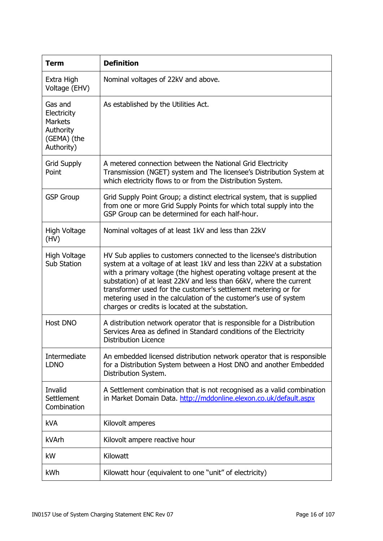| <b>Term</b>                                                                        | <b>Definition</b>                                                                                                                                                                                                                                                                                                                                                                                                                                                                      |
|------------------------------------------------------------------------------------|----------------------------------------------------------------------------------------------------------------------------------------------------------------------------------------------------------------------------------------------------------------------------------------------------------------------------------------------------------------------------------------------------------------------------------------------------------------------------------------|
| Extra High<br>Voltage (EHV)                                                        | Nominal voltages of 22kV and above.                                                                                                                                                                                                                                                                                                                                                                                                                                                    |
| Gas and<br>Electricity<br><b>Markets</b><br>Authority<br>(GEMA) (the<br>Authority) | As established by the Utilities Act.                                                                                                                                                                                                                                                                                                                                                                                                                                                   |
| <b>Grid Supply</b><br>Point                                                        | A metered connection between the National Grid Electricity<br>Transmission (NGET) system and The licensee's Distribution System at<br>which electricity flows to or from the Distribution System.                                                                                                                                                                                                                                                                                      |
| <b>GSP Group</b>                                                                   | Grid Supply Point Group; a distinct electrical system, that is supplied<br>from one or more Grid Supply Points for which total supply into the<br>GSP Group can be determined for each half-hour.                                                                                                                                                                                                                                                                                      |
| High Voltage<br>(HV)                                                               | Nominal voltages of at least 1kV and less than 22kV                                                                                                                                                                                                                                                                                                                                                                                                                                    |
| High Voltage<br>Sub Station                                                        | HV Sub applies to customers connected to the licensee's distribution<br>system at a voltage of at least 1kV and less than 22kV at a substation<br>with a primary voltage (the highest operating voltage present at the<br>substation) of at least 22kV and less than 66kV, where the current<br>transformer used for the customer's settlement metering or for<br>metering used in the calculation of the customer's use of system<br>charges or credits is located at the substation. |
| Host DNO                                                                           | A distribution network operator that is responsible for a Distribution<br>Services Area as defined in Standard conditions of the Electricity<br><b>Distribution Licence</b>                                                                                                                                                                                                                                                                                                            |
| Intermediate<br><b>LDNO</b>                                                        | An embedded licensed distribution network operator that is responsible<br>for a Distribution System between a Host DNO and another Embedded<br>Distribution System.                                                                                                                                                                                                                                                                                                                    |
| Invalid<br>Settlement<br>Combination                                               | A Settlement combination that is not recognised as a valid combination<br>in Market Domain Data. http://mddonline.elexon.co.uk/default.aspx                                                                                                                                                                                                                                                                                                                                            |
| <b>kVA</b>                                                                         | Kilovolt amperes                                                                                                                                                                                                                                                                                                                                                                                                                                                                       |
| kVArh                                                                              | Kilovolt ampere reactive hour                                                                                                                                                                                                                                                                                                                                                                                                                                                          |
| kW                                                                                 | Kilowatt                                                                                                                                                                                                                                                                                                                                                                                                                                                                               |
| kWh                                                                                | Kilowatt hour (equivalent to one "unit" of electricity)                                                                                                                                                                                                                                                                                                                                                                                                                                |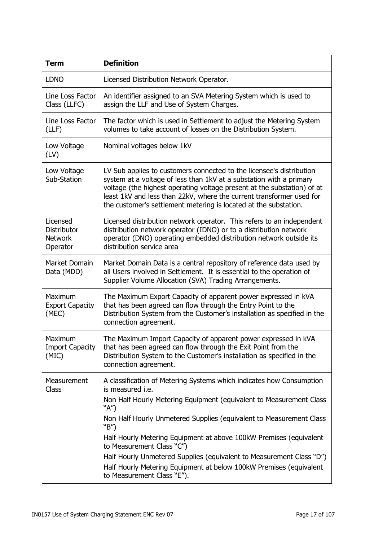| <b>Term</b>                                           | <b>Definition</b>                                                                                                                                                                                                                                                                                                                                                                                                                                                                                                                            |
|-------------------------------------------------------|----------------------------------------------------------------------------------------------------------------------------------------------------------------------------------------------------------------------------------------------------------------------------------------------------------------------------------------------------------------------------------------------------------------------------------------------------------------------------------------------------------------------------------------------|
| <b>LDNO</b>                                           | Licensed Distribution Network Operator.                                                                                                                                                                                                                                                                                                                                                                                                                                                                                                      |
| Line Loss Factor<br>Class (LLFC)                      | An identifier assigned to an SVA Metering System which is used to<br>assign the LLF and Use of System Charges.                                                                                                                                                                                                                                                                                                                                                                                                                               |
| Line Loss Factor<br>(LLF)                             | The factor which is used in Settlement to adjust the Metering System<br>volumes to take account of losses on the Distribution System.                                                                                                                                                                                                                                                                                                                                                                                                        |
| Low Voltage<br>(LV)                                   | Nominal voltages below 1kV                                                                                                                                                                                                                                                                                                                                                                                                                                                                                                                   |
| Low Voltage<br>Sub-Station                            | LV Sub applies to customers connected to the licensee's distribution<br>system at a voltage of less than 1kV at a substation with a primary<br>voltage (the highest operating voltage present at the substation) of at<br>least 1kV and less than 22kV, where the current transformer used for<br>the customer's settlement metering is located at the substation.                                                                                                                                                                           |
| Licensed<br>Distributor<br><b>Network</b><br>Operator | Licensed distribution network operator. This refers to an independent<br>distribution network operator (IDNO) or to a distribution network<br>operator (DNO) operating embedded distribution network outside its<br>distribution service area                                                                                                                                                                                                                                                                                                |
| Market Domain<br>Data (MDD)                           | Market Domain Data is a central repository of reference data used by<br>all Users involved in Settlement. It is essential to the operation of<br>Supplier Volume Allocation (SVA) Trading Arrangements.                                                                                                                                                                                                                                                                                                                                      |
| Maximum<br><b>Export Capacity</b><br>(MEC)            | The Maximum Export Capacity of apparent power expressed in kVA<br>that has been agreed can flow through the Entry Point to the<br>Distribution System from the Customer's installation as specified in the<br>connection agreement.                                                                                                                                                                                                                                                                                                          |
| Maximum<br><b>Import Capacity</b><br>(MIC)            | The Maximum Import Capacity of apparent power expressed in kVA<br>that has been agreed can flow through the Exit Point from the<br>Distribution System to the Customer's installation as specified in the<br>connection agreement.                                                                                                                                                                                                                                                                                                           |
| Measurement<br>Class                                  | A classification of Metering Systems which indicates how Consumption<br>is measured <i>i.e.</i><br>Non Half Hourly Metering Equipment (equivalent to Measurement Class<br>"A")<br>Non Half Hourly Unmetered Supplies (equivalent to Measurement Class<br>"B")<br>Half Hourly Metering Equipment at above 100kW Premises (equivalent<br>to Measurement Class "C")<br>Half Hourly Unmetered Supplies (equivalent to Measurement Class "D")<br>Half Hourly Metering Equipment at below 100kW Premises (equivalent<br>to Measurement Class "E"). |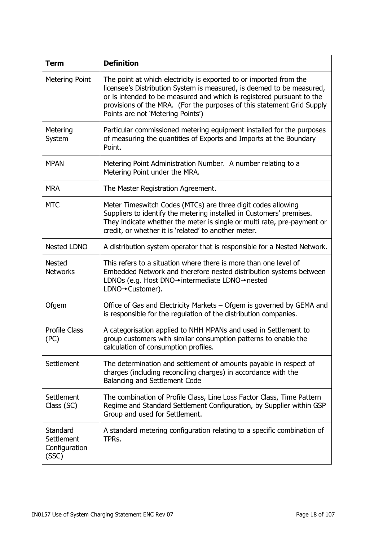| <b>Term</b>                                      | <b>Definition</b>                                                                                                                                                                                                                                                                                                                   |
|--------------------------------------------------|-------------------------------------------------------------------------------------------------------------------------------------------------------------------------------------------------------------------------------------------------------------------------------------------------------------------------------------|
| Metering Point                                   | The point at which electricity is exported to or imported from the<br>licensee's Distribution System is measured, is deemed to be measured,<br>or is intended to be measured and which is registered pursuant to the<br>provisions of the MRA. (For the purposes of this statement Grid Supply<br>Points are not 'Metering Points') |
| Metering<br>System                               | Particular commissioned metering equipment installed for the purposes<br>of measuring the quantities of Exports and Imports at the Boundary<br>Point.                                                                                                                                                                               |
| <b>MPAN</b>                                      | Metering Point Administration Number. A number relating to a<br>Metering Point under the MRA.                                                                                                                                                                                                                                       |
| <b>MRA</b>                                       | The Master Registration Agreement.                                                                                                                                                                                                                                                                                                  |
| <b>MTC</b>                                       | Meter Timeswitch Codes (MTCs) are three digit codes allowing<br>Suppliers to identify the metering installed in Customers' premises.<br>They indicate whether the meter is single or multi rate, pre-payment or<br>credit, or whether it is 'related' to another meter.                                                             |
| <b>Nested LDNO</b>                               | A distribution system operator that is responsible for a Nested Network.                                                                                                                                                                                                                                                            |
| <b>Nested</b><br><b>Networks</b>                 | This refers to a situation where there is more than one level of<br>Embedded Network and therefore nested distribution systems between<br>LDNOs (e.g. Host DNO→intermediate LDNO→nested<br>LDNO→Customer).                                                                                                                          |
| Ofgem                                            | Office of Gas and Electricity Markets - Ofgem is governed by GEMA and<br>is responsible for the regulation of the distribution companies.                                                                                                                                                                                           |
| <b>Profile Class</b><br>(PC)                     | A categorisation applied to NHH MPANs and used in Settlement to<br>group customers with similar consumption patterns to enable the<br>calculation of consumption profiles.                                                                                                                                                          |
| Settlement                                       | The determination and settlement of amounts payable in respect of<br>charges (including reconciling charges) in accordance with the<br>Balancing and Settlement Code                                                                                                                                                                |
| Settlement<br>Class (SC)                         | The combination of Profile Class, Line Loss Factor Class, Time Pattern<br>Regime and Standard Settlement Configuration, by Supplier within GSP<br>Group and used for Settlement.                                                                                                                                                    |
| Standard<br>Settlement<br>Configuration<br>(SSC) | A standard metering configuration relating to a specific combination of<br>TPRs.                                                                                                                                                                                                                                                    |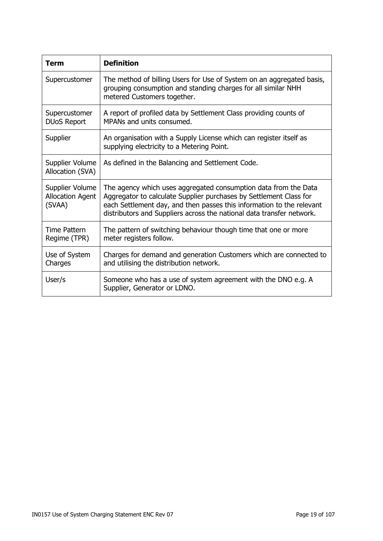| Term                                                 | <b>Definition</b>                                                                                                                                                                                                                                                                       |
|------------------------------------------------------|-----------------------------------------------------------------------------------------------------------------------------------------------------------------------------------------------------------------------------------------------------------------------------------------|
| Supercustomer                                        | The method of billing Users for Use of System on an aggregated basis,<br>grouping consumption and standing charges for all similar NHH<br>metered Customers together.                                                                                                                   |
| Supercustomer<br><b>DUoS Report</b>                  | A report of profiled data by Settlement Class providing counts of<br>MPANs and units consumed.                                                                                                                                                                                          |
| Supplier                                             | An organisation with a Supply License which can register itself as<br>supplying electricity to a Metering Point.                                                                                                                                                                        |
| Supplier Volume<br>Allocation (SVA)                  | As defined in the Balancing and Settlement Code.                                                                                                                                                                                                                                        |
| Supplier Volume<br><b>Allocation Agent</b><br>(SVAA) | The agency which uses aggregated consumption data from the Data<br>Aggregator to calculate Supplier purchases by Settlement Class for<br>each Settlement day, and then passes this information to the relevant<br>distributors and Suppliers across the national data transfer network. |
| Time Pattern<br>Regime (TPR)                         | The pattern of switching behaviour though time that one or more<br>meter registers follow.                                                                                                                                                                                              |
| Use of System<br>Charges                             | Charges for demand and generation Customers which are connected to<br>and utilising the distribution network.                                                                                                                                                                           |
| User/s                                               | Someone who has a use of system agreement with the DNO e.g. A<br>Supplier, Generator or LDNO.                                                                                                                                                                                           |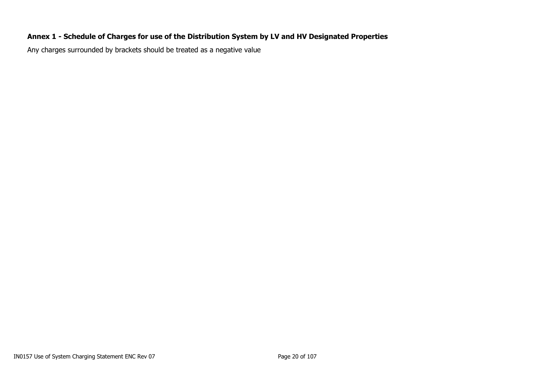# **Annex 1 - Schedule of Charges for use of the Distribution System by LV and HV Designated Properties**

<span id="page-19-0"></span>Any charges surrounded by brackets should be treated as a negative value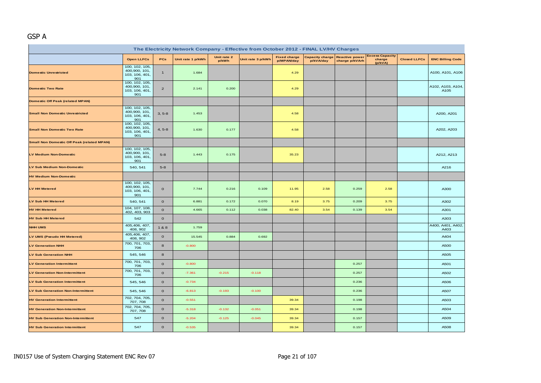# GSP A

| The Electricity Network Company - Effective from October 2012 - FINAL LV/HV Charges |                                                          |                |                   |                      |                   |                                   |                                     |                                         |                                             |                     |                           |  |
|-------------------------------------------------------------------------------------|----------------------------------------------------------|----------------|-------------------|----------------------|-------------------|-----------------------------------|-------------------------------------|-----------------------------------------|---------------------------------------------|---------------------|---------------------------|--|
|                                                                                     | <b>Open LLFCs</b>                                        | PCs            | Unit rate 1 p/kWh | Unit rate 2<br>p/kWh | Unit rate 3 p/kWh | <b>Fixed charge</b><br>p/MPAN/day | <b>Capacity charge</b><br>p/kVA/day | <b>Reactive power</b><br>charge p/kVArh | <b>Excess Capacity</b><br>charge<br>(p/kVA) | <b>Closed LLFCs</b> | <b>ENC Billing Code</b>   |  |
| <b>Domestic Unrestricted</b>                                                        | 100, 102, 105,<br>400,900, 101,<br>103, 106, 401,<br>901 | $\overline{1}$ | 1.684             |                      |                   | 4.29                              |                                     |                                         |                                             |                     | A100, A101, A106          |  |
| <b>Domestic Two Rate</b>                                                            | 100, 102, 105,<br>400,900, 101,<br>103, 106, 401,<br>901 | $\overline{2}$ | 2.141             | 0.200                |                   | 4.29                              |                                     |                                         |                                             |                     | A102, A103, A104,<br>A105 |  |
| <b>Domestic Off Peak (related MPAN)</b>                                             |                                                          |                |                   |                      |                   |                                   |                                     |                                         |                                             |                     |                           |  |
| <b>Small Non Domestic Unrestricted</b>                                              | 100, 102, 105,<br>400,900, 101,<br>103, 106, 401,<br>901 | $3, 5-8$       | 1.453             |                      |                   | 4.58                              |                                     |                                         |                                             |                     | A200, A201                |  |
| <b>Small Non Domestic Two Rate</b>                                                  | 100, 102, 105,<br>400,900, 101,<br>103, 106, 401,<br>901 | $4, 5-8$       | 1.630             | 0.177                |                   | 4.58                              |                                     |                                         |                                             |                     | A202, A203                |  |
| <b>Small Non Domestic Off Peak (related MPAN)</b>                                   |                                                          |                |                   |                      |                   |                                   |                                     |                                         |                                             |                     |                           |  |
| <b>LV Medium Non-Domestic</b>                                                       | 100, 102, 105,<br>400,900, 101,<br>103, 106, 401,<br>901 | $5-8$          | 1.443             | 0.175                |                   | 35.23                             |                                     |                                         |                                             |                     | A212, A213                |  |
| LV Sub Medium Non-Domestic                                                          | 540, 541                                                 | $5-8$          |                   |                      |                   |                                   |                                     |                                         |                                             |                     | A216                      |  |
| <b>HV Medium Non-Domestic</b>                                                       |                                                          |                |                   |                      |                   |                                   |                                     |                                         |                                             |                     |                           |  |
| <b>LV HH Metered</b>                                                                | 100, 102, 105,<br>400,900, 101,<br>103, 106, 401,<br>901 | $\mathbf{O}$   | 7.744             | 0.216                | 0.109             | 11.95                             | 2.58                                | 0.259                                   | 2.58                                        |                     | A300                      |  |
| LV Sub HH Metered                                                                   | 540, 541                                                 | $\mathbf{o}$   | 6.881             | 0.172                | 0.070             | 8.19                              | 3.75                                | 0.209                                   | 3.75                                        |                     | A302                      |  |
| <b>HV HH Metered</b>                                                                | 104, 107, 108,<br>402, 403, 903                          | $\mathbf{o}$   | 4.665             | 0.112                | 0.038             | 82.40                             | 3.54                                | 0.139                                   | 3.54                                        |                     | A301                      |  |
| <b>HV Sub HH Metered</b>                                                            | 542                                                      | $\mathbf{O}$   |                   |                      |                   |                                   |                                     |                                         |                                             |                     | A303                      |  |
| <b>NHH UMS</b>                                                                      | 405,406, 407,<br>408, 902                                | 1&8            | 1.759             |                      |                   |                                   |                                     |                                         |                                             |                     | A400, A401, A402,<br>A403 |  |
| LV UMS (Pseudo HH Metered)                                                          | 405,406, 407,<br>408, 902                                | $\mathbf{o}$   | 15.545            | 0.884                | 0.692             |                                   |                                     |                                         |                                             |                     | A404                      |  |
| <b>LV Generation NHH</b>                                                            | 700, 701, 703,<br>706                                    | 8              | $-0.800$          |                      |                   |                                   |                                     |                                         |                                             |                     | A500                      |  |
| <b>LV Sub Generation NHH</b>                                                        | 545, 546                                                 | 8              |                   |                      |                   |                                   |                                     |                                         |                                             |                     | A505                      |  |
| <b>LV Generation Intermittent</b>                                                   | 700, 701, 703,<br>706                                    | $\mathbf{O}$   | $-0.800$          |                      |                   |                                   |                                     | 0.257                                   |                                             |                     | A501                      |  |
| <b>LV Generation Non-Intermittent</b>                                               | 700, 701, 703,<br>706                                    | $\mathbf{o}$   | $-7.361$          | $-0.215$             | $-0.118$          |                                   |                                     | 0.257                                   |                                             |                     | A502                      |  |
| <b>LV Sub Generation Intermittent</b>                                               | 545, 546                                                 | $\mathbf{O}$   | $-0.734$          |                      |                   |                                   |                                     | 0.236                                   |                                             |                     | A506                      |  |
| <b>LV Sub Generation Non-Intermittent</b>                                           | 545, 546                                                 | $\mathbf{o}$   | $-6.813$          | $-0.193$             | $-0.100$          |                                   |                                     | 0.236                                   |                                             |                     | A507                      |  |
| <b>HV Generation Intermittent</b>                                                   | 702, 704, 705,<br>707, 708                               | $\mathbf{O}$   | $-0.551$          |                      |                   | 39.34                             |                                     | 0.198                                   |                                             |                     | A503                      |  |
| <b>HV Generation Non-Intermittent</b>                                               | 702, 704, 705,<br>707, 708                               | $\mathbf{O}$   | $-5.318$          | $-0.132$             | $-0.051$          | 39.34                             |                                     | 0.198                                   |                                             |                     | A504                      |  |
| <b>HV Sub Generation Non-Intermittent</b>                                           | 547                                                      | $\mathbf{O}$   | $-5.204$          | $-0.125$             | $-0.045$          | 39.34                             |                                     | 0.157                                   |                                             |                     | A509                      |  |
| <b>HV Sub Generation Intermittent</b>                                               | 547                                                      | $\mathbf 0$    | $-0.535$          |                      |                   | 39.34                             |                                     | 0.157                                   |                                             |                     | A508                      |  |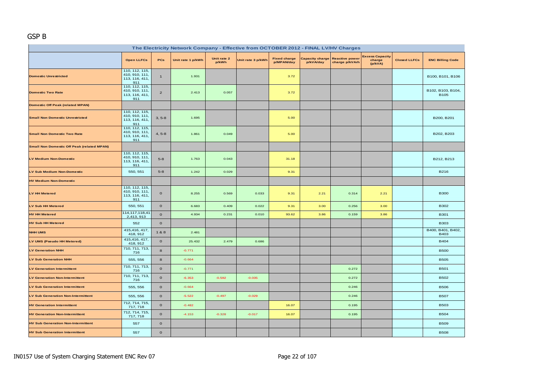#### GSP B

| The Electricity Network Company - Effective from OCTOBER 2012 - FINAL LV/HV Charges |                                                           |                |                   |                      |                   |                                   |           |                                                         |                                             |                     |                                  |  |
|-------------------------------------------------------------------------------------|-----------------------------------------------------------|----------------|-------------------|----------------------|-------------------|-----------------------------------|-----------|---------------------------------------------------------|---------------------------------------------|---------------------|----------------------------------|--|
|                                                                                     | <b>Open LLFCs</b>                                         | PCs            | Unit rate 1 p/kWh | Unit rate 2<br>p/kWh | Unit rate 3 p/kWh | <b>Fixed charge</b><br>p/MPAN/day | p/kVA/day | <b>Capacity charge Reactive power</b><br>charge p/kVArh | <b>Excess Capacity</b><br>charge<br>(p/kVA) | <b>Closed LLFCs</b> | <b>ENC Billing Code</b>          |  |
| <b>Domestic Unrestricted</b>                                                        | 110, 112, 115,<br>410, 910, 111,<br>113, 116, 411,<br>911 | $\mathbf{1}$   | 1.931             |                      |                   | 3.72                              |           |                                                         |                                             |                     | B100, B101, B106                 |  |
| <b>Domestic Two Rate</b>                                                            | 110, 112, 115,<br>410, 910, 111,<br>113, 116, 411,<br>911 | $\overline{2}$ | 2.413             | 0.057                |                   | 3.72                              |           |                                                         |                                             |                     | B102, B103, B104,<br><b>B105</b> |  |
| <b>Domestic Off Peak (related MPAN)</b>                                             |                                                           |                |                   |                      |                   |                                   |           |                                                         |                                             |                     |                                  |  |
| <b>Small Non Domestic Unrestricted</b>                                              | 110, 112, 115,<br>410, 910, 111,<br>113, 116, 411,<br>911 | $3, 5-8$       | 1.695             |                      |                   | 5.00                              |           |                                                         |                                             |                     | B200, B201                       |  |
| <b>Small Non Domestic Two Rate</b>                                                  | 110, 112, 115,<br>410, 910, 111,<br>113, 116, 411,<br>911 | $4, 5-8$       | 1.861             | 0.049                |                   | 5.00                              |           |                                                         |                                             |                     | B202, B203                       |  |
| <b>Small Non Domestic Off Peak (related MPAN)</b>                                   |                                                           |                |                   |                      |                   |                                   |           |                                                         |                                             |                     |                                  |  |
| <b>LV Medium Non-Domestic</b>                                                       | 110, 112, 115,<br>410, 910, 111,<br>113, 116, 411,<br>911 | $5 - 8$        | 1.763             | 0.043                |                   | 31.18                             |           |                                                         |                                             |                     | B212, B213                       |  |
| LV Sub Medium Non-Domestic                                                          | 550, 551                                                  | $5 - 8$        | 1.242             | 0.029                |                   | 9.31                              |           |                                                         |                                             |                     | <b>B216</b>                      |  |
| <b>HV Medium Non-Domestic</b>                                                       |                                                           |                |                   |                      |                   |                                   |           |                                                         |                                             |                     |                                  |  |
| LV HH Metered                                                                       | 110, 112, 115,<br>410, 910, 111,<br>113, 116, 411,<br>911 | $\mathbf{o}$   | 8.255             | 0.569                | 0.033             | 9.31                              | 2.21      | 0.314                                                   | 2.21                                        |                     | <b>B300</b>                      |  |
| <b>LV Sub HH Metered</b>                                                            | 550, 551                                                  | $\mathbf{o}$   | 6.683             | 0.409                | 0.022             | 9.31                              | 3.00      | 0.256                                                   | 3.00                                        |                     | <b>B302</b>                      |  |
| <b>HV HH Metered</b>                                                                | 114, 117, 118, 41<br>2,413, 913                           | $\mathbf{o}$   | 4.934             | 0.231                | 0.010             | 93.62                             | 3.86      | 0.159                                                   | 3.86                                        |                     | <b>B301</b>                      |  |
| <b>HV Sub HH Metered</b>                                                            | 552                                                       | $\mathbf{o}$   |                   |                      |                   |                                   |           |                                                         |                                             |                     | <b>B303</b>                      |  |
| <b>NHH UMS</b>                                                                      | 415,416, 417,<br>418, 912                                 | 1&8            | 2.481             |                      |                   |                                   |           |                                                         |                                             |                     | B400, B401, B402,<br><b>B403</b> |  |
| LV UMS (Pseudo HH Metered)                                                          | 415,416, 417,<br>418, 912                                 | $\mathbf{o}$   | 25.432            | 2.479                | 0.686             |                                   |           |                                                         |                                             |                     | <b>B404</b>                      |  |
| <b>LV Generation NHH</b>                                                            | 710, 711, 713,<br>716                                     | 8              | $-0.771$          |                      |                   |                                   |           |                                                         |                                             |                     | <b>B500</b>                      |  |
| <b>LV Sub Generation NHH</b>                                                        | 555, 556                                                  | 8              | $-0.664$          |                      |                   |                                   |           |                                                         |                                             |                     | <b>B505</b>                      |  |
| <b>LV Generation Intermittent</b>                                                   | 710, 711, 713,<br>716                                     | $\mathbf{o}$   | $-0.771$          |                      |                   |                                   |           | 0.272                                                   |                                             |                     | <b>B501</b>                      |  |
| <b>LV Generation Non-Intermittent</b>                                               | 710, 711, 713,<br>716                                     | $\mathbf{o}$   | $-6.353$          | $-0.592$             | $-0.035$          |                                   |           | 0.272                                                   |                                             |                     | <b>B502</b>                      |  |
| <b>LV Sub Generation Intermittent</b>                                               | 555, 556                                                  | $\mathbf{O}$   | $-0.664$          |                      |                   |                                   |           | 0.246                                                   |                                             |                     | <b>B506</b>                      |  |
| <b>LV Sub Generation Non-Intermittent</b>                                           | 555, 556                                                  | $\mathbf{o}$   | $-5.522$          | $-0.497$             | $-0.029$          |                                   |           | 0.246                                                   |                                             |                     | <b>B507</b>                      |  |
| <b>HV Generation Intermittent</b>                                                   | 712, 714, 715,<br>717, 718                                | $\mathbf{o}$   | $-0.482$          |                      |                   | 16.07                             |           | 0.195                                                   |                                             |                     | <b>B503</b>                      |  |
| <b>HV Generation Non-Intermittent</b>                                               | 712, 714, 715,<br>717, 718                                | $\mathbf{O}$   | $-4.153$          | $-0.328$             | $-0.017$          | 16.07                             |           | 0.195                                                   |                                             |                     | <b>B504</b>                      |  |
| <b>HV Sub Generation Non-Intermittent</b>                                           | 557                                                       | $\mathbf{o}$   |                   |                      |                   |                                   |           |                                                         |                                             |                     | <b>B509</b>                      |  |
| <b>HV Sub Generation Intermittent</b>                                               | 557                                                       | $\mathbf{O}$   |                   |                      |                   |                                   |           |                                                         |                                             |                     | <b>B508</b>                      |  |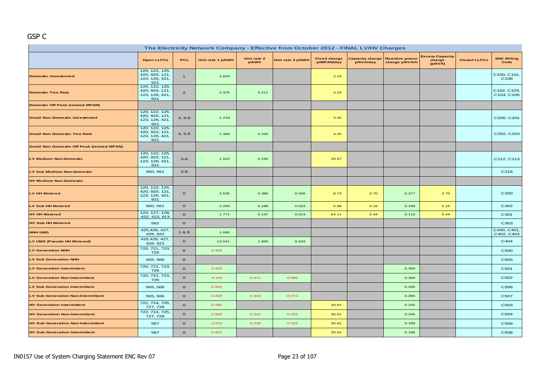# GSP C

| The Electricity Network Company - Effective from October 2012 - FINAL LV/HV Charges |                                                           |                |                   |                      |                   |                                   |                                     |                                         |                                             |                     |                            |  |
|-------------------------------------------------------------------------------------|-----------------------------------------------------------|----------------|-------------------|----------------------|-------------------|-----------------------------------|-------------------------------------|-----------------------------------------|---------------------------------------------|---------------------|----------------------------|--|
|                                                                                     | <b>Open LLFCs</b>                                         | PCs            | Unit rate 1 p/kWh | Unit rate 2<br>p/kWh | Unit rate 3 p/kWh | <b>Fixed charge</b><br>p/MPAN/day | <b>Capacity charge</b><br>p/kVA/day | <b>Reactive power</b><br>charge p/kVArh | <b>Excess Capacity</b><br>charge<br>(p/kVA) | <b>Closed LLFCs</b> | <b>ENC Billing</b><br>Code |  |
| <b>Domestic Unrestricted</b>                                                        | 120, 122, 125,<br>420, 920, 121,<br>123, 126, 421,<br>921 | $\overline{1}$ | 1.834             |                      |                   | 3.24                              |                                     |                                         |                                             |                     | C100, C101,<br>C106        |  |
| <b>Domestic Two Rate</b>                                                            | 120, 122, 125,<br>420, 920, 121,<br>123, 126, 421,<br>921 | $\overline{2}$ | 2.376             | 0.211                |                   | 3.24                              |                                     |                                         |                                             |                     | C102, C103,<br>C104, C105  |  |
| <b>Domestic Off Peak (related MPAN)</b>                                             |                                                           |                |                   |                      |                   |                                   |                                     |                                         |                                             |                     |                            |  |
| <b>Small Non Domestic Unrestricted</b>                                              | 120, 122, 125,<br>420, 920, 121,<br>123, 126, 421,<br>921 | $3, 5-8$       | 1.218             |                      |                   | 3.45                              |                                     |                                         |                                             |                     | C200, C201                 |  |
| <b>Small Non Domestic Two Rate</b>                                                  | 120, 122, 125,<br>420, 920, 121,<br>123, 126, 421,<br>921 | $4, 5-8$       | 1.394             | 0.100                |                   | 3.45                              |                                     |                                         |                                             |                     | C202, C203                 |  |
| <b>Small Non Domestic Off Peak (related MPAN)</b>                                   |                                                           |                |                   |                      |                   |                                   |                                     |                                         |                                             |                     |                            |  |
| <b>LV Medium Non-Domestic</b>                                                       | 120, 122, 125,<br>420, 920, 121,<br>123, 126, 421,<br>921 | $5 - 8$        | 1.522             | 0.156                |                   | 29.97                             |                                     |                                         |                                             |                     | C212, C213                 |  |
| LV Sub Medium Non-Domestic                                                          | 560, 561                                                  | $5 - 8$        |                   |                      |                   |                                   |                                     |                                         |                                             |                     | C216                       |  |
| <b>HV Medium Non-Domestic</b>                                                       |                                                           |                |                   |                      |                   |                                   |                                     |                                         |                                             |                     |                            |  |
| <b>LV HH Metered</b>                                                                | 120, 122, 125,<br>420, 920, 121,<br>123, 126, 421,<br>921 | $\mathbf{o}$   | 3.535             | 0.386                | 0.068             | 8.73                              | 2.70                                | 0.277                                   | 2.70                                        |                     | C300                       |  |
| LV Sub HH Metered                                                                   | 560, 561                                                  | $\mathbf{o}$   | 2.200             | 0.188                | 0.023             | 5.98                              | 5.15                                | 0.198                                   | 5.15                                        |                     | C302                       |  |
| <b>HV HH Metered</b>                                                                | 124, 127, 128,<br>422, 423, 913                           | $\circ$        | 1.771             | 0.137                | 0.013             | 64.11                             | 5.44                                | 0.119                                   | 5.44                                        |                     | C301                       |  |
| <b>HV Sub HH Metered</b>                                                            | 562                                                       | $\mathbf{o}$   |                   |                      |                   |                                   |                                     |                                         |                                             |                     | C303                       |  |
| <b>NHH UMS</b>                                                                      | 425, 426, 427,<br>428.922                                 | 1&8            | 1.690             |                      |                   |                                   |                                     |                                         |                                             |                     | C400, C401.<br>C402, C403  |  |
| LV UMS (Pseudo HH Metered)                                                          | 425, 426, 427,<br>428.922                                 | $\mathbf{o}$   | 13.541            | 1.930                | 0.633             |                                   |                                     |                                         |                                             |                     | C404                       |  |
| <b>LV Generation NHH</b>                                                            | 720, 721, 723,<br>726                                     | $\bf{8}$       | $-0.925$          |                      |                   |                                   |                                     |                                         |                                             |                     | C500                       |  |
| <b>LV Sub Generation NHH</b>                                                        | 565, 566                                                  | 8              |                   |                      |                   |                                   |                                     |                                         |                                             |                     | C505                       |  |
| <b>LV Generation Intermittent</b>                                                   | 720, 721, 723,<br>726                                     | $\circ$        | $-0.925$          |                      |                   |                                   |                                     | 0.309                                   |                                             |                     | C501                       |  |
| <b>LV Generation Non-Intermittent</b>                                               | 720, 721, 723,<br>726                                     | $\circ$        | $-4.154$          | $-0.471$             | $-0.086$          |                                   |                                     | 0.309                                   |                                             |                     | C502                       |  |
| <b>LV Sub Generation Intermittent</b>                                               | 565, 566                                                  | $\mathbf{o}$   | $-0.842$          |                      |                   |                                   |                                     | 0.285                                   |                                             |                     | C506                       |  |
| <b>LV Sub Generation Non-Intermittent</b>                                           | 565, 566                                                  | $\circ$        | $-3.820$          | $-0.416$             | $-0.073$          |                                   |                                     | 0.285                                   |                                             |                     | C507                       |  |
| <b>HV Generation Intermittent</b>                                                   | 722, 724, 725,<br>727, 728                                | $\circ$        | $-0.581$          |                      |                   | 30.61                             |                                     | 0.245                                   |                                             |                     | C503                       |  |
| <b>HV Generation Non-Intermittent</b>                                               | 722, 724, 725,<br>727, 728                                | $\mathbf{o}$   | $-2.800$          | $-0.232$             | $-0.025$          | 30.61                             |                                     | 0.245                                   |                                             |                     | C504                       |  |
| <b>HV Sub Generation Non-Intermittent</b>                                           | 567                                                       | $\circ$        | $-3.013$          | $-0.239$             | $-0.025$          | 30.61                             |                                     | 0.186                                   |                                             |                     | C509                       |  |
| <b>HV Sub Generation Intermittent</b>                                               | 567                                                       | $\circ$        | $-0.621$          |                      |                   | 30.61                             |                                     | 0.186                                   |                                             |                     | C508                       |  |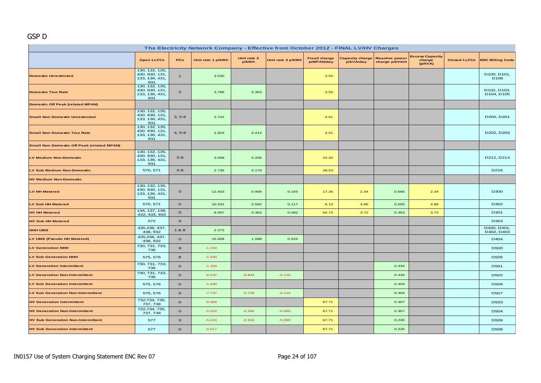#### GSP D

| The Electricity Network Company - Effective from October 2012 - FINAL LV/HV Charges |                                                           |                |                   |                      |                   |                                   |           |                                                  |                                             |  |                                 |  |
|-------------------------------------------------------------------------------------|-----------------------------------------------------------|----------------|-------------------|----------------------|-------------------|-----------------------------------|-----------|--------------------------------------------------|---------------------------------------------|--|---------------------------------|--|
|                                                                                     | <b>Open LLFCs</b>                                         | <b>PCs</b>     | Unit rate 1 p/kWh | Unit rate 2<br>p/kWh | Unit rate 3 p/kWh | <b>Fixed charge</b><br>p/MPAN/day | p/kVA/day | Capacity charge Reactive power<br>charge p/kVArh | <b>Excess Capacity</b><br>charge<br>(p/kVA) |  | Closed LLFCs ENC Billing Code   |  |
| <b>Domestic Unrestricted</b>                                                        | 130, 132, 135,<br>430. 930, 131,<br>133, 136, 431,<br>931 | $\mathbf{1}$   | 3.030             |                      |                   | 3.55                              |           |                                                  |                                             |  | D100, D101,<br>D <sub>106</sub> |  |
| <b>Domestic Two Rate</b>                                                            | 130, 132, 135,<br>430. 930, 131,<br>133, 136, 431,<br>931 | $\overline{2}$ | 3.786             | 0.363                |                   | 3.55                              |           |                                                  |                                             |  | D102, D103,<br>D104, D105       |  |
| <b>Domestic Off Peak (related MPAN)</b>                                             |                                                           |                |                   |                      |                   |                                   |           |                                                  |                                             |  |                                 |  |
| <b>Small Non Domestic Unrestricted</b>                                              | 130, 132, 135,<br>430. 930, 131,<br>133, 136, 431,<br>931 | $3, 5-8$       | 2.722             |                      |                   | 4.51                              |           |                                                  |                                             |  | D200, D201                      |  |
| <b>Small Non Domestic Two Rate</b>                                                  | 130, 132, 135,<br>430. 930, 131,<br>133, 136, 431,<br>931 | $4, 5-8$       | 2.923             | 0.214                |                   | 4.51                              |           |                                                  |                                             |  | D202, D203                      |  |
| <b>Small Non Domestic Off Peak (related MPAN)</b>                                   |                                                           |                |                   |                      |                   |                                   |           |                                                  |                                             |  |                                 |  |
| <b>LV Medium Non-Domestic</b>                                                       | 130, 132, 135,<br>430. 930, 131,<br>133, 136, 431,<br>931 | $5 - 8$        | 3.099             | 0.206                |                   | 22.20                             |           |                                                  |                                             |  | D212, D213                      |  |
| LV Sub Medium Non-Domestic                                                          | 570, 571                                                  | $5-8$          | 2.736             | 0.179                |                   | 28.53                             |           |                                                  |                                             |  | D216                            |  |
| <b>HV Medium Non-Domestic</b>                                                       |                                                           |                |                   |                      |                   |                                   |           |                                                  |                                             |  |                                 |  |
| <b>LV HH Metered</b>                                                                | 130, 132, 135,<br>430. 930, 131,<br>133, 136, 431,<br>931 | $\mathbf{o}$   | 12.403            | 0.908                | 0.155             | 17.35                             | 2.34      | 0.666                                            | 2.34                                        |  | D300                            |  |
| LV Sub HH Metered                                                                   | 570, 571                                                  | $\mathbf{o}$   | 10.531            | 0.592                | 0.117             | 6.12                              | 4.86      | 0.505                                            | 4.86                                        |  | D302                            |  |
| <b>HV HH Metered</b>                                                                | 134, 137, 138,<br>432, 433, 933                           | $\mathbf{o}$   | 8.097             | 0.363                | 0.082             | 92.72                             | 3.72      | 0.353                                            | 3.72                                        |  | D301                            |  |
| <b>HV Sub HH Metered</b>                                                            | 572                                                       | $\mathbf{o}$   |                   |                      |                   |                                   |           |                                                  |                                             |  | D303                            |  |
| <b>NHH UMS</b>                                                                      | 435,436, 437,<br>438, 932                                 | 1&8            | 2.373             |                      |                   |                                   |           |                                                  |                                             |  | D400, D401,<br>D402, D403       |  |
| LV UMS (Pseudo HH Metered)                                                          | 435,436, 437,<br>438, 932                                 | $\mathbf{o}$   | 15.658            | 1.588                | 0.524             |                                   |           |                                                  |                                             |  | D404                            |  |
| <b>LV Generation NHH</b>                                                            | 730, 731, 733,<br>736                                     | 8              | $-1.154$          |                      |                   |                                   |           |                                                  |                                             |  | <b>D500</b>                     |  |
| <b>LV Sub Generation NHH</b>                                                        | 575, 576                                                  | 8              | $-1.030$          |                      |                   |                                   |           |                                                  |                                             |  | D505                            |  |
| <b>LV Generation Intermittent</b>                                                   | 730, 731, 733,<br>736                                     | $\mathbf{o}$   | $-1.154$          |                      |                   |                                   |           | 0.434                                            |                                             |  | D501                            |  |
| <b>LV Generation Non-Intermittent</b>                                               | 730, 731, 733,<br>736                                     | $\Omega$       | $-8.537$          | $-0.844$             | $-0.125$          |                                   |           | 0.434                                            |                                             |  | D502                            |  |
| <b>LV Sub Generation Intermittent</b>                                               | 575, 576                                                  | $\mathbf{o}$   | $-1.030$          |                      |                   |                                   |           | 0.404                                            |                                             |  | D506                            |  |
| <b>LV Sub Generation Non-Intermittent</b>                                           | 575, 576                                                  | $\mathbf{o}$   | $-7.737$          | $-0.729$             | $-0.110$          |                                   |           | 0.404                                            |                                             |  | D507                            |  |
| <b>HV Generation Intermittent</b>                                                   | 732,734, 735,<br>737, 738                                 | $\Omega$       | $-0.664$          |                      |                   | 67.71                             |           | 0.307                                            |                                             |  | D <sub>503</sub>                |  |
| <b>HV Generation Non-Intermittent</b>                                               | 732,734, 735,<br>737, 738                                 | $\mathbf{o}$   | $-5.522$          | $-0.356$             | $-0.065$          | 67.71                             |           | 0.307                                            |                                             |  | D504                            |  |
| <b>HV Sub Generation Non-Intermittent</b>                                           | 577                                                       | $\mathbf{o}$   | $-5.224$          | $-0.310$             | $-0.060$          | 67.71                             |           | 0.226                                            |                                             |  | D509                            |  |
| <b>HV Sub Generation Intermittent</b>                                               | 577                                                       | $\mathbf{o}$   | $-0.617$          |                      |                   | 67.71                             |           | 0.226                                            |                                             |  | <b>D508</b>                     |  |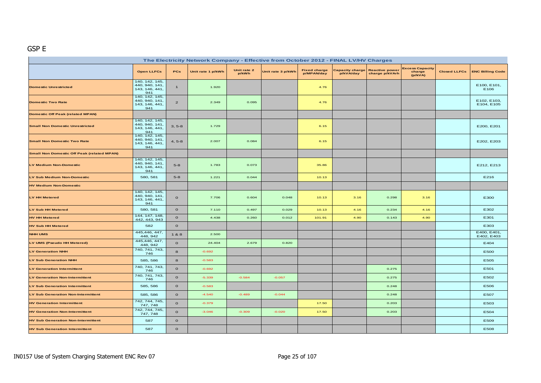# GSP E

| The Electricity Network Company - Effective from October 2012 - FINAL LV/HV Charges |                                                           |                |                   |                      |                   |                                   |                                     |                                         |                                             |                     |                           |
|-------------------------------------------------------------------------------------|-----------------------------------------------------------|----------------|-------------------|----------------------|-------------------|-----------------------------------|-------------------------------------|-----------------------------------------|---------------------------------------------|---------------------|---------------------------|
|                                                                                     | <b>Open LLFCs</b>                                         | PCs            | Unit rate 1 p/kWh | Unit rate 2<br>p/kWh | Unit rate 3 p/kWh | <b>Fixed charge</b><br>p/MPAN/day | <b>Capacity charge</b><br>p/kVA/day | <b>Reactive power</b><br>charge p/kVArh | <b>Excess Capacity</b><br>charge<br>(p/kVA) | <b>Closed LLFCs</b> | <b>ENC Billing Code</b>   |
| <b>Domestic Unrestricted</b>                                                        | 140, 142, 145,<br>440, 940, 141,<br>143, 146, 441,<br>941 | $\mathbf{1}$   | 1.920             |                      |                   | 4.76                              |                                     |                                         |                                             |                     | E100, E101,<br>E106       |
| <b>Domestic Two Rate</b>                                                            | 140, 142, 145,<br>440, 940, 141,<br>143, 146, 441,<br>941 | $\overline{a}$ | 2.349             | 0.095                |                   | 4.76                              |                                     |                                         |                                             |                     | E102, E103,<br>E104, E105 |
| <b>Domestic Off Peak (related MPAN)</b>                                             |                                                           |                |                   |                      |                   |                                   |                                     |                                         |                                             |                     |                           |
| <b>Small Non Domestic Unrestricted</b>                                              | 140, 142, 145,<br>440, 940, 141,<br>143, 146, 441,<br>941 | $3, 5-8$       | 1.729             |                      |                   | 6.15                              |                                     |                                         |                                             |                     | E200, E201                |
| <b>Small Non Domestic Two Rate</b>                                                  | 140, 142, 145,<br>440, 940, 141,<br>143, 146, 441,<br>941 | $4, 5-8$       | 2.007             | 0.084                |                   | 6.15                              |                                     |                                         |                                             |                     | E202, E203                |
| <b>Small Non Domestic Off Peak (related MPAN)</b>                                   |                                                           |                |                   |                      |                   |                                   |                                     |                                         |                                             |                     |                           |
| LV Medium Non-Domestic                                                              | 140, 142, 145,<br>440, 940, 141,<br>143, 146, 441,<br>941 | $5 - 8$        | 1.783             | 0.073                |                   | 35.86                             |                                     |                                         |                                             |                     | E212, E213                |
| LV Sub Medium Non-Domestic                                                          | 580, 581                                                  | $5 - 8$        | 1.221             | 0.044                |                   | 10.13                             |                                     |                                         |                                             |                     | E216                      |
| <b>HV Medium Non-Domestic</b>                                                       |                                                           |                |                   |                      |                   |                                   |                                     |                                         |                                             |                     |                           |
| <b>LV HH Metered</b>                                                                | 140, 142, 145,<br>440, 940, 141,<br>143, 146, 441,<br>941 | $\mathbf{o}$   | 7.706             | 0.604                | 0.048             | 10.13                             | 3.16                                | 0.298                                   | 3.16                                        |                     | E300                      |
| <b>LV Sub HH Metered</b>                                                            | 580, 581                                                  | $\mathbf{o}$   | 7.110             | 0.497                | 0.029             | 10.13                             | 4.16                                | 0.234                                   | 4.16                                        |                     | E302                      |
| <b>HV HH Metered</b>                                                                | 144, 147, 148,<br>442, 443, 943                           | $\mathbf{o}$   | 4.438             | 0.260                | 0.012             | 101.91                            | 4.90                                | 0.143                                   | 4.90                                        |                     | E301                      |
| <b>HV Sub HH Metered</b>                                                            | 582                                                       | $\mathbf{o}$   |                   |                      |                   |                                   |                                     |                                         |                                             |                     | E303                      |
| <b>NHH UMS</b>                                                                      | 445,446, 447,<br>448, 942                                 | 1&8            | 2.500             |                      |                   |                                   |                                     |                                         |                                             |                     | E400, E401,<br>E402, E403 |
| LV UMS (Pseudo HH Metered)                                                          | 445,446, 447,<br>448, 942                                 | $\mathbf{o}$   | 24.404            | 2.679                | 0.820             |                                   |                                     |                                         |                                             |                     | E404                      |
| <b>LV Generation NHH</b>                                                            | 740, 741, 743,<br>746                                     | 8              | $-0.692$          |                      |                   |                                   |                                     |                                         |                                             |                     | E500                      |
| <b>LV Sub Generation NHH</b>                                                        | 585, 586                                                  | 8              | $-0.583$          |                      |                   |                                   |                                     |                                         |                                             |                     | E505                      |
| <b>LV Generation Intermittent</b>                                                   | 740, 741, 743,<br>746                                     | $\Omega$       | $-0.692$          |                      |                   |                                   |                                     | 0.275                                   |                                             |                     | E501                      |
| <b>LV Generation Non-Intermittent</b>                                               | 740, 741, 743,<br>746                                     | $\mathbf{o}$   | $-5.339$          | $-0.584$             | $-0.057$          |                                   |                                     | 0.275                                   |                                             |                     | E502                      |
| <b>LV Sub Generation Intermittent</b>                                               | 585, 586                                                  | $\mathbf{o}$   | $-0.583$          |                      |                   |                                   |                                     | 0.248                                   |                                             |                     | E506                      |
| <b>LV Sub Generation Non-Intermittent</b>                                           | 585, 586                                                  | $\mathbf{o}$   | $-4.540$          | $-0.489$             | $-0.044$          |                                   |                                     | 0.248                                   |                                             |                     | E507                      |
| <b>HV Generation Intermittent</b>                                                   | 742, 744, 745,<br>747, 748                                | $\mathbf{o}$   | $-0.379$          |                      |                   | 17.50                             |                                     | 0.203                                   |                                             |                     | E503                      |
| <b>HV Generation Non-Intermittent</b>                                               | 742, 744, 745,<br>747, 748                                | $\mathbf{o}$   | $-3.046$          | $-0.309$             | $-0.020$          | 17.50                             |                                     | 0.203                                   |                                             |                     | E504                      |
| <b>HV Sub Generation Non-Intermittent</b>                                           | 587                                                       | $\mathbf{o}$   |                   |                      |                   |                                   |                                     |                                         |                                             |                     | E509                      |
| <b>HV Sub Generation Intermittent</b>                                               | 587                                                       | $\mathbf{o}$   |                   |                      |                   |                                   |                                     |                                         |                                             |                     | E508                      |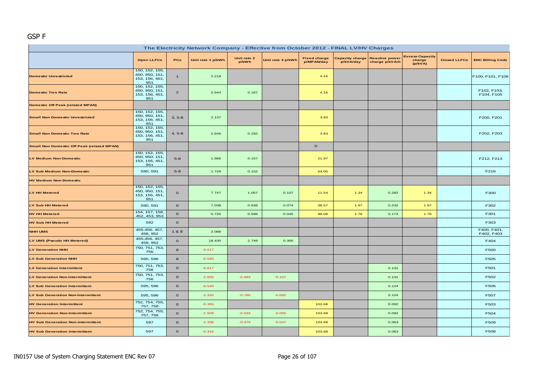#### GSP F

| The Electricity Network Company - Effective from October 2012 - FINAL LV/HV Charges |                                                           |                |                   |                      |                   |                                   |                                     |                                         |                                             |                     |                           |  |
|-------------------------------------------------------------------------------------|-----------------------------------------------------------|----------------|-------------------|----------------------|-------------------|-----------------------------------|-------------------------------------|-----------------------------------------|---------------------------------------------|---------------------|---------------------------|--|
|                                                                                     | <b>Open LLFCs</b>                                         | <b>PCs</b>     | Unit rate 1 p/kWh | Unit rate 2<br>p/kWh | Unit rate 3 p/kWh | <b>Fixed charge</b><br>p/MPAN/day | <b>Capacity charge</b><br>p/kVA/day | <b>Reactive power</b><br>charge p/kVArh | <b>Excess Capacity</b><br>charge<br>(p/kVA) | <b>Closed LLFCs</b> | <b>ENC Billing Code</b>   |  |
| <b>Domestic Unrestricted</b>                                                        | 150, 152, 155,<br>450, 950, 151,<br>153, 156, 451,<br>951 | $\mathbf{1}$   | 2.218             |                      |                   | 4.16                              |                                     |                                         |                                             |                     | F100, F101, F106          |  |
| <b>Domestic Two Rate</b>                                                            | 150, 152, 155,<br>450, 950, 151,<br>153, 156, 451,<br>951 | $\overline{2}$ | 2.644             | 0.167                |                   | 4.16                              |                                     |                                         |                                             |                     | F102, F103,<br>F104, F105 |  |
| <b>Domestic Off Peak (related MPAN)</b>                                             |                                                           |                |                   |                      |                   |                                   |                                     |                                         |                                             |                     |                           |  |
| <b>Small Non Domestic Unrestricted</b>                                              | 150, 152, 155,<br>450, 950, 151,<br>153, 156, 451,<br>951 | $3, 5-8$       | 2.137             |                      |                   | 3.83                              |                                     |                                         |                                             |                     | F200, F201                |  |
| <b>Small Non Domestic Two Rate</b>                                                  | 150, 152, 155,<br>450, 950, 151,<br>153, 156, 451,<br>951 | $4, 5-8$       | 2.646             | 0.292                |                   | 3.83                              |                                     |                                         |                                             |                     | F202, F203                |  |
| <b>Small Non Domestic Off Peak (related MPAN)</b>                                   |                                                           |                |                   |                      |                   | $\mathbf O$                       |                                     |                                         |                                             |                     |                           |  |
| <b>LV Medium Non-Domestic</b>                                                       | 150, 152, 155,<br>450, 950, 151,<br>153, 156, 451,<br>951 | $5 - 8$        | 1.996             | 0.157                |                   | 21.97                             |                                     |                                         |                                             |                     | F212, F213                |  |
| LV Sub Medium Non-Domestic                                                          | 590, 591                                                  | $5 - 8$        | 1.729             | 0.152                |                   | 54.05                             |                                     |                                         |                                             |                     | F216                      |  |
| <b>HV Medium Non-Domestic</b>                                                       |                                                           |                |                   |                      |                   |                                   |                                     |                                         |                                             |                     |                           |  |
| LV HH Metered                                                                       | 150, 152, 155,<br>450, 950, 151,<br>153, 156, 451,<br>951 | $\mathbf{o}$   | 7.747             | 1.057                | 0.107             | 11.54                             | 1.34                                | 0.282                                   | 1.34                                        |                     | F300                      |  |
| <b>LV Sub HH Metered</b>                                                            | 590, 591                                                  | $\mathbf{o}$   | 7.038             | 0.838                | 0.074             | 38.57                             | 1.97                                | 0.232                                   | 1.97                                        |                     | F302                      |  |
| <b>HV HH Metered</b>                                                                | 154, 157, 158,<br>452, 453, 953                           | $\mathbf{o}$   | 5.720             | 0.598                | 0.045             | 98.08                             | 1.76                                | 0.173                                   | 1.76                                        |                     | F301                      |  |
| <b>HV Sub HH Metered</b>                                                            | 592                                                       | $\mathbf{o}$   |                   |                      |                   |                                   |                                     |                                         |                                             |                     | F303                      |  |
| <b>NHH UMS</b>                                                                      | 455, 456, 457,<br>458, 952                                | 1&8            | 2.088             |                      |                   |                                   |                                     |                                         |                                             |                     | F400, F401,<br>F402, F403 |  |
| LV UMS (Pseudo HH Metered)                                                          | 455,456, 457,<br>458, 952                                 | $\mathbf{o}$   | 18.430            | 2.749                | 0.300             |                                   |                                     |                                         |                                             |                     | F404                      |  |
| <b>LV Generation NHH</b>                                                            | 750, 751, 753,<br>756                                     | 8              | $-0.617$          |                      |                   |                                   |                                     |                                         |                                             |                     | F500                      |  |
| <b>LV Sub Generation NHH</b>                                                        | 595, 596                                                  | 8              | $-0.540$          |                      |                   |                                   |                                     |                                         |                                             |                     | F505                      |  |
| <b>LV Generation Intermittent</b>                                                   | 750, 751, 753,<br>756                                     | $\Omega$       | $-0.617$          |                      |                   |                                   |                                     | 0.131                                   |                                             |                     | F501                      |  |
| <b>LV Generation Non-Intermittent</b>                                               | 750, 751, 753,<br>756                                     | $\mathbf{o}$   | $-2.655$          | $-0.893$             | $-0.107$          |                                   |                                     | 0.131                                   |                                             |                     | F502                      |  |
| <b>LV Sub Generation Intermittent</b>                                               | 595, 596                                                  | $\mathbf{o}$   | $-0.540$          |                      |                   |                                   |                                     | 0.124                                   |                                             |                     | F506                      |  |
| <b>LV Sub Generation Non-Intermittent</b>                                           | 595, 596                                                  | $\mathbf{o}$   | $-2.320$          | $-0.785$             | $-0.092$          |                                   |                                     | 0.124                                   |                                             |                     | F507                      |  |
| <b>HV Generation Intermittent</b>                                                   | 752, 754, 755,<br>757, 758                                | $\mathbf{o}$   | $-0.355$          |                      |                   | 103.68                            |                                     | 0.092                                   |                                             |                     | F503                      |  |
| <b>HV Generation Non-Intermittent</b>                                               | 752, 754, 755,<br>757, 758                                | $\mathbf{o}$   | $-1.509$          | $-0.533$             | $-0.055$          | 103.68                            |                                     | 0.092                                   |                                             |                     | F504                      |  |
| <b>HV Sub Generation Non-Intermittent</b>                                           | 597                                                       | $\mathbf{o}$   | $-1.338$          | $-0.479$             | $-0.047$          | 103.68                            |                                     | 0.063                                   |                                             |                     | F509                      |  |
| <b>HV Sub Generation Intermittent</b>                                               | 597                                                       | $\mathbf{o}$   | $-0.316$          |                      |                   | 103.68                            |                                     | 0.063                                   |                                             |                     | F508                      |  |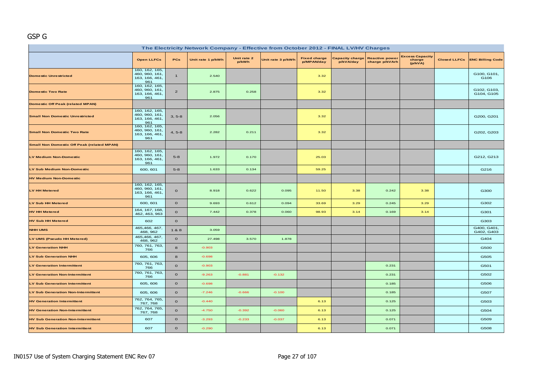## GSP G

| The Electricity Network Company - Effective from October 2012 - FINAL LV/HV Charges |                                                           |                |                   |                      |                   |                                   |                                     |                                         |                                             |                     |                           |  |  |
|-------------------------------------------------------------------------------------|-----------------------------------------------------------|----------------|-------------------|----------------------|-------------------|-----------------------------------|-------------------------------------|-----------------------------------------|---------------------------------------------|---------------------|---------------------------|--|--|
|                                                                                     | <b>Open LLFCs</b>                                         | PCs            | Unit rate 1 p/kWh | Unit rate 2<br>p/kWh | Unit rate 3 p/kWh | <b>Fixed charge</b><br>p/MPAN/day | <b>Capacity charge</b><br>p/kVA/day | <b>Reactive power</b><br>charge p/kVArh | <b>Excess Capacity</b><br>charge<br>(p/kVA) | <b>Closed LLFCs</b> | <b>ENC Billing Code</b>   |  |  |
| <b>Domestic Unrestricted</b>                                                        | 160, 162, 165,<br>460, 960, 161,<br>163, 166, 461,<br>961 | $\mathbf{1}$   | 2.540             |                      |                   | 3.32                              |                                     |                                         |                                             |                     | G100, G101,<br>G106       |  |  |
| <b>Domestic Two Rate</b>                                                            | 160, 162, 165,<br>460, 960, 161,<br>163, 166, 461,<br>961 | $\overline{2}$ | 2.875             | 0.258                |                   | 3.32                              |                                     |                                         |                                             |                     | G102, G103,<br>G104, G105 |  |  |
| <b>Domestic Off Peak (related MPAN)</b>                                             |                                                           |                |                   |                      |                   |                                   |                                     |                                         |                                             |                     |                           |  |  |
| <b>Small Non Domestic Unrestricted</b>                                              | 160, 162, 165,<br>460, 960, 161,<br>163, 166, 461,<br>961 | $3, 5-8$       | 2.056             |                      |                   | 3.32                              |                                     |                                         |                                             |                     | G200, G201                |  |  |
| <b>Small Non Domestic Two Rate</b>                                                  | 160, 162, 165,<br>460, 960, 161,<br>163, 166, 461,<br>961 | $4, 5-8$       | 2.282             | 0.211                |                   | 3.32                              |                                     |                                         |                                             |                     | G202, G203                |  |  |
| <b>Small Non Domestic Off Peak (related MPAN)</b>                                   |                                                           |                |                   |                      |                   |                                   |                                     |                                         |                                             |                     |                           |  |  |
| <b>LV Medium Non-Domestic</b>                                                       | 160, 162, 165,<br>460, 960, 161,<br>163, 166, 461,<br>961 | $5-8$          | 1.972             | 0.170                |                   | 25.03                             |                                     |                                         |                                             |                     | G212, G213                |  |  |
| LV Sub Medium Non-Domestic                                                          | 600, 601                                                  | $5-8$          | 1.633             | 0.134                |                   | 59.25                             |                                     |                                         |                                             |                     | G216                      |  |  |
| <b>HV Medium Non-Domestic</b>                                                       |                                                           |                |                   |                      |                   |                                   |                                     |                                         |                                             |                     |                           |  |  |
| <b>LV HH Metered</b>                                                                | 160, 162, 165,<br>460, 960, 161,<br>163, 166, 461,<br>961 | $\mathbf{o}$   | 8.918             | 0.622                | 0.095             | 11.50                             | 3.38                                | 0.242                                   | 3.38                                        |                     | G300                      |  |  |
| <b>LV Sub HH Metered</b>                                                            | 600, 601                                                  | $\mathbf{o}$   | 9.693             | 0.612                | 0.094             | 33.69                             | 3.29                                | 0.245                                   | 3.29                                        |                     | G302                      |  |  |
| <b>HV HH Metered</b>                                                                | 164, 167, 168,<br>462, 463, 963                           | $\circ$        | 7.442             | 0.378                | 0.060             | 98.93                             | 3.14                                | 0.169                                   | 3.14                                        |                     | G301                      |  |  |
| <b>HV Sub HH Metered</b>                                                            | 602                                                       | $\mathbf{o}$   |                   |                      |                   |                                   |                                     |                                         |                                             |                     | G303                      |  |  |
| <b>NHH UMS</b>                                                                      | 465,466, 467,<br>468, 962                                 | 1 & 8          | 3.059             |                      |                   |                                   |                                     |                                         |                                             |                     | G400, G401,<br>G402, G403 |  |  |
| LV UMS (Pseudo HH Metered)                                                          | 465,466, 467,<br>468, 962                                 | $\mathbf{o}$   | 27.498            | 3.570                | 1.878             |                                   |                                     |                                         |                                             |                     | G404                      |  |  |
| <b>LV Generation NHH</b>                                                            | 760, 761, 763,<br>766                                     | 8              | $-0.903$          |                      |                   |                                   |                                     |                                         |                                             |                     | G500                      |  |  |
| <b>LV Sub Generation NHH</b>                                                        | 605, 606                                                  | 8              | $-0.698$          |                      |                   |                                   |                                     |                                         |                                             |                     | G505                      |  |  |
| <b>LV Generation Intermittent</b>                                                   | 760, 761, 763,<br>766                                     | $\mathbf{o}$   | $-0.903$          |                      |                   |                                   |                                     | 0.231                                   |                                             |                     | G501                      |  |  |
| <b>LV Generation Non-Intermittent</b>                                               | 760, 761, 763,<br>766                                     | $\mathbf O$    | $-9.263$          | $-0.881$             | $-0.132$          |                                   |                                     | 0.231                                   |                                             |                     | G502                      |  |  |
| <b>LV Sub Generation Intermittent</b>                                               | 605, 606                                                  | $\circ$        | $-0.698$          |                      |                   |                                   |                                     | 0.185                                   |                                             |                     | G506                      |  |  |
| <b>LV Sub Generation Non-Intermittent</b>                                           | 605, 606                                                  | $\mathbf O$    | $-7.246$          | $-0.666$             | $-0.100$          |                                   |                                     | 0.185                                   |                                             |                     | G507                      |  |  |
| <b>HV Generation Intermittent</b>                                                   | 762, 764, 765,<br>767, 768                                | $\mathbf{o}$   | $-0.440$          |                      |                   | 6.13                              |                                     | 0.125                                   |                                             |                     | G503                      |  |  |
| <b>HV Generation Non-Intermittent</b>                                               | 762, 764, 765,<br>767, 768                                | $\circ$        | $-4.750$          | $-0.392$             | $-0.060$          | 6.13                              |                                     | 0.125                                   |                                             |                     | G504                      |  |  |
| <b>HV Sub Generation Non-Intermittent</b>                                           | 607                                                       | $\mathbf O$    | $-3.293$          | $-0.233$             | $-0.037$          | 6.13                              |                                     | 0.071                                   |                                             |                     | G509                      |  |  |
| <b>HV Sub Generation Intermittent</b>                                               | 607                                                       | $\mathbf{o}$   | $-0.290$          |                      |                   | 6.13                              |                                     | 0.071                                   |                                             |                     | G508                      |  |  |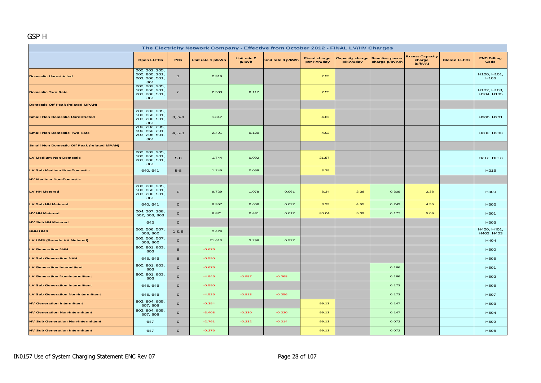# GSP H

| The Electricity Network Company - Effective from October 2012 - FINAL LV/HV Charges |                                                           |                |                   |                      |                   |                                   |                                     |                                         |                                             |                     |                            |  |  |
|-------------------------------------------------------------------------------------|-----------------------------------------------------------|----------------|-------------------|----------------------|-------------------|-----------------------------------|-------------------------------------|-----------------------------------------|---------------------------------------------|---------------------|----------------------------|--|--|
|                                                                                     | <b>Open LLFCs</b>                                         | PCs            | Unit rate 1 p/kWh | Unit rate 2<br>p/kWh | Unit rate 3 p/kWh | <b>Fixed charge</b><br>p/MPAN/day | <b>Capacity charge</b><br>p/kVA/day | <b>Reactive power</b><br>charge p/kVArh | <b>Excess Capacity</b><br>charge<br>(p/kVA) | <b>Closed LLFCs</b> | <b>ENC Billing</b><br>Code |  |  |
| <b>Domestic Unrestricted</b>                                                        | 200, 202, 205,<br>500, 860, 201,<br>203, 206, 501,<br>861 | $\mathbf{1}$   | 2.319             |                      |                   | 2.55                              |                                     |                                         |                                             |                     | H100, H101,<br>H106        |  |  |
| <b>Domestic Two Rate</b>                                                            | 200, 202, 205,<br>500, 860, 201,<br>203, 206, 501,<br>861 | $\overline{2}$ | 2.503             | 0.117                |                   | 2.55                              |                                     |                                         |                                             |                     | H102, H103,<br>H104, H105  |  |  |
| <b>Domestic Off Peak (related MPAN)</b>                                             |                                                           |                |                   |                      |                   |                                   |                                     |                                         |                                             |                     |                            |  |  |
| <b>Small Non Domestic Unrestricted</b>                                              | 200, 202, 205,<br>500, 860, 201,<br>203, 206, 501,<br>861 | $3, 5-8$       | 1.817             |                      |                   | 4.02                              |                                     |                                         |                                             |                     | H200, H201                 |  |  |
| <b>Small Non Domestic Two Rate</b>                                                  | 200, 202, 205,<br>500, 860, 201,<br>203, 206, 501,<br>861 | $4, 5-8$       | 2.491             | 0.120                |                   | 4.02                              |                                     |                                         |                                             |                     | H202, H203                 |  |  |
| <b>Small Non Domestic Off Peak (related MPAN)</b>                                   |                                                           |                |                   |                      |                   |                                   |                                     |                                         |                                             |                     |                            |  |  |
| <b>LV Medium Non-Domestic</b>                                                       | 200, 202, 205,<br>500, 860, 201<br>203, 206, 501,<br>861  | $5 - 8$        | 1.744             | 0.092                |                   | 21.57                             |                                     |                                         |                                             |                     | H212, H213                 |  |  |
| LV Sub Medium Non-Domestic                                                          | 640, 641                                                  | $5 - 8$        | 1.245             | 0.059                |                   | 3.29                              |                                     |                                         |                                             |                     | H <sub>216</sub>           |  |  |
| <b>HV Medium Non-Domestic</b>                                                       |                                                           |                |                   |                      |                   |                                   |                                     |                                         |                                             |                     |                            |  |  |
| <b>LV HH Metered</b>                                                                | 200, 202, 205,<br>500, 860, 201,<br>203, 206, 501,<br>861 | $\mathbf{o}$   | 9.729             | 1.078                | 0.061             | 8.34                              | 2.38                                | 0.309                                   | 2.38                                        |                     | <b>H300</b>                |  |  |
| <b>LV Sub HH Metered</b>                                                            | 640, 641                                                  | $\mathbf{o}$   | 8.357             | 0.606                | 0.027             | 3.29                              | 4.55                                | 0.243                                   | 4.55                                        |                     | H302                       |  |  |
| <b>HV HH Metered</b>                                                                | 204, 207, 208,<br>502, 503, 863                           | $\circ$        | 6.871             | 0.431                | 0.017             | 80.04                             | 5.09                                | 0.177                                   | 5.09                                        |                     | H301                       |  |  |
| <b>HV Sub HH Metered</b>                                                            | 642                                                       | $\mathbf{o}$   |                   |                      |                   |                                   |                                     |                                         |                                             |                     | H303                       |  |  |
| <b>NHH UMS</b>                                                                      | 505, 506, 507,<br>508, 862                                | 1&8            | 2.478             |                      |                   |                                   |                                     |                                         |                                             |                     | H400, H401,<br>H402, H403  |  |  |
| LV UMS (Pseudo HH Metered)                                                          | 505, 506, 507,<br>508, 862                                | $\circ$        | 21.613            | 3.296                | 0.527             |                                   |                                     |                                         |                                             |                     | H404                       |  |  |
| <b>LV Generation NHH</b>                                                            | 800, 801, 803,<br>806                                     | $\bf{8}$       | $-0.676$          |                      |                   |                                   |                                     |                                         |                                             |                     | <b>H500</b>                |  |  |
| LV Sub Generation NHH                                                               | 645, 646                                                  | 8              | $-0.590$          |                      |                   |                                   |                                     |                                         |                                             |                     | <b>H505</b>                |  |  |
| LV Generation Intermittent                                                          | 800, 801, 803,<br>806                                     | $\mathbf{o}$   | $-0.676$          |                      |                   |                                   |                                     | 0.186                                   |                                             |                     | H501                       |  |  |
| <b>LV Generation Non-Intermittent</b>                                               | 800, 801, 803,<br>806                                     | $\mathbf{o}$   | $-4.946$          | $-0.987$             | $-0.068$          |                                   |                                     | 0.186                                   |                                             |                     | H502                       |  |  |
| <b>LV Sub Generation Intermittent</b>                                               | 645, 646                                                  | $\mathbf{o}$   | $-0.590$          |                      |                   |                                   |                                     | 0.173                                   |                                             |                     | <b>H506</b>                |  |  |
| <b>LV Sub Generation Non-Intermittent</b>                                           | 645, 646                                                  | $\circ$        | $-4.526$          | $-0.813$             | $-0.056$          |                                   |                                     | 0.173                                   |                                             |                     | <b>H507</b>                |  |  |
| <b>HV Generation Intermittent</b>                                                   | 802, 804, 805,<br>807, 808                                | $\circ$        | $-0.354$          |                      |                   | 99.13                             |                                     | 0.147                                   |                                             |                     | H <sub>503</sub>           |  |  |
| <b>HV Generation Non-Intermittent</b>                                               | 802, 804, 805,<br>807, 808                                | $\mathbf{o}$   | $-3.408$          | $-0.330$             | $-0.020$          | 99.13                             |                                     | 0.147                                   |                                             |                     | H504                       |  |  |
| <b>HV Sub Generation Non-Intermittent</b>                                           | 647                                                       | $\mathbf{o}$   | $-2.761$          | $-0.232$             | $-0.014$          | 99.13                             |                                     | 0.072                                   |                                             |                     | H509                       |  |  |
| <b>HV Sub Generation Intermittent</b>                                               | 647                                                       | $\circ$        | $-0.276$          |                      |                   | 99.13                             |                                     | 0.072                                   |                                             |                     | <b>H508</b>                |  |  |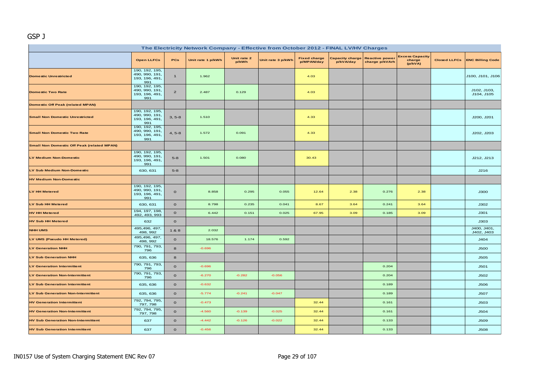#### GSP J

| The Electricity Network Company - Effective from October 2012 - FINAL LV/HV Charges |                                                           |                |                   |                      |                   |                                   |                                     |                                         |                                             |                     |                           |  |  |
|-------------------------------------------------------------------------------------|-----------------------------------------------------------|----------------|-------------------|----------------------|-------------------|-----------------------------------|-------------------------------------|-----------------------------------------|---------------------------------------------|---------------------|---------------------------|--|--|
|                                                                                     | <b>Open LLFCs</b>                                         | PCs            | Unit rate 1 p/kWh | Unit rate 2<br>p/kWh | Unit rate 3 p/kWh | <b>Fixed charge</b><br>p/MPAN/day | <b>Capacity charge</b><br>p/kVA/day | <b>Reactive power</b><br>charge p/kVArh | <b>Excess Capacity</b><br>charge<br>(p/kVA) | <b>Closed LLFCs</b> | <b>ENC Billing Code</b>   |  |  |
| <b>Domestic Unrestricted</b>                                                        | 190, 192, 195,<br>490, 990, 191,<br>193, 196, 491,<br>991 | $\mathbf{1}$   | 1.962             |                      |                   | 4.03                              |                                     |                                         |                                             |                     | J100, J101, J106          |  |  |
| <b>Domestic Two Rate</b>                                                            | 190, 192, 195,<br>490, 990, 191.<br>193, 196, 491,<br>991 | $\overline{2}$ | 2.487             | 0.129                |                   | 4.03                              |                                     |                                         |                                             |                     | J102, J103,<br>J104, J105 |  |  |
| <b>Domestic Off Peak (related MPAN)</b>                                             |                                                           |                |                   |                      |                   |                                   |                                     |                                         |                                             |                     |                           |  |  |
| <b>Small Non Domestic Unrestricted</b>                                              | 190, 192, 195,<br>490, 990, 191,<br>193, 196, 491,<br>991 | $3, 5-8$       | 1.510             |                      |                   | 4.33                              |                                     |                                         |                                             |                     | J200, J201                |  |  |
| <b>Small Non Domestic Two Rate</b>                                                  | 190, 192, 195,<br>490, 990, 191,<br>193, 196, 491,<br>991 | $4, 5-8$       | 1.572             | 0.091                |                   | 4.33                              |                                     |                                         |                                             |                     | J202, J203                |  |  |
| <b>Small Non Domestic Off Peak (related MPAN)</b>                                   |                                                           |                |                   |                      |                   |                                   |                                     |                                         |                                             |                     |                           |  |  |
| <b>LV Medium Non-Domestic</b>                                                       | 190, 192, 195,<br>490, 990, 191,<br>193, 196, 491,<br>991 | $5 - 8$        | 1.501             | 0.080                |                   | 30.43                             |                                     |                                         |                                             |                     | J212, J213                |  |  |
| LV Sub Medium Non-Domestic                                                          | 630, 631                                                  | $5 - 8$        |                   |                      |                   |                                   |                                     |                                         |                                             |                     | J216                      |  |  |
| <b>HV Medium Non-Domestic</b>                                                       |                                                           |                |                   |                      |                   |                                   |                                     |                                         |                                             |                     |                           |  |  |
| LV HH Metered                                                                       | 190, 192, 195,<br>490, 990, 191,<br>193, 196, 491,<br>991 | $\mathbf{o}$   | 8.858             | 0.295                | 0.055             | 12.64                             | 2.38                                | 0.276                                   | 2.38                                        |                     | <b>J300</b>               |  |  |
| <b>LV Sub HH Metered</b>                                                            | 630, 631                                                  | $\mathbf{o}$   | 8.798             | 0.235                | 0.041             | 8.67                              | 3.64                                | 0.241                                   | 3.64                                        |                     | J302                      |  |  |
| <b>HV HH Metered</b>                                                                | 194, 197, 198,<br>492, 493, 993                           | $\mathbf{o}$   | 6.442             | 0.151                | 0.025             | 67.95                             | 3.09                                | 0.185                                   | 3.09                                        |                     | J301                      |  |  |
| <b>HV Sub HH Metered</b>                                                            | 632                                                       | $\circ$        |                   |                      |                   |                                   |                                     |                                         |                                             |                     | J303                      |  |  |
| <b>NHH UMS</b>                                                                      | 495,496, 497,<br>498, 992                                 | 1&8            | 2.032             |                      |                   |                                   |                                     |                                         |                                             |                     | J400, J401,<br>J402, J403 |  |  |
| LV UMS (Pseudo HH Metered)                                                          | 495,496, 497,<br>498, 992                                 | $\mathbf{o}$   | 18.576            | 1.174                | 0.592             |                                   |                                     |                                         |                                             |                     | J404                      |  |  |
| <b>LV Generation NHH</b>                                                            | 790, 791, 793,<br>796                                     | 8              | $-0.696$          |                      |                   |                                   |                                     |                                         |                                             |                     | <b>J500</b>               |  |  |
| <b>LV Sub Generation NHH</b>                                                        | 635, 636                                                  | 8              |                   |                      |                   |                                   |                                     |                                         |                                             |                     | <b>J505</b>               |  |  |
| <b>LV Generation Intermittent</b>                                                   | 790, 791, 793,<br>796                                     | $\circ$        | $-0.696$          |                      |                   |                                   |                                     | 0.204                                   |                                             |                     | J501                      |  |  |
| <b>LV Generation Non-Intermittent</b>                                               | 790, 791, 793,<br>796                                     | $\circ$        | $-6.270$          | $-0.282$             | $-0.056$          |                                   |                                     | 0.204                                   |                                             |                     | J502                      |  |  |
| <b>LV Sub Generation Intermittent</b>                                               | 635, 636                                                  | $\mathbf{o}$   | $-0.632$          |                      |                   |                                   |                                     | 0.189                                   |                                             |                     | <b>J506</b>               |  |  |
| <b>LV Sub Generation Non-Intermittent</b>                                           | 635, 636                                                  | $\mathbf{o}$   | $-5.774$          | $-0.241$             | $-0.047$          |                                   |                                     | 0.189                                   |                                             |                     | <b>J507</b>               |  |  |
| <b>HV Generation Intermittent</b>                                                   | 792, 794, 795,<br>797, 798                                | $\mathbf{o}$   | $-0.473$          |                      |                   | 32.44                             |                                     | 0.161                                   |                                             |                     | <b>J503</b>               |  |  |
| <b>HV Generation Non-Intermittent</b>                                               | 792, 794, 795,<br>797, 798                                | $\mathbf{o}$   | $-4.560$          | $-0.139$             | $-0.025$          | 32.44                             |                                     | 0.161                                   |                                             |                     | J504                      |  |  |
| <b>HV Sub Generation Non-Intermittent</b>                                           | 637                                                       | $\circ$        | $-4.442$          | $-0.126$             | $-0.022$          | 32.44                             |                                     | 0.133                                   |                                             |                     | <b>J509</b>               |  |  |
| <b>HV Sub Generation Intermittent</b>                                               | 637                                                       | $\mathbf{o}$   | $-0.456$          |                      |                   | 32.44                             |                                     | 0.133                                   |                                             |                     | <b>J508</b>               |  |  |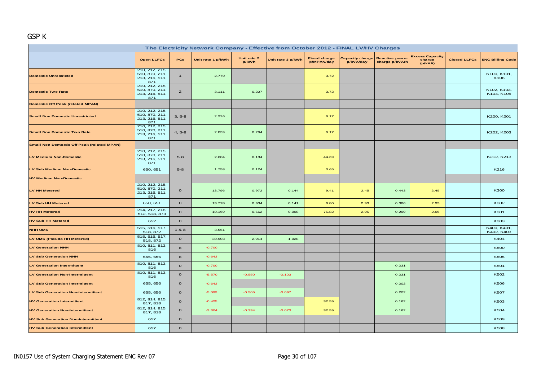#### GSP K

| The Electricity Network Company - Effective from October 2012 - FINAL LV/HV Charges |                                                           |                |                   |                      |                   |                                   |           |                                                  |                                             |                     |                           |  |
|-------------------------------------------------------------------------------------|-----------------------------------------------------------|----------------|-------------------|----------------------|-------------------|-----------------------------------|-----------|--------------------------------------------------|---------------------------------------------|---------------------|---------------------------|--|
|                                                                                     | <b>Open LLFCs</b>                                         | PCs            | Unit rate 1 p/kWh | Unit rate 2<br>p/kWh | Unit rate 3 p/kWh | <b>Fixed charge</b><br>p/MPAN/day | p/kVA/day | Capacity charge Reactive power<br>charge p/kVArh | <b>Excess Capacity</b><br>charge<br>(p/kVA) | <b>Closed LLFCs</b> | <b>ENC Billing Code</b>   |  |
| <b>Domestic Unrestricted</b>                                                        | 210, 212, 215,<br>510, 870, 211,<br>213, 216, 511,<br>871 | $\mathbf{1}$   | 2.770             |                      |                   | 3.72                              |           |                                                  |                                             |                     | K100, K101,<br>K106       |  |
| <b>Domestic Two Rate</b>                                                            | 210, 212, 215,<br>510, 870, 211,<br>213, 216, 511,<br>871 | $\overline{2}$ | 3.111             | 0.227                |                   | 3.72                              |           |                                                  |                                             |                     | K102, K103,<br>K104, K105 |  |
| <b>Domestic Off Peak (related MPAN)</b>                                             |                                                           |                |                   |                      |                   |                                   |           |                                                  |                                             |                     |                           |  |
| <b>Small Non Domestic Unrestricted</b>                                              | 210, 212, 215,<br>510, 870, 211,<br>213, 216, 511,<br>871 | $3, 5-8$       | 2.226             |                      |                   | 6.17                              |           |                                                  |                                             |                     | K200, K201                |  |
| <b>Small Non Domestic Two Rate</b>                                                  | 210, 212, 215,<br>510, 870, 211,<br>213, 216, 511,<br>871 | $4, 5-8$       | 2.839             | 0.264                |                   | 6.17                              |           |                                                  |                                             |                     | K202, K203                |  |
| <b>Small Non Domestic Off Peak (related MPAN)</b>                                   |                                                           |                |                   |                      |                   |                                   |           |                                                  |                                             |                     |                           |  |
| <b>LV Medium Non-Domestic</b>                                                       | 210, 212, 215,<br>510, 870, 211,<br>213, 216, 511,<br>871 | $5-8$          | 2.604             | 0.184                |                   | 44.69                             |           |                                                  |                                             |                     | K212, K213                |  |
| <b>LV Sub Medium Non-Domestic</b>                                                   | 650, 651                                                  | $5 - 8$        | 1.758             | 0.124                |                   | 3.65                              |           |                                                  |                                             |                     | K216                      |  |
| <b>HV Medium Non-Domestic</b>                                                       |                                                           |                |                   |                      |                   |                                   |           |                                                  |                                             |                     |                           |  |
| <b>LV HH Metered</b>                                                                | 210, 212, 215,<br>510, 870, 211,<br>213, 216, 511,<br>871 | $\mathbf{o}$   | 13.796            | 0.972                | 0.144             | 9.41                              | 2.45      | 0.443                                            | 2.45                                        |                     | K300                      |  |
| <b>LV Sub HH Metered</b>                                                            | 650, 651                                                  | $\circ$        | 13.778            | 0.934                | 0.141             | 6.80                              | 2.93      | 0.386                                            | 2.93                                        |                     | K302                      |  |
| <b>HV HH Metered</b>                                                                | 214, 217, 218,<br>512, 513, 873                           | $\mathbf{o}$   | 10.169            | 0.662                | 0.098             | 75.82                             | 2.95      | 0.299                                            | 2.95                                        |                     | K301                      |  |
| <b>HV Sub HH Metered</b>                                                            | 652                                                       | $\circ$        |                   |                      |                   |                                   |           |                                                  |                                             |                     | K303                      |  |
| <b>NHH UMS</b>                                                                      | 515, 516, 517,<br>518, 872                                | 1&8            | 3.561             |                      |                   |                                   |           |                                                  |                                             |                     | K400, K401,<br>K402, K403 |  |
| LV UMS (Pseudo HH Metered)                                                          | 515, 516, 517,<br>518, 872                                | $\mathbf{o}$   | 30.903            | 2.914                | 1.028             |                                   |           |                                                  |                                             |                     | K404                      |  |
| <b>LV Generation NHH</b>                                                            | 810, 811, 813,<br>816                                     | 8              | $-0.700$          |                      |                   |                                   |           |                                                  |                                             |                     | <b>K500</b>               |  |
| <b>LV Sub Generation NHH</b>                                                        | 655, 656                                                  | 8              | $-0.643$          |                      |                   |                                   |           |                                                  |                                             |                     | K505                      |  |
| <b>LV Generation Intermittent</b>                                                   | 810, 811, 813,<br>816                                     | $\mathbf 0$    | $-0.700$          |                      |                   |                                   |           | 0.231                                            |                                             |                     | K501                      |  |
| <b>LV Generation Non-Intermittent</b>                                               | 810, 811, 813,<br>816                                     | $\mathbf{o}$   | $-5.570$          | $-0.550$             | $-0.103$          |                                   |           | 0.231                                            |                                             |                     | K502                      |  |
| <b>LV Sub Generation Intermittent</b>                                               | 655, 656                                                  | $\circ$        | $-0.643$          |                      |                   |                                   |           | 0.202                                            |                                             |                     | <b>K506</b>               |  |
| <b>LV Sub Generation Non-Intermittent</b>                                           | 655, 656                                                  | $\mathbf{o}$   | $-5.099$          | $-0.505$             | $-0.097$          |                                   |           | 0.202                                            |                                             |                     | <b>K507</b>               |  |
| <b>HV Generation Intermittent</b>                                                   | 812, 814, 815,<br>817, 818                                | $\mathbf 0$    | $-0.425$          |                      |                   | 32.59                             |           | 0.162                                            |                                             |                     | K503                      |  |
| <b>HV Generation Non-Intermittent</b>                                               | 812, 814, 815,<br>817, 818                                | $\mathbf{o}$   | $-3.304$          | $-0.334$             | $-0.073$          | 32.59                             |           | 0.162                                            |                                             |                     | K504                      |  |
| <b>HV Sub Generation Non-Intermittent</b>                                           | 657                                                       | $\mathbf O$    |                   |                      |                   |                                   |           |                                                  |                                             |                     | K509                      |  |
| <b>HV Sub Generation Intermittent</b>                                               | 657                                                       | $\mathbf{o}$   |                   |                      |                   |                                   |           |                                                  |                                             |                     | <b>K508</b>               |  |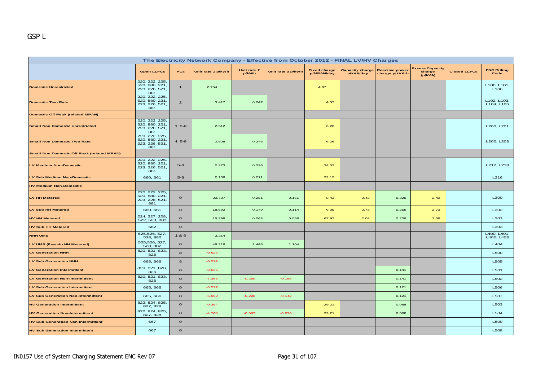| The Electricity Network Company - Effective from October 2012 - FINAL LV/HV Charges |                                                           |                |                   |                      |                   |                                   |                                     |                                         |                                             |                     |                                 |  |  |
|-------------------------------------------------------------------------------------|-----------------------------------------------------------|----------------|-------------------|----------------------|-------------------|-----------------------------------|-------------------------------------|-----------------------------------------|---------------------------------------------|---------------------|---------------------------------|--|--|
|                                                                                     | <b>Open LLFCs</b>                                         | PCs            | Unit rate 1 p/kWh | Unit rate 2<br>p/kWh | Unit rate 3 p/kWh | <b>Fixed charge</b><br>p/MPAN/day | <b>Capacity charge</b><br>p/kVA/day | <b>Reactive power</b><br>charge p/kVArh | <b>Excess Capacity</b><br>charge<br>(p/kVA) | <b>Closed LLFCs</b> | <b>ENC Billing</b><br>Code      |  |  |
| <b>Domestic Unrestricted</b>                                                        | 220, 222, 225,<br>520, 880, 221,<br>223, 226, 521,<br>881 | $\mathbf{1}$   | 2.754             |                      |                   | 4.07                              |                                     |                                         |                                             |                     | L100, L101,<br>L <sub>106</sub> |  |  |
| <b>Domestic Two Rate</b>                                                            | 220, 222, 225,<br>520, 880, 221,<br>223, 226, 521,<br>881 | $\overline{a}$ | 3.417             | 0.247                |                   | 4.07                              |                                     |                                         |                                             |                     | L102, L103,<br>L104, L105       |  |  |
| <b>Domestic Off Peak (related MPAN)</b>                                             |                                                           |                |                   |                      |                   |                                   |                                     |                                         |                                             |                     |                                 |  |  |
| <b>Small Non Domestic Unrestricted</b>                                              | 220, 222, 225,<br>520, 880, 221,<br>223, 226, 521,<br>881 | $3, 5-8$       | 2.512             |                      |                   | 6.26                              |                                     |                                         |                                             |                     | L200, L201                      |  |  |
| <b>Small Non Domestic Two Rate</b>                                                  | 220, 222, 225,<br>520, 880, 221,<br>223, 226, 521,<br>881 | $4, 5-8$       | 2.606             | 0.246                |                   | 6.26                              |                                     |                                         |                                             |                     | L202, L203                      |  |  |
| <b>Small Non Domestic Off Peak (related MPAN)</b>                                   |                                                           |                |                   |                      |                   |                                   |                                     |                                         |                                             |                     |                                 |  |  |
| <b>LV Medium Non-Domestic</b>                                                       | 220, 222, 225,<br>520, 880, 221,<br>223, 226, 521,<br>881 | $5 - 8$        | 2.273             | 0.236                |                   | 34.02                             |                                     |                                         |                                             |                     | L212, L213                      |  |  |
| <b>LV Sub Medium Non-Domestic</b>                                                   | 660, 661                                                  | $5-8$          | 2.136             | 0.211                |                   | 22.12                             |                                     |                                         |                                             |                     | L216                            |  |  |
| <b>HV Medium Non-Domestic</b>                                                       |                                                           |                |                   |                      |                   |                                   |                                     |                                         |                                             |                     |                                 |  |  |
| <b>LV HH Metered</b>                                                                | 220, 222, 225,<br>520, 880, 221,<br>223, 226, 521,<br>881 | $\mathbf{o}$   | 20.727            | 0.251                | 0.161             | 8.43                              | 2.43                                | 0.329                                   | 2.43                                        |                     | L300                            |  |  |
| <b>LV Sub HH Metered</b>                                                            | 660, 661                                                  | $\mathbf{o}$   | 18.692            | 0.149                | 0.114             | 6.09                              | 2.73                                | 0.269                                   | 2.73                                        |                     | L302                            |  |  |
| <b>HV HH Metered</b>                                                                | 224, 227, 228,<br>522, 523, 883                           | $\mathbf{o}$   | 15.398            | 0.063                | 0.068             | 67.97                             | 2.08                                | 0.208                                   | 2.08                                        |                     | L301                            |  |  |
| <b>HV Sub HH Metered</b>                                                            | 662                                                       | $\mathbf{o}$   |                   |                      |                   |                                   |                                     |                                         |                                             |                     | L303                            |  |  |
| <b>NHH UMS</b>                                                                      | 525,526, 527,<br>528, 882                                 | 1 & 8          | 3.214             |                      |                   |                                   |                                     |                                         |                                             |                     | L400, L401,<br>L402, L403       |  |  |
| LV UMS (Pseudo HH Metered)                                                          | 525,526, 527,<br>528, 882                                 | $\mathbf{o}$   | 46.218            | 1.446                | 1.104             |                                   |                                     |                                         |                                             |                     | L404                            |  |  |
| <b>LV Generation NHH</b>                                                            | 820, 821, 823,<br>826                                     | 8              | $-0.625$          |                      |                   |                                   |                                     |                                         |                                             |                     | <b>L500</b>                     |  |  |
| <b>LV Sub Generation NHH</b>                                                        | 665, 666                                                  | 8              | $-0.577$          |                      |                   |                                   |                                     |                                         |                                             |                     | L505                            |  |  |
| <b>LV Generation Intermittent</b>                                                   | 820, 821, 823,<br>826                                     | $\Omega$       | $-0.625$          |                      |                   |                                   |                                     | 0.141                                   |                                             |                     | L501                            |  |  |
| <b>LV Generation Non-Intermittent</b>                                               | 820, 821, 823,<br>826                                     | $\mathbf{o}$   | $-7.363$          | $-0.260$             | $-0.156$          |                                   |                                     | 0.141                                   |                                             |                     | L502                            |  |  |
| <b>LV Sub Generation Intermittent</b>                                               | 665, 666                                                  | $\mathbf{o}$   | $-0.577$          |                      |                   |                                   |                                     | 0.121                                   |                                             |                     | L506                            |  |  |
| <b>LV Sub Generation Non-Intermittent</b>                                           | 665, 666                                                  | $\circ$        | $-6.902$          | $-0.228$             | $-0.142$          |                                   |                                     | 0.121                                   |                                             |                     | <b>L507</b>                     |  |  |
| <b>HV Generation Intermittent</b>                                                   | 822, 824, 825,<br>827, 828                                | $\mathbf O$    | $-0.354$          |                      |                   | 29.21                             |                                     | 0.088                                   |                                             |                     | L503                            |  |  |
| <b>HV Generation Non-Intermittent</b>                                               | 822, 824, 825,<br>827, 828                                | $\mathbf{o}$   | $-4.708$          | $-0.083$             | $-0.076$          | 29.21                             |                                     | 0.088                                   |                                             |                     | L504                            |  |  |
| <b>HV Sub Generation Non-Intermittent</b>                                           | 667                                                       | $\mathbf{o}$   |                   |                      |                   |                                   |                                     |                                         |                                             |                     | L509                            |  |  |
| <b>HV Sub Generation Intermittent</b>                                               | 667                                                       | $\mathbf{o}$   |                   |                      |                   |                                   |                                     |                                         |                                             |                     | <b>L508</b>                     |  |  |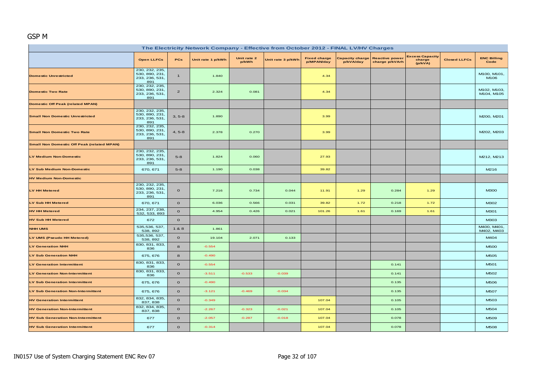# GSP M

| The Electricity Network Company - Effective from October 2012 - FINAL LV/HV Charges |                                                           |                |                   |                      |                   |                                   |                                     |                                         |                                             |                     |                            |  |  |
|-------------------------------------------------------------------------------------|-----------------------------------------------------------|----------------|-------------------|----------------------|-------------------|-----------------------------------|-------------------------------------|-----------------------------------------|---------------------------------------------|---------------------|----------------------------|--|--|
|                                                                                     | <b>Open LLFCs</b>                                         | PCs            | Unit rate 1 p/kWh | Unit rate 2<br>p/kWh | Unit rate 3 p/kWh | <b>Fixed charge</b><br>p/MPAN/day | <b>Capacity charge</b><br>p/kVA/day | <b>Reactive power</b><br>charge p/kVArh | <b>Excess Capacity</b><br>charge<br>(p/kVA) | <b>Closed LLFCs</b> | <b>ENC Billing</b><br>Code |  |  |
| <b>Domestic Unrestricted</b>                                                        | 230, 232, 235,<br>530, 890, 231,<br>233, 236, 531,<br>891 | $\mathbf{1}$   | 1.840             |                      |                   | 4.34                              |                                     |                                         |                                             |                     | M100, M101.<br>M106        |  |  |
| <b>Domestic Two Rate</b>                                                            | 230, 232, 235,<br>530, 890, 231<br>233, 236, 531,<br>891  | $\overline{2}$ | 2.324             | 0.081                |                   | 4.34                              |                                     |                                         |                                             |                     | M102, M103,<br>M104, M105  |  |  |
| <b>Domestic Off Peak (related MPAN)</b>                                             |                                                           |                |                   |                      |                   |                                   |                                     |                                         |                                             |                     |                            |  |  |
| <b>Small Non Domestic Unrestricted</b>                                              | 230, 232, 235,<br>530, 890, 231,<br>233, 236, 531,<br>891 | $3, 5-8$       | 1.890             |                      |                   | 3.99                              |                                     |                                         |                                             |                     | M200, M201                 |  |  |
| <b>Small Non Domestic Two Rate</b>                                                  | 230, 232, 235,<br>530, 890, 231<br>233, 236, 531,<br>891  | $4, 5-8$       | 2.378             | 0.270                |                   | 3.99                              |                                     |                                         |                                             |                     | M202, M203                 |  |  |
| <b>Small Non Domestic Off Peak (related MPAN)</b>                                   |                                                           |                |                   |                      |                   |                                   |                                     |                                         |                                             |                     |                            |  |  |
| <b>LV Medium Non-Domestic</b>                                                       | 230, 232, 235,<br>530, 890, 231<br>233, 236, 531,<br>891  | $5 - 8$        | 1.824             | 0.060                |                   | 27.93                             |                                     |                                         |                                             |                     | M212, M213                 |  |  |
| LV Sub Medium Non-Domestic                                                          | 670, 671                                                  | $5 - 8$        | 1.190             | 0.038                |                   | 39.82                             |                                     |                                         |                                             |                     | M216                       |  |  |
| <b>HV Medium Non-Domestic</b>                                                       |                                                           |                |                   |                      |                   |                                   |                                     |                                         |                                             |                     |                            |  |  |
| <b>LV HH Metered</b>                                                                | 230, 232, 235,<br>530, 890, 231,<br>233, 236, 531,<br>891 | $\mathbf{o}$   | 7.216             | 0.734                | 0.044             | 11.91                             | 1.29                                | 0.284                                   | 1.29                                        |                     | <b>M300</b>                |  |  |
| <b>LV Sub HH Metered</b>                                                            | 670, 671                                                  | $\mathbf{o}$   | 6.036             | 0.566                | 0.031             | 39.82                             | 1.72                                | 0.218                                   | 1.72                                        |                     | M302                       |  |  |
| <b>HV HH Metered</b>                                                                | 234, 237, 238,<br>532, 533, 893                           | $\mathbf{o}$   | 4.954             | 0.426                | 0.021             | 101.26                            | 1.61                                | 0.169                                   | 1.61                                        |                     | M301                       |  |  |
| <b>HV Sub HH Metered</b>                                                            | 672                                                       | $\mathbf{o}$   |                   |                      |                   |                                   |                                     |                                         |                                             |                     | M303                       |  |  |
| <b>NHH UMS</b>                                                                      | 535,536, 537,<br>538, 892                                 | 1 & 8          | 1.861             |                      |                   |                                   |                                     |                                         |                                             |                     | M400, M401.<br>M402, M403  |  |  |
| LV UMS (Pseudo HH Metered)                                                          | 535,536, 537,<br>538, 892                                 | $\mathbf{o}$   | 19.104            | 2.071                | 0.133             |                                   |                                     |                                         |                                             |                     | M404                       |  |  |
| <b>LV Generation NHH</b>                                                            | 830, 831, 833,<br>836                                     | 8              | $-0.554$          |                      |                   |                                   |                                     |                                         |                                             |                     | <b>M500</b>                |  |  |
| <b>LV Sub Generation NHH</b>                                                        | 675, 676                                                  | 8              | $-0.490$          |                      |                   |                                   |                                     |                                         |                                             |                     | M505                       |  |  |
| <b>LV Generation Intermittent</b>                                                   | 830, 831, 833,<br>836                                     | $\mathbf{o}$   | $-0.554$          |                      |                   |                                   |                                     | 0.141                                   |                                             |                     | M501                       |  |  |
| <b>LV Generation Non-Intermittent</b>                                               | 830, 831, 833,<br>836                                     | $\mathbf{o}$   | $-3.511$          | $-0.533$             | $-0.039$          |                                   |                                     | 0.141                                   |                                             |                     | M502                       |  |  |
| <b>LV Sub Generation Intermittent</b>                                               | 675, 676                                                  | $\mathbf{o}$   | $-0.490$          |                      |                   |                                   |                                     | 0.135                                   |                                             |                     | M506                       |  |  |
| <b>LV Sub Generation Non-Intermittent</b>                                           | 675, 676                                                  | $\mathbf{o}$   | $-3.121$          | $-0.469$             | $-0.034$          |                                   |                                     | 0.135                                   |                                             |                     | <b>M507</b>                |  |  |
| <b>HV Generation Intermittent</b>                                                   | 832, 834, 835,<br>837, 838                                | $\mathbf{o}$   | $-0.349$          |                      |                   | 107.04                            |                                     | 0.105                                   |                                             |                     | M503                       |  |  |
| <b>HV Generation Non-Intermittent</b>                                               | 832, 834, 835,<br>837, 838                                | $\mathbf{o}$   | $-2.267$          | $-0.323$             | $-0.021$          | 107.04                            |                                     | 0.105                                   |                                             |                     | M504                       |  |  |
| <b>HV Sub Generation Non-Intermittent</b>                                           | 677                                                       | $\mathbf{o}$   | $-2.057$          | $-0.287$             | $-0.018$          | 107.04                            |                                     | 0.078                                   |                                             |                     | M509                       |  |  |
| <b>HV Sub Generation Intermittent</b>                                               | 677                                                       | $\mathbf{o}$   | $-0.314$          |                      |                   | 107.04                            |                                     | 0.078                                   |                                             |                     | <b>M508</b>                |  |  |
|                                                                                     |                                                           |                |                   |                      |                   |                                   |                                     |                                         |                                             |                     |                            |  |  |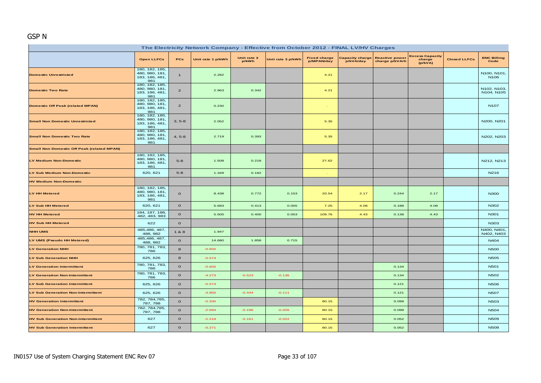## GSP N

| The Electricity Network Company - Effective from October 2012 - FINAL LV/HV Charges |                                                           |                |                   |                      |                   |                                   |                                     |                                         |                                             |                     |                                 |  |  |
|-------------------------------------------------------------------------------------|-----------------------------------------------------------|----------------|-------------------|----------------------|-------------------|-----------------------------------|-------------------------------------|-----------------------------------------|---------------------------------------------|---------------------|---------------------------------|--|--|
|                                                                                     | <b>Open LLFCs</b>                                         | PCs            | Unit rate 1 p/kWh | Unit rate 2<br>p/kWh | Unit rate 3 p/kWh | <b>Fixed charge</b><br>p/MPAN/day | <b>Capacity charge</b><br>p/kVA/day | <b>Reactive power</b><br>charge p/kVArh | <b>Excess Capacity</b><br>charge<br>(p/kVA) | <b>Closed LLFCs</b> | <b>ENC Billing</b><br>Code      |  |  |
| <b>Domestic Unrestricted</b>                                                        | 180, 182, 185,<br>480, 980, 181,<br>183, 186, 481,<br>981 | $\mathbf{1}$   | 2.282             |                      |                   | 4.21                              |                                     |                                         |                                             |                     | N100, N101.<br>N <sub>106</sub> |  |  |
| <b>Domestic Two Rate</b>                                                            | 180, 182, 185,<br>480, 980, 181,<br>183, 186, 481,<br>981 | $\overline{a}$ | 2.963             | 0.342                |                   | 4.21                              |                                     |                                         |                                             |                     | N102, N103,<br>N104, N105       |  |  |
| <b>Domestic Off Peak (related MPAN)</b>                                             | 180, 182, 185,<br>480, 980, 181,<br>183, 186, 481,<br>981 | $\overline{a}$ | 0.230             |                      |                   | ÷.                                |                                     |                                         |                                             |                     | <b>N107</b>                     |  |  |
| <b>Small Non Domestic Unrestricted</b>                                              | 180, 182, 185,<br>480, 980, 181,<br>183, 186, 481,<br>981 | $3, 5-8$       | 2.052             |                      |                   | 5.35                              |                                     |                                         |                                             |                     | N200, N201                      |  |  |
| <b>Small Non Domestic Two Rate</b>                                                  | 180, 182, 185,<br>480, 980, 181,<br>183, 186, 481,<br>981 | $4, 5-8$       | 2.719             | 0.393                |                   | 5.35                              |                                     |                                         |                                             |                     | N202, N203                      |  |  |
| <b>Small Non Domestic Off Peak (related MPAN)</b>                                   |                                                           |                |                   |                      |                   |                                   |                                     |                                         |                                             |                     |                                 |  |  |
| <b>LV Medium Non-Domestic</b>                                                       | 180, 182, 185,<br>480, 980, 181,<br>183, 186, 481,<br>981 | $5 - 8$        | 1.508             | 0.218                |                   | 27.62                             |                                     |                                         |                                             |                     | N212, N213                      |  |  |
| LV Sub Medium Non-Domestic                                                          | 620, 621                                                  | $5-8$          | 1.349             | 0.182                |                   |                                   |                                     |                                         |                                             |                     | N <sub>216</sub>                |  |  |
| <b>HV Medium Non-Domestic</b>                                                       |                                                           |                |                   |                      |                   |                                   |                                     |                                         |                                             |                     |                                 |  |  |
| <b>LV HH Metered</b>                                                                | 180, 182, 185,<br>480, 980, 181,<br>183, 186, 481,<br>981 | $\mathbf{o}$   | 8.438             | 0.772                | 0.153             | 20.54                             | 2.17                                | 0.244                                   | 2.17                                        |                     | <b>N300</b>                     |  |  |
| <b>LV Sub HH Metered</b>                                                            | 620, 621                                                  | $\mathbf{o}$   | 5.683             | 0.413                | 0.055             | 7.25                              | 4.08                                | 0.188                                   | 4.08                                        |                     | N302                            |  |  |
| <b>HV HH Metered</b>                                                                | 184, 187, 188,<br>482, 483, 983                           | $\mathbf{o}$   | 5.500             | 0.400                | 0.053             | 109.76                            | 4.43                                | 0.138                                   | 4.43                                        |                     | N301                            |  |  |
| <b>HV Sub HH Metered</b>                                                            | 622                                                       | $\mathbf{o}$   |                   |                      |                   |                                   |                                     |                                         |                                             |                     | N303                            |  |  |
| <b>NHH UMS</b>                                                                      | 485,486, 487,<br>488, 982                                 | 1&8            | 1.947             |                      |                   |                                   |                                     |                                         |                                             |                     | N400, N401,<br>N402, N403       |  |  |
| LV UMS (Pseudo HH Metered)                                                          | 485,486, 487,<br>488, 982                                 | $\mathbf{o}$   | 14.680            | 1.858                | 0.715             |                                   |                                     |                                         |                                             |                     | N404                            |  |  |
| <b>LV Generation NHH</b>                                                            | 780, 781, 783,<br>786                                     | 8              | $-0.655$          |                      |                   |                                   |                                     |                                         |                                             |                     | <b>N500</b>                     |  |  |
| <b>LV Sub Generation NHH</b>                                                        | 625, 626                                                  | 8              | $-0.574$          |                      |                   |                                   |                                     |                                         |                                             |                     | <b>N505</b>                     |  |  |
| <b>LV Generation Intermittent</b>                                                   | 780, 781, 783,<br>786                                     | $\mathbf{o}$   | $-0.655$          |                      |                   |                                   |                                     | 0.134                                   |                                             |                     | <b>N501</b>                     |  |  |
| <b>LV Generation Non-Intermittent</b>                                               | 780, 781, 783,<br>786                                     | $\mathbf O$    | $-4.273$          | $-0.523$             | $-0.136$          |                                   |                                     | 0.134                                   |                                             |                     | <b>N502</b>                     |  |  |
| <b>LV Sub Generation Intermittent</b>                                               | 625, 626                                                  | $\mathbf{o}$   | $-0.574$          |                      |                   |                                   |                                     | 0.121                                   |                                             |                     | <b>N506</b>                     |  |  |
| LV Sub Generation Non-Intermittent                                                  | 625, 626                                                  | $\mathbf{o}$   | $-3.855$          | $-0.444$             | $-0.111$          |                                   |                                     | 0.121                                   |                                             |                     | <b>N507</b>                     |  |  |
| <b>HV Generation Intermittent</b>                                                   | 782, 784, 785,<br>787, 788                                | $\mathbf{o}$   | $-0.330$          |                      |                   | 80.15                             |                                     | 0.098                                   |                                             |                     | <b>N503</b>                     |  |  |
| <b>HV Generation Non-Intermittent</b>                                               | 782, 784, 785,<br>787, 788                                | $\mathbf{o}$   | $-2.694$          | $-0.196$             | $-0.026$          | 80.15                             |                                     | 0.098                                   |                                             |                     | <b>N504</b>                     |  |  |
| <b>HV Sub Generation Non-Intermittent</b>                                           | 627                                                       | $\mathbf{o}$   | $-2.218$          | $-0.161$             | $-0.022$          | 80.15                             |                                     | 0.052                                   |                                             |                     | <b>N509</b>                     |  |  |
| <b>HV Sub Generation Intermittent</b>                                               | 627                                                       | $\mathbf{o}$   | $-0.271$          |                      |                   | 80.15                             |                                     | 0.052                                   |                                             |                     | <b>N508</b>                     |  |  |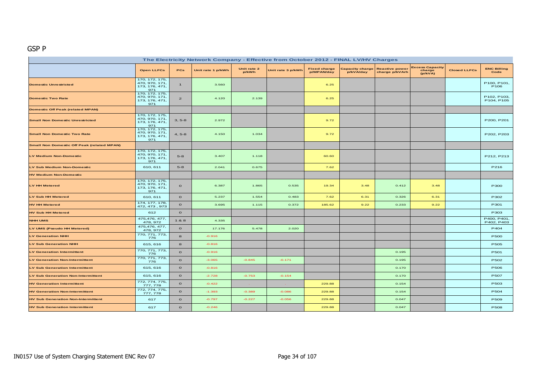#### GSP P

| The Electricity Network Company - Effective from October 2012 - FINAL LV/HV Charges |                                                           |                |                   |                      |                   |                                   |                              |                                         |                                             |                     |                                 |  |  |
|-------------------------------------------------------------------------------------|-----------------------------------------------------------|----------------|-------------------|----------------------|-------------------|-----------------------------------|------------------------------|-----------------------------------------|---------------------------------------------|---------------------|---------------------------------|--|--|
|                                                                                     | <b>Open LLFCs</b>                                         | <b>PCs</b>     | Unit rate 1 p/kWh | Unit rate 2<br>p/kWh | Unit rate 3 p/kWh | <b>Fixed charge</b><br>p/MPAN/day | Capacity charge<br>p/kVA/day | <b>Reactive power</b><br>charge p/kVArh | <b>Excess Capacity</b><br>charge<br>(p/kVA) | <b>Closed LLFCs</b> | <b>ENC Billing</b><br>Code      |  |  |
| <b>Domestic Unrestricted</b>                                                        | 170, 172, 175,<br>470, 970, 171,<br>173, 176, 471,<br>971 | $\mathbf{1}$   | 3.560             |                      |                   | 6.25                              |                              |                                         |                                             |                     | P100, P101,<br>P <sub>106</sub> |  |  |
| <b>Domestic Two Rate</b>                                                            | 170, 172, 175,<br>470, 970, 171,<br>173, 176, 471,<br>971 | $\overline{a}$ | 4.120             | 2.139                |                   | 6.25                              |                              |                                         |                                             |                     | P102, P103,<br>P104, P105       |  |  |
| <b>Domestic Off Peak (related MPAN)</b>                                             |                                                           |                |                   |                      |                   |                                   |                              |                                         |                                             |                     |                                 |  |  |
| <b>Small Non Domestic Unrestricted</b>                                              | 170, 172, 175,<br>470, 970, 171,<br>173, 176, 471,<br>971 | $3, 5-8$       | 2.972             |                      |                   | 9.72                              |                              |                                         |                                             |                     | P200, P201                      |  |  |
| <b>Small Non Domestic Two Rate</b>                                                  | 170, 172, 175,<br>470, 970, 171,<br>173, 176, 471,<br>971 | $4, 5-8$       | 4.150             | 1.034                |                   | 9.72                              |                              |                                         |                                             |                     | P202, P203                      |  |  |
| <b>Small Non Domestic Off Peak (related MPAN)</b>                                   |                                                           |                |                   |                      |                   |                                   |                              |                                         |                                             |                     |                                 |  |  |
| <b>LV Medium Non-Domestic</b>                                                       | 170, 172, 175,<br>470, 970, 171,<br>173, 176, 471,<br>971 | $5 - 8$        | 3.407             | 1.118                |                   | 60.60                             |                              |                                         |                                             |                     | P212, P213                      |  |  |
| LV Sub Medium Non-Domestic                                                          | 610, 611                                                  | $5-8$          | 2.041             | 0.675                |                   | 7.62                              |                              |                                         |                                             |                     | P216                            |  |  |
| <b>HV Medium Non-Domestic</b>                                                       |                                                           |                |                   |                      |                   |                                   |                              |                                         |                                             |                     |                                 |  |  |
| <b>LV HH Metered</b>                                                                | 170, 172, 175,<br>470, 970, 171,<br>173, 176, 471,<br>971 | $\circ$        | 6.387             | 1.865                | 0.535             | 19.34                             | 3.48                         | 0.412                                   | 3.48                                        |                     | P300                            |  |  |
| LV Sub HH Metered                                                                   | 610, 611                                                  | $\circ$        | 5.237             | 1.554                | 0.483             | 7.62                              | 6.31                         | 0.326                                   | 6.31                                        |                     | P302                            |  |  |
| <b>HV HH Metered</b>                                                                | 174, 177, 178,<br>472, 473, 973                           | $\circ$        | 3.695             | 1.115                | 0.372             | 185.62                            | 9.22                         | 0.233                                   | 9.22                                        |                     | P301                            |  |  |
| <b>HV Sub HH Metered</b>                                                            | 612                                                       | $\circ$        |                   |                      |                   |                                   |                              |                                         |                                             |                     | P303                            |  |  |
| <b>NHH UMS</b>                                                                      | 475, 476, 477,<br>478, 972                                | 1 & 8          | 4.335             |                      |                   |                                   |                              |                                         |                                             |                     | P400, P401,<br>P402, P403       |  |  |
| LV UMS (Pseudo HH Metered)                                                          | 475,476, 477,<br>478, 972                                 | $\circ$        | 17.176            | 5.478                | 2.020             |                                   |                              |                                         |                                             |                     | P404                            |  |  |
| <b>LV Generation NHH</b>                                                            | 770, 771, 773,<br>776                                     | 8              | $-0.916$          |                      |                   |                                   |                              |                                         |                                             |                     | <b>P500</b>                     |  |  |
| <b>LV Sub Generation NHH</b>                                                        | 615, 616                                                  | 8              | $-0.816$          |                      |                   |                                   |                              |                                         |                                             |                     | <b>P505</b>                     |  |  |
| <b>LV Generation Intermittent</b>                                                   | 770, 771, 773,<br>776                                     | $\circ$        | $-0.916$          |                      |                   |                                   |                              | 0.195                                   |                                             |                     | P501                            |  |  |
| <b>LV Generation Non-Intermittent</b>                                               | 770, 771, 773,<br>776                                     | $\circ$        | $-3.065$          | $-0.845$             | $-0.171$          |                                   |                              | 0.195                                   |                                             |                     | P502                            |  |  |
| <b>LV Sub Generation Intermittent</b>                                               | 615, 616                                                  | $\circ$        | $-0.816$          |                      |                   |                                   |                              | 0.170                                   |                                             |                     | <b>P506</b>                     |  |  |
| <b>LV Sub Generation Non-Intermittent</b>                                           | 615, 616                                                  | $\circ$        | $-2.728$          | $-0.753$             | $-0.154$          |                                   |                              | 0.170                                   |                                             |                     | <b>P507</b>                     |  |  |
| <b>HV Generation Intermittent</b>                                                   | 772, 774, 775,<br>777, 778                                | $\circ$        | $-0.422$          | <b>Card</b>          |                   | 229.88                            |                              | 0.154                                   |                                             |                     | P503                            |  |  |
| <b>HV Generation Non-Intermittent</b>                                               | 772, 774, 775,<br>777, 778                                | $\circ$        | $-1.393$          | $-0.389$             | $-0.086$          | 229.88                            |                              | 0.154                                   |                                             |                     | P504                            |  |  |
| <b>HV Sub Generation Non-Intermittent</b>                                           | 617                                                       | $\circ$        | $-0.797$          | $-0.227$             | $-0.056$          | 229.88                            |                              | 0.047                                   |                                             |                     | <b>P509</b>                     |  |  |
| <b>HV Sub Generation Intermittent</b>                                               | 617                                                       | $\circ$        | $-0.246$          |                      |                   | 229.88                            |                              | 0.047                                   |                                             |                     | <b>P508</b>                     |  |  |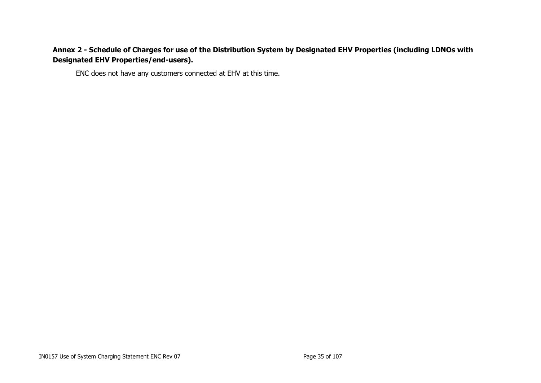# **Annex 2 - Schedule of Charges for use of the Distribution System by Designated EHV Properties (including LDNOs with Designated EHV Properties/end-users).**

<span id="page-34-0"></span>ENC does not have any customers connected at EHV at this time.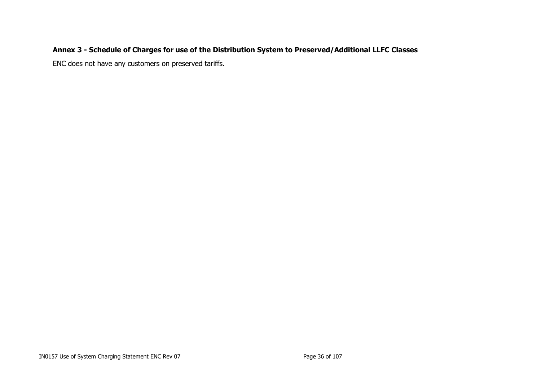# **Annex 3 - Schedule of Charges for use of the Distribution System to Preserved/Additional LLFC Classes**

<span id="page-35-0"></span>ENC does not have any customers on preserved tariffs.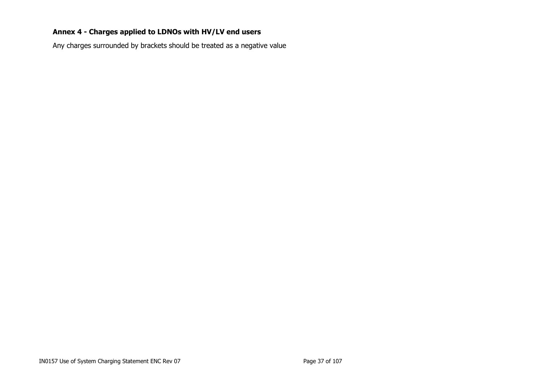# **Annex 4 - Charges applied to LDNOs with HV/LV end users**

Any charges surrounded by brackets should be treated as a negative value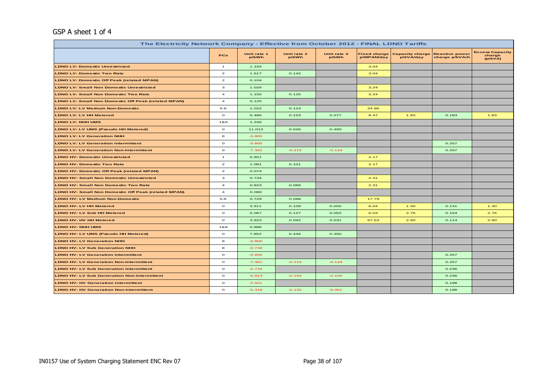#### GSP A sheet 1 of 4

| The Electricity Network Company - Effective from October 2012 - FINAL LDNO Tariffs |                         |                      |                      |                      |                                   |                                     |                                         |                                             |  |  |  |
|------------------------------------------------------------------------------------|-------------------------|----------------------|----------------------|----------------------|-----------------------------------|-------------------------------------|-----------------------------------------|---------------------------------------------|--|--|--|
|                                                                                    | <b>PCs</b>              | Unit rate 1<br>p/kWh | Unit rate 2<br>p/kWh | Unit rate 3<br>p/kWh | <b>Fixed charge</b><br>p/MPAN/day | <b>Capacity charge</b><br>p/kVA/day | <b>Reactive power</b><br>charge p/kVArh | <b>Excess Capacity</b><br>charge<br>(p/kVA) |  |  |  |
| <b>LDNO LV: Domestic Unrestricted</b>                                              | $\mathbf{1}$            | 1.193                |                      |                      | 3.04                              |                                     |                                         |                                             |  |  |  |
| <b>LDNO LV: Domestic Two Rate</b>                                                  | $\mathbf{z}$            | 1.517                | 0.142                |                      | 3.04                              |                                     |                                         |                                             |  |  |  |
| <b>LDNO LV: Domestic Off Peak (related MPAN)</b>                                   | $\mathbf{z}$            | 0.104                |                      |                      |                                   |                                     |                                         |                                             |  |  |  |
| <b>LDNO LV: Small Non Domestic Unrestricted</b>                                    | з                       | 1.029                |                      |                      | 3.24                              |                                     |                                         |                                             |  |  |  |
| <b>LDNO LV: Small Non Domestic Two Rate</b>                                        | $\overline{\mathbf{4}}$ | 1.155                | 0.125                |                      | 3.24                              |                                     |                                         |                                             |  |  |  |
| <b>LDNO LV: Small Non Domestic Off Peak (related MPAN)</b>                         | $\overline{\mathbf{4}}$ | 0.125                |                      |                      |                                   |                                     |                                         |                                             |  |  |  |
| <b>LDNO LV: LV Medium Non-Domestic</b>                                             | $5 - 8$                 | 1.022                | 0.124                |                      | 24.96                             |                                     |                                         |                                             |  |  |  |
| <b>LDNO LV: LV HH Metered</b>                                                      | $\circ$                 | 5.486                | 0.153                | 0.077                | 8.47                              | 1.83                                | 0.183                                   | 1.83                                        |  |  |  |
| <b>LDNO LV: NHH UMS</b>                                                            | 1&8                     | 1.246                |                      |                      |                                   |                                     |                                         |                                             |  |  |  |
| LDNO LV: LV UMS (Pseudo HH Metered)                                                | $\circ$                 | 11.013               | 0.626                | 0.490                |                                   |                                     |                                         |                                             |  |  |  |
| <b>LDNO LV: LV Generation NHH</b>                                                  | 8                       | $-0.800$             |                      |                      |                                   |                                     |                                         |                                             |  |  |  |
| <b>LDNO LV: LV Generation Intermittent</b>                                         | $\mathbf{o}$            | $-0.800$             |                      |                      |                                   |                                     | 0.257                                   |                                             |  |  |  |
| <b>LDNO LV: LV Generation Non-Intermittent</b>                                     | $\circ$                 | $-7.361$             | $-0.215$             | $-0.118$             |                                   |                                     | 0.257                                   |                                             |  |  |  |
| <b>LDNO HV: Domestic Unrestricted</b>                                              | $\mathbf{1}$            | 0.851                |                      |                      | 2.17                              |                                     |                                         |                                             |  |  |  |
| <b>LDNO HV: Domestic Two Rate</b>                                                  | $\mathbf{z}$            | 1.081                | 0.101                |                      | 2.17                              |                                     |                                         |                                             |  |  |  |
| <b>LDNO HV: Domestic Off Peak (related MPAN)</b>                                   | $\mathbf{z}$            | 0.074                |                      |                      |                                   |                                     |                                         |                                             |  |  |  |
| <b>LDNO HV: Small Non Domestic Unrestricted</b>                                    | з                       | 0.734                |                      |                      | 2.31                              |                                     |                                         |                                             |  |  |  |
| <b>LDNO HV: Small Non Domestic Two Rate</b>                                        | $\overline{a}$          | 0.823                | 0.089                |                      | 2.31                              |                                     |                                         |                                             |  |  |  |
| <b>LDNO HV: Small Non Domestic Off Peak (related MPAN)</b>                         | $\overline{a}$          | 0.089                |                      |                      |                                   |                                     |                                         |                                             |  |  |  |
| <b>LDNO HV: LV Medium Non-Domestic</b>                                             | $5 - 8$                 | 0.729                | 0.088                |                      | 17.79                             |                                     |                                         |                                             |  |  |  |
| LDNO HV: LV HH Metered                                                             | $\mathbf{o}$            | 3.911                | 0.109                | 0.055                | 6.04                              | 1.30                                | 0.131                                   | 1.30                                        |  |  |  |
| <b>LDNO HV: LV Sub HH Metered</b>                                                  | $\circ$                 | 5.067                | 0.127                | 0.052                | 6.03                              | 2.76                                | 0.154                                   | 2.76                                        |  |  |  |
| <b>LDNO HV: HV HH Metered</b>                                                      | $\circ$                 | 3.823                | 0.092                | 0.031                | 67.53                             | 2.90                                | 0.114                                   | 2.90                                        |  |  |  |
| LDNO HV: NHH UMS                                                                   | 1&8                     | 0.888                |                      |                      |                                   |                                     |                                         |                                             |  |  |  |
| LDNO HV: LV UMS (Pseudo HH Metered)                                                | $\circ$                 | 7.852                | 0.446                | 0.350                |                                   |                                     |                                         |                                             |  |  |  |
| <b>LDNO HV: LV Generation NHH</b>                                                  | 8                       | $-0.800$             |                      |                      |                                   |                                     |                                         |                                             |  |  |  |
| <b>LDNO HV: LV Sub Generation NHH</b>                                              | 8                       | $-0.734$             |                      |                      |                                   |                                     |                                         |                                             |  |  |  |
| <b>LDNO HV: LV Generation Intermittent</b>                                         | $\circ$                 | $-0.800$             |                      |                      |                                   |                                     | 0.257                                   |                                             |  |  |  |
| <b>LDNO HV: LV Generation Non-Intermittent</b>                                     | $\circ$                 | $-7.361$             | $-0.215$             | $-0.118$             |                                   |                                     | 0.257                                   |                                             |  |  |  |
| <b>LDNO HV: LV Sub Generation Intermittent</b>                                     | $\mathbf{o}$            | $-0.734$             |                      |                      |                                   |                                     | 0.236                                   |                                             |  |  |  |
| <b>LDNO HV: LV Sub Generation Non-Intermittent</b>                                 | $\circ$                 | $-6.813$             | $-0.193$             | $-0.100$             |                                   |                                     | 0.236                                   |                                             |  |  |  |
| <b>LDNO HV: HV Generation Intermittent</b>                                         | $\circ$                 | $-0.551$             |                      |                      |                                   |                                     | 0.198                                   |                                             |  |  |  |
| <b>LDNO HV: HV Generation Non-Intermittent</b>                                     | $\circ$                 | $-5.318$             | $-0.132$             | $-0.051$             |                                   |                                     | 0.198                                   |                                             |  |  |  |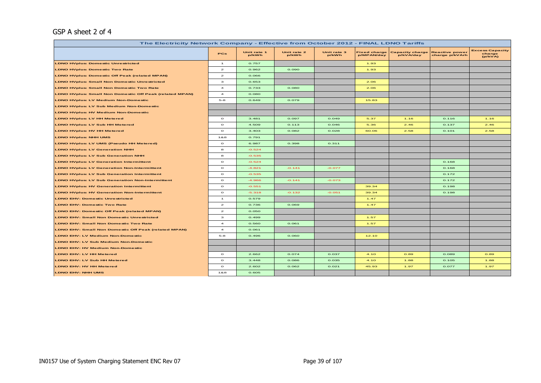### GSP A sheet 2 of 4

| The Electricity Network Company - Effective from October 2012 - FINAL LDNO Tariffs |                         |                      |                      |                      |                                   |                                     |                                         |                                             |  |  |  |
|------------------------------------------------------------------------------------|-------------------------|----------------------|----------------------|----------------------|-----------------------------------|-------------------------------------|-----------------------------------------|---------------------------------------------|--|--|--|
|                                                                                    | <b>PCs</b>              | Unit rate 1<br>p/kWh | Unit rate 2<br>p/kWh | Unit rate 3<br>p/kWh | <b>Fixed charge</b><br>p/MPAN/day | <b>Capacity charge</b><br>p/kVA/day | <b>Reactive power</b><br>charge p/kVArh | <b>Excess Capacity</b><br>charge<br>(p/kVA) |  |  |  |
| <b>LDNO HVplus: Domestic Unrestricted</b>                                          | $\mathbf{1}$            | 0.757                |                      |                      | 1.93                              |                                     |                                         |                                             |  |  |  |
| <b>LDNO HVplus: Domestic Two Rate</b>                                              | $\mathbf{z}$            | 0.962                | 0.090                |                      | 1.93                              |                                     |                                         |                                             |  |  |  |
| <b>LDNO HVplus: Domestic Off Peak (related MPAN)</b>                               | $\mathbf{z}$            | 0.066                |                      |                      |                                   |                                     |                                         |                                             |  |  |  |
| <b>LDNO HVplus: Small Non Domestic Unrestricted</b>                                | з                       | 0.653                |                      |                      | 2.06                              |                                     |                                         |                                             |  |  |  |
| <b>LDNO HVplus: Small Non Domestic Two Rate</b>                                    | $\overline{\mathbf{4}}$ | 0.733                | 0.080                |                      | 2.06                              |                                     |                                         |                                             |  |  |  |
| <b>LDNO HVplus: Small Non Domestic Off Peak (related MPAN)</b>                     | $\overline{\mathbf{4}}$ | 0.080                |                      |                      |                                   |                                     |                                         |                                             |  |  |  |
| <b>LDNO HVplus: LV Medium Non-Domestic</b>                                         | $5 - 8$                 | 0.649                | 0.079                |                      | 15.83                             |                                     |                                         |                                             |  |  |  |
| <b>LDNO HVplus: LV Sub Medium Non-Domestic</b>                                     |                         |                      |                      |                      |                                   |                                     |                                         |                                             |  |  |  |
| <b>LDNO HVplus: HV Medium Non-Domestic</b>                                         |                         |                      |                      |                      |                                   |                                     |                                         |                                             |  |  |  |
| <b>LDNO HVplus: LV HH Metered</b>                                                  | $\circ$                 | 3.481                | 0.097                | 0.049                | 5.37                              | 1.16                                | 0.116                                   | 1.16                                        |  |  |  |
| <b>LDNO HVplus: LV Sub HH Metered</b>                                              | $\circ$                 | 4.509                | 0.113                | 0.046                | 5.36                              | 2.46                                | 0.137                                   | 2.46                                        |  |  |  |
| <b>LDNO HVplus: HV HH Metered</b>                                                  | $\circ$                 | 3.403                | 0.082                | 0.028                | 60.06                             | 2.58                                | 0.101                                   | 2.58                                        |  |  |  |
| <b>LDNO HVplus: NHH UMS</b>                                                        | 1&8                     | 0.791                |                      |                      |                                   |                                     |                                         |                                             |  |  |  |
| <b>LDNO HVplus: LV UMS (Pseudo HH Metered)</b>                                     | $\circ$                 | 6.987                | 0.398                | 0.311                |                                   |                                     |                                         |                                             |  |  |  |
| <b>LDNO HVplus: LV Generation NHH</b>                                              | 8                       | $-0.524$             |                      |                      |                                   |                                     |                                         |                                             |  |  |  |
| <b>LDNO HVplus: LV Sub Generation NHH</b>                                          | 8                       | $-0.535$             |                      |                      |                                   |                                     |                                         |                                             |  |  |  |
| <b>LDNO HVplus: LV Generation Intermittent</b>                                     | $\mathbf{o}$            | $-0.524$             |                      |                      |                                   |                                     | 0.168                                   |                                             |  |  |  |
| <b>LDNO HVplus: LV Generation Non-Intermittent</b>                                 | $\circ$                 | $-4.821$             | $-0.141$             | $-0.077$             |                                   |                                     | 0.168                                   |                                             |  |  |  |
| <b>LDNO HVplus: LV Sub Generation Intermittent</b>                                 | $\mathbf{o}$            | $-0.535$             |                      |                      |                                   |                                     | 0.172                                   |                                             |  |  |  |
| <b>LDNO HVplus: LV Sub Generation Non-Intermittent</b>                             | $\circ$                 | $-4.966$             | $-0.141$             | $-0.073$             |                                   |                                     | 0.172                                   |                                             |  |  |  |
| <b>LDNO HVplus: HV Generation Intermittent</b>                                     | $\circ$                 | $-0.551$             |                      |                      | 39.34                             |                                     | 0.198                                   |                                             |  |  |  |
| <b>LDNO HVplus: HV Generation Non-Intermittent</b>                                 | $\circ$                 | $-5.318$             | $-0.132$             | $-0.051$             | 39.34                             |                                     | 0.198                                   |                                             |  |  |  |
| <b>LDNO EHV: Domestic Unrestricted</b>                                             | $\mathbf{1}$            | 0.579                |                      |                      | 1.47                              |                                     |                                         |                                             |  |  |  |
| <b>LDNO EHV: Domestic Two Rate</b>                                                 | $\overline{z}$          | 0.736                | 0.069                |                      | 1.47                              |                                     |                                         |                                             |  |  |  |
| <b>LDNO EHV: Domestic Off Peak (related MPAN)</b>                                  | $\mathbf{z}$            | 0.050                |                      |                      |                                   |                                     |                                         |                                             |  |  |  |
| <b>LDNO EHV: Small Non Domestic Unrestricted</b>                                   | з                       | 0.499                |                      |                      | 1.57                              |                                     |                                         |                                             |  |  |  |
| <b>LDNO EHV: Small Non Domestic Two Rate</b>                                       | $\overline{\mathbf{4}}$ | 0.560                | 0.061                |                      | 1.57                              |                                     |                                         |                                             |  |  |  |
| <b>LDNO EHV: Small Non Domestic Off Peak (related MPAN)</b>                        | $\overline{\mathbf{4}}$ | 0.061                |                      |                      |                                   |                                     |                                         |                                             |  |  |  |
| <b>LDNO EHV: LV Medium Non-Domestic</b>                                            | $5 - 8$                 | 0.496                | 0.060                |                      | 12.10                             |                                     |                                         |                                             |  |  |  |
| <b>LDNO EHV: LV Sub Medium Non-Domestic</b>                                        |                         |                      |                      |                      |                                   |                                     |                                         |                                             |  |  |  |
| LDNO EHV: HV Medium Non-Domestic                                                   |                         |                      |                      |                      |                                   |                                     |                                         |                                             |  |  |  |
| LDNO EHV: LV HH Metered                                                            | $\circ$                 | 2.662                | 0.074                | 0.037                | 4.10                              | 0.89                                | 0.089                                   | 0.89                                        |  |  |  |
| <b>LDNO EHV: LV Sub HH Metered</b>                                                 | $\circ$                 | 3.448                | 0.086                | 0.035                | 4.10                              | 1.88                                | 0.105                                   | 1.88                                        |  |  |  |
| <b>LDNO EHV: HV HH Metered</b>                                                     | $\circ$                 | 2.602                | 0.062                | 0.021                | 45.93                             | 1.97                                | 0.077                                   | 1.97                                        |  |  |  |
| <b>LDNO EHV: NHH UMS</b>                                                           | 188                     | 0.605                |                      |                      |                                   |                                     |                                         |                                             |  |  |  |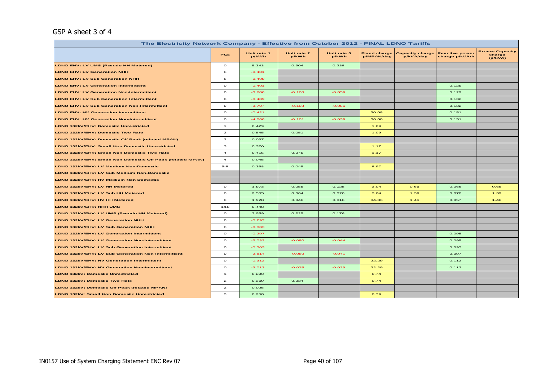#### GSP A sheet 3 of 4

|                                                            | The Electricity Network Company - Effective from October 2012 - FINAL LDNO Tariffs |                      |                      |                      |                                   |                                     |                                         |                                             |  |  |  |
|------------------------------------------------------------|------------------------------------------------------------------------------------|----------------------|----------------------|----------------------|-----------------------------------|-------------------------------------|-----------------------------------------|---------------------------------------------|--|--|--|
|                                                            | PCs                                                                                | Unit rate 1<br>p/kWh | Unit rate 2<br>p/kWh | Unit rate 3<br>p/kWh | <b>Fixed charge</b><br>p/MPAN/day | <b>Capacity charge</b><br>p/kVA/day | <b>Reactive power</b><br>charge p/kVArh | <b>Excess Capacity</b><br>charge<br>(p/kVA) |  |  |  |
| LDNO EHV: LV UMS (Pseudo HH Metered)                       | $\circ$                                                                            | 5.343                | 0.304                | 0.238                |                                   |                                     |                                         |                                             |  |  |  |
| <b>LDNO EHV: LV Generation NHH</b>                         | 8                                                                                  | $-0.401$             |                      |                      |                                   |                                     |                                         |                                             |  |  |  |
| <b>LDNO EHV: LV Sub Generation NHH</b>                     | 8                                                                                  | $-0.409$             |                      |                      |                                   |                                     |                                         |                                             |  |  |  |
| <b>LDNO EHV: LV Generation Intermittent</b>                | $\circ$                                                                            | $-0.401$             |                      |                      |                                   |                                     | 0.129                                   |                                             |  |  |  |
| <b>LDNO EHV: LV Generation Non-Intermittent</b>            | $\circ$                                                                            | $-3.686$             | $-0.108$             | $-0.059$             |                                   |                                     | 0.129                                   |                                             |  |  |  |
| <b>LDNO EHV: LV Sub Generation Intermittent</b>            | $\circ$                                                                            | $-0.409$             |                      |                      |                                   |                                     | 0.132                                   |                                             |  |  |  |
| <b>LDNO EHV: LV Sub Generation Non-Intermittent</b>        | $\circ$                                                                            | $-3.797$             | $-0.108$             | $-0.056$             |                                   |                                     | 0.132                                   |                                             |  |  |  |
| <b>LDNO EHV: HV Generation Intermittent</b>                | $\mathbf{o}$                                                                       | $-0.421$             |                      |                      | 30.08                             |                                     | 0.151                                   |                                             |  |  |  |
| <b>LDNO EHV: HV Generation Non-Intermittent</b>            | $\circ$                                                                            | $-4.066$             | $-0.101$             | $-0.039$             | 30.08                             |                                     | 0.151                                   |                                             |  |  |  |
| LDNO 132kV/EHV: Domestic Unrestricted                      | $\mathbf{1}$                                                                       | 0.429                |                      |                      | 1.09                              |                                     |                                         |                                             |  |  |  |
| LDNO 132kV/EHV: Domestic Two Rate                          | $\overline{\mathbf{z}}$                                                            | 0.545                | 0.051                |                      | 1.09                              |                                     |                                         |                                             |  |  |  |
| LDNO 132kV/EHV: Domestic Off Peak (related MPAN)           | $\mathbf{z}$                                                                       | 0.037                |                      |                      |                                   |                                     |                                         |                                             |  |  |  |
| LDNO 132kV/EHV: Small Non Domestic Unrestricted            | з                                                                                  | 0.370                |                      |                      | 1.17                              |                                     |                                         |                                             |  |  |  |
| LDNO 132kV/EHV: Small Non Domestic Two Rate                | $\overline{\mathbf{4}}$                                                            | 0.415                | 0.045                |                      | 1.17                              |                                     |                                         |                                             |  |  |  |
| LDNO 132kV/EHV: Small Non Domestic Off Peak (related MPAN) | $\overline{4}$                                                                     | 0.045                |                      |                      |                                   |                                     |                                         |                                             |  |  |  |
| LDNO 132kV/EHV: LV Medium Non-Domestic                     | $5 - 8$                                                                            | 0.368                | 0.045                |                      | 8.97                              |                                     |                                         |                                             |  |  |  |
| LDNO 132kV/EHV: LV Sub Medium Non-Domestic                 |                                                                                    |                      |                      |                      |                                   |                                     |                                         |                                             |  |  |  |
| LDNO 132kV/EHV: HV Medium Non-Domestic                     |                                                                                    |                      |                      |                      |                                   |                                     |                                         |                                             |  |  |  |
| LDNO 132kV/EHV: LV HH Metered                              | $\mathbf{o}$                                                                       | 1.973                | 0.055                | 0.028                | 3.04                              | 0.66                                | 0.066                                   | 0.66                                        |  |  |  |
| LDNO 132kV/EHV: LV Sub HH Metered                          | $\circ$                                                                            | 2.555                | 0.064                | 0.026                | 3.04                              | 1.39                                | 0.078                                   | 1.39                                        |  |  |  |
| LDNO 132kV/EHV: HV HH Metered                              | $\circ$                                                                            | 1.928                | 0.046                | 0.016                | 34.03                             | 1.46                                | 0.057                                   | 1.46                                        |  |  |  |
| LDNO 132kV/EHV: NHH UMS                                    | 1&8                                                                                | 0.448                |                      |                      |                                   |                                     |                                         |                                             |  |  |  |
| LDNO 132kV/EHV: LV UMS (Pseudo HH Metered)                 | $\circ$                                                                            | 3.959                | 0.225                | 0.176                |                                   |                                     |                                         |                                             |  |  |  |
| LDNO 132kV/EHV: LV Generation NHH                          | 8                                                                                  | $-0.297$             |                      |                      |                                   |                                     |                                         |                                             |  |  |  |
| <b>LDNO 132kV/EHV: LV Sub Generation NHH</b>               | 8                                                                                  | $-0.303$             |                      |                      |                                   |                                     |                                         |                                             |  |  |  |
| <b>LDNO 132kV/EHV: LV Generation Intermittent</b>          | $\circ$                                                                            | $-0.297$             |                      |                      |                                   |                                     | 0.095                                   |                                             |  |  |  |
| LDNO 132kV/EHV: LV Generation Non-Intermittent             | $\circ$                                                                            | $-2.732$             | $-0.080$             | $-0.044$             |                                   |                                     | 0.095                                   |                                             |  |  |  |
| <b>LDNO 132kV/EHV: LV Sub Generation Intermittent</b>      | $\mathbf{o}$                                                                       | $-0.303$             |                      |                      |                                   |                                     | 0.097                                   |                                             |  |  |  |
| LDNO 132kV/EHV: LV Sub Generation Non-Intermittent         | $\circ$                                                                            | $-2.814$             | $-0.080$             | $-0.041$             |                                   |                                     | 0.097                                   |                                             |  |  |  |
| LDNO 132kV/EHV: HV Generation Intermittent                 | $\circ$                                                                            | $-0.312$             |                      |                      | 22.29                             |                                     | 0.112                                   |                                             |  |  |  |
| <b>LDNO 132kV/EHV: HV Generation Non-Intermittent</b>      | $\circ$                                                                            | $-3.013$             | $-0.075$             | $-0.029$             | 22.29                             |                                     | 0.112                                   |                                             |  |  |  |
| LDNO 132kV: Domestic Unrestricted                          | $\mathbf{1}$                                                                       | 0.290                |                      |                      | 0.74                              |                                     |                                         |                                             |  |  |  |
| LDNO 132kV: Domestic Two Rate                              | $\mathbf{z}$                                                                       | 0.369                | 0.034                |                      | 0.74                              |                                     |                                         |                                             |  |  |  |
| LDNO 132kV: Domestic Off Peak (related MPAN)               | $\mathbf{z}$                                                                       | 0.025                |                      |                      |                                   |                                     |                                         |                                             |  |  |  |
| LDNO 132kV: Small Non Domestic Unrestricted                | з                                                                                  | 0.250                |                      |                      | 0.79                              |                                     |                                         |                                             |  |  |  |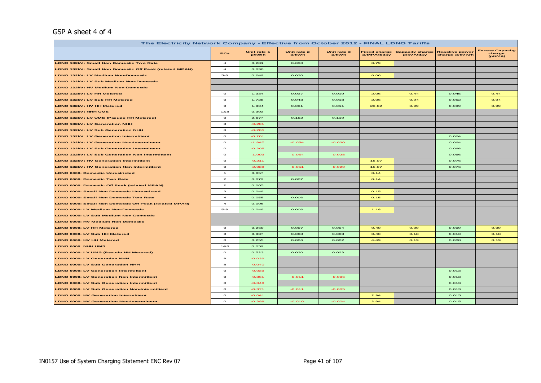#### GSP A sheet 4 of 4

|                                                              | The Electricity Network Company - Effective from October 2012 - FINAL LDNO Tariffs |                      |                      |                      |                                   |                                     |                                         |                                             |  |  |  |
|--------------------------------------------------------------|------------------------------------------------------------------------------------|----------------------|----------------------|----------------------|-----------------------------------|-------------------------------------|-----------------------------------------|---------------------------------------------|--|--|--|
|                                                              | <b>PCs</b>                                                                         | Unit rate 1<br>p/kWh | Unit rate 2<br>p/kWh | Unit rate 3<br>p/kWh | <b>Fixed charge</b><br>p/MPAN/day | <b>Capacity charge</b><br>p/kVA/day | <b>Reactive power</b><br>charge p/kVArh | <b>Excess Capacity</b><br>charge<br>(p/kVA) |  |  |  |
| LDNO 132kV: Small Non Domestic Two Rate                      | $\overline{\mathbf{4}}$                                                            | 0.281                | 0.030                |                      | 0.79                              |                                     |                                         |                                             |  |  |  |
| LDNO 132kV: Small Non Domestic Off Peak (related MPAN)       | $\overline{\mathbf{4}}$                                                            | 0.030                |                      |                      |                                   |                                     |                                         |                                             |  |  |  |
| LDNO 132kV: LV Medium Non-Domestic                           | $5-8$                                                                              | 0.249                | 0.030                |                      | 6.06                              |                                     |                                         |                                             |  |  |  |
| LDNO 132kV: LV Sub Medium Non-Domestic                       |                                                                                    |                      |                      |                      |                                   |                                     |                                         |                                             |  |  |  |
| LDNO 132kV: HV Medium Non-Domestic                           |                                                                                    |                      |                      |                      |                                   |                                     |                                         |                                             |  |  |  |
| LDNO 132kV: LV HH Metered                                    | $\circ$                                                                            | 1.334                | 0.037                | 0.019                | 2.06                              | O.44                                | 0.045                                   | O.44                                        |  |  |  |
| LDNO 132kV: LV Sub HH Metered                                | $\mathbf{o}$                                                                       | 1.728                | 0.043                | 0.018                | 2.06                              | O.94                                | 0.052                                   | 0.94                                        |  |  |  |
| LDNO 132kV: HV HH Metered                                    | $\mathbf{o}$                                                                       | 1.304                | 0.031                | 0.011                | 23.02                             | O.99                                | 0.039                                   | 0.99                                        |  |  |  |
| <b>LDNO 132kV: NHH UMS</b>                                   | 1&8                                                                                | 0.303                |                      |                      |                                   |                                     |                                         |                                             |  |  |  |
| LDNO 132kV: LV UMS (Pseudo HH Metered)                       | $\circ$                                                                            | 2.677                | 0.152                | 0.119                |                                   |                                     |                                         |                                             |  |  |  |
| <b>LDNO 132kV: LV Generation NHH</b>                         | $\bf{s}$                                                                           | $-0.201$             |                      |                      |                                   |                                     |                                         |                                             |  |  |  |
| <b>LDNO 132kV: LV Sub Generation NHH</b>                     | $\bf{s}$                                                                           | $-0.205$             |                      |                      |                                   |                                     |                                         |                                             |  |  |  |
| <b>LDNO 132kV: LV Generation Intermittent</b>                | $\mathbf{o}$                                                                       | $-0.201$             |                      |                      |                                   |                                     | 0.064                                   |                                             |  |  |  |
| <b>LDNO 132kV: LV Generation Non-Intermittent</b>            | $\mathbf{o}$                                                                       | $-1.847$             | $-0.054$             | $-0.030$             |                                   |                                     | 0.064                                   |                                             |  |  |  |
| LDNO 132kV: LV Sub Generation Intermittent                   | $\mathbf{o}$                                                                       | $-0.205$             |                      |                      |                                   |                                     | 0.066                                   |                                             |  |  |  |
| LDNO 132kV: LV Sub Generation Non-Intermittent               | $\mathbf{o}$                                                                       | $-1.903$             | $-0.054$             | $-0.028$             |                                   |                                     | 0.066                                   |                                             |  |  |  |
| <b>LDNO 132kV: HV Generation Intermittent</b>                | $\mathbf{o}$                                                                       | $-0.211$             |                      |                      | 15.07                             |                                     | 0.076                                   |                                             |  |  |  |
| <b>LDNO 132kV: HV Generation Non-Intermittent</b>            | $\circ$                                                                            | $-2.038$             | $-0.051$             | $-0.020$             | 15.07                             |                                     | 0.076                                   |                                             |  |  |  |
| <b>LDNO 0000: Domestic Unrestricted</b>                      | $\overline{1}$                                                                     | 0.057                |                      |                      | O.14                              |                                     |                                         |                                             |  |  |  |
| <b>LDNO 0000: Domestic Two Rate</b>                          | $\overline{a}$                                                                     | 0.072                | 0.007                |                      | 0.14                              |                                     |                                         |                                             |  |  |  |
| <b>LDNO 0000: Domestic Off Peak (related MPAN)</b>           | $\mathbf{z}$                                                                       | 0.005                |                      |                      |                                   |                                     |                                         |                                             |  |  |  |
| <b>LDNO 0000: Small Non Domestic Unrestricted</b>            | $\mathbf{a}$                                                                       | 0.049                |                      |                      | O.15                              |                                     |                                         |                                             |  |  |  |
| <b>LDNO 0000: Small Non Domestic Two Rate</b>                | $\overline{\mathbf{4}}$                                                            | 0.055                | 0.006                |                      | O.15                              |                                     |                                         |                                             |  |  |  |
| <b>LDNO 0000: Small Non Domestic Off Peak (related MPAN)</b> | $\overline{\mathbf{4}}$                                                            | 0.006                |                      |                      |                                   |                                     |                                         |                                             |  |  |  |
| LDNO 0000: LV Medium Non-Domestic                            | $5 - 8$                                                                            | 0.049                | 0.006                |                      | 1.18                              |                                     |                                         |                                             |  |  |  |
| <b>LDNO 0000: LV Sub Medium Non-Domestic</b>                 |                                                                                    |                      |                      |                      |                                   |                                     |                                         |                                             |  |  |  |
| LDNO 0000: HV Medium Non-Domestic                            |                                                                                    |                      |                      |                      |                                   |                                     |                                         |                                             |  |  |  |
| LDNO 0000: LV HH Metered                                     | $\,$ O                                                                             | 0.260                | 0.007                | 0.004                | O.4O                              | 0.09                                | 0.009                                   | O.09                                        |  |  |  |
| LDNO 0000: LV Sub HH Metered                                 | $\mathbf{o}$                                                                       | 0.337                | 0.008                | 0.003                | O.4O                              | O.18                                | 0.010                                   | O.18                                        |  |  |  |
| LDNO 0000: HV HH Metered                                     | $\mathbf{o}$                                                                       | 0.255                | 0.006                | 0.002                | 4.49                              | O.19                                | 0.008                                   | O.19                                        |  |  |  |
| LDNO 0000: NHH UMS                                           | 1&8                                                                                | 0.059                |                      |                      |                                   |                                     |                                         |                                             |  |  |  |
| LDNO 0000: LV UMS (Pseudo HH Metered)                        | $\circ$                                                                            | 0.523                | 0.030                | 0.023                |                                   |                                     |                                         |                                             |  |  |  |
| <b>LDNO 0000: LV Generation NHH</b>                          | $\bf{s}$                                                                           | $-0.039$             |                      |                      |                                   |                                     |                                         |                                             |  |  |  |
| <b>LDNO 0000: LV Sub Generation NHH</b>                      | $\bf{s}$                                                                           | $-0.040$             |                      |                      |                                   |                                     |                                         |                                             |  |  |  |
| <b>LDNO 0000: LV Generation Intermittent</b>                 | $\mathbf{o}$                                                                       | $-0.039$             |                      |                      |                                   |                                     | 0.013                                   |                                             |  |  |  |
| <b>LDNO 0000: LV Generation Non-Intermittent</b>             | $\circ$                                                                            | $-0.361$             | $-0.011$             | $-0.006$             |                                   |                                     | 0.013                                   |                                             |  |  |  |
| <b>LDNO 0000: LV Sub Generation Intermittent</b>             | $\mathbf{o}$                                                                       | $-0.040$             |                      |                      |                                   |                                     | 0.013                                   |                                             |  |  |  |
| LDNO 0000: LV Sub Generation Non-Intermittent                | $\circ$                                                                            | $-0.371$             | $-0.011$             | $-0.005$             |                                   |                                     | 0.013                                   |                                             |  |  |  |
| LDNO 0000: HV Generation Intermittent                        | $\circ$                                                                            | $-0.041$             |                      |                      | 2.94                              |                                     | 0.015                                   |                                             |  |  |  |
| <b>LDNO 0000: HV Generation Non-Intermittent</b>             | $\circ$                                                                            | $-0.398$             | $-0.010$             | $-0.004$             | 2.94                              |                                     | 0.015                                   |                                             |  |  |  |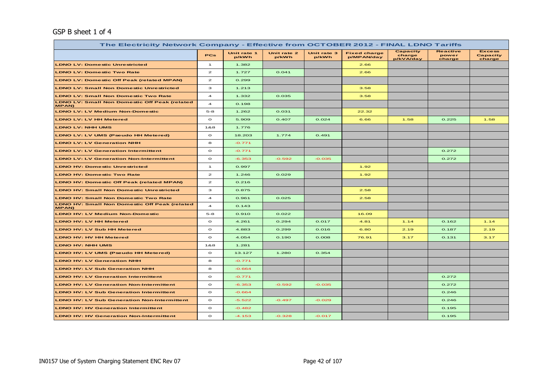#### GSP B sheet 1 of 4

| The Electricity Network Company - Effective from OCTOBER 2012 - FINAL LDNO Tariffs |                         |                      |                      |                      |                                   |                                 |                                    |                                     |  |  |  |  |
|------------------------------------------------------------------------------------|-------------------------|----------------------|----------------------|----------------------|-----------------------------------|---------------------------------|------------------------------------|-------------------------------------|--|--|--|--|
|                                                                                    | <b>PCs</b>              | Unit rate 1<br>p/kWh | Unit rate 2<br>p/kWh | Unit rate 3<br>p/kWh | <b>Fixed charge</b><br>p/MPAN/day | Capacity<br>charge<br>p/kVA/day | <b>Reactive</b><br>power<br>charge | <b>Excess</b><br>Capacity<br>charge |  |  |  |  |
| <b>LDNO LV: Domestic Unrestricted</b>                                              | $\mathbf{1}$            | 1.382                |                      |                      | 2.66                              |                                 |                                    |                                     |  |  |  |  |
| <b>LDNO LV: Domestic Two Rate</b>                                                  | $\mathbf{z}$            | 1.727                | 0.041                |                      | 2.66                              |                                 |                                    |                                     |  |  |  |  |
| <b>LDNO LV: Domestic Off Peak (related MPAN)</b>                                   | $\mathbf{z}$            | 0.299                |                      |                      |                                   |                                 |                                    |                                     |  |  |  |  |
| <b>LDNO LV: Small Non Domestic Unrestricted</b>                                    | з                       | 1.213                |                      |                      | 3.58                              |                                 |                                    |                                     |  |  |  |  |
| <b>LDNO LV: Small Non Domestic Two Rate</b>                                        | $\overline{4}$          | 1.332                | 0.035                |                      | 3.58                              |                                 |                                    |                                     |  |  |  |  |
| <b>LDNO LV: Small Non Domestic Off Peak (related</b><br><b>MPAN)</b>               | $\overline{a}$          | 0.198                |                      |                      |                                   |                                 |                                    |                                     |  |  |  |  |
| <b>LDNO LV: LV Medium Non-Domestic</b>                                             | $5 - 8$                 | 1.262                | 0.031                |                      | 22.32                             |                                 |                                    |                                     |  |  |  |  |
| <b>LDNO LV: LV HH Metered</b>                                                      | $\circ$                 | 5.909                | 0.407                | 0.024                | 6.66                              | 1.58                            | 0.225                              | 1.58                                |  |  |  |  |
| <b>LDNO LV: NHH UMS</b>                                                            | 1&8                     | 1.776                |                      |                      |                                   |                                 |                                    |                                     |  |  |  |  |
| <b>LDNO LV: LV UMS (Pseudo HH Metered)</b>                                         | $\circ$                 | 18.203               | 1.774                | 0.491                |                                   |                                 |                                    |                                     |  |  |  |  |
| <b>LDNO LV: LV Generation NHH</b>                                                  | 8                       | $-0.771$             |                      |                      |                                   |                                 |                                    |                                     |  |  |  |  |
| <b>LDNO LV: LV Generation Intermittent</b>                                         | $\circ$                 | $-0.771$             |                      |                      |                                   |                                 | 0.272                              |                                     |  |  |  |  |
| <b>LDNO LV: LV Generation Non-Intermittent</b>                                     | $\circ$                 | $-6.353$             | $-0.592$             | $-0.035$             |                                   |                                 | 0.272                              |                                     |  |  |  |  |
| <b>LDNO HV: Domestic Unrestricted</b>                                              | $\mathbf{1}$            | 0.997                |                      |                      | 1.92                              |                                 |                                    |                                     |  |  |  |  |
| <b>LDNO HV: Domestic Two Rate</b>                                                  | $\mathbf{z}$            | 1.246                | 0.029                |                      | 1.92                              |                                 |                                    |                                     |  |  |  |  |
| <b>LDNO HV: Domestic Off Peak (related MPAN)</b>                                   | $\mathbf{z}$            | 0.216                |                      |                      |                                   |                                 |                                    |                                     |  |  |  |  |
| <b>LDNO HV: Small Non Domestic Unrestricted</b>                                    | з                       | 0.875                |                      |                      | 2.58                              |                                 |                                    |                                     |  |  |  |  |
| <b>LDNO HV: Small Non Domestic Two Rate</b>                                        | $\overline{\mathbf{4}}$ | 0.961                | 0.025                |                      | 2.58                              |                                 |                                    |                                     |  |  |  |  |
| <b>LDNO HV: Small Non Domestic Off Peak (related</b><br><b>MPAN)</b>               | $\overline{\mathbf{4}}$ | 0.143                |                      |                      |                                   |                                 |                                    |                                     |  |  |  |  |
| <b>LDNO HV: LV Medium Non-Domestic</b>                                             | $5 - 8$                 | 0.910                | 0.022                |                      | 16.09                             |                                 |                                    |                                     |  |  |  |  |
| <b>LDNO HV: LV HH Metered</b>                                                      | $\circ$                 | 4.261                | 0.294                | 0.017                | 4.81                              | 1.14                            | 0.162                              | 1.14                                |  |  |  |  |
| <b>LDNO HV: LV Sub HH Metered</b>                                                  | $\circ$                 | 4.883                | 0.299                | 0.016                | 6.80                              | 2.19                            | 0.187                              | 2.19                                |  |  |  |  |
| <b>LDNO HV: HV HH Metered</b>                                                      | $\circ$                 | 4.054                | 0.190                | 0.008                | 76.91                             | 3.17                            | 0.131                              | 3.17                                |  |  |  |  |
| <b>LDNO HV: NHH UMS</b>                                                            | 1&8                     | 1.281                |                      |                      |                                   |                                 |                                    |                                     |  |  |  |  |
| LDNO HV: LV UMS (Pseudo HH Metered)                                                | $\circ$                 | 13.127               | 1.280                | 0.354                |                                   |                                 |                                    |                                     |  |  |  |  |
| <b>LDNO HV: LV Generation NHH</b>                                                  | 8                       | $-0.771$             |                      |                      |                                   |                                 |                                    |                                     |  |  |  |  |
| <b>LDNO HV: LV Sub Generation NHH</b>                                              | 8                       | $-0.664$             |                      |                      |                                   |                                 |                                    |                                     |  |  |  |  |
| <b>LDNO HV: LV Generation Intermittent</b>                                         | $\circ$                 | $-0.771$             |                      |                      |                                   |                                 | 0.272                              |                                     |  |  |  |  |
| <b>LDNO HV: LV Generation Non-Intermittent</b>                                     | $\circ$                 | $-6.353$             | $-0.592$             | $-0.035$             |                                   |                                 | 0.272                              |                                     |  |  |  |  |
| <b>LDNO HV: LV Sub Generation Intermittent</b>                                     | $\circ$                 | $-0.664$             |                      |                      |                                   |                                 | 0.246                              |                                     |  |  |  |  |
| <b>LDNO HV: LV Sub Generation Non-Intermittent</b>                                 | $\circ$                 | $-5.522$             | $-0.497$             | $-0.029$             |                                   |                                 | 0.246                              |                                     |  |  |  |  |
| <b>LDNO HV: HV Generation Intermittent</b>                                         | $\circ$                 | $-0.482$             |                      |                      |                                   |                                 | 0.195                              |                                     |  |  |  |  |
| <b>LDNO HV: HV Generation Non-Intermittent</b>                                     | $\circ$                 | $-4.153$             | $-0.328$             | $-0.017$             |                                   |                                 | 0.195                              |                                     |  |  |  |  |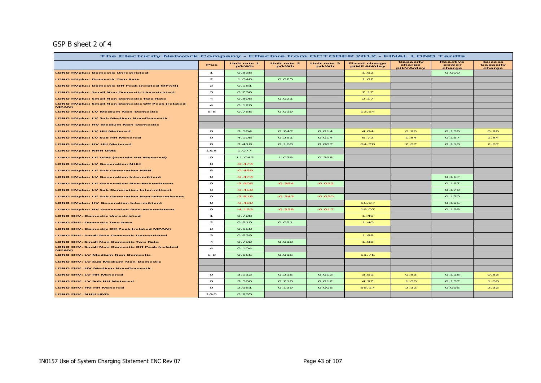## GSP B sheet 2 of 4

| The Electricity Network Company - Effective from OCTOBER 2012 - FINAL LDNO Tariffs |                         |                      |                      |                      |                                   |                                        |                                    |                                     |
|------------------------------------------------------------------------------------|-------------------------|----------------------|----------------------|----------------------|-----------------------------------|----------------------------------------|------------------------------------|-------------------------------------|
|                                                                                    | PCs                     | Unit rate 1<br>p/kWh | Unit rate 2<br>p/kWh | Unit rate 3<br>p/kWh | <b>Fixed charge</b><br>p/MPAN/day | <b>Capacity</b><br>charge<br>p/kVA/day | <b>Reactive</b><br>power<br>charge | <b>Excess</b><br>Capacity<br>charge |
| <b>LDNO HVplus: Domestic Unrestricted</b>                                          | $\mathbf{1}$            | 0.838                |                      |                      | 1.62                              |                                        | O.OOO                              |                                     |
| <b>LDNO HVplus: Domestic Two Rate</b>                                              | $\mathbf{z}$            | 1.048                | 0.025                |                      | 1.62                              |                                        |                                    |                                     |
| <b>LDNO HVplus: Domestic Off Peak (related MPAN)</b>                               | $\mathbf{z}$            | 0.181                |                      |                      |                                   |                                        |                                    |                                     |
| LDNO HVplus: Small Non Domestic Unrestricted                                       | з                       | 0.736                |                      |                      | 2.17                              |                                        |                                    |                                     |
| <b>LDNO HVplus: Small Non Domestic Two Rate</b>                                    | $\overline{4}$          | 0.808                | O.021                |                      | 2.17                              |                                        |                                    |                                     |
| <b>LDNO HVplus: Small Non Domestic Off Peak (related</b><br>MPAN)                  | $\overline{\mathbf{4}}$ | O.12O                |                      |                      |                                   |                                        |                                    |                                     |
| <b>LDNO HVplus: LV Medium Non-Domestic</b>                                         | $5 - 8$                 | 0.765                | 0.019                |                      | 13.54                             |                                        |                                    |                                     |
| <b>LDNO HVplus: LV Sub Medium Non-Domestic</b>                                     |                         |                      |                      |                      |                                   |                                        |                                    |                                     |
| <b>LDNO HVplus: HV Medium Non-Domestic</b>                                         |                         |                      |                      |                      |                                   |                                        |                                    |                                     |
| <b>LDNO HVplus: LV HH Metered</b>                                                  | $\circ$                 | 3.584                | 0.247                | 0.014                | 4.04                              | 0.96                                   | 0.136                              | 0.96                                |
| <b>LDNO HVplus: LV Sub HH Metered</b>                                              | $\circ$                 | 4.108                | 0.251                | O.014                | 5.72                              | 1.84                                   | 0.157                              | 1.84                                |
| <b>LDNO HVplus: HV HH Metered</b>                                                  | $\circ$                 | 3.410                | 0.160                | 0.007                | 64.70                             | 2.67                                   | 0.110                              | 2.67                                |
| <b>LDNO HVplus: NHH UMS</b>                                                        | 18.8                    | 1.077                |                      |                      |                                   |                                        |                                    |                                     |
| LDNO HVplus: LV UMS (Pseudo HH Metered)                                            | $\circ$                 | 11.042               | 1.076                | 0.298                |                                   |                                        |                                    |                                     |
| <b>LDNO HVplus: LV Generation NHH</b>                                              | 8                       | $-0.474$             |                      |                      |                                   |                                        |                                    |                                     |
| <b>LDNO HVplus: LV Sub Generation NHH</b>                                          | 8                       | $-0.459$             |                      |                      |                                   |                                        |                                    |                                     |
| <b>LDNO HVplus: LV Generation Intermittent</b>                                     | $\circ$                 | $-0.474$             |                      |                      |                                   |                                        | 0.167                              |                                     |
| <b>LDNO HVplus: LV Generation Non-Intermittent</b>                                 | $\circ$                 | $-3.905$             | $-0.364$             | $-0.022$             |                                   |                                        | 0.167                              |                                     |
| <b>LDNO HVplus: LV Sub Generation Intermittent</b>                                 | $\circ$                 | $-0.459$             |                      |                      |                                   |                                        | 0.170                              |                                     |
| <b>LDNO HVplus: LV Sub Generation Non-Intermittent</b>                             | $\circ$                 | $-3.816$             | $-0.343$             | $-0.020$             |                                   |                                        | 0.170                              |                                     |
| <b>LDNO HVplus: HV Generation Intermittent</b>                                     | $\circ$                 | $-0.482$             |                      |                      | 16.07                             |                                        | 0.195                              |                                     |
| <b>LDNO HVplus: HV Generation Non-Intermittent</b>                                 | $\circ$                 | $-4.153$             | $-0.328$             | $-0.017$             | 16.07                             |                                        | 0.195                              |                                     |
| <b>LDNO EHV: Domestic Unrestricted</b>                                             | $\mathbf{1}$            | 0.728                |                      |                      | 1.40                              |                                        |                                    |                                     |
| <b>LDNO EHV: Domestic Two Rate</b>                                                 | $\mathbf{z}$            | 0.910                | O.021                |                      | 1.40                              |                                        |                                    |                                     |
| <b>LDNO EHV: Domestic Off Peak (related MPAN)</b>                                  | $\mathbf{z}$            | 0.158                |                      |                      |                                   |                                        |                                    |                                     |
| <b>LDNO EHV: Small Non Domestic Unrestricted</b>                                   | з                       | 0.639                |                      |                      | 1.88                              |                                        |                                    |                                     |
| <b>LDNO EHV: Small Non Domestic Two Rate</b>                                       | $\overline{\mathbf{A}}$ | 0.702                | 0.018                |                      | 1.88                              |                                        |                                    |                                     |
| <b>LDNO EHV: Small Non Domestic Off Peak (related</b><br>MPAN)                     | $\overline{4}$          | O.104                |                      |                      |                                   |                                        |                                    |                                     |
| <b>LDNO EHV: LV Medium Non-Domestic</b>                                            | $5 - 8$                 | 0.665                | 0.016                |                      | 11.75                             |                                        |                                    |                                     |
| <b>LDNO EHV: LV Sub Medium Non-Domestic</b>                                        |                         |                      |                      |                      |                                   |                                        |                                    |                                     |
| <b>LDNO EHV: HV Medium Non-Domestic</b>                                            |                         |                      |                      |                      |                                   |                                        |                                    |                                     |
| LDNO EHV: LV HH Metered                                                            | $\circ$                 | 3.112                | 0.215                | 0.012                | 3.51                              | 0.83                                   | 0.118                              | 0.83                                |
| LDNO EHV: LV Sub HH Metered                                                        | $\circ$                 | 3.566                | 0.218                | 0.012                | 4.97                              | 1.60                                   | 0.137                              | 1.60                                |
| LDNO EHV: HV HH Metered                                                            | $\bullet$               | 2.961                | 0.139                | 0.006                | 56.17                             | 2.32                                   | 0.095                              | 2.32                                |
| LDNO EHV: NHH UMS                                                                  | 1&8                     | 0.935                |                      |                      |                                   |                                        |                                    |                                     |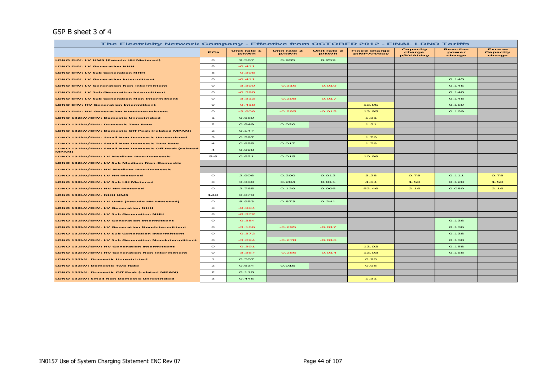#### GSP B sheet 3 of 4

| The Electricity Network Company - Effective from OCTOBER 2012 - FINAL LDNO Tariffs |                         |                      |                      |                      |                                   |                                 |                                    |                                     |
|------------------------------------------------------------------------------------|-------------------------|----------------------|----------------------|----------------------|-----------------------------------|---------------------------------|------------------------------------|-------------------------------------|
|                                                                                    | PCs                     | Unit rate 1<br>p/kWh | Unit rate 2<br>p/kWh | Unit rate 3<br>p/kWh | <b>Fixed charge</b><br>p/MPAN/day | Capacity<br>charge<br>p/kVA/day | <b>Reactive</b><br>power<br>charge | <b>Excess</b><br>Capacity<br>charge |
| LDNO EHV: LV UMS (Pseudo HH Metered)                                               | $\bullet$               | 9.587                | 0.935                | 0.259                |                                   |                                 |                                    |                                     |
| <b>LDNO EHV: LV Generation NHH</b>                                                 | 8                       | $-0.411$             |                      |                      |                                   |                                 |                                    |                                     |
| <b>LDNO EHV: LV Sub Generation NHH</b>                                             | 8                       | $-0.398$             |                      |                      |                                   |                                 |                                    |                                     |
| <b>LDNO EHV: LV Generation Intermittent</b>                                        | $\circ$                 | $-0.411$             |                      |                      |                                   |                                 | 0.145                              |                                     |
| <b>LDNO EHV: LV Generation Non-Intermittent</b>                                    | $\circ$                 | $-3.390$             | $-0.316$             | $-0.019$             |                                   |                                 | 0.145                              |                                     |
| <b>LDNO EHV: LV Sub Generation Intermittent</b>                                    | $\circ$                 | $-0.398$             |                      |                      |                                   |                                 | O.148                              |                                     |
| <b>LDNO EHV: LV Sub Generation Non-Intermittent</b>                                | $\circ$                 | $-3.313$             | $-0.298$             | $-0.017$             |                                   |                                 | O.148                              |                                     |
| <b>LDNO EHV: HV Generation Intermittent</b>                                        | $\circ$                 | $-0.418$             |                      |                      | 13.95                             |                                 | 0.169                              |                                     |
| <b>LDNO EHV: HV Generation Non-Intermittent</b>                                    | $\circ$                 | $-3.606$             | $-0.285$             | $-0.015$             | 13.95                             |                                 | 0.169                              |                                     |
| LDNO 132kV/EHV: Domestic Unrestricted                                              | $\mathbf{1}$            | 0.680                |                      |                      | 1.31                              |                                 |                                    |                                     |
| LDNO 132kV/EHV: Domestic Two Rate                                                  | $\mathbf{z}$            | 0.849                | O.02O                |                      | 1.31                              |                                 |                                    |                                     |
| LDNO 132kV/EHV: Domestic Off Peak (related MPAN)                                   | $\mathbf{z}$            | 0.147                |                      |                      |                                   |                                 |                                    |                                     |
| LDNO 132kV/EHV: Small Non Domestic Unrestricted                                    | з                       | 0.597                |                      |                      | 1.76                              |                                 |                                    |                                     |
| LDNO 132kV/EHV: Small Non Domestic Two Rate                                        | $\overline{\mathbf{4}}$ | 0.655                | 0.017                |                      | 1.76                              |                                 |                                    |                                     |
| LDNO 132kV/EHV: Small Non Domestic Off Peak (related<br>MPAN)                      | $\overline{\mathbf{A}}$ | 0.098                |                      |                      |                                   |                                 |                                    |                                     |
| LDNO 132kV/EHV: LV Medium Non-Domestic                                             | $5-8$                   | 0.621                | 0.015                |                      | 10.98                             |                                 |                                    |                                     |
| LDNO 132kV/EHV: LV Sub Medium Non-Domestic                                         |                         |                      |                      |                      |                                   |                                 |                                    |                                     |
| LDNO 132kV/EHV: HV Medium Non-Domestic                                             |                         |                      |                      |                      |                                   |                                 |                                    |                                     |
| LDNO 132kV/EHV: LV HH Metered                                                      | $\circ$                 | 2.906                | 0.200                | O.012                | 3.28                              | 0.78                            | 0.111                              | 0.78                                |
| LDNO 132kV/EHV: LV Sub HH Metered                                                  | $\circ$                 | 3.330                | O.2O4                | O. O11               | 4.64                              | 1.50                            | 0.128                              | 1.50                                |
| LDNO 132kV/EHV: HV HH Metered                                                      | $\circ$                 | 2.765                | 0.129                | 0.006                | 52.46                             | 2.16                            | 0.089                              | 2.16                                |
| LDNO 132kV/EHV: NHH UMS                                                            | 1&8                     | 0.873                |                      |                      |                                   |                                 |                                    |                                     |
| LDNO 132kV/EHV: LV UMS (Pseudo HH Metered)                                         | $\circ$                 | 8.953                | 0.873                | O.241                |                                   |                                 |                                    |                                     |
| LDNO 132kV/EHV: LV Generation NHH                                                  | 8                       | $-0.384$             |                      |                      |                                   |                                 |                                    |                                     |
| LDNO 132kV/EHV: LV Sub Generation NHH                                              | 8                       | $-0.372$             |                      |                      |                                   |                                 |                                    |                                     |
| LDNO 132kV/EHV: LV Generation Intermittent                                         | $\circ$                 | $-0.384$             |                      |                      |                                   |                                 | 0.136                              |                                     |
| LDNO 132kV/EHV: LV Generation Non-Intermittent                                     | $\circ$                 | $-3.166$             | $-0.295$             | $-0.017$             |                                   |                                 | 0.136                              |                                     |
| LDNO 132kV/EHV: LV Sub Generation Intermittent                                     | $\circ$                 | $-0.372$             |                      |                      |                                   |                                 | 0.138                              |                                     |
| LDNO 132kV/EHV: LV Sub Generation Non-Intermittent                                 | $\circ$                 | $-3.094$             | $-0.278$             | $-0.016$             |                                   |                                 | 0.138                              |                                     |
| LDNO 132kV/EHV: HV Generation Intermittent                                         | $\circ$                 | $-0.391$             |                      |                      | 13.03                             |                                 | 0.158                              |                                     |
| LDNO 132kV/EHV: HV Generation Non-Intermittent                                     | $\Omega$                | $-3.367$             | $-0.266$             | $-0.014$             | 13.03                             |                                 | 0.158                              |                                     |
| <b>LDNO 132kV: Domestic Unrestricted</b>                                           | $\mathbf{1}$            | 0.507                |                      |                      | O.98                              |                                 |                                    |                                     |
| LDNO 132kV: Domestic Two Rate                                                      | $\mathbf{z}$            | 0.634                | 0.015                |                      | O.98                              |                                 |                                    |                                     |
| LDNO 132kV: Domestic Off Peak (related MPAN)                                       | $\mathbf{z}$            | 0.110                |                      |                      |                                   |                                 |                                    |                                     |
| <b>LDNO 132kV: Small Non Domestic Unrestricted</b>                                 | з                       | 0.445                |                      |                      | 1.31                              |                                 |                                    |                                     |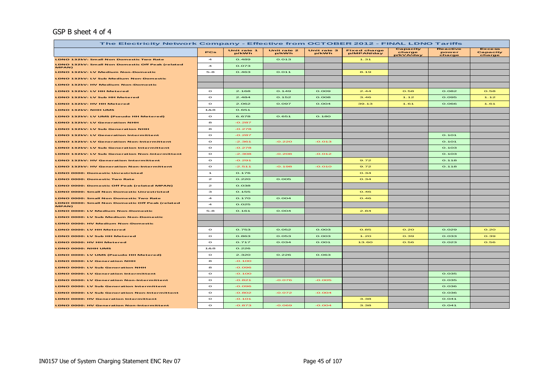### GSP B sheet 4 of 4

| The Electricity Network Company - Effective from OCTOBER 2012 - FINAL LDNO Tariffs |                |                      |                      |                      |                                   |                                 |                                    |                                     |
|------------------------------------------------------------------------------------|----------------|----------------------|----------------------|----------------------|-----------------------------------|---------------------------------|------------------------------------|-------------------------------------|
|                                                                                    | PCs            | Unit rate 1<br>p/kWh | Unit rate 2<br>p/kWh | Unit rate 3<br>p/kWh | <b>Fixed charge</b><br>p/MPAN/day | Capacity<br>charge<br>o/kVA/day | <b>Reactive</b><br>power<br>charge | <b>Excess</b><br>Capacity<br>charge |
| LDNO 132kV: Small Non Domestic Two Rate                                            | $\overline{a}$ | 0.489                | 0.013                |                      | 1.31                              |                                 |                                    |                                     |
| LDNO 132kV: Small Non Domestic Off Peak (related<br>MPAN)                          | $\overline{a}$ | 0.073                |                      |                      |                                   |                                 |                                    |                                     |
| LDNO 132kV: LV Medium Non-Domestic                                                 | $5-8$          | 0.463                | 0.011                |                      | 8.19                              |                                 |                                    |                                     |
| LDNO 132kV: LV Sub Medium Non-Domestic                                             |                |                      |                      |                      |                                   |                                 |                                    |                                     |
| LDNO 132kV: HV Medium Non-Domestic                                                 |                |                      |                      |                      |                                   |                                 |                                    |                                     |
| LDNO 132kV: LV HH Metered                                                          | $\circ$        | 2.168                | O.149                | O.009                | 2.44                              | 0.58                            | 0.082                              | 0.58                                |
| LDNO 132kV: LV Sub HH Metered                                                      | $\circ$        | 2.484                | 0.152                | 0.008                | 3.46                              | 1.12                            | 0.095                              | 1.12                                |
| LDNO 132kV: HV HH Metered                                                          | $\circ$        | 2.062                | 0.097                | 0.004                | 39.13                             | 1.61                            | 0.066                              | 1.61                                |
| LDNO 132kV: NHH UMS                                                                | 1&8            | 0.651                |                      |                      |                                   |                                 |                                    |                                     |
| LDNO 132kV: LV UMS (Pseudo HH Metered)                                             | $\circ$        | 6.678                | 0.651                | O.18O                |                                   |                                 |                                    |                                     |
| LDNO 132kV: LV Generation NHH                                                      | 8              | $-0.287$             |                      |                      |                                   |                                 |                                    |                                     |
| LDNO 132kV: LV Sub Generation NHH                                                  | 8              | $-0.278$             |                      |                      |                                   |                                 |                                    |                                     |
| <b>LDNO 132kV: LV Generation Intermittent</b>                                      | $\circ$        | $-0.287$             |                      |                      |                                   |                                 | 0.101                              |                                     |
| LDNO 132kV: LV Generation Non-Intermittent                                         | $\,$           | $-2.361$             | $-0.220$             | $-0.013$             |                                   |                                 | 0.101                              |                                     |
| LDNO 132kV: LV Sub Generation Intermittent                                         | $\,$ $\,$      | $-0.278$             |                      |                      |                                   |                                 | 0.103                              |                                     |
| LDNO 132kV: LV Sub Generation Non-Intermittent                                     | $\circ$        | -2.308               | $-0.208$             | $-0.012$             |                                   |                                 | 0.103                              |                                     |
| LDNO 132kV: HV Generation Intermittent                                             | $\circ$        | $-0.291$             |                      |                      | 9.72                              |                                 | 0.118                              |                                     |
| LDNO 132kV: HV Generation Non-Intermittent                                         | $\circ$        | $-2.511$             | $-0.198$             | $-0.010$             | 9.72                              |                                 | 0.118                              |                                     |
| <b>LDNO 0000: Domestic Unrestricted</b>                                            | $\mathbf{I}$   | 0.176                |                      |                      | O.34                              |                                 |                                    |                                     |
| <b>LDNO 0000: Domestic Two Rate</b>                                                | $\mathbf{z}$   | O.22O                | 0.005                |                      | O.34                              |                                 |                                    |                                     |
| LDNO 0000: Domestic Off Peak (related MPAN)                                        | $\mathbf{z}$   | 0.038                |                      |                      |                                   |                                 |                                    |                                     |
| LDNO 0000: Small Non Domestic Unrestricted                                         | з              | 0.155                |                      |                      | O.46                              |                                 |                                    |                                     |
| LDNO 0000: Small Non Domestic Two Rate                                             | $\overline{a}$ | 0.170                | 0.004                |                      | O.46                              |                                 |                                    |                                     |
| LDNO 0000: Small Non Domestic Off Peak (related<br>MPAN)                           | $\overline{a}$ | 0.025                |                      |                      |                                   |                                 |                                    |                                     |
| <b>LDNO 0000: LV Medium Non-Domestic</b>                                           | $5 - 8$        | O.161                | 0.004                |                      | 2.84                              |                                 |                                    |                                     |
| LDNO 0000: LV Sub Medium Non-Domestic                                              |                |                      |                      |                      |                                   |                                 |                                    |                                     |
| LDNO 0000: HV Medium Non-Domestic                                                  |                |                      |                      |                      |                                   |                                 |                                    |                                     |
| LDNO 0000: LV HH Metered                                                           | $\circ$        | 0.753                | 0.052                | 0.003                | 0.85                              | O.2O                            | 0.029                              | O.2O                                |
| LDNO 0000: LV Sub HH Metered                                                       | $\circ$        | 0.863                | 0.053                | 0.003                | 1.20                              | 0.39                            | 0.033                              | 0.39                                |
| LDNO 0000: HV HH Metered                                                           | $\circ$        | 0.717                | 0.034                | O.OO1                | 13.60                             | 0.56                            | 0.023                              | 0.56                                |
| LDNO 0000: NHH UMS                                                                 | 1&8            | 0.226                |                      |                      |                                   |                                 |                                    |                                     |
| LDNO 0000: LV UMS (Pseudo HH Metered)                                              | $\circ$        | 2.320                | 0.226                | 0.063                |                                   |                                 |                                    |                                     |
| LDNO 0000: LV Generation NHH                                                       | 8              | $-0.100$             |                      |                      |                                   |                                 |                                    |                                     |
| LDNO 0000: LV Sub Generation NHH                                                   | 8              | 880.0-               |                      |                      |                                   |                                 |                                    |                                     |
| <b>LDNO 0000: LV Generation Intermittent</b>                                       | $\circ$        | $-0.100$             |                      |                      |                                   |                                 | 0.035                              |                                     |
| <b>LDNO 0000: LV Generation Non-Intermittent</b>                                   | $\circ$        | $-0.821$             | $-0.076$             | $-0.005$             |                                   |                                 | 0.035                              |                                     |
| LDNO 0000: LV Sub Generation Intermittent                                          | $\circ$        | $-0.096$             |                      |                      |                                   |                                 | 0.036                              |                                     |
| LDNO 0000: LV Sub Generation Non-Intermittent                                      | $\circ$        | $-0.802$             | $-0.072$             | $-0.004$             |                                   |                                 | 0.036                              |                                     |
| <b>LDNO 0000: HV Generation Intermittent</b>                                       | $\circ$        | $-0.101$             |                      |                      | 3.38                              |                                 | O.041                              |                                     |
| LDNO 0000: HV Generation Non-Intermittent                                          | $\circ$        | $-0.873$             | $-0.069$             | $-0.004$             | 3.38                              |                                 | O.041                              |                                     |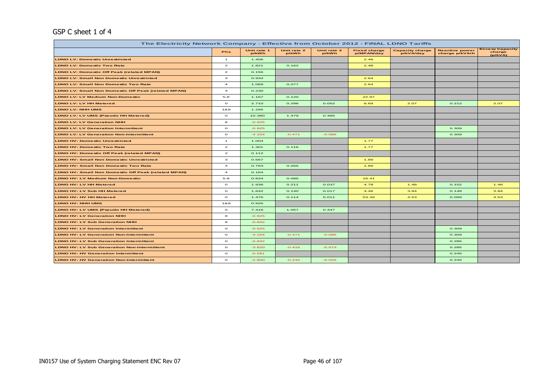## GSP C sheet 1 of 4

| The Electricity Network Company - Effective from October 2012 - FINAL LDNO Tariffs |                         |                      |                      |                      |                                   |                                     |                                         |                                             |
|------------------------------------------------------------------------------------|-------------------------|----------------------|----------------------|----------------------|-----------------------------------|-------------------------------------|-----------------------------------------|---------------------------------------------|
|                                                                                    | <b>PCs</b>              | Unit rate 1<br>p/kWh | Unit rate 2<br>p/kWh | Unit rate 3<br>p/kWh | <b>Fixed charge</b><br>p/MPAN/day | <b>Capacity charge</b><br>p/kVA/day | <b>Reactive power</b><br>charge p/kVArh | <b>Excess Capacity</b><br>charge<br>(p/kVA) |
| <b>LDNO LV: Domestic Unrestricted</b>                                              | $\mathbf{1}$            | 1.406                |                      |                      | 2.48                              |                                     |                                         |                                             |
| <b>LDNO LV: Domestic Two Rate</b>                                                  | $\mathbf{z}$            | 1.821                | 0.162                |                      | 2.48                              |                                     |                                         |                                             |
| <b>LDNO LV: Domestic Off Peak (related MPAN)</b>                                   | $\mathbf{z}$            | 0.156                |                      |                      |                                   |                                     |                                         |                                             |
| <b>LDNO LV: Small Non Domestic Unrestricted</b>                                    | з                       | 0.934                |                      |                      | 2.64                              |                                     |                                         |                                             |
| <b>LDNO LV: Small Non Domestic Two Rate</b>                                        | $\overline{\mathbf{4}}$ | 1.069                | 0.077                |                      | 2.64                              |                                     |                                         |                                             |
| <b>LDNO LV: Small Non Domestic Off Peak (related MPAN)</b>                         | $\overline{4}$          | 0.230                |                      |                      |                                   |                                     |                                         |                                             |
| <b>LDNO LV: LV Medium Non-Domestic</b>                                             | $5 - 8$                 | 1.167                | 0.120                |                      | 22.97                             |                                     |                                         |                                             |
| <b>LDNO LV: LV HH Metered</b>                                                      | $\circ$                 | 2.710                | 0.296                | 0.052                | 6.69                              | 2.07                                | 0.212                                   | 2.07                                        |
| LDNO LV: NHH UMS                                                                   | 188                     | 1.295                |                      |                      |                                   |                                     |                                         |                                             |
| <b>LDNO LV: LV UMS (Pseudo HH Metered)</b>                                         | $\circ$                 | 10.380               | 1.479                | 0.485                |                                   |                                     |                                         |                                             |
| <b>LDNO LV: LV Generation NHH</b>                                                  | 8                       | $-0.925$             |                      |                      |                                   |                                     |                                         |                                             |
| <b>LDNO LV: LV Generation Intermittent</b>                                         | $\circ$                 | $-0.925$             |                      |                      |                                   |                                     | 0.309                                   |                                             |
| <b>LDNO LV: LV Generation Non-Intermittent</b>                                     | $\circ$                 | $-4.154$             | $-0.471$             | $-0.086$             |                                   |                                     | 0.309                                   |                                             |
| <b>LDNO HV: Domestic Unrestricted</b>                                              | $\mathbf{1}$            | 1.004                |                      |                      | 1.77                              |                                     |                                         |                                             |
| <b>LDNO HV: Domestic Two Rate</b>                                                  | $\mathbf{z}$            | 1.301                | 0.116                |                      | 1.77                              |                                     |                                         |                                             |
| <b>LDNO HV: Domestic Off Peak (related MPAN)</b>                                   | $\mathbf{z}$            | 0.112                |                      |                      |                                   |                                     |                                         |                                             |
| <b>LDNO HV: Small Non Domestic Unrestricted</b>                                    | з                       | 0.667                |                      |                      | 1.89                              |                                     |                                         |                                             |
| <b>LDNO HV: Small Non Domestic Two Rate</b>                                        | $\overline{\mathbf{4}}$ | 0.763                | 0.055                |                      | 1.89                              |                                     |                                         |                                             |
| LDNO HV: Small Non Domestic Off Peak (related MPAN)                                | $\overline{4}$          | 0.164                |                      |                      |                                   |                                     |                                         |                                             |
| <b>LDNO HV: LV Medium Non-Domestic</b>                                             | $5 - 8$                 | 0.834                | 0.085                |                      | 16.41                             |                                     |                                         |                                             |
| <b>LDNO HV: LV HH Metered</b>                                                      | $\circ$                 | 1.936                | 0.211                | 0.037                | 4.78                              | 1.48                                | 0.152                                   | 1.48                                        |
| LDNO HV: LV Sub HH Metered                                                         | $\circ$                 | 1.642                | O.14O                | 0.017                | 4.46                              | 3.84                                | 0.148                                   | 3.84                                        |
| <b>LDNO HV: HV HH Metered</b>                                                      | $\circ$                 | 1.475                | 0.114                | 0.011                | 53.39                             | 4.53                                | 0.099                                   | 4.53                                        |
| <b>LDNO HV: NHH UMS</b>                                                            | 1&8                     | 0.926                |                      |                      |                                   |                                     |                                         |                                             |
| <b>LDNO HV: LV UMS (Pseudo HH Metered)</b>                                         | $\circ$                 | 7.416                | 1.057                | 0.347                |                                   |                                     |                                         |                                             |
| <b>LDNO HV: LV Generation NHH</b>                                                  | 8                       | $-0.925$             |                      |                      |                                   |                                     |                                         |                                             |
| <b>LDNO HV: LV Sub Generation NHH</b>                                              | 8                       | $-0.842$             |                      |                      |                                   |                                     |                                         |                                             |
| <b>LDNO HV: LV Generation Intermittent</b>                                         | $\circ$                 | $-0.925$             |                      |                      |                                   |                                     | 0.309                                   |                                             |
| <b>LDNO HV: LV Generation Non-Intermittent</b>                                     | $\circ$                 | $-4.154$             | $-0.471$             | $-0.086$             |                                   |                                     | 0.309                                   |                                             |
| <b>LDNO HV: LV Sub Generation Intermittent</b>                                     | $\circ$                 | $-0.842$             |                      |                      |                                   |                                     | 0.285                                   |                                             |
| <b>LDNO HV: LV Sub Generation Non-Intermittent</b>                                 | $\circ$                 | $-3.820$             | $-0.416$             | $-0.073$             |                                   |                                     | 0.285                                   |                                             |
| <b>LDNO HV: HV Generation Intermittent</b>                                         | $\circ$                 | $-0.581$             |                      |                      |                                   |                                     | 0.245                                   |                                             |
| <b>LDNO HV: HV Generation Non-Intermittent</b>                                     | $\circ$                 | $-2.800$             | $-0.232$             | $-0.025$             |                                   |                                     | 0.245                                   |                                             |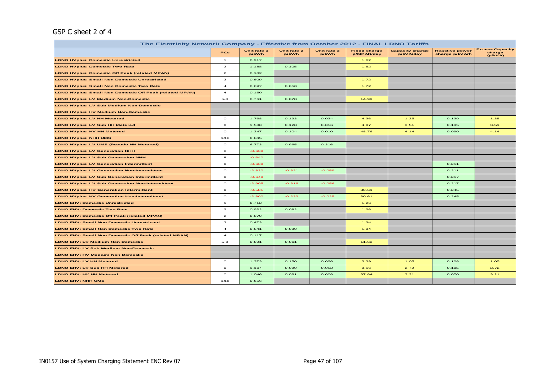## GSP C sheet 2 of 4

| The Electricity Network Company - Effective from October 2012 - FINAL LDNO Tariffs |                |                      |                      |                      |                                   |                                     |                                         |                                             |  |  |
|------------------------------------------------------------------------------------|----------------|----------------------|----------------------|----------------------|-----------------------------------|-------------------------------------|-----------------------------------------|---------------------------------------------|--|--|
|                                                                                    | <b>PCs</b>     | Unit rate 1<br>p/kWh | Unit rate 2<br>p/kWh | Unit rate 3<br>p/kWh | <b>Fixed charge</b><br>p/MPAN/day | <b>Capacity charge</b><br>p/kVA/day | <b>Reactive power</b><br>charge p/kVArh | <b>Excess Capacity</b><br>charge<br>(p/kVA) |  |  |
| <b>LDNO HVplus: Domestic Unrestricted</b>                                          | $\mathbf{1}$   | 0.917                |                      |                      | 1.62                              |                                     |                                         |                                             |  |  |
| <b>LDNO HVplus: Domestic Two Rate</b>                                              | $\mathbf{z}$   | 1.188                | 0.105                |                      | 1.62                              |                                     |                                         |                                             |  |  |
| <b>LDNO HVplus: Domestic Off Peak (related MPAN)</b>                               | $\mathbf{z}$   | 0.102                |                      |                      |                                   |                                     |                                         |                                             |  |  |
| <b>LDNO HVplus: Small Non Domestic Unrestricted</b>                                | $\mathbf{3}$   | 0.609                |                      |                      | 1.72                              |                                     |                                         |                                             |  |  |
| <b>LDNO HVplus: Small Non Domestic Two Rate</b>                                    | $\overline{a}$ | 0.697                | 0.050                |                      | 1.72                              |                                     |                                         |                                             |  |  |
| <b>LDNO HVplus: Small Non Domestic Off Peak (related MPAN)</b>                     | $\overline{4}$ | 0.150                |                      |                      |                                   |                                     |                                         |                                             |  |  |
| <b>LDNO HVplus: LV Medium Non-Domestic</b>                                         | $5 - 8$        | 0.761                | 0.078                |                      | 14.99                             |                                     |                                         |                                             |  |  |
| <b>LDNO HVplus: LV Sub Medium Non-Domestic</b>                                     |                |                      |                      |                      |                                   |                                     |                                         |                                             |  |  |
| <b>LDNO HVplus: HV Medium Non-Domestic</b>                                         |                |                      |                      |                      |                                   |                                     |                                         |                                             |  |  |
| <b>LDNO HVplus: LV HH Metered</b>                                                  | $\circ$        | 1.768                | 0.193                | 0.034                | 4.36                              | 1.35                                | 0.139                                   | 1.35                                        |  |  |
| <b>LDNO HVplus: LV Sub HH Metered</b>                                              | $\circ$        | 1.500                | 0.128                | 0.016                | 4.07                              | 3.51                                | 0.135                                   | 3.51                                        |  |  |
| <b>LDNO HVplus: HV HH Metered</b>                                                  | $\circ$        | 1.347                | 0.104                | 0.010                | 48.76                             | 4.14                                | 0.090                                   | 4.14                                        |  |  |
| <b>LDNO HVplus: NHH UMS</b>                                                        | 1&8            | 0.845                |                      |                      |                                   |                                     |                                         |                                             |  |  |
| <b>LDNO HVplus: LV UMS (Pseudo HH Metered)</b>                                     | $\circ$        | 6.773                | 0.965                | 0.316                |                                   |                                     |                                         |                                             |  |  |
| <b>LDNO HVplus: LV Generation NHH</b>                                              | 8              | $-0.630$             |                      |                      |                                   |                                     |                                         |                                             |  |  |
| <b>LDNO HVplus: LV Sub Generation NHH</b>                                          | 8              | $-0.640$             |                      |                      |                                   |                                     |                                         |                                             |  |  |
| <b>LDNO HVplus: LV Generation Intermittent</b>                                     | $\circ$        | $-0.630$             |                      |                      |                                   |                                     | 0.211                                   |                                             |  |  |
| <b>LDNO HVplus: LV Generation Non-Intermittent</b>                                 | $\circ$        | $-2.830$             | $-0.321$             | $-0.059$             |                                   |                                     | 0.211                                   |                                             |  |  |
| <b>LDNO HVplus: LV Sub Generation Intermittent</b>                                 | $\circ$        | $-0.640$             |                      |                      |                                   |                                     | 0.217                                   |                                             |  |  |
| <b>LDNO HVplus: LV Sub Generation Non-Intermittent</b>                             | $\circ$        | $-2.905$             | $-0.316$             | $-0.056$             |                                   |                                     | 0.217                                   |                                             |  |  |
| <b>LDNO HVplus: HV Generation Intermittent</b>                                     | $\circ$        | $-0.581$             |                      |                      | 30.61                             |                                     | 0.245                                   |                                             |  |  |
| <b>LDNO HVplus: HV Generation Non-Intermittent</b>                                 | $\circ$        | $-2.800$             | $-0.232$             | $-0.025$             | 30.61                             |                                     | 0.245                                   |                                             |  |  |
| <b>LDNO EHV: Domestic Unrestricted</b>                                             | $\mathbf{1}$   | 0.712                |                      |                      | 1.26                              |                                     |                                         |                                             |  |  |
| <b>LDNO EHV: Domestic Two Rate</b>                                                 | $\mathbf{z}$   | 0.922                | 0.082                |                      | 1.26                              |                                     |                                         |                                             |  |  |
| <b>LDNO EHV: Domestic Off Peak (related MPAN)</b>                                  | $\mathbf{z}$   | 0.079                |                      |                      |                                   |                                     |                                         |                                             |  |  |
| <b>LDNO EHV: Small Non Domestic Unrestricted</b>                                   | з              | 0.473                |                      |                      | 1.34                              |                                     |                                         |                                             |  |  |
| <b>LDNO EHV: Small Non Domestic Two Rate</b>                                       | $\overline{a}$ | 0.541                | 0.039                |                      | 1.34                              |                                     |                                         |                                             |  |  |
| <b>LDNO EHV: Small Non Domestic Off Peak (related MPAN)</b>                        | $\overline{a}$ | 0.117                |                      |                      |                                   |                                     |                                         |                                             |  |  |
| <b>LDNO EHV: LV Medium Non-Domestic</b>                                            | $5 - 8$        | 0.591                | 0.061                |                      | 11.63                             |                                     |                                         |                                             |  |  |
| <b>LDNO EHV: LV Sub Medium Non-Domestic</b>                                        |                |                      |                      |                      |                                   |                                     |                                         |                                             |  |  |
| <b>LDNO EHV: HV Medium Non-Domestic</b>                                            |                |                      |                      |                      |                                   |                                     |                                         |                                             |  |  |
| <b>LDNO EHV: LV HH Metered</b>                                                     | $\circ$        | 1.373                | 0.150                | 0.026                | 3.39                              | 1.05                                | 0.108                                   | 1.05                                        |  |  |
| <b>LDNO EHV: LV Sub HH Metered</b>                                                 | $\circ$        | 1.164                | 0.099                | 0.012                | 3.16                              | 2.72                                | 0.105                                   | 2.72                                        |  |  |
| <b>LDNO EHV: HV HH Metered</b>                                                     | $\circ$        | 1.046                | 0.081                | 0.008                | 37.84                             | 3.21                                | 0.070                                   | 3.21                                        |  |  |
| <b>LDNO EHV: NHH UMS</b>                                                           | 1&8            | 0.656                |                      |                      |                                   |                                     |                                         |                                             |  |  |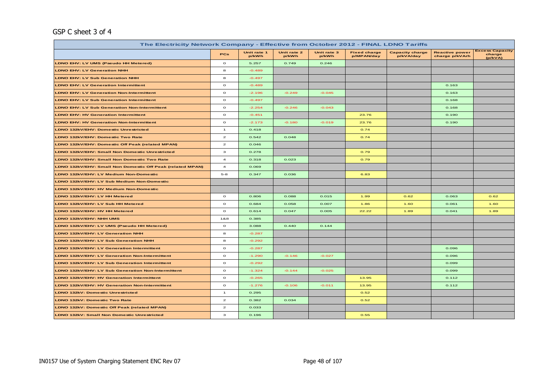## GSP C sheet 3 of 4

| The Electricity Network Company - Effective from October 2012 - FINAL LDNO Tariffs |                         |                      |                      |                      |                                   |                                     |                                         |                                             |
|------------------------------------------------------------------------------------|-------------------------|----------------------|----------------------|----------------------|-----------------------------------|-------------------------------------|-----------------------------------------|---------------------------------------------|
|                                                                                    | <b>PCs</b>              | Unit rate 1<br>p/kWh | Unit rate 2<br>p/kWh | Unit rate 3<br>p/kWh | <b>Fixed charge</b><br>p/MPAN/day | <b>Capacity charge</b><br>p/kVA/day | <b>Reactive power</b><br>charge p/kVArh | <b>Excess Capacity</b><br>charge<br>(p/kVA) |
| LDNO EHV: LV UMS (Pseudo HH Metered)                                               | $\circ$                 | 5.257                | 0.749                | 0.246                |                                   |                                     |                                         |                                             |
| <b>LDNO EHV: LV Generation NHH</b>                                                 | 8                       | $-0.489$             |                      |                      |                                   |                                     |                                         |                                             |
| <b>LDNO EHV: LV Sub Generation NHH</b>                                             | 8                       | $-0.497$             |                      |                      |                                   |                                     |                                         |                                             |
| <b>LDNO EHV: LV Generation Intermittent</b>                                        | $\circ$                 | $-0.489$             |                      |                      |                                   |                                     | 0.163                                   |                                             |
| <b>LDNO EHV: LV Generation Non-Intermittent</b>                                    | $\circ$                 | $-2.196$             | $-0.249$             | $-0.045$             |                                   |                                     | 0.163                                   |                                             |
| <b>LDNO EHV: LV Sub Generation Intermittent</b>                                    | $\circ$                 | $-0.497$             |                      |                      |                                   |                                     | 0.168                                   |                                             |
| <b>LDNO EHV: LV Sub Generation Non-Intermittent</b>                                | $\circ$                 | $-2.254$             | $-0.246$             | $-0.043$             |                                   |                                     | 0.168                                   |                                             |
| <b>LDNO EHV: HV Generation Intermittent</b>                                        | $\circ$                 | $-0.451$             |                      |                      | 23.76                             |                                     | 0.190                                   |                                             |
| <b>LDNO EHV: HV Generation Non-Intermittent</b>                                    | $\circ$                 | $-2.173$             | $-0.180$             | $-0.019$             | 23.76                             |                                     | 0.190                                   |                                             |
| LDNO 132kV/EHV: Domestic Unrestricted                                              | $\overline{1}$          | 0.418                |                      |                      | 0.74                              |                                     |                                         |                                             |
| LDNO 132kV/EHV: Domestic Two Rate                                                  | $\overline{a}$          | 0.542                | 0.048                |                      | 0.74                              |                                     |                                         |                                             |
| LDNO 132kV/EHV: Domestic Off Peak (related MPAN)                                   | $\overline{a}$          | 0.046                |                      |                      |                                   |                                     |                                         |                                             |
| LDNO 132kV/EHV: Small Non Domestic Unrestricted                                    | з                       | 0.278                |                      |                      | 0.79                              |                                     |                                         |                                             |
| LDNO 132kV/EHV: Small Non Domestic Two Rate                                        | $\overline{4}$          | 0.318                | 0.023                |                      | 0.79                              |                                     |                                         |                                             |
| LDNO 132kV/EHV: Small Non Domestic Off Peak (related MPAN)                         | $\overline{\mathbf{4}}$ | 0.069                |                      |                      |                                   |                                     |                                         |                                             |
| LDNO 132kV/EHV: LV Medium Non-Domestic                                             | $5 - 8$                 | 0.347                | 0.036                |                      | 6.83                              |                                     |                                         |                                             |
| LDNO 132kV/EHV: LV Sub Medium Non-Domestic                                         |                         |                      |                      |                      |                                   |                                     |                                         |                                             |
| LDNO 132kV/EHV: HV Medium Non-Domestic                                             |                         |                      |                      |                      |                                   |                                     |                                         |                                             |
| LDNO 132kV/EHV: LV HH Metered                                                      | $\circ$                 | 0.806                | 0.088                | 0.015                | 1.99                              | 0.62                                | 0.063                                   | 0.62                                        |
| LDNO 132kV/EHV: LV Sub HH Metered                                                  | $\circ$                 | 0.684                | 0.058                | 0.007                | 1.86                              | 1.60                                | 0.061                                   | 1.60                                        |
| LDNO 132kV/EHV: HV HH Metered                                                      | $\circ$                 | 0.614                | 0.047                | 0.005                | 22.22                             | 1.89                                | 0.041                                   | 1.89                                        |
| LDNO 132kV/EHV: NHH UMS                                                            | 1&8                     | 0.385                |                      |                      |                                   |                                     |                                         |                                             |
| LDNO 132kV/EHV: LV UMS (Pseudo HH Metered)                                         | $\circ$                 | 3.088                | 0.440                | 0.144                |                                   |                                     |                                         |                                             |
| LDNO 132kV/EHV: LV Generation NHH                                                  | 8                       | $-0.287$             |                      |                      |                                   |                                     |                                         |                                             |
| LDNO 132kV/EHV: LV Sub Generation NHH                                              | 8                       | $-0.292$             |                      |                      |                                   |                                     |                                         |                                             |
| LDNO 132kV/EHV: LV Generation Intermittent                                         | $\circ$                 | $-0.287$             |                      |                      |                                   |                                     | 0.096                                   |                                             |
| <b>LDNO 132kV/EHV: LV Generation Non-Intermittent</b>                              | $\circ$                 | $-1.290$             | $-0.146$             | $-0.027$             |                                   |                                     | 0.096                                   |                                             |
| LDNO 132kV/EHV: LV Sub Generation Intermittent                                     | $\circ$                 | $-0.292$             |                      |                      |                                   |                                     | 0.099                                   |                                             |
| LDNO 132kV/EHV: LV Sub Generation Non-Intermittent                                 | $\circ$                 | $-1.324$             | $-0.144$             | $-0.025$             |                                   |                                     | 0.099                                   |                                             |
| <b>LDNO 132kV/EHV: HV Generation Intermittent</b>                                  | $\circ$                 | $-0.265$             |                      |                      | 13.95                             |                                     | 0.112                                   |                                             |
| <b>LDNO 132kV/EHV: HV Generation Non-Intermittent</b>                              | $\circ$                 | $-1.276$             | $-0.106$             | $-0.011$             | 13.95                             |                                     | 0.112                                   |                                             |
| LDNO 132kV: Domestic Unrestricted                                                  | $\overline{1}$          | 0.295                |                      |                      | 0.52                              |                                     |                                         |                                             |
| LDNO 132kV: Domestic Two Rate                                                      | $\overline{a}$          | 0.382                | 0.034                |                      | 0.52                              |                                     |                                         |                                             |
| LDNO 132kV: Domestic Off Peak (related MPAN)                                       | $\overline{2}$          | 0.033                |                      |                      |                                   |                                     |                                         |                                             |
| LDNO 132kV: Small Non Domestic Unrestricted                                        | з                       | 0.196                |                      |                      | 0.55                              |                                     |                                         |                                             |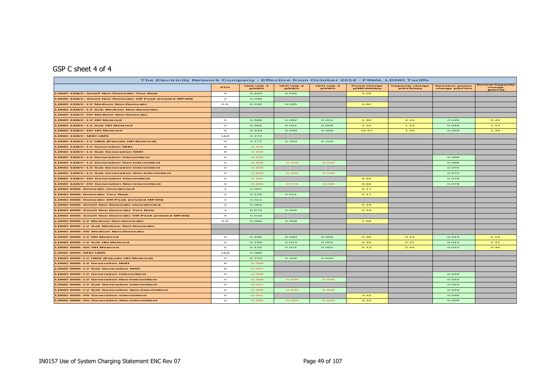# GSP C sheet 4 of 4

| The Electricity Network Company - Effective from October 2012 - FINAL LDNO Tariffs |                         |                      |                      |                      |                                   |                                     |                                         |                                             |
|------------------------------------------------------------------------------------|-------------------------|----------------------|----------------------|----------------------|-----------------------------------|-------------------------------------|-----------------------------------------|---------------------------------------------|
|                                                                                    | PCs                     | Unit rate 1<br>p/kWh | Unit rate 2<br>p/kWh | Unit rate 3<br>p/kWh | <b>Fixed charge</b><br>p/MPAN/day | <b>Capacity charge</b><br>p/kVA/day | <b>Reactive power</b><br>charge p/kVArh | <b>Excess Capacity</b><br>charge<br>(p/kVA) |
| <b>LDNO 132kV: Small Non Domestic Two Rate</b>                                     | $\overline{a}$          | 0.224                | 0.016                |                      | 0.55                              |                                     |                                         |                                             |
| LDNO 132kV: Small Non Domestic Off Peak (related MPAN)                             | $\overline{a}$          | 0.048                |                      |                      |                                   |                                     |                                         |                                             |
| LDNO 132kV: LV Medium Non-Domestic                                                 | $5 - 8$                 | 0.245                | 0.025                |                      | 4.82                              |                                     |                                         |                                             |
| LDNO 132kV: LV Sub Medium Non-Domestic                                             |                         |                      |                      |                      |                                   |                                     |                                         |                                             |
| LDNO 132kV: HV Medium Non-Domestic                                                 |                         |                      |                      |                      |                                   |                                     |                                         |                                             |
| LDNO 132kV: LV HH Metered                                                          | $\circ$                 | 0.568                | 0.062                | 0.011                | 1.40                              | O.43                                | 0.045                                   | O.43                                        |
| LDNO 132kV: LV Sub HH Metered                                                      | $\circ$                 | 0.482                | 0.041                | 0.005                | 1.31                              | 1.13                                | 0.043                                   | 1.13                                        |
| LDNO 132kV: HV HH Metered                                                          | $\circ$                 | 0.433                | 0.033                | 0.003                | 15.67                             | 1.33                                | 0.029                                   | 1.33                                        |
| <b>LDNO 132kV: NHH UMS</b>                                                         | 188                     | 0.272                |                      |                      |                                   |                                     |                                         |                                             |
| LDNO 132kV: LV UMS (Pseudo HH Metered)                                             | $\circ$                 | 2.177                | 0.310                | 0.102                |                                   |                                     |                                         |                                             |
| <b>LDNO 132kV: LV Generation NHH</b>                                               | 8                       | $-0.202$             |                      |                      |                                   |                                     |                                         |                                             |
| LDNO 132kV: LV Sub Generation NHH                                                  | 8                       | $-0.206$             |                      |                      |                                   |                                     |                                         |                                             |
| <b>LDNO 132kV: LV Generation Intermittent</b>                                      | $\circ$                 | $-0.202$             |                      |                      |                                   |                                     | 0.068                                   |                                             |
| <b>LDNO 132kV: LV Generation Non-Intermittent</b>                                  | $\circ$                 | $-0.909$             | $-0.103$             | $-0.019$             |                                   |                                     | 0.068                                   |                                             |
| LDNO 132kV: LV Sub Generation Intermittent                                         | $\circ$                 | $-0.206$             |                      |                      |                                   |                                     | 0.070                                   |                                             |
| LDNO 132kV: LV Sub Generation Non-Intermittent                                     | $\circ$                 | $-0.933$             | $-0.102$             | $-0.018$             |                                   |                                     | 0.070                                   |                                             |
| <b>LDNO 132kV: HV Generation Intermittent</b>                                      | $\circ$                 | $-0.187$             |                      |                      | 9.84                              |                                     | 0.079                                   |                                             |
| <b>LDNO 132kV: HV Generation Non-Intermittent</b>                                  | $\circ$                 | $-0.900$             | $-0.075$             | $-0.008$             | 9.84                              |                                     | 0.079                                   |                                             |
| <b>LDNO 0000: Domestic Unrestricted</b>                                            | $\mathbf{1}$            | 0.097                |                      |                      | O.17                              |                                     |                                         |                                             |
| <b>LDNO 0000: Domestic Two Rate</b>                                                | $\mathbf{z}$            | 0.125                | 0.011                |                      | 0.17                              |                                     |                                         |                                             |
| <b>LDNO 0000: Domestic Off Peak (related MPAN)</b>                                 | $\mathbf{z}$            | 0.011                |                      |                      |                                   |                                     |                                         |                                             |
| <b>LDNO 0000: Small Non Domestic Unrestricted</b>                                  | з                       | 0.064                |                      |                      | O.18                              |                                     |                                         |                                             |
| LDNO 0000: Small Non Domestic Two Rate                                             | $\overline{a}$          | 0.073                | 0.005                |                      | O.18                              |                                     |                                         |                                             |
| <b>LDNO 0000: Small Non Domestic Off Peak (related MPAN)</b>                       | $\overline{\mathbf{A}}$ | 0.016                |                      |                      |                                   |                                     |                                         |                                             |
| LDNO 0000: LV Medium Non-Domestic                                                  | $5 - 8$                 | O.08O                | O.OOB                |                      | 1.58                              |                                     |                                         |                                             |
| LDNO 0000: LV Sub Medium Non-Domestic                                              |                         |                      |                      |                      |                                   |                                     |                                         |                                             |
| LDNO 0000: HV Medium Non-Domestic                                                  |                         |                      |                      |                      |                                   |                                     |                                         |                                             |
| LDNO 0000: LV HH Metered                                                           | $\circ$                 | 0.186                | 0.020                | 0.004                | O.46                              | O.14                                | 0.015                                   | O.14                                        |
| LDNO 0000: LV Sub HH Metered                                                       | $\circ$                 | 0.158                | 0.013                | 0.002                | O.43                              | O.37                                | 0.014                                   | 0.37                                        |
| LDNO 0000: HV HH Metered                                                           | $\circ$                 | 0.142                | 0.011                | O. OO1               | 5.13                              | O.44                                | O. O1O                                  | O.44                                        |
| LDNO 0000: NHH UMS                                                                 | 188                     | 0.089                |                      |                      |                                   |                                     |                                         |                                             |
| LDNO 0000: LV UMS (Pseudo HH Metered)                                              | $\circ$                 | 0.712                | 0.102                | 0.033                |                                   |                                     |                                         |                                             |
| <b>LDNO 0000: LV Generation NHH</b>                                                | 8                       | $-0.066$             |                      |                      |                                   |                                     |                                         |                                             |
| <b>LDNO 0000: LV Sub Generation NHH</b>                                            | 8                       | $-0.067$             |                      |                      |                                   |                                     |                                         |                                             |
| <b>LDNO 0000: LV Generation Intermittent</b>                                       | $\circ$                 | $-0.066$             |                      |                      |                                   |                                     | 0.022                                   |                                             |
| LDNO 0000: LV Generation Non-Intermittent                                          | $\circ$                 | $-0.298$             | $-0.034$             | $-0.006$             |                                   |                                     | 0.022                                   |                                             |
| LDNO 0000: LV Sub Generation Intermittent                                          | $\circ$                 | $-0.067$             |                      |                      |                                   |                                     | 0.023                                   |                                             |
| <b>LDNO 0000: LV Sub Generation Non-Intermittent</b>                               | $\circ$                 | $-0.306$             | $-0.033$             | $-0.006$             |                                   |                                     | 0.023                                   |                                             |
| <b>LDNO 0000: HV Generation Intermittent</b>                                       | $\circ$                 | $-0.061$             |                      |                      | 3.22                              |                                     | 0.026                                   |                                             |
| <b>LDNO 0000: HV Generation Non-Intermittent</b>                                   | $\circ$                 | $-0.295$             | $-0.024$             | $-0.003$             | 3.22                              |                                     | 0.026                                   |                                             |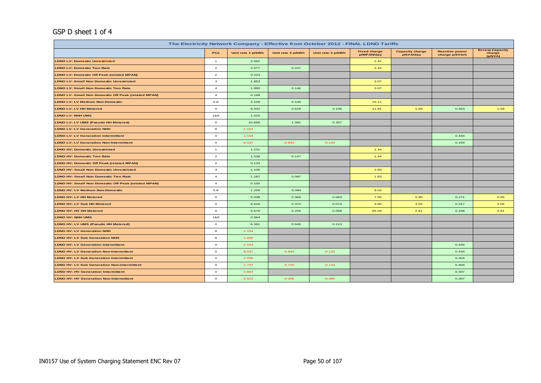## GSP D sheet 1 of 4

| The Electricity Network Company - Effective from October 2012 - FINAL LDNO Tariffs |                |                   |                   |                   |                                   |                                     |                                         |                                             |  |  |
|------------------------------------------------------------------------------------|----------------|-------------------|-------------------|-------------------|-----------------------------------|-------------------------------------|-----------------------------------------|---------------------------------------------|--|--|
|                                                                                    | PCs            | Unit rate 1 p/kWh | Unit rate 2 p/kWh | Unit rate 3 p/kWh | <b>Fixed charge</b><br>p/MPAN/day | <b>Capacity charge</b><br>p/kVA/day | <b>Reactive power</b><br>charge p/kVArh | <b>Excess Capacity</b><br>charge<br>(p/kVA) |  |  |
| <b>LDNO LV: Domestic Unrestricted</b>                                              | $\overline{1}$ | 2.062             |                   |                   | 2.42                              |                                     |                                         |                                             |  |  |
| <b>LDNO LV: Domestic Two Rate</b>                                                  | $\overline{a}$ | 2.577             | 0.247             |                   | 2.42                              |                                     |                                         |                                             |  |  |
| <b>LDNO LV: Domestic Off Peak (related MPAN)</b>                                   | $\overline{a}$ | 0.223             |                   |                   |                                   |                                     |                                         |                                             |  |  |
| <b>LDNO LV: Small Non Domestic Unrestricted</b>                                    | 3              | 1.853             |                   |                   | 3.07                              |                                     |                                         |                                             |  |  |
| <b>LDNO LV: Small Non Domestic Two Rate</b>                                        | $\overline{4}$ | 1.990             | 0.146             |                   | 3.07                              |                                     |                                         |                                             |  |  |
| <b>LDNO LV: Small Non Domestic Off Peak (related MPAN)</b>                         | $\overline{4}$ | 0.168             |                   |                   |                                   |                                     |                                         |                                             |  |  |
| <b>LDNO LV: LV Medium Non-Domestic</b>                                             | $5 - 8$        | 2.109             | 0.140             |                   | 15.11                             |                                     |                                         |                                             |  |  |
| <b>LDNO LV: LV HH Metered</b>                                                      | $\circ$        | 8.442             | 0.618             | 0.106             | 11.81                             | 1.59                                | 0.453                                   | 1.59                                        |  |  |
| <b>LDNO LV: NHH UMS</b>                                                            | 1&8            | 1.615             |                   |                   |                                   |                                     |                                         |                                             |  |  |
| LDNO LV: LV UMS (Pseudo HH Metered)                                                | $\circ$        | 10.658            | 1.081             | 0.357             |                                   |                                     |                                         |                                             |  |  |
| <b>LDNO LV: LV Generation NHH</b>                                                  | 8              | $-1.154$          |                   |                   |                                   |                                     |                                         |                                             |  |  |
| <b>LDNO LV: LV Generation Intermittent</b>                                         | $\circ$        | $-1.154$          |                   |                   |                                   |                                     | 0.434                                   |                                             |  |  |
| <b>LDNO LV: LV Generation Non-Intermittent</b>                                     | $\circ$        | $-8.537$          | $-0.844$          | $-0.125$          |                                   |                                     | 0.434                                   |                                             |  |  |
| <b>LDNO HV: Domestic Unrestricted</b>                                              | $\mathbf{1}$   | 1.231             |                   |                   | 1.44                              |                                     |                                         |                                             |  |  |
| <b>LDNO HV: Domestic Two Rate</b>                                                  | $\overline{a}$ | 1.538             | 0.147             |                   | 1.44                              |                                     |                                         |                                             |  |  |
| <b>LDNO HV: Domestic Off Peak (related MPAN)</b>                                   | $\overline{a}$ | 0.133             |                   |                   |                                   |                                     |                                         |                                             |  |  |
| <b>LDNO HV: Small Non Domestic Unrestricted</b>                                    | 3              | 1.106             |                   |                   | 1.83                              |                                     |                                         |                                             |  |  |
| <b>LDNO HV: Small Non Domestic Two Rate</b>                                        | $\overline{a}$ | 1.187             | 0.087             |                   | 1.83                              |                                     |                                         |                                             |  |  |
| <b>LDNO HV: Small Non Domestic Off Peak (related MPAN)</b>                         | $\overline{a}$ | 0.100             |                   |                   |                                   |                                     |                                         |                                             |  |  |
| <b>LDNO HV: LV Medium Non-Domestic</b>                                             | $5 - 8$        | 1.259             | 0.084             |                   | 9.02                              |                                     |                                         |                                             |  |  |
| LDNO HV: LV HH Metered                                                             | $\circ$        | 5.038             | 0.369             | 0.063             | 7.05                              | 0.95                                | 0.271                                   | 0.95                                        |  |  |
| <b>LDNO HV: LV Sub HH Metered</b>                                                  | $\circ$        | 6.618             | 0.372             | 0.074             | 3.85                              | 3.05                                | 0.317                                   | 3.05                                        |  |  |
| <b>LDNO HV: HV HH Metered</b>                                                      | $\circ$        | 5.679             | 0.255             | 0.058             | 65.04                             | 2.61                                | 0.248                                   | 2.61                                        |  |  |
| LDNO HV: NHH UMS                                                                   | 1&8            | 0.964             |                   |                   |                                   |                                     |                                         |                                             |  |  |
| LDNO HV: LV UMS (Pseudo HH Metered)                                                | $\circ$        | 6.361             | 0.645             | 0.213             |                                   |                                     |                                         |                                             |  |  |
| <b>LDNO HV: LV Generation NHH</b>                                                  | 8              | $-1.154$          |                   |                   |                                   |                                     |                                         |                                             |  |  |
| <b>LDNO HV: LV Sub Generation NHH</b>                                              | 8              | $-1.030$          |                   |                   |                                   |                                     |                                         |                                             |  |  |
| <b>LDNO HV: LV Generation Intermittent</b>                                         | $\circ$        | $-1.154$          |                   |                   |                                   |                                     | 0.434                                   |                                             |  |  |
| <b>LDNO HV: LV Generation Non-Intermittent</b>                                     | $\circ$        | $-8.537$          | $-0.844$          | $-0.125$          |                                   |                                     | 0.434                                   |                                             |  |  |
| <b>LDNO HV: LV Sub Generation Intermittent</b>                                     | $\circ$        | $-1.030$          |                   |                   |                                   |                                     | 0.404                                   |                                             |  |  |
| <b>LDNO HV: LV Sub Generation Non-Intermittent</b>                                 | $\circ$        | $-7.737$          | $-0.729$          | $-0.110$          |                                   |                                     | 0.404                                   |                                             |  |  |
| <b>LDNO HV: HV Generation Intermittent</b>                                         | $\circ$        | $-0.664$          |                   |                   |                                   |                                     | 0.307                                   |                                             |  |  |
| <b>LDNO HV: HV Generation Non-Intermittent</b>                                     | $\circ$        | $-5.522$          | $-0.356$          | $-0.065$          |                                   |                                     | 0.307                                   |                                             |  |  |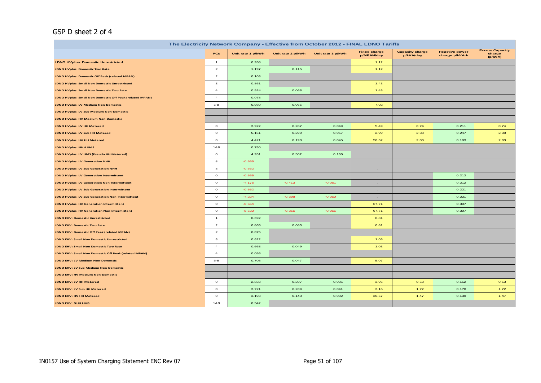## GSP D sheet 2 of 4

| The Electricity Network Company - Effective from October 2012 - FINAL LDNO Tariffs |                |                   |                   |                   |                                   |                                     |                                         |                                             |  |  |
|------------------------------------------------------------------------------------|----------------|-------------------|-------------------|-------------------|-----------------------------------|-------------------------------------|-----------------------------------------|---------------------------------------------|--|--|
|                                                                                    | PCs            | Unit rate 1 p/kWh | Unit rate 2 p/kWh | Unit rate 3 p/kWh | <b>Fixed charge</b><br>p/MPAN/day | <b>Capacity charge</b><br>p/kVA/day | <b>Reactive power</b><br>charge p/kVArh | <b>Excess Capacity</b><br>charge<br>(p/kVA) |  |  |
| <b>LDNO HVplus: Domestic Unrestricted</b>                                          | $\mathbf{1}$   | 0.958             |                   |                   | 1.12                              |                                     |                                         |                                             |  |  |
| <b>LDNO HVplus: Domestic Two Rate</b>                                              | $\overline{a}$ | 1.197             | 0.115             |                   | 1.12                              |                                     |                                         |                                             |  |  |
| <b>LDNO HVplus: Domestic Off Peak (related MPAN)</b>                               | $\overline{a}$ | 0.103             |                   |                   |                                   |                                     |                                         |                                             |  |  |
| <b>LDNO HVplus: Small Non Domestic Unrestricted</b>                                | 3              | 0.861             |                   |                   | 1.43                              |                                     |                                         |                                             |  |  |
| <b>LDNO HVplus: Small Non Domestic Two Rate</b>                                    | $\overline{4}$ | 0.924             | 0.068             |                   | 1.43                              |                                     |                                         |                                             |  |  |
| LDNO HVplus: Small Non Domestic Off Peak (related MPAN)                            | $\overline{4}$ | 0.078             |                   |                   |                                   |                                     |                                         |                                             |  |  |
| <b>LDNO HVplus: LV Medium Non-Domestic</b>                                         | $5 - 8$        | 0.980             | 0.065             |                   | 7.02                              |                                     |                                         |                                             |  |  |
| LDNO HVplus: LV Sub Medium Non-Domestic                                            |                |                   |                   |                   |                                   |                                     |                                         |                                             |  |  |
| <b>LDNO HVplus: HV Medium Non-Domestic</b>                                         |                |                   |                   |                   |                                   |                                     |                                         |                                             |  |  |
| <b>LDNO HVplus: LV HH Metered</b>                                                  | $\circ$        | 3.922             | 0.287             | 0.049             | 5.49                              | 0.74                                | 0.211                                   | 0.74                                        |  |  |
| <b>LDNO HVplus: LV Sub HH Metered</b>                                              | $\circ$        | 5.151             | 0.290             | 0.057             | 2.99                              | 2.38                                | 0.247                                   | 2.38                                        |  |  |
| <b>LDNO HVplus: HV HH Metered</b>                                                  | $\circ$        | 4.421             | 0.198             | 0.045             | 50.62                             | 2.03                                | 0.193                                   | 2.03                                        |  |  |
| <b>LDNO HVplus: NHH UMS</b>                                                        | 1&8            | 0.750             |                   |                   |                                   |                                     |                                         |                                             |  |  |
| LDNO HVplus: LV UMS (Pseudo HH Metered)                                            | $\circ$        | 4.951             | 0.502             | 0.166             |                                   |                                     |                                         |                                             |  |  |
| <b>LDNO HVplus: LV Generation NHH</b>                                              | 8              | $-0.565$          |                   |                   | $\sim$                            |                                     |                                         |                                             |  |  |
| <b>LDNO HVplus: LV Sub Generation NHH</b>                                          | 8              | $-0.562$          |                   |                   | $\sim$                            |                                     |                                         |                                             |  |  |
| <b>LDNO HVplus: LV Generation Intermittent</b>                                     | $\circ$        | $-0.565$          |                   |                   | <b>Section</b>                    |                                     | 0.212                                   |                                             |  |  |
| <b>LDNO HVplus: LV Generation Non-Intermittent</b>                                 | $\circ$        | $-4.176$          | $-0.413$          | $-0.061$          | $\sim$                            |                                     | 0.212                                   |                                             |  |  |
| <b>LDNO HVplus: LV Sub Generation Intermittent</b>                                 | $\circ$        | $-0.562$          |                   |                   | $\sim$                            |                                     | 0.221                                   |                                             |  |  |
| <b>LDNO HVplus: LV Sub Generation Non-Intermittent</b>                             | $\circ$        | $-4.224$          | $-0.398$          | $-0.060$          | $\sim 10^{-1}$                    |                                     | 0.221                                   |                                             |  |  |
| <b>LDNO HVplus: HV Generation Intermittent</b>                                     | $\circ$        | $-0.664$          |                   |                   | 67.71                             |                                     | 0.307                                   |                                             |  |  |
| <b>LDNO HVplus: HV Generation Non-Intermittent</b>                                 | $\circ$        | $-5.522$          | $-0.356$          | $-0.065$          | 67.71                             |                                     | 0.307                                   |                                             |  |  |
| <b>LDNO EHV: Domestic Unrestricted</b>                                             | $\mathbf{1}$   | 0.692             |                   |                   | 0.81                              |                                     |                                         |                                             |  |  |
| <b>LDNO EHV: Domestic Two Rate</b>                                                 | $\overline{a}$ | 0.865             | 0.083             |                   | 0.81                              |                                     |                                         |                                             |  |  |
| LDNO EHV: Domestic Off Peak (related MPAN)                                         | $\overline{a}$ | 0.075             |                   |                   |                                   |                                     |                                         |                                             |  |  |
| LDNO EHV: Small Non Domestic Unrestricted                                          | 3              | 0.622             |                   |                   | 1.03                              |                                     |                                         |                                             |  |  |
| <b>LDNO EHV: Small Non Domestic Two Rate</b>                                       | $\overline{4}$ | 0.668             | 0.049             |                   | 1.03                              |                                     |                                         |                                             |  |  |
| LDNO EHV: Small Non Domestic Off Peak (related MPAN)                               | $\overline{4}$ | 0.056             |                   |                   |                                   |                                     |                                         |                                             |  |  |
| <b>LDNO EHV: LV Medium Non-Domestic</b>                                            | $5 - 8$        | 0.708             | 0.047             |                   | 5.07                              |                                     |                                         |                                             |  |  |
| LDNO EHV: LV Sub Medium Non-Domestic                                               |                |                   |                   |                   |                                   |                                     |                                         |                                             |  |  |
| LDNO EHV: HV Medium Non-Domestic                                                   |                |                   |                   |                   |                                   |                                     |                                         |                                             |  |  |
| LDNO EHV: LV HH Metered                                                            | $\circ$        | 2.833             | 0.207             | 0.035             | 3.96                              | 0.53                                | 0.152                                   | 0.53                                        |  |  |
| LDNO EHV: LV Sub HH Metered                                                        | $\circ$        | 3.721             | 0.209             | 0.041             | 2.16                              | 1.72                                | 0.178                                   | 1.72                                        |  |  |
| LDNO EHV: HV HH Metered                                                            | $\circ$        | 3.193             | 0.143             | 0.032             | 36.57                             | 1.47                                | 0.139                                   | 1.47                                        |  |  |
| <b>LDNO EHV: NHH UMS</b>                                                           | 1&8            | 0.542             |                   |                   |                                   |                                     |                                         |                                             |  |  |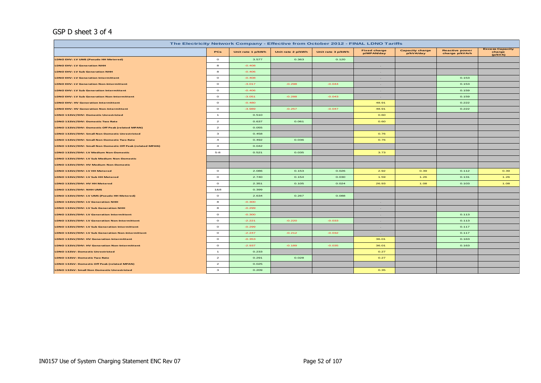### GSP D sheet 3 of 4

| The Electricity Network Company - Effective from October 2012 - FINAL LDNO Tariffs |                |                   |                   |                   |                                   |                                     |                                         |                                             |  |  |
|------------------------------------------------------------------------------------|----------------|-------------------|-------------------|-------------------|-----------------------------------|-------------------------------------|-----------------------------------------|---------------------------------------------|--|--|
|                                                                                    | PCs            | Unit rate 1 p/kWh | Unit rate 2 p/kWh | Unit rate 3 p/kWh | <b>Fixed charge</b><br>p/MPAN/day | <b>Capacity charge</b><br>p/kVA/day | <b>Reactive power</b><br>charge p/kVArh | <b>Excess Capacity</b><br>charge<br>(p/kVA) |  |  |
| LDNO EHV: LV UMS (Pseudo HH Metered)                                               | $\circ$        | 3.577             | 0.363             | 0.120             |                                   |                                     |                                         |                                             |  |  |
| <b>LDNO EHV: LV Generation NHH</b>                                                 | 8              | $-0.408$          |                   |                   | $\sim$                            |                                     |                                         |                                             |  |  |
| <b>LDNO EHV: LV Sub Generation NHH</b>                                             | 8              | $-0.406$          |                   |                   | $\sim$                            |                                     |                                         |                                             |  |  |
| <b>LDNO EHV: LV Generation Intermittent</b>                                        | $\circ$        | $-0.408$          |                   |                   | $\sim$                            |                                     | 0.153                                   |                                             |  |  |
| <b>LDNO EHV: LV Generation Non-Intermittent</b>                                    | $\circ$        | $-3.017$          | $-0.298$          | $-0.044$          | $\sim$                            |                                     | 0.153                                   |                                             |  |  |
| <b>LDNO EHV: LV Sub Generation Intermittent</b>                                    | $\circ$        | $-0.406$          |                   |                   | $\sim$                            |                                     | 0.159                                   |                                             |  |  |
| <b>LDNO EHV: LV Sub Generation Non-Intermittent</b>                                | $\circ$        | $-3.051$          | $-0.288$          | $-0.043$          | $\sim$                            |                                     | 0.159                                   |                                             |  |  |
| <b>LDNO EHV: HV Generation Intermittent</b>                                        | $\circ$        | $-0.480$          |                   |                   | 48.91                             |                                     | 0.222                                   |                                             |  |  |
| <b>LDNO EHV: HV Generation Non-Intermittent</b>                                    | $\circ$        | $-3.989$          | $-0.257$          | $-0.047$          | 48.91                             |                                     | 0.222                                   |                                             |  |  |
| LDNO 132kV/EHV: Domestic Unrestricted                                              | $\overline{1}$ | 0.510             |                   |                   | 0.60                              |                                     |                                         |                                             |  |  |
| LDNO 132kV/EHV: Domestic Two Rate                                                  | $\overline{a}$ | 0.637             | 0.061             |                   | 0.60                              |                                     |                                         |                                             |  |  |
| LDNO 132kV/EHV: Domestic Off Peak (related MPAN)                                   | $\overline{a}$ | 0.055             |                   |                   |                                   |                                     |                                         |                                             |  |  |
| LDNO 132kV/EHV: Small Non Domestic Unrestricted                                    | $\mathbf{3}$   | 0.458             |                   |                   | 0.76                              |                                     |                                         |                                             |  |  |
| LDNO 132kV/EHV: Small Non Domestic Two Rate                                        | $\overline{a}$ | 0.492             | 0.036             |                   | 0.76                              |                                     |                                         |                                             |  |  |
| LDNO 132kV/EHV: Small Non Domestic Off Peak (related MPAN)                         | $\overline{4}$ | 0.042             |                   |                   |                                   |                                     |                                         |                                             |  |  |
| LDNO 132kV/EHV: LV Medium Non-Domestic                                             | $5 - 8$        | 0.521             | 0.035             |                   | 3.73                              |                                     |                                         |                                             |  |  |
| LDNO 132kV/EHV: LV Sub Medium Non-Domestic                                         |                |                   |                   |                   |                                   |                                     |                                         |                                             |  |  |
| LDNO 132kV/EHV: HV Medium Non-Domestic                                             |                |                   |                   |                   |                                   |                                     |                                         |                                             |  |  |
| LDNO 132kV/EHV: LV HH Metered                                                      | $\circ$        | 2.086             | 0.153             | 0.026             | 2.92                              | 0.39                                | 0.112                                   | 0.39                                        |  |  |
| LDNO 132kV/EHV: LV Sub HH Metered                                                  | $\circ$        | 2.740             | 0.154             | 0.030             | 1.59                              | 1.26                                | 0.131                                   | 1.26                                        |  |  |
| LDNO 132kV/EHV: HV HH Metered                                                      | $\circ$        | 2.351             | 0.105             | 0.024             | 26.93                             | 1.08                                | 0.103                                   | 1.08                                        |  |  |
| LDNO 132kV/EHV: NHH UMS                                                            | 1&8            | 0.399             |                   |                   |                                   |                                     |                                         |                                             |  |  |
| LDNO 132kV/EHV: LV UMS (Pseudo HH Metered)                                         | $\circ$        | 2.634             | 0.267             | 0.088             |                                   |                                     |                                         |                                             |  |  |
| LDNO 132kV/EHV: LV Generation NHH                                                  | 8              | $-0.300$          |                   |                   | $\sim$                            |                                     |                                         |                                             |  |  |
| LDNO 132kV/EHV: LV Sub Generation NHH                                              | 8              | $-0.299$          |                   |                   | $\sim$                            |                                     |                                         |                                             |  |  |
| LDNO 132kV/EHV: LV Generation Intermittent                                         | $\circ$        | $-0.300$          |                   |                   | $\sim$                            |                                     | 0.113                                   |                                             |  |  |
| LDNO 132kV/EHV: LV Generation Non-Intermittent                                     | $\circ$        | $-2.221$          | $-0.220$          | $-0.033$          | $\sim$                            |                                     | 0.113                                   |                                             |  |  |
| LDNO 132kV/EHV: LV Sub Generation Intermittent                                     | $\circ$        | $-0.299$          |                   |                   | $\sim$                            |                                     | 0.117                                   |                                             |  |  |
| LDNO 132kV/EHV: LV Sub Generation Non-Intermittent                                 | $\circ$        | $-2.247$          | $-0.212$          | $-0.032$          | $\sim 10^{-1}$                    |                                     | 0.117                                   |                                             |  |  |
| LDNO 132kV/EHV: HV Generation Intermittent                                         | $\circ$        | $-0.353$          |                   |                   | 36.01                             |                                     | 0.163                                   |                                             |  |  |
| LDNO 132kV/EHV: HV Generation Non-Intermittent                                     | $\circ$        | $-2.937$          | $-0.189$          | $-0.035$          | 36.01                             |                                     | 0.163                                   |                                             |  |  |
| <b>LDNO 132kV: Domestic Unrestricted</b>                                           | $\mathbf{1}$   | 0.233             |                   |                   | 0.27                              |                                     |                                         |                                             |  |  |
| <b>LDNO 132kV: Domestic Two Rate</b>                                               | $\overline{a}$ | 0.291             | 0.028             |                   | 0.27                              |                                     |                                         |                                             |  |  |
| LDNO 132kV: Domestic Off Peak (related MPAN)                                       | $\overline{a}$ | 0.025             |                   |                   |                                   |                                     |                                         |                                             |  |  |
| <b>LDNO 132kV: Small Non Domestic Unrestricted</b>                                 | $\mathbf{3}$   | 0.209             |                   |                   | 0.35                              |                                     |                                         |                                             |  |  |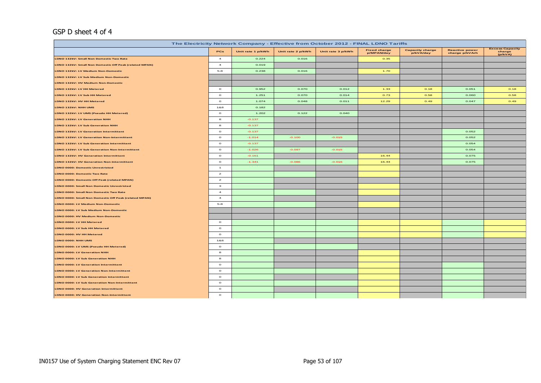#### GSP D sheet 4 of 4

| The Electricity Network Company - Effective from October 2012 - FINAL LDNO Tariffs |                |                   |                   |                   |                                   |                                     |                                         |                                             |  |  |
|------------------------------------------------------------------------------------|----------------|-------------------|-------------------|-------------------|-----------------------------------|-------------------------------------|-----------------------------------------|---------------------------------------------|--|--|
|                                                                                    | <b>PCs</b>     | Unit rate 1 p/kWh | Unit rate 2 p/kWh | Unit rate 3 p/kWh | <b>Fixed charge</b><br>p/MPAN/day | <b>Capacity charge</b><br>p/kVA/day | <b>Reactive power</b><br>charge p/kVArh | <b>Excess Capacity</b><br>charge<br>(p/kVA) |  |  |
| LDNO 132kV: Small Non Domestic Two Rate                                            | $\overline{4}$ | 0.224             | 0.016             |                   | 0.35                              |                                     |                                         |                                             |  |  |
| LDNO 132kV: Small Non Domestic Off Peak (related MPAN)                             | $\overline{a}$ | 0.019             |                   |                   |                                   |                                     |                                         |                                             |  |  |
| LDNO 132kV: LV Medium Non-Domestic                                                 | $5 - 8$        | 0.238             | 0.016             |                   | 1.70                              |                                     |                                         |                                             |  |  |
| LDNO 132kV: LV Sub Medium Non-Domestic                                             |                |                   |                   |                   |                                   |                                     |                                         |                                             |  |  |
| LDNO 132kV: HV Medium Non-Domestic                                                 |                |                   |                   |                   |                                   |                                     |                                         |                                             |  |  |
| LDNO 132kV: LV HH Metered                                                          | $\circ$        | 0.952             | 0.070             | 0.012             | 1.33                              | 0.18                                | 0.051                                   | 0.18                                        |  |  |
| LDNO 132kV: LV Sub HH Metered                                                      | $\circ$        | 1.251             | 0.070             | 0.014             | 0.73                              | 0.58                                | 0.060                                   | 0.58                                        |  |  |
| LDNO 132kV: HV HH Metered                                                          | $\circ$        | 1.074             | 0.048             | 0.011             | 12.29                             | 0.49                                | 0.047                                   | 0.49                                        |  |  |
| LDNO 132kV: NHH UMS                                                                | 1&8            | 0.182             |                   |                   |                                   |                                     |                                         |                                             |  |  |
| LDNO 132kV: LV UMS (Pseudo HH Metered)                                             | $\circ$        | 1.202             | 0.122             | 0.040             |                                   |                                     |                                         |                                             |  |  |
| LDNO 132kV: LV Generation NHH                                                      | 8              | $-0.137$          |                   |                   |                                   |                                     |                                         |                                             |  |  |
| LDNO 132kV: LV Sub Generation NHH                                                  | 8              | $-0.137$          |                   |                   |                                   |                                     |                                         |                                             |  |  |
| <b>LDNO 132kV: LV Generation Intermittent</b>                                      | $\circ$        | $-0.137$          |                   |                   |                                   |                                     | 0.052                                   |                                             |  |  |
| LDNO 132kV: LV Generation Non-Intermittent                                         | $\circ$        | $-1.014$          | $-0.100$          | $-0.015$          |                                   |                                     | 0.052                                   |                                             |  |  |
| LDNO 132kV: LV Sub Generation Intermittent                                         | $\circ$        | $-0.137$          |                   |                   |                                   |                                     | 0.054                                   |                                             |  |  |
| LDNO 132kV: LV Sub Generation Non-Intermittent                                     | $\circ$        | $-1.026$          | $-0.097$          | $-0.015$          |                                   |                                     | 0.054                                   |                                             |  |  |
| LDNO 132kV: HV Generation Intermittent                                             | $\circ$        | $-0.161$          |                   |                   | 16.44                             |                                     | 0.075                                   |                                             |  |  |
| <b>LDNO 132kV: HV Generation Non-Intermittent</b>                                  | $\circ$        | $-1.341$          | $-0.086$          | $-0.016$          | 16.44                             |                                     | 0.075                                   |                                             |  |  |
| <b>LDNO 0000: Domestic Unrestricted</b>                                            | $\mathbf{1}$   |                   |                   |                   |                                   |                                     |                                         |                                             |  |  |
| <b>LDNO 0000: Domestic Two Rate</b>                                                | $\mathbf{z}$   |                   |                   |                   |                                   |                                     |                                         |                                             |  |  |
| LDNO 0000: Domestic Off Peak (related MPAN)                                        | $\overline{a}$ |                   |                   |                   |                                   |                                     |                                         |                                             |  |  |
| <b>LDNO 0000: Small Non Domestic Unrestricted</b>                                  | $\mathbf{3}$   |                   |                   |                   |                                   |                                     |                                         |                                             |  |  |
| LDNO 0000: Small Non Domestic Two Rate                                             | $\overline{4}$ |                   |                   |                   |                                   |                                     |                                         |                                             |  |  |
| LDNO 0000: Small Non Domestic Off Peak (related MPAN)                              | $\overline{4}$ |                   |                   |                   |                                   |                                     |                                         |                                             |  |  |
| LDNO 0000: LV Medium Non-Domestic                                                  | $5 - 8$        |                   |                   |                   |                                   |                                     |                                         |                                             |  |  |
| LDNO 0000: LV Sub Medium Non-Domestic                                              |                |                   |                   |                   |                                   |                                     |                                         |                                             |  |  |
| LDNO 0000: HV Medium Non-Domestic                                                  |                |                   |                   |                   |                                   |                                     |                                         |                                             |  |  |
| LDNO 0000: LV HH Metered                                                           | $\circ$        |                   |                   |                   |                                   |                                     |                                         |                                             |  |  |
| LDNO 0000: LV Sub HH Metered                                                       | $\circ$        |                   |                   |                   |                                   |                                     |                                         |                                             |  |  |
| LDNO 0000: HV HH Metered                                                           | $\circ$        |                   |                   |                   |                                   |                                     |                                         |                                             |  |  |
| LDNO 0000: NHH UMS                                                                 | 1&8            |                   |                   |                   |                                   |                                     |                                         |                                             |  |  |
| LDNO 0000: LV UMS (Pseudo HH Metered)                                              | $\circ$        |                   |                   |                   |                                   |                                     |                                         |                                             |  |  |
| LDNO 0000: LV Generation NHH                                                       | 8              |                   |                   |                   |                                   |                                     |                                         |                                             |  |  |
| LDNO 0000: LV Sub Generation NHH                                                   | 8              |                   |                   |                   |                                   |                                     |                                         |                                             |  |  |
| <b>LDNO 0000: LV Generation Intermittent</b>                                       | $\circ$        |                   |                   |                   |                                   |                                     |                                         |                                             |  |  |
| <b>LDNO 0000: LV Generation Non-Intermittent</b>                                   | $\circ$        |                   |                   |                   |                                   |                                     |                                         |                                             |  |  |
| <b>LDNO 0000: LV Sub Generation Intermittent</b>                                   | $\circ$        |                   |                   |                   |                                   |                                     |                                         |                                             |  |  |
| LDNO 0000: LV Sub Generation Non-Intermittent                                      | $\circ$        |                   |                   |                   |                                   |                                     |                                         |                                             |  |  |
| LDNO 0000: HV Generation Intermittent                                              | $\circ$        |                   |                   |                   |                                   |                                     |                                         |                                             |  |  |
| LDNO 0000: HV Generation Non-Intermittent                                          | $\circ$        |                   |                   |                   |                                   |                                     |                                         |                                             |  |  |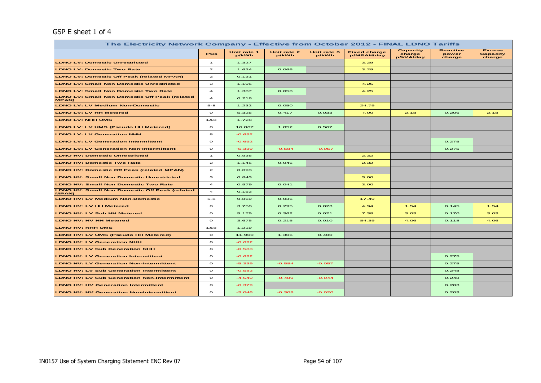## GSP E sheet 1 of 4

| The Electricity Network Company - Effective from October 2012 - FINAL LDNO Tariffs |                         |                      |                      |                      |                                   |                                        |                                    |                                            |  |  |
|------------------------------------------------------------------------------------|-------------------------|----------------------|----------------------|----------------------|-----------------------------------|----------------------------------------|------------------------------------|--------------------------------------------|--|--|
|                                                                                    | PCs                     | Unit rate 1<br>p/kWh | Unit rate 2<br>p/kWh | Unit rate 3<br>p/kWh | <b>Fixed charge</b><br>p/MPAN/day | <b>Capacity</b><br>charge<br>p/kVA/day | <b>Reactive</b><br>power<br>charge | <b>Excess</b><br><b>Capacity</b><br>charge |  |  |
| <b>LDNO LV: Domestic Unrestricted</b>                                              | $\mathbf{1}$            | 1.327                |                      |                      | 3.29                              |                                        |                                    |                                            |  |  |
| <b>LDNO LV: Domestic Two Rate</b>                                                  | $\mathbf{z}$            | 1.624                | 0.066                |                      | 3.29                              |                                        |                                    |                                            |  |  |
| <b>LDNO LV: Domestic Off Peak (related MPAN)</b>                                   | $\mathbf{z}$            | 0.131                |                      |                      |                                   |                                        |                                    |                                            |  |  |
| <b>LDNO LV: Small Non Domestic Unrestricted</b>                                    | з                       | 1.195                |                      |                      | 4.25                              |                                        |                                    |                                            |  |  |
| <b>LDNO LV: Small Non Domestic Two Rate</b>                                        | $\overline{\mathbf{4}}$ | 1.387                | 0.058                |                      | 4.25                              |                                        |                                    |                                            |  |  |
| <b>LDNO LV: Small Non Domestic Off Peak (related</b><br><b>MPAN)</b>               | $\overline{4}$          | 0.216                |                      |                      |                                   |                                        |                                    |                                            |  |  |
| <b>LDNO LV: LV Medium Non-Domestic</b>                                             | $5 - 8$                 | 1.232                | 0.050                |                      | 24.79                             |                                        |                                    |                                            |  |  |
| <b>LDNO LV: LV HH Metered</b>                                                      | $\circ$                 | 5.326                | 0.417                | 0.033                | 7.00                              | 2.18                                   | 0.206                              | 2.18                                       |  |  |
| <b>LDNO LV: NHH UMS</b>                                                            | 18.8                    | 1.728                |                      |                      |                                   |                                        |                                    |                                            |  |  |
| <b>LDNO LV: LV UMS (Pseudo HH Metered)</b>                                         | $\circ$                 | 16.867               | 1.852                | 0.567                |                                   |                                        |                                    |                                            |  |  |
| <b>LDNO LV: LV Generation NHH</b>                                                  | 8                       | $-0.692$             |                      |                      |                                   |                                        |                                    |                                            |  |  |
| <b>LDNO LV: LV Generation Intermittent</b>                                         | $\circ$                 | $-0.692$             |                      |                      |                                   |                                        | 0.275                              |                                            |  |  |
| <b>LDNO LV: LV Generation Non-Intermittent</b>                                     | $\circ$                 | $-5.339$             | $-0.584$             | $-0.057$             |                                   |                                        | 0.275                              |                                            |  |  |
| <b>LDNO HV: Domestic Unrestricted</b>                                              | $\overline{1}$          | 0.936                |                      |                      | 2.32                              |                                        |                                    |                                            |  |  |
| <b>LDNO HV: Domestic Two Rate</b>                                                  | $\mathbf{z}$            | 1.145                | 0.046                |                      | 2.32                              |                                        |                                    |                                            |  |  |
| <b>LDNO HV: Domestic Off Peak (related MPAN)</b>                                   | $\mathbf{z}$            | 0.093                |                      |                      |                                   |                                        |                                    |                                            |  |  |
| <b>LDNO HV: Small Non Domestic Unrestricted</b>                                    | з                       | 0.843                |                      |                      | 3.00                              |                                        |                                    |                                            |  |  |
| <b>LDNO HV: Small Non Domestic Two Rate</b>                                        | $\overline{4}$          | 0.979                | 0.041                |                      | 3.00                              |                                        |                                    |                                            |  |  |
| <b>LDNO HV: Small Non Domestic Off Peak (related</b><br><b>MPAN)</b>               | $\overline{\mathbf{4}}$ | 0.153                |                      |                      |                                   |                                        |                                    |                                            |  |  |
| <b>LDNO HV: LV Medium Non-Domestic</b>                                             | $5 - 8$                 | 0.869                | 0.036                |                      | 17.49                             |                                        |                                    |                                            |  |  |
| <b>LDNO HV: LV HH Metered</b>                                                      | $\circ$                 | 3.758                | 0.295                | 0.023                | 4.94                              | 1.54                                   | 0.145                              | 1.54                                       |  |  |
| <b>LDNO HV: LV Sub HH Metered</b>                                                  | $\circ$                 | 5.179                | 0.362                | 0.021                | 7.38                              | 3.03                                   | 0.170                              | 3.03                                       |  |  |
| <b>LDNO HV: HV HH Metered</b>                                                      | $\circ$                 | 3.675                | 0.215                | 0.010                | 84.39                             | 4.06                                   | 0.118                              | 4.06                                       |  |  |
| <b>LDNO HV: NHH UMS</b>                                                            | 18.8                    | 1.219                |                      |                      |                                   |                                        |                                    |                                            |  |  |
| <b>LDNO HV: LV UMS (Pseudo HH Metered)</b>                                         | $\circ$                 | 11.900               | 1.306                | 0.400                |                                   |                                        |                                    |                                            |  |  |
| <b>LDNO HV: LV Generation NHH</b>                                                  | 8                       | $-0.692$             |                      |                      |                                   |                                        |                                    |                                            |  |  |
| <b>LDNO HV: LV Sub Generation NHH</b>                                              | 8                       | $-0.583$             |                      |                      |                                   |                                        |                                    |                                            |  |  |
| <b>LDNO HV: LV Generation Intermittent</b>                                         | $\circ$                 | $-0.692$             |                      |                      |                                   |                                        | 0.275                              |                                            |  |  |
| <b>LDNO HV: LV Generation Non-Intermittent</b>                                     | $\circ$                 | $-5.339$             | $-0.584$             | $-0.057$             |                                   |                                        | 0.275                              |                                            |  |  |
| <b>LDNO HV: LV Sub Generation Intermittent</b>                                     | $\circ$                 | $-0.583$             |                      |                      |                                   |                                        | 0.248                              |                                            |  |  |
| <b>LDNO HV: LV Sub Generation Non-Intermittent</b>                                 | $\circ$                 | $-4.540$             | $-0.489$             | $-0.044$             |                                   |                                        | 0.248                              |                                            |  |  |
| <b>LDNO HV: HV Generation Intermittent</b>                                         | $\circ$                 | $-0.379$             |                      |                      |                                   |                                        | 0.203                              |                                            |  |  |
| <b>LDNO HV: HV Generation Non-Intermittent</b>                                     | $\circ$                 | $-3.046$             | $-0.309$             | $-0.020$             |                                   |                                        | 0.203                              |                                            |  |  |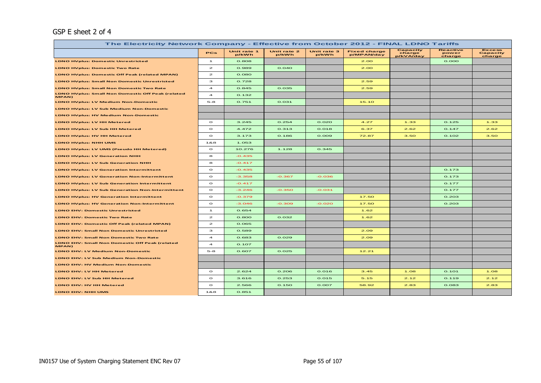### GSP E sheet 2 of 4

| The Electricity Network Company - Effective from October 2012 - FINAL LDNO Tariffs |                         |                      |                      |                      |                                   |                                 |                                    |                                     |  |  |
|------------------------------------------------------------------------------------|-------------------------|----------------------|----------------------|----------------------|-----------------------------------|---------------------------------|------------------------------------|-------------------------------------|--|--|
|                                                                                    | PCs                     | Unit rate 1<br>p/kWh | Unit rate 2<br>p/kWh | Unit rate 3<br>p/kWh | <b>Fixed charge</b><br>p/MPAN/day | Capacity<br>charge<br>p/kVA/day | <b>Reactive</b><br>power<br>charge | <b>Excess</b><br>Capacity<br>charge |  |  |
| <b>LDNO HVplus: Domestic Unrestricted</b>                                          | $\mathbf{1}$            | 0.808                |                      |                      | 2.00                              |                                 | O.OOO                              |                                     |  |  |
| <b>LDNO HVplus: Domestic Two Rate</b>                                              | $\mathbf{z}$            | 0.989                | O.040                |                      | 2.00                              |                                 |                                    |                                     |  |  |
| <b>LDNO HVplus: Domestic Off Peak (related MPAN)</b>                               | $\mathbf{z}$            | O.08O                |                      |                      |                                   |                                 |                                    |                                     |  |  |
| <b>LDNO HVplus: Small Non Domestic Unrestricted</b>                                | 3                       | 0.728                |                      |                      | 2.59                              |                                 |                                    |                                     |  |  |
| <b>LDNO HVplus: Small Non Domestic Two Rate</b>                                    | $\overline{\mathbf{4}}$ | 0.845                | 0.035                |                      | 2.59                              |                                 |                                    |                                     |  |  |
| <b>LDNO HVplus: Small Non Domestic Off Peak (related</b><br>MPAN)                  | $\overline{4}$          | 0.132                |                      |                      |                                   |                                 |                                    |                                     |  |  |
| <b>LDNO HVplus: LV Medium Non-Domestic</b>                                         | $5 - 8$                 | 0.751                | 0.031                |                      | 15.10                             |                                 |                                    |                                     |  |  |
| <b>LDNO HVplus: LV Sub Medium Non-Domestic</b>                                     |                         |                      |                      |                      |                                   |                                 |                                    |                                     |  |  |
| <b>LDNO HVplus: HV Medium Non-Domestic</b>                                         |                         |                      |                      |                      |                                   |                                 |                                    |                                     |  |  |
| <b>LDNO HVplus: LV HH Metered</b>                                                  | $\circ$                 | 3.245                | 0.254                | O.02O                | 4.27                              | 1.33                            | 0.125                              | 1.33                                |  |  |
| <b>LDNO HVplus: LV Sub HH Metered</b>                                              | $\circ$                 | 4.472                | 0.313                | O.O18                | 6.37                              | 2.62                            | 0.147                              | 2.62                                |  |  |
| <b>LDNO HVplus: HV HH Metered</b>                                                  | $\circ$                 | 3.173                | 0.186                | 0.009                | 72.87                             | 3.50                            | 0.102                              | 3.50                                |  |  |
| <b>LDNO HVplus: NHH UMS</b>                                                        | 1&8                     | 1.053                |                      |                      |                                   |                                 |                                    |                                     |  |  |
| <b>LDNO HVplus: LV UMS (Pseudo HH Metered)</b>                                     | $\circ$                 | 10.276               | 1.128                | 0.345                |                                   |                                 |                                    |                                     |  |  |
| <b>LDNO HVplus: LV Generation NHH</b>                                              | 8                       | $-0.435$             |                      |                      |                                   |                                 |                                    |                                     |  |  |
| <b>LDNO HVplus: LV Sub Generation NHH</b>                                          | 8                       | $-0.417$             |                      |                      |                                   |                                 |                                    |                                     |  |  |
| <b>LDNO HVplus: LV Generation Intermittent</b>                                     | $\circ$                 | $-0.435$             |                      |                      |                                   |                                 | 0.173                              |                                     |  |  |
| <b>LDNO HVplus: LV Generation Non-Intermittent</b>                                 | $\circ$                 | $-3.358$             | $-0.367$             | $-0.036$             |                                   |                                 | 0.173                              |                                     |  |  |
| <b>LDNO HVplus: LV Sub Generation Intermittent</b>                                 | $\circ$                 | $-0.417$             |                      |                      |                                   |                                 | 0.177                              |                                     |  |  |
| <b>LDNO HVplus: LV Sub Generation Non-Intermittent</b>                             | $\circ$                 | $-3.246$             | $-0.350$             | $-0.031$             |                                   |                                 | 0.177                              |                                     |  |  |
| <b>LDNO HVplus: HV Generation Intermittent</b>                                     | $\circ$                 | $-0.379$             |                      |                      | 17.50                             |                                 | 0.203                              |                                     |  |  |
| <b>LDNO HVplus: HV Generation Non-Intermittent</b>                                 | $\circ$                 | $-3.046$             | $-0.309$             | $-0.020$             | 17.50                             |                                 | 0.203                              |                                     |  |  |
| <b>LDNO EHV: Domestic Unrestricted</b>                                             | $\mathbf{1}$            | 0.654                |                      |                      | 1.62                              |                                 |                                    |                                     |  |  |
| <b>LDNO EHV: Domestic Two Rate</b>                                                 | $\mathbf{z}$            | O.8OO                | 0.032                |                      | 1.62                              |                                 |                                    |                                     |  |  |
| LDNO EHV: Domestic Off Peak (related MPAN)                                         | $\mathbf{z}$            | 0.065                |                      |                      |                                   |                                 |                                    |                                     |  |  |
| <b>LDNO EHV: Small Non Domestic Unrestricted</b>                                   | з                       | 0.589                |                      |                      | 2.09                              |                                 |                                    |                                     |  |  |
| <b>LDNO EHV: Small Non Domestic Two Rate</b>                                       | $\overline{\mathbf{4}}$ | 0.683                | 0.029                |                      | 2.09                              |                                 |                                    |                                     |  |  |
| <b>LDNO EHV: Small Non Domestic Off Peak (related</b><br>MPAN)                     | $\overline{a}$          | 0.107                |                      |                      |                                   |                                 |                                    |                                     |  |  |
| <b>LDNO EHV: LV Medium Non-Domestic</b>                                            | $5 - 8$                 | 0.607                | 0.025                |                      | 12.21                             |                                 |                                    |                                     |  |  |
| <b>LDNO EHV: LV Sub Medium Non-Domestic</b>                                        |                         |                      |                      |                      |                                   |                                 |                                    |                                     |  |  |
| <b>LDNO EHV: HV Medium Non-Domestic</b>                                            |                         |                      |                      |                      |                                   |                                 |                                    |                                     |  |  |
| LDNO EHV: LV HH Metered                                                            | $\circ$                 | 2.624                | 0.206                | 0.016                | 3.45                              | 1.08                            | 0.101                              | 1.08                                |  |  |
| LDNO EHV: LV Sub HH Metered                                                        | $\circ$                 | 3.616                | 0.253                | 0.015                | 5.15                              | 2.12                            | 0.119                              | 2.12                                |  |  |
| LDNO EHV: HV HH Metered                                                            | $\circ$                 | 2.566                | 0.150                | 0.007                | 58.92                             | 2.83                            | 0.083                              | 2.83                                |  |  |
| LDNO EHV: NHH UMS                                                                  | 1&8                     | 0.851                |                      |                      |                                   |                                 |                                    |                                     |  |  |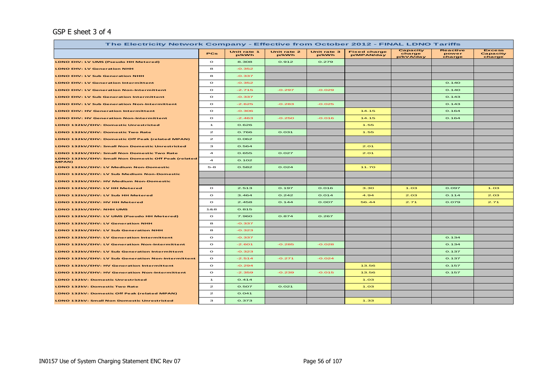## GSP E sheet 3 of 4

| The Electricity Network Company - Effective from October 2012 - FINAL LDNO Tariffs |                         |                      |                      |                      |                                   |                                 |                                    |                                     |  |  |
|------------------------------------------------------------------------------------|-------------------------|----------------------|----------------------|----------------------|-----------------------------------|---------------------------------|------------------------------------|-------------------------------------|--|--|
|                                                                                    | PCs                     | Unit rate 1<br>p/kWh | Unit rate 2<br>p/kWh | Unit rate 3<br>p/kWh | <b>Fixed charge</b><br>p/MPAN/day | Capacity<br>charge<br>p/kVA/day | <b>Reactive</b><br>power<br>charge | <b>Excess</b><br>Capacity<br>charge |  |  |
| LDNO EHV: LV UMS (Pseudo HH Metered)                                               | $\circ$                 | 8.308                | 0.912                | 0.279                |                                   |                                 |                                    |                                     |  |  |
| <b>LDNO EHV: LV Generation NHH</b>                                                 | 8                       | $-0.352$             |                      |                      |                                   |                                 |                                    |                                     |  |  |
| <b>LDNO EHV: LV Sub Generation NHH</b>                                             | 8                       | $-0.337$             |                      |                      |                                   |                                 |                                    |                                     |  |  |
| <b>LDNO EHV: LV Generation Intermittent</b>                                        | $\circ$                 | $-0.352$             |                      |                      |                                   |                                 | O.14O                              |                                     |  |  |
| <b>LDNO EHV: LV Generation Non-Intermittent</b>                                    | $\circ$                 | $-2.715$             | $-0.297$             | $-0.029$             |                                   |                                 | O.14O                              |                                     |  |  |
| <b>LDNO EHV: LV Sub Generation Intermittent</b>                                    | $\circ$                 | $-0.337$             |                      |                      |                                   |                                 | 0.143                              |                                     |  |  |
| <b>LDNO EHV: LV Sub Generation Non-Intermittent</b>                                | $\circ$                 | $-2.625$             | $-0.283$             | $-0.025$             |                                   |                                 | 0.143                              |                                     |  |  |
| <b>LDNO EHV: HV Generation Intermittent</b>                                        | $\circ$                 | $-0.306$             |                      |                      | 14.15                             |                                 | 0.164                              |                                     |  |  |
| <b>LDNO EHV: HV Generation Non-Intermittent</b>                                    | $\circ$                 | $-2.463$             | $-0.250$             | $-0.016$             | 14.15                             |                                 | 0.164                              |                                     |  |  |
| LDNO 132kV/EHV: Domestic Unrestricted                                              | $\mathbf{1}$            | 0.626                |                      |                      | 1.55                              |                                 |                                    |                                     |  |  |
| LDNO 132kV/EHV: Domestic Two Rate                                                  | $\mathbf{z}$            | 0.766                | 0.031                |                      | 1.55                              |                                 |                                    |                                     |  |  |
| LDNO 132kV/EHV: Domestic Off Peak (related MPAN)                                   | $\mathbf{z}$            | 0.062                |                      |                      |                                   |                                 |                                    |                                     |  |  |
| LDNO 132kV/EHV: Small Non Domestic Unrestricted                                    | з                       | 0.564                |                      |                      | 2.01                              |                                 |                                    |                                     |  |  |
| LDNO 132kV/EHV: Small Non Domestic Two Rate                                        | $\overline{a}$          | 0.655                | 0.027                |                      | 2.01                              |                                 |                                    |                                     |  |  |
| LDNO 132kV/EHV: Small Non Domestic Off Peak (related<br>MPAN)                      | $\overline{\mathbf{4}}$ | 0.102                |                      |                      |                                   |                                 |                                    |                                     |  |  |
| LDNO 132kV/EHV: LV Medium Non-Domestic                                             | $5 - 8$                 | 0.582                | 0.024                |                      | 11.70                             |                                 |                                    |                                     |  |  |
| LDNO 132kV/EHV: LV Sub Medium Non-Domestic                                         |                         |                      |                      |                      |                                   |                                 |                                    |                                     |  |  |
| LDNO 132kV/EHV: HV Medium Non-Domestic                                             |                         |                      |                      |                      |                                   |                                 |                                    |                                     |  |  |
| LDNO 132kV/EHV: LV HH Metered                                                      | $\circ$                 | 2.513                | 0.197                | O.O16                | 3.30                              | 1.03                            | 0.097                              | 1.03                                |  |  |
| LDNO 132kV/EHV: LV Sub HH Metered                                                  | $\circ$                 | 3.464                | 0.242                | 0.014                | 4.94                              | 2.03                            | 0.114                              | 2.03                                |  |  |
| LDNO 132kV/EHV: HV HH Metered                                                      | $\circ$                 | 2.458                | 0.144                | 0.007                | 56.44                             | 2.71                            | 0.079                              | 2.71                                |  |  |
| LDNO 132kV/EHV: NHH UMS                                                            | 18.8                    | 0.815                |                      |                      |                                   |                                 |                                    |                                     |  |  |
| LDNO 132kV/EHV: LV UMS (Pseudo HH Metered)                                         | $\circ$                 | 7.960                | 0.874                | 0.267                |                                   |                                 |                                    |                                     |  |  |
| LDNO 132kV/EHV: LV Generation NHH                                                  | 8                       | $-0.337$             |                      |                      |                                   |                                 |                                    |                                     |  |  |
| LDNO 132kV/EHV: LV Sub Generation NHH                                              | 8                       | $-0.323$             |                      |                      |                                   |                                 |                                    |                                     |  |  |
| LDNO 132kV/EHV: LV Generation Intermittent                                         | $\circ$                 | $-0.337$             |                      |                      |                                   |                                 | 0.134                              |                                     |  |  |
| LDNO 132kV/EHV: LV Generation Non-Intermittent                                     | $\circ$                 | $-2.601$             | $-0.285$             | $-0.028$             |                                   |                                 | 0.134                              |                                     |  |  |
| LDNO 132kV/EHV: LV Sub Generation Intermittent                                     | $\circ$                 | $-0.323$             |                      |                      |                                   |                                 | 0.137                              |                                     |  |  |
| LDNO 132kV/EHV: LV Sub Generation Non-Intermittent                                 | $\circ$                 | $-2.514$             | $-0.271$             | $-0.024$             |                                   |                                 | 0.137                              |                                     |  |  |
| LDNO 132kV/EHV: HV Generation Intermittent                                         | $\circ$                 | $-0.294$             |                      |                      | 13.56                             |                                 | 0.157                              |                                     |  |  |
| LDNO 132kV/EHV: HV Generation Non-Intermittent                                     | $\circ$                 | $-2.359$             | $-0.239$             | $-0.015$             | 13.56                             |                                 | 0.157                              |                                     |  |  |
| <b>LDNO 132kV: Domestic Unrestricted</b>                                           | $\mathbf{1}$            | 0.414                |                      |                      | 1.03                              |                                 |                                    |                                     |  |  |
| LDNO 132kV: Domestic Two Rate                                                      | $\mathbf{z}$            | 0.507                | 0.021                |                      | 1.03                              |                                 |                                    |                                     |  |  |
| LDNO 132kV: Domestic Off Peak (related MPAN)                                       | $\mathbf{z}$            | O.041                |                      |                      |                                   |                                 |                                    |                                     |  |  |
| <b>LDNO 132kV: Small Non Domestic Unrestricted</b>                                 | з                       | 0.373                |                      |                      | 1.33                              |                                 |                                    |                                     |  |  |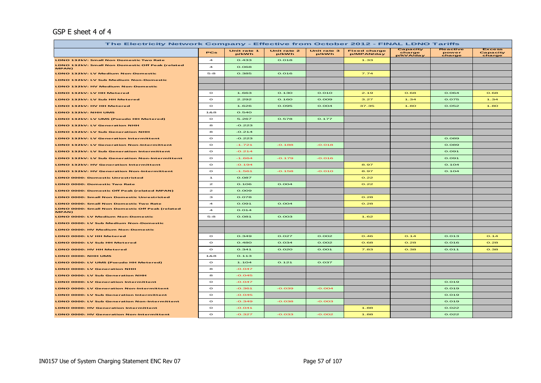## GSP E sheet 4 of 4

| The Electricity Network Company - Effective from October 2012 - FINAL LDNO Tariffs |                         |                      |                      |                      |                                   |                                 |                             |                                     |  |  |
|------------------------------------------------------------------------------------|-------------------------|----------------------|----------------------|----------------------|-----------------------------------|---------------------------------|-----------------------------|-------------------------------------|--|--|
|                                                                                    | PCs                     | Unit rate 1<br>p/kWh | Unit rate 2<br>p/kWh | Unit rate 3<br>p/kWh | <b>Fixed charge</b><br>p/MPAN/day | Capacity<br>charge<br>p/kVA/day | Reactive<br>power<br>charge | <b>Excess</b><br>Capacity<br>charge |  |  |
| <b>LDNO 132kV: Small Non Domestic Two Rate</b>                                     | $\overline{\mathbf{A}}$ | 0.433                | O.O18                |                      | 1.33                              |                                 |                             |                                     |  |  |
| LDNO 132kV: Small Non Domestic Off Peak (related<br><b>MPAN)</b>                   | $\blacktriangleleft$    | 0.068                |                      |                      |                                   |                                 |                             |                                     |  |  |
| LDNO 132kV: LV Medium Non-Domestic                                                 | $5 - 8$                 | 0.385                | 0.016                |                      | 7.74                              |                                 |                             |                                     |  |  |
| LDNO 132kV: LV Sub Medium Non-Domestic                                             |                         |                      |                      |                      |                                   |                                 |                             |                                     |  |  |
| LDNO 132kV: HV Medium Non-Domestic                                                 |                         |                      |                      |                      |                                   |                                 |                             |                                     |  |  |
| LDNO 132kV: LV HH Metered                                                          | $\circ$                 | 1.663                | 0.130                | 0.010                | 2.19                              | O.68                            | 0.064                       | 0.68                                |  |  |
| LDNO 132kV: LV Sub HH Metered                                                      | $\Omega$                | 2.292                | O.16O                | 0.009                | 3.27                              | 1.34                            | 0.075                       | 1.34                                |  |  |
| LDNO 132kV: HV HH Metered                                                          | $\Omega$                | 1.626                | 0.095                | O.004                | 37.35                             | 1.80                            | 0.052                       | 1.80                                |  |  |
| LDNO 132kV: NHH UMS                                                                | 188                     | 0.540                |                      |                      |                                   |                                 |                             |                                     |  |  |
| LDNO 132kV: LV UMS (Pseudo HH Metered)                                             | $\Omega$                | 5.267                | 0.578                | 0.177                |                                   |                                 |                             |                                     |  |  |
| <b>LDNO 132kV: LV Generation NHH</b>                                               | 8                       | $-0.223$             |                      |                      |                                   |                                 |                             |                                     |  |  |
| LDNO 132kV: LV Sub Generation NHH                                                  | 8                       | $-0.214$             |                      |                      |                                   |                                 |                             |                                     |  |  |
| LDNO 132kV: LV Generation Intermittent                                             | $\circ$                 | $-0.223$             |                      |                      |                                   |                                 | 0.089                       |                                     |  |  |
| <b>LDNO 132kV: LV Generation Non-Intermittent</b>                                  | $\circ$                 | $-1.721$             | $-0.188$             | $-0.018$             |                                   |                                 | 0.089                       |                                     |  |  |
| LDNO 132kV: LV Sub Generation Intermittent                                         | $\circ$                 | $-0.214$             |                      |                      |                                   |                                 | 0.091                       |                                     |  |  |
| LDNO 132kV: LV Sub Generation Non-Intermittent                                     | $\circ$                 | $-1.664$             | $-0.179$             | $-0.016$             |                                   |                                 | 0.091                       |                                     |  |  |
| LDNO 132kV: HV Generation Intermittent                                             | $\circ$                 | $-0.194$             |                      |                      | 8.97                              |                                 | 0.104                       |                                     |  |  |
| LDNO 132kV: HV Generation Non-Intermittent                                         | $\circ$                 | $-1.561$             | $-0.158$             | $-0.010$             | 8.97                              |                                 | 0.104                       |                                     |  |  |
| <b>LDNO 0000: Domestic Unrestricted</b>                                            | $\mathbf{1}$            | 0.087                |                      |                      | O.22                              |                                 |                             |                                     |  |  |
| <b>LDNO 0000: Domestic Two Rate</b>                                                | $\mathbf{z}$            | 0.106                | O.004                |                      | O.22                              |                                 |                             |                                     |  |  |
| LDNO 0000: Domestic Off Peak (related MPAN)                                        | $\mathbf{z}$            | 0.009                |                      |                      |                                   |                                 |                             |                                     |  |  |
| <b>LDNO 0000: Small Non Domestic Unrestricted</b>                                  | з                       | 0.078                |                      |                      | O.28                              |                                 |                             |                                     |  |  |
| <b>LDNO 0000: Small Non Domestic Two Rate</b>                                      | $\overline{\mathbf{4}}$ | O.091                | O.004                |                      | O.28                              |                                 |                             |                                     |  |  |
| LDNO 0000: Small Non Domestic Off Peak (related<br>MPAN)                           | $\overline{\mathbf{4}}$ | 0.014                |                      |                      |                                   |                                 |                             |                                     |  |  |
| LDNO 0000: LV Medium Non-Domestic                                                  | $5 - 8$                 | 0.081                | 0.003                |                      | 1.62                              |                                 |                             |                                     |  |  |
| LDNO 0000: LV Sub Medium Non-Domestic                                              |                         |                      |                      |                      |                                   |                                 |                             |                                     |  |  |
| LDNO 0000: HV Medium Non-Domestic                                                  |                         |                      |                      |                      |                                   |                                 |                             |                                     |  |  |
| LDNO 0000: LV HH Metered                                                           | $\circ$                 | 0.349                | 0.027                | 0.002                | O.46                              | O.14                            | 0.013                       | O.14                                |  |  |
| LDNO 0000: LV Sub HH Metered                                                       | $\circ$                 | 0.480                | 0.034                | 0.002                | O.68                              | O.28                            | 0.016                       | O.28                                |  |  |
| LDNO 0000: HV HH Metered                                                           | $\circ$                 | 0.341                | O.02O                | O.OO1                | 7.83                              | 0.38                            | 0.011                       | 0.38                                |  |  |
| LDNO 0000: NHH UMS                                                                 | 188                     | 0.113                |                      |                      |                                   |                                 |                             |                                     |  |  |
| LDNO 0000: LV UMS (Pseudo HH Metered)                                              | $\circ$                 | 1.104                | 0.121                | 0.037                |                                   |                                 |                             |                                     |  |  |
| <b>LDNO 0000: LV Generation NHH</b>                                                | 8                       | $-0.047$             |                      |                      |                                   |                                 |                             |                                     |  |  |
| <b>LDNO 0000: LV Sub Generation NHH</b>                                            | 8                       | $-0.045$             |                      |                      |                                   |                                 |                             |                                     |  |  |
| <b>LDNO 0000: LV Generation Intermittent</b>                                       | $\circ$                 | $-0.047$             |                      |                      |                                   |                                 | 0.019                       |                                     |  |  |
| <b>LDNO 0000: LV Generation Non-Intermittent</b>                                   | $\circ$                 | $-0.361$             | $-0.039$             | $-0.004$             |                                   |                                 | 0.019                       |                                     |  |  |
| LDNO 0000: LV Sub Generation Intermittent                                          | $\circ$                 | $-0.045$             |                      |                      |                                   |                                 | 0.019                       |                                     |  |  |
| LDNO 0000: LV Sub Generation Non-Intermittent                                      | $\circ$                 | $-0.349$             | $-0.038$             | $-0.003$             |                                   |                                 | 0.019                       |                                     |  |  |
| LDNO 0000: HV Generation Intermittent                                              | $\circ$                 | $-0.041$             |                      |                      | 1.88                              |                                 | 0.022                       |                                     |  |  |
| <b>LDNO 0000: HV Generation Non-Intermittent</b>                                   | $\circ$                 | $-0.327$             | $-0.033$             | $-0.002$             | 1.88                              |                                 | 0.022                       |                                     |  |  |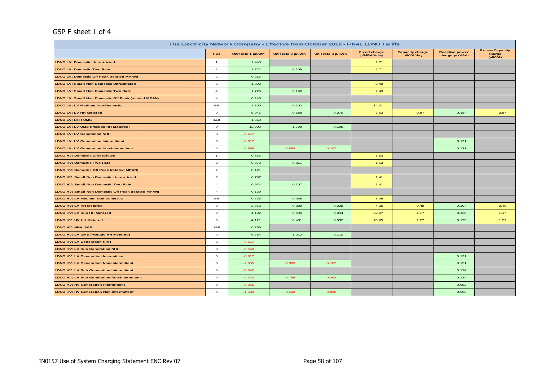## GSP F sheet 1 of 4

| The Electricity Network Company - Effective from October 2012 - FINAL LDNO Tariffs |                |                   |                   |                   |                                   |                                     |                                         |                                             |  |  |  |
|------------------------------------------------------------------------------------|----------------|-------------------|-------------------|-------------------|-----------------------------------|-------------------------------------|-----------------------------------------|---------------------------------------------|--|--|--|
|                                                                                    | PCs            | Unit rate 1 p/kWh | Unit rate 2 p/kWh | Unit rate 3 p/kWh | <b>Fixed charge</b><br>p/MPAN/day | <b>Capacity charge</b><br>p/kVA/day | <b>Reactive power</b><br>charge p/kVArh | <b>Excess Capacity</b><br>charge<br>(p/kVA) |  |  |  |
| <b>LDNO LV: Domestic Unrestricted</b>                                              | $\mathbf{1}$   | 1.445             |                   |                   | 2.71                              |                                     |                                         |                                             |  |  |  |
| <b>LDNO LV: Domestic Two Rate</b>                                                  | $\overline{2}$ | 1.722             | 0.109             |                   | 2.71                              |                                     |                                         |                                             |  |  |  |
| <b>LDNO LV: Domestic Off Peak (related MPAN)</b>                                   | $\overline{a}$ | 0.215             |                   |                   |                                   |                                     |                                         |                                             |  |  |  |
| <b>LDNO LV: Small Non Domestic Unrestricted</b>                                    | 3              | 1.392             |                   |                   | 2.49                              |                                     |                                         |                                             |  |  |  |
| <b>LDNO LV: Small Non Domestic Two Rate</b>                                        | $\overline{4}$ | 1.723             | 0.190             |                   | 2.49                              |                                     |                                         |                                             |  |  |  |
| <b>LDNO LV: Small Non Domestic Off Peak (related MPAN)</b>                         | $\overline{4}$ | 0.246             |                   |                   |                                   |                                     |                                         |                                             |  |  |  |
| <b>LDNO LV: LV Medium Non-Domestic</b>                                             | $5 - 8$        | 1.300             | 0.102             |                   | 14.31                             |                                     |                                         |                                             |  |  |  |
| <b>LDNO LV: LV HH Metered</b>                                                      | $\circ$        | 5.046             | 0.688             | 0.070             | 7.52                              | 0.87                                | 0.184                                   | 0.87                                        |  |  |  |
| <b>LDNO LV: NHH UMS</b>                                                            | 1&8            | 1.360             |                   |                   |                                   |                                     |                                         |                                             |  |  |  |
| LDNO LV: LV UMS (Pseudo HH Metered)                                                | $\circ$        | 12.003            | 1.790             | 0.195             |                                   |                                     |                                         |                                             |  |  |  |
| <b>LDNO LV: LV Generation NHH</b>                                                  | 8              | $-0.617$          |                   |                   |                                   |                                     |                                         |                                             |  |  |  |
| <b>LDNO LV: LV Generation Intermittent</b>                                         | $\circ$        | $-0.617$          |                   |                   |                                   |                                     | 0.131                                   |                                             |  |  |  |
| <b>LDNO LV: LV Generation Non-Intermittent</b>                                     | $\circ$        | $-2.655$          | $-0.893$          | $-0.107$          |                                   |                                     | 0.131                                   |                                             |  |  |  |
| <b>LDNO HV: Domestic Unrestricted</b>                                              | $\overline{1}$ | 0.816             |                   |                   | 1.53                              |                                     |                                         |                                             |  |  |  |
| <b>LDNO HV: Domestic Two Rate</b>                                                  | $\overline{a}$ | 0.973             | 0.061             |                   | 1.53                              |                                     |                                         |                                             |  |  |  |
| <b>LDNO HV: Domestic Off Peak (related MPAN)</b>                                   | $\overline{a}$ | 0.121             |                   |                   |                                   |                                     |                                         |                                             |  |  |  |
| <b>LDNO HV: Small Non Domestic Unrestricted</b>                                    | 3              | 0.787             |                   |                   | 1.41                              |                                     |                                         |                                             |  |  |  |
| <b>LDNO HV: Small Non Domestic Two Rate</b>                                        | $\overline{4}$ | 0.974             | 0.107             |                   | 1.41                              |                                     |                                         |                                             |  |  |  |
| LDNO HV: Small Non Domestic Off Peak (related MPAN)                                | $\overline{4}$ | 0.139             |                   |                   |                                   |                                     |                                         |                                             |  |  |  |
| <b>LDNO HV: LV Medium Non-Domestic</b>                                             | $5 - 8$        | 0.735             | 0.058             |                   | 8.09                              |                                     |                                         |                                             |  |  |  |
| <b>LDNO HV: LV HH Metered</b>                                                      | $\circ$        | 2.852             | 0.389             | 0.039             | 4.25                              | 0.49                                | 0.104                                   | 0.49                                        |  |  |  |
| <b>LDNO HV: LV Sub HH Metered</b>                                                  | $\circ$        | 4.192             | 0.499             | 0.044             | 22.97                             | 1.17                                | 0.138                                   | 1.17                                        |  |  |  |
| <b>LDNO HV: HV HH Metered</b>                                                      | $\circ$        | 4.121             | 0.431             | 0.032             | 70.65                             | 1.27                                | 0.125                                   | 1.27                                        |  |  |  |
| <b>LDNO HV: NHH UMS</b>                                                            | 1&8            | 0.769             |                   |                   |                                   |                                     |                                         |                                             |  |  |  |
| LDNO HV: LV UMS (Pseudo HH Metered)                                                | $\circ$        | 6.784             | 1.012             | 0.110             |                                   |                                     |                                         |                                             |  |  |  |
| <b>LDNO HV: LV Generation NHH</b>                                                  | 8              | $-0.617$          |                   |                   |                                   |                                     |                                         |                                             |  |  |  |
| <b>LDNO HV: LV Sub Generation NHH</b>                                              | 8              | $-0.540$          |                   |                   |                                   |                                     |                                         |                                             |  |  |  |
| <b>LDNO HV: LV Generation Intermittent</b>                                         | $\circ$        | $-0.617$          |                   |                   |                                   |                                     | 0.131                                   |                                             |  |  |  |
| <b>LDNO HV: LV Generation Non-Intermittent</b>                                     | $\circ$        | $-2.655$          | $-0.893$          | $-0.107$          |                                   |                                     | 0.131                                   |                                             |  |  |  |
| <b>LDNO HV: LV Sub Generation Intermittent</b>                                     | $\circ$        | $-0.540$          |                   |                   |                                   |                                     | 0.124                                   |                                             |  |  |  |
| <b>LDNO HV: LV Sub Generation Non-Intermittent</b>                                 | $\circ$        | $-2.320$          | $-0.785$          | $-0.092$          |                                   |                                     | 0.124                                   |                                             |  |  |  |
| <b>LDNO HV: HV Generation Intermittent</b>                                         | $\circ$        | $-0.355$          |                   |                   |                                   |                                     | 0.092                                   |                                             |  |  |  |
| <b>LDNO HV: HV Generation Non-Intermittent</b>                                     | $\circ$        | $-1.509$          | $-0.533$          | $-0.055$          |                                   |                                     | 0.092                                   |                                             |  |  |  |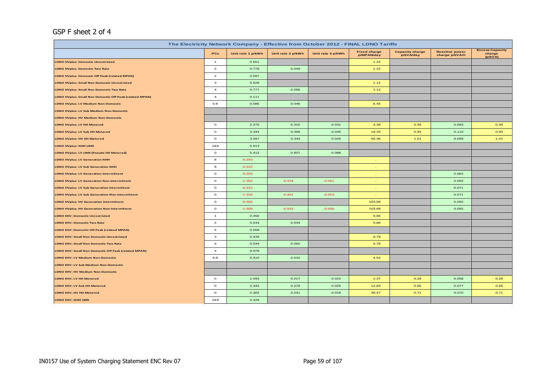## GSP F sheet 2 of 4

| The Electricity Network Company - Effective from October 2012 - FINAL LDNO Tariffs |                |                   |                   |                   |                                   |                                     |                                         |                                             |  |  |
|------------------------------------------------------------------------------------|----------------|-------------------|-------------------|-------------------|-----------------------------------|-------------------------------------|-----------------------------------------|---------------------------------------------|--|--|
|                                                                                    | PCs            | Unit rate 1 p/kWh | Unit rate 2 p/kWh | Unit rate 3 p/kWh | <b>Fixed charge</b><br>p/MPAN/day | <b>Capacity charge</b><br>p/kVA/day | <b>Reactive power</b><br>charge p/kVArh | <b>Excess Capacity</b><br>charge<br>(p/kVA) |  |  |
| <b>LDNO HVplus: Domestic Unrestricted</b>                                          | $\overline{1}$ | 0.651             |                   |                   | 1.22                              |                                     |                                         |                                             |  |  |
| <b>LDNO HVplus: Domestic Two Rate</b>                                              | $\overline{a}$ | 0.776             | 0.049             |                   | 1.22                              |                                     |                                         |                                             |  |  |
| <b>LDNO HVplus: Domestic Off Peak (related MPAN)</b>                               | $\overline{a}$ | 0.097             |                   |                   |                                   |                                     |                                         |                                             |  |  |
| <b>LDNO HVplus: Small Non Domestic Unrestricted</b>                                | 3              | 0.628             |                   |                   | 1.12                              |                                     |                                         |                                             |  |  |
| <b>LDNO HVplus: Small Non Domestic Two Rate</b>                                    | $\overline{4}$ | 0.777             | 0.086             |                   | 1.12                              |                                     |                                         |                                             |  |  |
| LDNO HVplus: Small Non Domestic Off Peak (related MPAN)                            | $\overline{4}$ | 0.111             |                   |                   |                                   |                                     |                                         |                                             |  |  |
| <b>LDNO HVplus: LV Medium Non-Domestic</b>                                         | $5 - 8$        | 0.586             | 0.046             |                   | 6.45                              |                                     |                                         |                                             |  |  |
| <b>LDNO HVplus: LV Sub Medium Non-Domestic</b>                                     |                |                   |                   |                   |                                   |                                     |                                         |                                             |  |  |
| <b>LDNO HVplus: HV Medium Non-Domestic</b>                                         |                |                   |                   |                   |                                   |                                     |                                         |                                             |  |  |
| LDNO HVplus: LV HH Metered                                                         | $\circ$        | 2.275             | 0.310             | 0.031             | 3.39                              | 0.39                                | 0.083                                   | 0.39                                        |  |  |
| LDNO HVplus: LV Sub HH Metered                                                     | $\circ$        | 3.344             | 0.398             | 0.035             | 18.33                             | 0.94                                | 0.110                                   | 0.94                                        |  |  |
| LDNO HVplus: HV HH Metered                                                         | $\circ$        | 3.287             | 0.344             | 0.026             | 56.36                             | 1.01                                | 0.099                                   | 1.01                                        |  |  |
| <b>LDNO HVplus: NHH UMS</b>                                                        | 1&8            | 0.613             |                   |                   |                                   |                                     |                                         |                                             |  |  |
| LDNO HVplus: LV UMS (Pseudo HH Metered)                                            | $\circ$        | 5.412             | 0.807             | 0.088             |                                   |                                     |                                         |                                             |  |  |
| <b>LDNO HVplus: LV Generation NHH</b>                                              | 8              | $-0.293$          |                   |                   |                                   |                                     |                                         |                                             |  |  |
| <b>LDNO HVplus: LV Sub Generation NHH</b>                                          | 8              | $-0.310$          |                   |                   |                                   |                                     |                                         |                                             |  |  |
| <b>LDNO HVplus: LV Generation Intermittent</b>                                     | $\circ$        | $-0.293$          |                   |                   |                                   |                                     | 0.062                                   |                                             |  |  |
| <b>LDNO HVplus: LV Generation Non-Intermittent</b>                                 | $\circ$        | $-1.262$          | $-0.424$          | $-0.051$          |                                   |                                     | 0.062                                   |                                             |  |  |
| <b>LDNO HVplus: LV Sub Generation Intermittent</b>                                 | $\circ$        | $-0.310$          |                   |                   |                                   |                                     | 0.071                                   |                                             |  |  |
| <b>LDNO HVplus: LV Sub Generation Non-Intermittent</b>                             | $\circ$        | $-1.333$          | $-0.451$          | $-0.053$          |                                   |                                     | 0.071                                   |                                             |  |  |
| <b>LDNO HVplus: HV Generation Intermittent</b>                                     | $\circ$        | $-0.355$          |                   |                   | 103.68                            |                                     | 0.092                                   |                                             |  |  |
| <b>LDNO HVplus: HV Generation Non-Intermittent</b>                                 | $\circ$        | $-1.509$          | $-0.533$          | $-0.055$          | 103.68                            |                                     | 0.092                                   |                                             |  |  |
| <b>LDNO EHV: Domestic Unrestricted</b>                                             | $\mathbf{1}$   | 0.456             |                   |                   | 0.86                              |                                     |                                         |                                             |  |  |
| <b>LDNO EHV: Domestic Two Rate</b>                                                 | $\overline{2}$ | 0.544             | 0.034             |                   | 0.86                              |                                     |                                         |                                             |  |  |
| LDNO EHV: Domestic Off Peak (related MPAN)                                         | $\overline{a}$ | 0.068             |                   |                   |                                   |                                     |                                         |                                             |  |  |
| <b>LDNO EHV: Small Non Domestic Unrestricted</b>                                   | 3              | 0.439             |                   |                   | 0.79                              |                                     |                                         |                                             |  |  |
| LDNO EHV: Small Non Domestic Two Rate                                              | $\overline{4}$ | 0.544             | 0.060             |                   | 0.79                              |                                     |                                         |                                             |  |  |
| LDNO EHV: Small Non Domestic Off Peak (related MPAN)                               | $\overline{4}$ | 0.078             |                   |                   |                                   |                                     |                                         |                                             |  |  |
| LDNO EHV: LV Medium Non-Domestic                                                   | $5 - 8$        | 0.410             | 0.032             |                   | 4.52                              |                                     |                                         |                                             |  |  |
| LDNO EHV: LV Sub Medium Non-Domestic                                               |                |                   |                   |                   |                                   |                                     |                                         |                                             |  |  |
| LDNO EHV: HV Medium Non-Domestic                                                   |                |                   |                   |                   |                                   |                                     |                                         |                                             |  |  |
| LDNO EHV: LV HH Metered                                                            | $\circ$        | 1.593             | 0.217             | 0.022             | 2.37                              | 0.28                                | 0.058                                   | 0.28                                        |  |  |
| LDNO EHV: LV Sub HH Metered                                                        | $\circ$        | 2.342             | 0.279             | 0.025             | 12.83                             | 0.66                                | 0.077                                   | 0.66                                        |  |  |
| LDNO EHV: HV HH Metered                                                            | $\circ$        | 2.302             | 0.241             | 0.018             | 39.47                             | 0.71                                | 0.070                                   | 0.71                                        |  |  |
| LDNO EHV: NHH UMS                                                                  | 1&8            | 0.429             |                   |                   |                                   |                                     |                                         |                                             |  |  |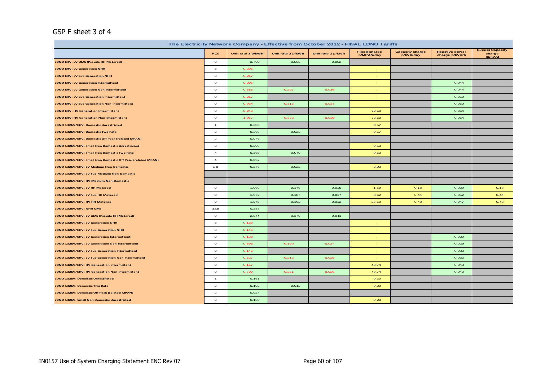## GSP F sheet 3 of 4

| The Electricity Network Company - Effective from October 2012 - FINAL LDNO Tariffs |                |                   |                   |                   |                                   |                                     |                                         |                                             |  |  |
|------------------------------------------------------------------------------------|----------------|-------------------|-------------------|-------------------|-----------------------------------|-------------------------------------|-----------------------------------------|---------------------------------------------|--|--|
|                                                                                    | PCs            | Unit rate 1 p/kWh | Unit rate 2 p/kWh | Unit rate 3 p/kWh | <b>Fixed charge</b><br>p/MPAN/day | <b>Capacity charge</b><br>p/kVA/day | <b>Reactive power</b><br>charge p/kVArh | <b>Excess Capacity</b><br>charge<br>(p/kVA) |  |  |
| LDNO EHV: LV UMS (Pseudo HH Metered)                                               | $\circ$        | 3.790             | 0.565             | 0.062             |                                   |                                     |                                         |                                             |  |  |
| <b>LDNO EHV: LV Generation NHH</b>                                                 | 8              | $-0.205$          |                   |                   |                                   |                                     |                                         |                                             |  |  |
| LDNO EHV: LV Sub Generation NHH                                                    | 8              | $-0.217$          |                   |                   |                                   |                                     |                                         |                                             |  |  |
| <b>LDNO EHV: LV Generation Intermittent</b>                                        | $\circ$        | $-0.205$          |                   |                   |                                   |                                     | 0.044                                   |                                             |  |  |
| <b>LDNO EHV: LV Generation Non-Intermittent</b>                                    | $\circ$        | $-0.883$          | $-0.297$          | $-0.036$          |                                   |                                     | 0.044                                   |                                             |  |  |
| <b>LDNO EHV: LV Sub Generation Intermittent</b>                                    | $\circ$        | $-0.217$          |                   |                   |                                   |                                     | 0.050                                   |                                             |  |  |
| <b>LDNO EHV: LV Sub Generation Non-Intermittent</b>                                | $\circ$        | $-0.934$          | $-0.316$          | $-0.037$          |                                   |                                     | 0.050                                   |                                             |  |  |
| <b>LDNO EHV: HV Generation Intermittent</b>                                        | $\circ$        | $-0.249$          |                   |                   | 72.60                             |                                     | 0.064                                   |                                             |  |  |
| <b>LDNO EHV: HV Generation Non-Intermittent</b>                                    | $\circ$        | $-1.057$          | $-0.373$          | $-0.039$          | 72.60                             |                                     | 0.064                                   |                                             |  |  |
| LDNO 132kV/EHV: Domestic Unrestricted                                              | $\mathbf{1}$   | 0.306             |                   |                   | 0.57                              |                                     |                                         |                                             |  |  |
| LDNO 132kV/EHV: Domestic Two Rate                                                  | $\overline{2}$ | 0.365             | 0.023             |                   | 0.57                              |                                     |                                         |                                             |  |  |
| LDNO 132kV/EHV: Domestic Off Peak (related MPAN)                                   | $\overline{2}$ | 0.046             |                   |                   |                                   |                                     |                                         |                                             |  |  |
| LDNO 132kV/EHV: Small Non Domestic Unrestricted                                    | 3              | 0.295             |                   |                   | 0.53                              |                                     |                                         |                                             |  |  |
| LDNO 132kV/EHV: Small Non Domestic Two Rate                                        | $\overline{4}$ | 0.365             | 0.040             |                   | 0.53                              |                                     |                                         |                                             |  |  |
| LDNO 132kV/EHV: Small Non Domestic Off Peak (related MPAN)                         | $\overline{4}$ | 0.052             |                   |                   |                                   |                                     |                                         |                                             |  |  |
| LDNO 132kV/EHV: LV Medium Non-Domestic                                             | $5 - 8$        | 0.276             | 0.022             |                   | 3.03                              |                                     |                                         |                                             |  |  |
| LDNO 132kV/EHV: LV Sub Medium Non-Domestic                                         |                |                   |                   |                   |                                   |                                     |                                         |                                             |  |  |
| LDNO 132kV/EHV: HV Medium Non-Domestic                                             |                |                   |                   |                   |                                   |                                     |                                         |                                             |  |  |
| LDNO 132kV/EHV: LV HH Metered                                                      | $\circ$        | 1.069             | 0.146             | 0.015             | 1.59                              | 0.18                                | 0.039                                   | 0.18                                        |  |  |
| LDNO 132kV/EHV: LV Sub HH Metered                                                  | $\circ$        | 1.572             | 0.187             | 0.017             | 8.62                              | 0.44                                | 0.052                                   | 0.44                                        |  |  |
| LDNO 132kV/EHV: HV HH Metered                                                      | $\circ$        | 1.545             | 0.162             | 0.012             | 26.50                             | 0.48                                | 0.047                                   | 0.48                                        |  |  |
| LDNO 132kV/EHV: NHH UMS                                                            | 1&8            | 0.288             |                   |                   |                                   |                                     |                                         |                                             |  |  |
| LDNO 132kV/EHV: LV UMS (Pseudo HH Metered)                                         | $\mathbf{o}$   | 2.544             | 0.379             | 0.041             |                                   |                                     |                                         |                                             |  |  |
| LDNO 132kV/EHV: LV Generation NHH                                                  | 8              | $-0.138$          |                   |                   |                                   |                                     |                                         |                                             |  |  |
| LDNO 132kV/EHV: LV Sub Generation NHH                                              | 8              | $-0.146$          |                   |                   |                                   |                                     |                                         |                                             |  |  |
| LDNO 132kV/EHV: LV Generation Intermittent                                         | $\circ$        | $-0.138$          |                   |                   |                                   |                                     | 0.029                                   |                                             |  |  |
| LDNO 132kV/EHV: LV Generation Non-Intermittent                                     | $\circ$        | $-0.593$          | $-0.199$          | $-0.024$          |                                   |                                     | 0.029                                   |                                             |  |  |
| LDNO 132kV/EHV: LV Sub Generation Intermittent                                     | $\circ$        | $-0.146$          |                   |                   |                                   |                                     | 0.033                                   |                                             |  |  |
| LDNO 132kV/EHV: LV Sub Generation Non-Intermittent                                 | $\circ$        | $-0.627$          | $-0.212$          | $-0.025$          |                                   |                                     | 0.033                                   |                                             |  |  |
| LDNO 132kV/EHV: HV Generation Intermittent                                         | $\circ$        | $-0.167$          |                   |                   | 48.74                             |                                     | 0.043                                   |                                             |  |  |
| LDNO 132kV/EHV: HV Generation Non-Intermittent                                     | $\circ$        | $-0.709$          | $-0.251$          | $-0.026$          | 48.74                             |                                     | 0.043                                   |                                             |  |  |
| LDNO 132kV: Domestic Unrestricted                                                  | $\mathbf{1}$   | 0.161             |                   |                   | 0.30                              |                                     |                                         |                                             |  |  |
| LDNO 132kV: Domestic Two Rate                                                      | $\overline{a}$ | 0.192             | 0.012             |                   | 0.30                              |                                     |                                         |                                             |  |  |
| LDNO 132kV: Domestic Off Peak (related MPAN)                                       | $\overline{a}$ | 0.024             |                   |                   |                                   |                                     |                                         |                                             |  |  |
| LDNO 132kV: Small Non Domestic Unrestricted                                        | 3              | 0.155             |                   |                   | 0.28                              |                                     |                                         |                                             |  |  |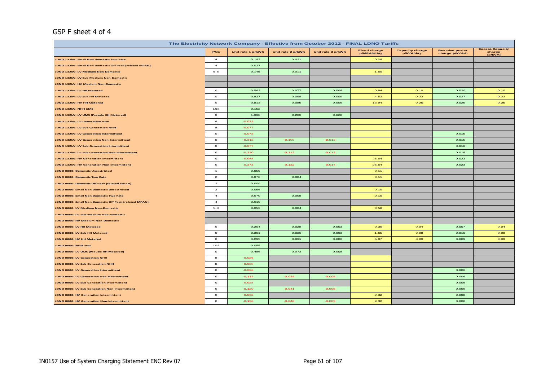## GSP F sheet 4 of 4

| The Electricity Network Company - Effective from October 2012 - FINAL LDNO Tariffs |                |                   |                   |                   |                                   |                                     |                                         |                                             |  |  |
|------------------------------------------------------------------------------------|----------------|-------------------|-------------------|-------------------|-----------------------------------|-------------------------------------|-----------------------------------------|---------------------------------------------|--|--|
|                                                                                    | PCs            | Unit rate 1 p/kWh | Unit rate 2 p/kWh | Unit rate 3 p/kWh | <b>Fixed charge</b><br>p/MPAN/day | <b>Capacity charge</b><br>p/kVA/day | <b>Reactive power</b><br>charge p/kVArh | <b>Excess Capacity</b><br>charge<br>(p/kVA) |  |  |
| LDNO 132kV: Small Non Domestic Two Rate                                            | $\overline{a}$ | 0.192             | 0.021             |                   | 0.28                              |                                     |                                         |                                             |  |  |
| LDNO 132kV: Small Non Domestic Off Peak (related MPAN)                             | $\overline{a}$ | 0.027             |                   |                   |                                   |                                     |                                         |                                             |  |  |
| LDNO 132kV: LV Medium Non-Domestic                                                 | $5-8$          | 0.145             | 0.011             |                   | 1.60                              |                                     |                                         |                                             |  |  |
| LDNO 132kV: LV Sub Medium Non-Domestic                                             |                |                   |                   |                   |                                   |                                     |                                         |                                             |  |  |
| LDNO 132kV: HV Medium Non-Domestic                                                 |                |                   |                   |                   |                                   |                                     |                                         |                                             |  |  |
| LDNO 132kV: LV HH Metered                                                          | $\circ$        | 0.563             | 0.077             | 0.008             | 0.84                              | 0.10                                | 0.020                                   | 0.10                                        |  |  |
| LDNO 132kV: LV Sub HH Metered                                                      | $\circ$        | 0.827             | 0.098             | 0.009             | 4.53                              | 0.23                                | 0.027                                   | 0.23                                        |  |  |
| LDNO 132kV: HV HH Metered                                                          | $\circ$        | 0.813             | 0.085             | 0.006             | 13.94                             | 0.25                                | 0.025                                   | 0.25                                        |  |  |
| LDNO 132kV: NHH UMS                                                                | 1&8            | 0.152             |                   |                   |                                   |                                     |                                         |                                             |  |  |
| LDNO 132kV: LV UMS (Pseudo HH Metered)                                             | $\circ$        | 1.338             | 0.200             | 0.022             |                                   |                                     |                                         |                                             |  |  |
| LDNO 132kV: LV Generation NHH                                                      | $\bf{8}$       | $-0.073$          |                   |                   |                                   |                                     |                                         |                                             |  |  |
| LDNO 132kV: LV Sub Generation NHH                                                  | $\bf{s}$       | $-0.077$          |                   |                   |                                   |                                     |                                         |                                             |  |  |
| <b>LDNO 132kV: LV Generation Intermittent</b>                                      | $\circ$        | $-0.073$          |                   |                   |                                   |                                     | 0.015                                   |                                             |  |  |
| <b>LDNO 132kV: LV Generation Non-Intermittent</b>                                  | $\circ$        | $-0.312$          | $-0.105$          | $-0.013$          |                                   |                                     | 0.015                                   |                                             |  |  |
| LDNO 132kV: LV Sub Generation Intermittent                                         | $\circ$        | $-0.077$          |                   |                   |                                   |                                     | 0.018                                   |                                             |  |  |
| <b>LDNO 132kV: LV Sub Generation Non-Intermittent</b>                              | $\circ$        | $-0.330$          | $-0.112$          | $-0.013$          |                                   |                                     | 0.018                                   |                                             |  |  |
| <b>LDNO 132kV: HV Generation Intermittent</b>                                      | $\circ$        | $-0.088$          |                   |                   | 25.64                             |                                     | 0.023                                   |                                             |  |  |
| LDNO 132kV: HV Generation Non-Intermittent                                         | $\circ$        | $-0.373$          | $-0.132$          | $-0.014$          | 25.64                             |                                     | 0.023                                   |                                             |  |  |
| <b>LDNO 0000: Domestic Unrestricted</b>                                            | $\overline{1}$ | 0.059             |                   |                   | 0.11                              |                                     |                                         |                                             |  |  |
| <b>LDNO 0000: Domestic Two Rate</b>                                                | $\overline{a}$ | 0.070             | 0.004             |                   | 0.11                              |                                     |                                         |                                             |  |  |
| LDNO 0000: Domestic Off Peak (related MPAN)                                        | $\overline{a}$ | 0.009             |                   |                   |                                   |                                     |                                         |                                             |  |  |
| <b>LDNO 0000: Small Non Domestic Unrestricted</b>                                  | $\mathbf{3}$   | 0.056             |                   |                   | 0.10                              |                                     |                                         |                                             |  |  |
| LDNO 0000: Small Non Domestic Two Rate                                             | $\overline{4}$ | 0.070             | 0.008             |                   | 0.10                              |                                     |                                         |                                             |  |  |
| LDNO 0000: Small Non Domestic Off Peak (related MPAN)                              | $\overline{4}$ | 0.010             |                   |                   |                                   |                                     |                                         |                                             |  |  |
| LDNO 0000: LV Medium Non-Domestic                                                  | $5-8$          | 0.053             | 0.004             |                   | 0.58                              |                                     |                                         |                                             |  |  |
| LDNO 0000: LV Sub Medium Non-Domestic                                              |                |                   |                   |                   |                                   |                                     |                                         |                                             |  |  |
| LDNO 0000: HV Medium Non-Domestic                                                  |                |                   |                   |                   |                                   |                                     |                                         |                                             |  |  |
| LDNO 0000: LV HH Metered                                                           | $\circ$        | 0.204             | 0.028             | 0.003             | 0.30                              | 0.04                                | 0.007                                   | 0.04                                        |  |  |
| LDNO 0000: LV Sub HH Metered                                                       | $\circ$        | 0.301             | 0.036             | 0.003             | 1.65                              | 0.08                                | 0.010                                   | 0.08                                        |  |  |
| LDNO 0000: HV HH Metered                                                           | $\circ$        | 0.295             | 0.031             | 0.002             | 5.07                              | 0.09                                | 0.009                                   | 0.09                                        |  |  |
| LDNO 0000: NHH UMS                                                                 | 1&8            | 0.055             |                   |                   |                                   |                                     |                                         |                                             |  |  |
| LDNO 0000: LV UMS (Pseudo HH Metered)                                              | $\circ$        | 0.486             | 0.073             | 0.008             |                                   |                                     |                                         |                                             |  |  |
| LDNO 0000: LV Generation NHH                                                       | $\mathbf{a}$   | $-0.026$          |                   |                   |                                   |                                     |                                         |                                             |  |  |
| LDNO 0000: LV Sub Generation NHH                                                   | $\bf{a}$       | $-0.028$          |                   |                   |                                   |                                     |                                         |                                             |  |  |
| LDNO 0000: LV Generation Intermittent                                              | $\circ$        | $-0.026$          |                   |                   |                                   |                                     | 0.006                                   |                                             |  |  |
| <b>LDNO 0000: LV Generation Non-Intermittent</b>                                   | $\circ$        | $-0.113$          | $-0.038$          | $-0.005$          |                                   |                                     | 0.006                                   |                                             |  |  |
| LDNO 0000: LV Sub Generation Intermittent                                          | $\Omega$       | $-0.028$          |                   |                   |                                   |                                     | 0.006                                   |                                             |  |  |
| LDNO 0000: LV Sub Generation Non-Intermittent                                      | $\circ$        | $-0.120$          | $-0.041$          | $-0.005$          |                                   |                                     | 0.006                                   |                                             |  |  |
| LDNO 0000: HV Generation Intermittent                                              | $\circ$        | $-0.032$          |                   |                   | 9.32                              |                                     | 0.008                                   |                                             |  |  |
| LDNO 0000: HV Generation Non-Intermittent                                          | $\circ$        | $-0.136$          | $-0.048$          | $-0.005$          | 9.32                              |                                     | 0.008                                   |                                             |  |  |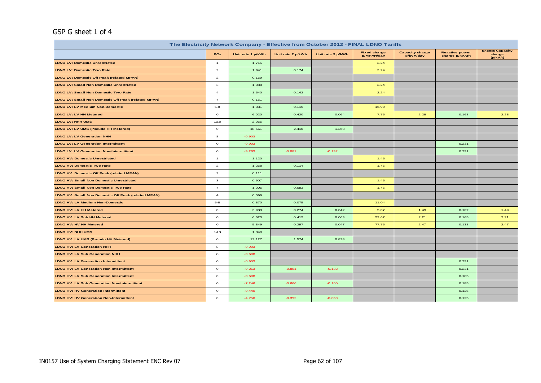## GSP G sheet 1 of 4

| The Electricity Network Company - Effective from October 2012 - FINAL LDNO Tariffs |                |                   |                   |                   |                                   |                                     |                                         |                                             |  |  |  |  |  |
|------------------------------------------------------------------------------------|----------------|-------------------|-------------------|-------------------|-----------------------------------|-------------------------------------|-----------------------------------------|---------------------------------------------|--|--|--|--|--|
|                                                                                    | PCs            | Unit rate 1 p/kWh | Unit rate 2 p/kWh | Unit rate 3 p/kWh | <b>Fixed charge</b><br>p/MPAN/day | <b>Capacity charge</b><br>p/kVA/day | <b>Reactive power</b><br>charge p/kVArh | <b>Excess Capacity</b><br>charge<br>(p/kVA) |  |  |  |  |  |
| <b>LDNO LV: Domestic Unrestricted</b>                                              | $\overline{1}$ | 1.715             |                   |                   | 2.24                              |                                     |                                         |                                             |  |  |  |  |  |
| <b>LDNO LV: Domestic Two Rate</b>                                                  | $\overline{a}$ | 1.941             | 0.174             |                   | 2.24                              |                                     |                                         |                                             |  |  |  |  |  |
| <b>LDNO LV: Domestic Off Peak (related MPAN)</b>                                   | $\overline{a}$ | 0.169             |                   |                   |                                   |                                     |                                         |                                             |  |  |  |  |  |
| <b>LDNO LV: Small Non Domestic Unrestricted</b>                                    | 3              | 1.388             |                   |                   | 2.24                              |                                     |                                         |                                             |  |  |  |  |  |
| <b>LDNO LV: Small Non Domestic Two Rate</b>                                        | $\overline{4}$ | 1.540             | 0.142             |                   | 2.24                              |                                     |                                         |                                             |  |  |  |  |  |
| <b>LDNO LV: Small Non Domestic Off Peak (related MPAN)</b>                         | $\overline{4}$ | 0.151             |                   |                   |                                   |                                     |                                         |                                             |  |  |  |  |  |
| <b>LDNO LV: LV Medium Non-Domestic</b>                                             | $5 - 8$        | 1.331             | 0.115             |                   | 16.90                             |                                     |                                         |                                             |  |  |  |  |  |
| <b>LDNO LV: LV HH Metered</b>                                                      | $\circ$        | 6.020             | 0.420             | 0.064             | 7.76                              | 2.28                                | 0.163                                   | 2.28                                        |  |  |  |  |  |
| <b>LDNO LV: NHH UMS</b>                                                            | 1&8            | 2.065             |                   |                   |                                   |                                     |                                         |                                             |  |  |  |  |  |
| LDNO LV: LV UMS (Pseudo HH Metered)                                                | $\mathbf{o}$   | 18.561            | 2.410             | 1.268             |                                   |                                     |                                         |                                             |  |  |  |  |  |
| <b>LDNO LV: LV Generation NHH</b>                                                  | 8              | $-0.903$          |                   |                   |                                   |                                     |                                         |                                             |  |  |  |  |  |
| <b>LDNO LV: LV Generation Intermittent</b>                                         | $\circ$        | $-0.903$          |                   |                   |                                   |                                     | 0.231                                   |                                             |  |  |  |  |  |
| <b>LDNO LV: LV Generation Non-Intermittent</b>                                     | $\circ$        | $-9.263$          | $-0.881$          | $-0.132$          |                                   |                                     | 0.231                                   |                                             |  |  |  |  |  |
| <b>LDNO HV: Domestic Unrestricted</b>                                              | $\overline{1}$ | 1.120             |                   |                   | 1.46                              |                                     |                                         |                                             |  |  |  |  |  |
| <b>LDNO HV: Domestic Two Rate</b>                                                  | $\overline{a}$ | 1.268             | 0.114             |                   | 1.46                              |                                     |                                         |                                             |  |  |  |  |  |
| <b>LDNO HV: Domestic Off Peak (related MPAN)</b>                                   | $\overline{a}$ | 0.111             |                   |                   |                                   |                                     |                                         |                                             |  |  |  |  |  |
| <b>LDNO HV: Small Non Domestic Unrestricted</b>                                    | 3              | 0.907             |                   |                   | 1.46                              |                                     |                                         |                                             |  |  |  |  |  |
| <b>LDNO HV: Small Non Domestic Two Rate</b>                                        | $\overline{4}$ | 1.006             | 0.093             |                   | 1.46                              |                                     |                                         |                                             |  |  |  |  |  |
| LDNO HV: Small Non Domestic Off Peak (related MPAN)                                | $\overline{4}$ | 0.099             |                   |                   |                                   |                                     |                                         |                                             |  |  |  |  |  |
| <b>LDNO HV: LV Medium Non-Domestic</b>                                             | $5 - 8$        | 0.870             | 0.075             |                   | 11.04                             |                                     |                                         |                                             |  |  |  |  |  |
| <b>LDNO HV: LV HH Metered</b>                                                      | $\circ$        | 3.933             | 0.274             | 0.042             | 5.07                              | 1.49                                | 0.107                                   | 1.49                                        |  |  |  |  |  |
| <b>LDNO HV: LV Sub HH Metered</b>                                                  | $\circ$        | 6.523             | 0.412             | 0.063             | 22.67                             | 2.21                                | 0.165                                   | 2.21                                        |  |  |  |  |  |
| <b>LDNO HV: HV HH Metered</b>                                                      | $\circ$        | 5.849             | 0.297             | 0.047             | 77.76                             | 2.47                                | 0.133                                   | 2.47                                        |  |  |  |  |  |
| <b>LDNO HV: NHH UMS</b>                                                            | 1&8            | 1.349             |                   |                   |                                   |                                     |                                         |                                             |  |  |  |  |  |
| LDNO HV: LV UMS (Pseudo HH Metered)                                                | $\circ$        | 12.127            | 1.574             | 0.828             |                                   |                                     |                                         |                                             |  |  |  |  |  |
| <b>LDNO HV: LV Generation NHH</b>                                                  | 8              | $-0.903$          |                   |                   |                                   |                                     |                                         |                                             |  |  |  |  |  |
| <b>LDNO HV: LV Sub Generation NHH</b>                                              | 8              | $-0.698$          |                   |                   |                                   |                                     |                                         |                                             |  |  |  |  |  |
| <b>LDNO HV: LV Generation Intermittent</b>                                         | $\circ$        | $-0.903$          |                   |                   |                                   |                                     | 0.231                                   |                                             |  |  |  |  |  |
| <b>LDNO HV: LV Generation Non-Intermittent</b>                                     | $\circ$        | $-9.263$          | $-0.881$          | $-0.132$          |                                   |                                     | 0.231                                   |                                             |  |  |  |  |  |
| <b>LDNO HV: LV Sub Generation Intermittent</b>                                     | $\circ$        | $-0.698$          |                   |                   |                                   |                                     | 0.185                                   |                                             |  |  |  |  |  |
| <b>LDNO HV: LV Sub Generation Non-Intermittent</b>                                 | $\circ$        | $-7.246$          | $-0.666$          | $-0.100$          |                                   |                                     | 0.185                                   |                                             |  |  |  |  |  |
| <b>LDNO HV: HV Generation Intermittent</b>                                         | $\circ$        | $-0.440$          |                   |                   |                                   |                                     | 0.125                                   |                                             |  |  |  |  |  |
| <b>LDNO HV: HV Generation Non-Intermittent</b>                                     | $\circ$        | $-4.750$          | $-0.392$          | $-0.060$          |                                   |                                     | 0.125                                   |                                             |  |  |  |  |  |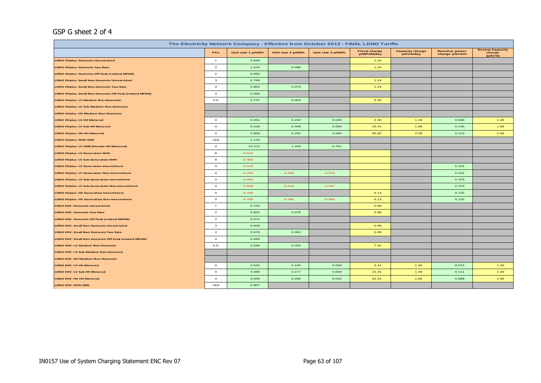## GSP G sheet 2 of 4

| The Electricity Network Company - Effective from October 2012 - FINAL LDNO Tariffs |                |                   |                   |                   |                                   |                                     |                                         |                                             |  |  |  |  |  |
|------------------------------------------------------------------------------------|----------------|-------------------|-------------------|-------------------|-----------------------------------|-------------------------------------|-----------------------------------------|---------------------------------------------|--|--|--|--|--|
|                                                                                    | PCs            | Unit rate 1 p/kWh | Unit rate 2 p/kWh | Unit rate 3 p/kWh | <b>Fixed charge</b><br>p/MPAN/day | <b>Capacity charge</b><br>p/kVA/day | <b>Reactive power</b><br>charge p/kVArh | <b>Excess Capacity</b><br>charge<br>(p/kVA) |  |  |  |  |  |
| <b>LDNO HVplus: Domestic Unrestricted</b>                                          | $\mathbf{1}$   | 0.949             |                   |                   | 1.24                              |                                     |                                         |                                             |  |  |  |  |  |
| <b>LDNO HVplus: Domestic Two Rate</b>                                              | $\overline{a}$ | 1.074             | 0.096             |                   | 1.24                              |                                     |                                         |                                             |  |  |  |  |  |
| LDNO HVplus: Domestic Off Peak (related MPAN)                                      | $\overline{a}$ | 0.094             |                   |                   |                                   |                                     |                                         |                                             |  |  |  |  |  |
| <b>LDNO HVplus: Small Non Domestic Unrestricted</b>                                | $\mathbf{3}$   | 0.768             |                   |                   | 1.24                              |                                     |                                         |                                             |  |  |  |  |  |
| <b>LDNO HVplus: Small Non Domestic Two Rate</b>                                    | $\overline{a}$ | 0.852             | 0.079             |                   | 1.24                              |                                     |                                         |                                             |  |  |  |  |  |
| LDNO HVplus: Small Non Domestic Off Peak (related MPAN)                            | $\overline{4}$ | 0.084             |                   |                   |                                   |                                     |                                         |                                             |  |  |  |  |  |
| <b>LDNO HVplus: LV Medium Non-Domestic</b>                                         | $5 - 8$        | 0.737             | 0.063             |                   | 9.35                              |                                     |                                         |                                             |  |  |  |  |  |
| LDNO HVplus: LV Sub Medium Non-Domestic                                            |                |                   |                   |                   |                                   |                                     |                                         |                                             |  |  |  |  |  |
| <b>LDNO HVplus: HV Medium Non-Domestic</b>                                         |                |                   |                   |                   |                                   |                                     |                                         |                                             |  |  |  |  |  |
| LDNO HVplus: LV HH Metered                                                         | $\circ$        | 3.331             | 0.232             | 0.035             | 4.30                              | 1.26                                | 0.090                                   | 1.26                                        |  |  |  |  |  |
| LDNO HVplus: LV Sub HH Metered                                                     | $\circ$        | 5.528             | 0.349             | 0.054             | 19.21                             | 1.88                                | 0.140                                   | 1.88                                        |  |  |  |  |  |
| LDNO HVplus: HV HH Metered                                                         | $\circ$        | 4.959             | 0.252             | 0.040             | 65.92                             | 2.09                                | 0.113                                   | 2.09                                        |  |  |  |  |  |
| <b>LDNO HVplus: NHH UMS</b>                                                        | 188            | 1.143             |                   |                   |                                   |                                     |                                         |                                             |  |  |  |  |  |
| LDNO HVplus: LV UMS (Pseudo HH Metered)                                            | $\circ$        | 10.271            | 1.333             | 0.701             |                                   |                                     |                                         |                                             |  |  |  |  |  |
| <b>LDNO HVplus: LV Generation NHH</b>                                              | 8              | $-0.515$          |                   |                   |                                   |                                     |                                         |                                             |  |  |  |  |  |
| <b>LDNO HVplus: LV Sub Generation NHH</b>                                          | 8              | $-0.465$          |                   |                   |                                   |                                     |                                         |                                             |  |  |  |  |  |
| <b>LDNO HVplus: LV Generation Intermittent</b>                                     | $\circ$        | $-0.515$          |                   |                   |                                   |                                     | 0.132                                   |                                             |  |  |  |  |  |
| <b>LDNO HVplus: LV Generation Non-Intermittent</b>                                 | $\circ$        | $-5.283$          | $-0.502$          | $-0.075$          |                                   |                                     | 0.132                                   |                                             |  |  |  |  |  |
| <b>LDNO HVplus: LV Sub Generation Intermittent</b>                                 | $\circ$        | $-0.465$          |                   |                   |                                   |                                     | 0.123                                   |                                             |  |  |  |  |  |
| LDNO HVplus: LV Sub Generation Non-Intermittent                                    | $\circ$        | $-4.828$          | $-0.444$          | $-0.067$          |                                   |                                     | 0.123                                   |                                             |  |  |  |  |  |
| <b>LDNO HVplus: HV Generation Intermittent</b>                                     | $\circ$        | $-0.440$          |                   |                   | 6.13                              |                                     | 0.125                                   |                                             |  |  |  |  |  |
| <b>LDNO HVplus: HV Generation Non-Intermittent</b>                                 | $\circ$        | $-4.750$          | $-0.392$          | $-0.060$          | 6.13                              |                                     | 0.125                                   |                                             |  |  |  |  |  |
| <b>LDNO EHV: Domestic Unrestricted</b>                                             | $\mathbf{1}$   | 0.753             |                   |                   | 0.98                              |                                     |                                         |                                             |  |  |  |  |  |
| <b>LDNO EHV: Domestic Two Rate</b>                                                 | $\overline{a}$ | 0.852             | 0.076             |                   | 0.98                              |                                     |                                         |                                             |  |  |  |  |  |
| LDNO EHV: Domestic Off Peak (related MPAN)                                         | $\overline{a}$ | 0.074             |                   |                   |                                   |                                     |                                         |                                             |  |  |  |  |  |
| <b>LDNO EHV: Small Non Domestic Unrestricted</b>                                   | 3              | 0.609             |                   |                   | 0.98                              |                                     |                                         |                                             |  |  |  |  |  |
| LDNO EHV: Small Non Domestic Two Rate                                              | $\overline{a}$ | 0.676             | 0.063             |                   | 0.98                              |                                     |                                         |                                             |  |  |  |  |  |
| LDNO EHV: Small Non Domestic Off Peak (related MPAN)                               | $\overline{a}$ | 0.066             |                   |                   |                                   |                                     |                                         |                                             |  |  |  |  |  |
| LDNO EHV: LV Medium Non-Domestic                                                   | $5 - 8$        | 0.584             | 0.050             |                   | 7.42                              |                                     |                                         |                                             |  |  |  |  |  |
| LDNO EHV: LV Sub Medium Non-Domestic                                               |                |                   |                   |                   |                                   |                                     |                                         |                                             |  |  |  |  |  |
| LDNO EHV: HV Medium Non-Domestic                                                   |                |                   |                   |                   |                                   |                                     |                                         |                                             |  |  |  |  |  |
| LDNO EHV: LV HH Metered                                                            | $\circ$        | 2.643             | 0.184             | 0.028             | 3.41                              | 1.00                                | 0.072                                   | 1.00                                        |  |  |  |  |  |
| LDNO EHV: LV Sub HH Metered                                                        | $\circ$        | 4.386             | 0.277             | 0.043             | 15.25                             | 1.49                                | 0.111                                   | 1.49                                        |  |  |  |  |  |
| LDNO EHV: HV HH Metered                                                            | $\circ$        | 3.935             | 0.200             | 0.032             | 52.31                             | 1.66                                | 0.089                                   | 1.66                                        |  |  |  |  |  |
| LDNO EHV: NHH UMS                                                                  | 1&8            | 0.907             |                   |                   |                                   |                                     |                                         |                                             |  |  |  |  |  |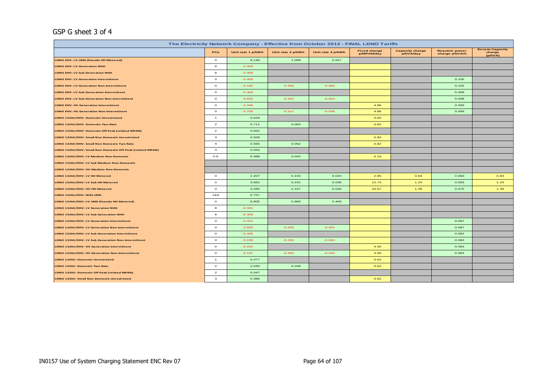## GSP G sheet 3 of 4

| The Electricity Network Company - Effective from October 2012 - FINAL LDNO Tariffs<br><b>Excess Capacity</b> |                |                   |                                                                                                                                                               |          |       |      |       |                   |  |  |  |  |  |
|--------------------------------------------------------------------------------------------------------------|----------------|-------------------|---------------------------------------------------------------------------------------------------------------------------------------------------------------|----------|-------|------|-------|-------------------|--|--|--|--|--|
|                                                                                                              | PCs            | Unit rate 1 p/kWh | <b>Capacity charge</b><br><b>Reactive power</b><br><b>Fixed charge</b><br>Unit rate 2 p/kWh<br>Unit rate 3 p/kWh<br>p/MPAN/day<br>p/kVA/day<br>charge p/kVArh |          |       |      |       |                   |  |  |  |  |  |
| LDNO EHV: LV UMS (Pseudo HH Metered)                                                                         | $\circ$        | 8.149             | 1.058                                                                                                                                                         | 0.557    |       |      |       | charge<br>(p/kVA) |  |  |  |  |  |
| <b>LDNO EHV: LV Generation NHH</b>                                                                           | 8              | $-0.409$          |                                                                                                                                                               |          |       |      |       |                   |  |  |  |  |  |
| <b>LDNO EHV: LV Sub Generation NHH</b>                                                                       | 8              | $-0.369$          |                                                                                                                                                               |          |       |      |       |                   |  |  |  |  |  |
| <b>LDNO EHV: LV Generation Intermittent</b>                                                                  | $\circ$        | $-0.409$          |                                                                                                                                                               |          |       |      | 0.105 |                   |  |  |  |  |  |
| <b>LDNO EHV: LV Generation Non-Intermittent</b>                                                              | $\circ$        | $-4.192$          | $-0.399$                                                                                                                                                      | $-0.060$ |       |      | 0.105 |                   |  |  |  |  |  |
| LDNO EHV: LV Sub Generation Intermittent                                                                     | $\circ$        | $-0.369$          |                                                                                                                                                               |          |       |      | 0.098 |                   |  |  |  |  |  |
| <b>LDNO EHV: LV Sub Generation Non-Intermittent</b>                                                          | $\circ$        | $-3.831$          | $-0.352$                                                                                                                                                      | $-0.053$ |       |      | 0.098 |                   |  |  |  |  |  |
| <b>LDNO EHV: HV Generation Intermittent</b>                                                                  | $\circ$        | $-0.349$          |                                                                                                                                                               |          | 4.86  |      | 0.099 |                   |  |  |  |  |  |
| <b>LDNO EHV: HV Generation Non-Intermittent</b>                                                              | $\circ$        | $-3.769$          | $-0.311$                                                                                                                                                      | $-0.048$ | 4.86  |      | 0.099 |                   |  |  |  |  |  |
| LDNO 132kV/EHV: Domestic Unrestricted                                                                        | $\mathbf{1}$   | 0.629             |                                                                                                                                                               |          | 0.82  |      |       |                   |  |  |  |  |  |
| LDNO 132kV/EHV: Domestic Two Rate                                                                            | $\overline{a}$ | 0.711             | 0.064                                                                                                                                                         |          | 0.82  |      |       |                   |  |  |  |  |  |
| LDNO 132kV/EHV: Domestic Off Peak (related MPAN)                                                             | $\overline{a}$ | 0.062             |                                                                                                                                                               |          |       |      |       |                   |  |  |  |  |  |
| LDNO 132kV/EHV: Small Non Domestic Unrestricted                                                              | $\mathbf{3}$   | 0.509             |                                                                                                                                                               |          | 0.82  |      |       |                   |  |  |  |  |  |
| LDNO 132kV/EHV: Small Non Domestic Two Rate                                                                  | $\overline{a}$ | 0.565             | 0.052                                                                                                                                                         |          | 0.82  |      |       |                   |  |  |  |  |  |
| LDNO 132kV/EHV: Small Non Domestic Off Peak (related MPAN)                                                   | $\overline{a}$ | 0.055             |                                                                                                                                                               |          |       |      |       |                   |  |  |  |  |  |
| LDNO 132kV/EHV: LV Medium Non-Domestic                                                                       | $5 - 8$        | 0.488             | 0.042                                                                                                                                                         |          | 6.19  |      |       |                   |  |  |  |  |  |
| LDNO 132kV/EHV: LV Sub Medium Non-Domestic                                                                   |                |                   |                                                                                                                                                               |          |       |      |       |                   |  |  |  |  |  |
| LDNO 132kV/EHV: HV Medium Non-Domestic                                                                       |                |                   |                                                                                                                                                               |          |       |      |       |                   |  |  |  |  |  |
| LDNO 132kV/EHV: LV HH Metered                                                                                | $\circ$        | 2.207             | 0.154                                                                                                                                                         | 0.024    | 2.85  | 0.84 | 0.060 | 0.84              |  |  |  |  |  |
| LDNO 132kV/EHV: LV Sub HH Metered                                                                            | $\circ$        | 3.662             | 0.231                                                                                                                                                         | 0.036    | 12.73 | 1.24 | 0.093 | 1.24              |  |  |  |  |  |
| LDNO 132kV/EHV: HV HH Metered                                                                                | $\circ$        | 3.285             | 0.167                                                                                                                                                         | 0.026    | 43.67 | 1.39 | 0.075 | 1.39              |  |  |  |  |  |
| LDNO 132kV/EHV: NHH UMS                                                                                      | 1&8            | 0.757             |                                                                                                                                                               |          |       |      |       |                   |  |  |  |  |  |
| LDNO 132kV/EHV: LV UMS (Pseudo HH Metered)                                                                   | $\circ$        | 6.805             | 0.883                                                                                                                                                         | 0.465    |       |      |       |                   |  |  |  |  |  |
| LDNO 132kV/EHV: LV Generation NHH                                                                            | 8              | $-0.341$          |                                                                                                                                                               |          |       |      |       |                   |  |  |  |  |  |
| LDNO 132kV/EHV: LV Sub Generation NHH                                                                        | 8              | $-0.308$          |                                                                                                                                                               |          |       |      |       |                   |  |  |  |  |  |
| LDNO 132kV/EHV: LV Generation Intermittent                                                                   | $\circ$        | $-0.341$          |                                                                                                                                                               |          |       |      | 0.087 |                   |  |  |  |  |  |
| LDNO 132kV/EHV: LV Generation Non-Intermittent                                                               | $\circ$        | $-3.500$          | $-0.333$                                                                                                                                                      | $-0.050$ |       |      | 0.087 |                   |  |  |  |  |  |
| LDNO 132kV/EHV: LV Sub Generation Intermittent                                                               | $\circ$        | $-0.308$          |                                                                                                                                                               |          |       |      | 0.082 |                   |  |  |  |  |  |
| LDNO 132kV/EHV: LV Sub Generation Non-Intermittent                                                           | $\circ$        | $-3.199$          | $-0.294$                                                                                                                                                      | $-0.044$ |       |      | 0.082 |                   |  |  |  |  |  |
| LDNO 132kV/EHV: HV Generation Intermittent                                                                   | $\circ$        | $-0.292$          |                                                                                                                                                               |          | 4.06  |      | 0.083 |                   |  |  |  |  |  |
| LDNO 132kV/EHV: HV Generation Non-Intermittent                                                               | $\circ$        | $-3.147$          | $-0.260$                                                                                                                                                      | $-0.040$ | 4.06  |      | 0.083 |                   |  |  |  |  |  |
| <b>LDNO 132kV: Domestic Unrestricted</b>                                                                     | $\mathbf{1}$   | 0.477             |                                                                                                                                                               |          | 0.62  |      |       |                   |  |  |  |  |  |
| LDNO 132kV: Domestic Two Rate                                                                                | $\overline{a}$ | 0.540             | 0.048                                                                                                                                                         |          | 0.62  |      |       |                   |  |  |  |  |  |
| LDNO 132kV: Domestic Off Peak (related MPAN)                                                                 | $\overline{a}$ | 0.047             |                                                                                                                                                               |          |       |      |       |                   |  |  |  |  |  |
| LDNO 132kV: Small Non Domestic Unrestricted                                                                  | $\mathbf{3}$   | 0.386             |                                                                                                                                                               |          | 0.62  |      |       |                   |  |  |  |  |  |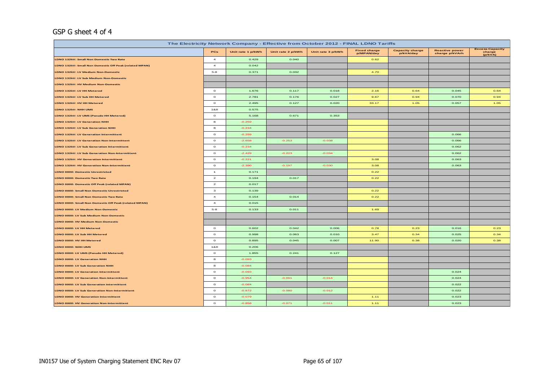## GSP G sheet 4 of 4

| The Electricity Network Company - Effective from October 2012 - FINAL LDNO Tariffs |                         |                   |                   |                   |                                   |                                     |                                         |                                             |  |  |  |  |
|------------------------------------------------------------------------------------|-------------------------|-------------------|-------------------|-------------------|-----------------------------------|-------------------------------------|-----------------------------------------|---------------------------------------------|--|--|--|--|
|                                                                                    | PCs                     | Unit rate 1 p/kWh | Unit rate 2 p/kWh | Unit rate 3 p/kWh | <b>Fixed charge</b><br>p/MPAN/day | <b>Capacity charge</b><br>p/kVA/day | <b>Reactive power</b><br>charge p/kVArh | <b>Excess Capacity</b><br>charge<br>(p/kVA) |  |  |  |  |
| LDNO 132kV: Small Non Domestic Two Rate                                            | $\overline{4}$          | 0.429             | 0.040             |                   | 0.62                              |                                     |                                         |                                             |  |  |  |  |
| LDNO 132kV: Small Non Domestic Off Peak (related MPAN)                             | $\overline{a}$          | 0.042             |                   |                   |                                   |                                     |                                         |                                             |  |  |  |  |
| LDNO 132kV: LV Medium Non-Domestic                                                 | $5 - 8$                 | 0.371             | 0.032             |                   | 4.70                              |                                     |                                         |                                             |  |  |  |  |
| LDNO 132kV: LV Sub Medium Non-Domestic                                             |                         |                   |                   |                   |                                   |                                     |                                         |                                             |  |  |  |  |
| LDNO 132kV: HV Medium Non-Domestic                                                 |                         |                   |                   |                   |                                   |                                     |                                         |                                             |  |  |  |  |
| LDNO 132kV: LV HH Metered                                                          | $\circ$                 | 1.676             | 0.117             | 0.018             | 2.16                              | 0.64                                | 0.045                                   | 0.64                                        |  |  |  |  |
| LDNO 132kV: LV Sub HH Metered                                                      | $\circ$                 | 2.781             | 0.176             | 0.027             | 9.67                              | 0.94                                | 0.070                                   | 0.94                                        |  |  |  |  |
| LDNO 132kV: HV HH Metered                                                          | $\circ$                 | 2.495             | 0.127             | 0.020             | 33.17                             | 1.05                                | 0.057                                   | 1.05                                        |  |  |  |  |
| LDNO 132kV: NHH UMS                                                                | 1&8                     | 0.575             |                   |                   |                                   |                                     |                                         |                                             |  |  |  |  |
| LDNO 132kV: LV UMS (Pseudo HH Metered)                                             | $\circ$                 | 5.168             | 0.671             | 0.353             |                                   |                                     |                                         |                                             |  |  |  |  |
| LDNO 132kV: LV Generation NHH                                                      | 8                       | $-0.259$          |                   |                   |                                   |                                     |                                         |                                             |  |  |  |  |
| LDNO 132kV: LV Sub Generation NHH                                                  | 8                       | $-0.234$          |                   |                   |                                   |                                     |                                         |                                             |  |  |  |  |
| LDNO 132kV: LV Generation Intermittent                                             | $\circ$                 | $-0.259$          |                   |                   |                                   |                                     | 0.066                                   |                                             |  |  |  |  |
| LDNO 132kV: LV Generation Non-Intermittent                                         | $\circ$                 | $-2.658$          | $-0.253$          | $-0.038$          |                                   |                                     | 0.066                                   |                                             |  |  |  |  |
| LDNO 132kV: LV Sub Generation Intermittent                                         | $\circ$                 | $-0.234$          |                   |                   |                                   |                                     | 0.062                                   |                                             |  |  |  |  |
| LDNO 132kV: LV Sub Generation Non-Intermittent                                     | $\circ$                 | $-2.429$          | $-0.223$          | $-0.034$          |                                   |                                     | 0.062                                   |                                             |  |  |  |  |
| <b>LDNO 132kV: HV Generation Intermittent</b>                                      | $\circ$                 | $-0.221$          |                   |                   | 3.08                              |                                     | 0.063                                   |                                             |  |  |  |  |
| LDNO 132kV: HV Generation Non-Intermittent                                         | $\circ$                 | $-2.390$          | $-0.197$          | $-0.030$          | 3.08                              |                                     | 0.063                                   |                                             |  |  |  |  |
| <b>LDNO 0000: Domestic Unrestricted</b>                                            | $\mathbf{1}$            | 0.171             |                   |                   | 0.22                              |                                     |                                         |                                             |  |  |  |  |
| LDNO 0000: Domestic Two Rate                                                       | $\overline{\mathbf{z}}$ | 0.194             | 0.017             |                   | 0.22                              |                                     |                                         |                                             |  |  |  |  |
| LDNO 0000: Domestic Off Peak (related MPAN)                                        | $\overline{a}$          | 0.017             |                   |                   |                                   |                                     |                                         |                                             |  |  |  |  |
| LDNO 0000: Small Non Domestic Unrestricted                                         | $\mathbf{3}$            | 0.139             |                   |                   | 0.22                              |                                     |                                         |                                             |  |  |  |  |
| LDNO 0000: Small Non Domestic Two Rate                                             | $\overline{a}$          | 0.154             | 0.014             |                   | 0.22                              |                                     |                                         |                                             |  |  |  |  |
| LDNO 0000: Small Non Domestic Off Peak (related MPAN)                              | $\overline{a}$          | 0.015             |                   |                   |                                   |                                     |                                         |                                             |  |  |  |  |
| LDNO 0000: LV Medium Non-Domestic                                                  | $5 - 8$                 | 0.133             | 0.011             |                   | 1.69                              |                                     |                                         |                                             |  |  |  |  |
| LDNO 0000: LV Sub Medium Non-Domestic                                              |                         |                   |                   |                   |                                   |                                     |                                         |                                             |  |  |  |  |
| LDNO 0000: HV Medium Non-Domestic                                                  |                         |                   |                   |                   |                                   |                                     |                                         |                                             |  |  |  |  |
| LDNO 0000: LV HH Metered                                                           | $\circ$                 | 0.602             | 0.042             | 0.006             | 0.78                              | 0.23                                | 0.016                                   | 0.23                                        |  |  |  |  |
| LDNO 0000: LV Sub HH Metered                                                       | $\circ$                 | 0.998             | 0.063             | 0.010             | 3.47                              | 0.34                                | 0.025                                   | 0.34                                        |  |  |  |  |
| LDNO 0000: HV HH Metered                                                           | $\circ$                 | 0.895             | 0.045             | 0.007             | 11.90                             | 0.38                                | 0.020                                   | 0.38                                        |  |  |  |  |
| LDNO 0000: NHH UMS                                                                 | 1&8                     | 0.206             |                   |                   |                                   |                                     |                                         |                                             |  |  |  |  |
| LDNO 0000: LV UMS (Pseudo HH Metered)                                              | $\circ$                 | 1.855             | 0.241             | 0.127             |                                   |                                     |                                         |                                             |  |  |  |  |
| LDNO 0000: LV Generation NHH                                                       | $\bf{8}$                | $-0.093$          |                   |                   |                                   |                                     |                                         |                                             |  |  |  |  |
| LDNO 0000: LV Sub Generation NHH                                                   | 8                       | $-0.084$          |                   |                   |                                   |                                     |                                         |                                             |  |  |  |  |
| <b>LDNO 0000: LV Generation Intermittent</b>                                       | $\circ$                 | $-0.093$          |                   |                   |                                   |                                     | 0.024                                   |                                             |  |  |  |  |
| <b>LDNO 0000: LV Generation Non-Intermittent</b>                                   | $\circ$                 | $-0.954$          | $-0.091$          | $-0.014$          |                                   |                                     | 0.024                                   |                                             |  |  |  |  |
| LDNO 0000: LV Sub Generation Intermittent                                          | $\circ$                 | $-0.084$          |                   |                   |                                   |                                     | 0.022                                   |                                             |  |  |  |  |
| LDNO 0000: LV Sub Generation Non-Intermittent                                      | $\circ$                 | $-0.872$          | $-0.080$          | $-0.012$          |                                   |                                     | 0.022                                   |                                             |  |  |  |  |
| LDNO 0000: HV Generation Intermittent                                              | $\circ$                 | $-0.079$          |                   |                   | 1.11                              |                                     | 0.023                                   |                                             |  |  |  |  |
| LDNO 0000: HV Generation Non-Intermittent                                          | $\circ$                 | $-0.858$          | $-0.071$          | $-0.011$          | 1.11                              |                                     | 0.023                                   |                                             |  |  |  |  |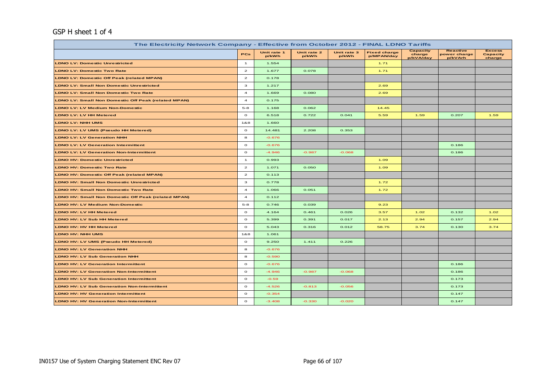## GSP H sheet 1 of 4

| The Electricity Network Company - Effective from October 2012 - FINAL LDNO Tariffs |                         |                      |                      |                      |                                   |                                 |                                            |                                     |  |  |  |
|------------------------------------------------------------------------------------|-------------------------|----------------------|----------------------|----------------------|-----------------------------------|---------------------------------|--------------------------------------------|-------------------------------------|--|--|--|
|                                                                                    | <b>PCs</b>              | Unit rate 1<br>p/kWh | Unit rate 2<br>p/kWh | Unit rate 3<br>p/kWh | <b>Fixed charge</b><br>p/MPAN/day | Capacity<br>charge<br>p/kVA/day | <b>Reactive</b><br>power charge<br>p/kVArh | <b>Excess</b><br>Capacity<br>charge |  |  |  |
| <b>LDNO LV: Domestic Unrestricted</b>                                              | $\mathbf{1}$            | 1.554                |                      |                      | 1.71                              |                                 |                                            |                                     |  |  |  |
| <b>LDNO LV: Domestic Two Rate</b>                                                  | $\overline{2}$          | 1.677                | 0.078                |                      | 1.71                              |                                 |                                            |                                     |  |  |  |
| LDNO LV: Domestic Off Peak (related MPAN)                                          | $\mathbf{z}$            | 0.178                |                      |                      |                                   |                                 |                                            |                                     |  |  |  |
| <b>LDNO LV: Small Non Domestic Unrestricted</b>                                    | з                       | 1.217                |                      |                      | 2.69                              |                                 |                                            |                                     |  |  |  |
| <b>LDNO LV: Small Non Domestic Two Rate</b>                                        | $\overline{4}$          | 1.669                | 0.080                |                      | 2.69                              |                                 |                                            |                                     |  |  |  |
| LDNO LV: Small Non Domestic Off Peak (related MPAN)                                | $\overline{\mathbf{4}}$ | 0.175                |                      |                      |                                   |                                 |                                            |                                     |  |  |  |
| <b>LDNO LV: LV Medium Non-Domestic</b>                                             | $5 - 8$                 | 1.168                | 0.062                |                      | 14.45                             |                                 |                                            |                                     |  |  |  |
| <b>LDNO LV: LV HH Metered</b>                                                      | $\circ$                 | 6.518                | 0.722                | 0.041                | 5.59                              | 1.59                            | 0.207                                      | 1.59                                |  |  |  |
| <b>LDNO LV: NHH UMS</b>                                                            | 1&8                     | 1.660                |                      |                      |                                   |                                 |                                            |                                     |  |  |  |
| LDNO LV: LV UMS (Pseudo HH Metered)                                                | $\circ$                 | 14.481               | 2.208                | 0.353                |                                   |                                 |                                            |                                     |  |  |  |
| <b>LDNO LV: LV Generation NHH</b>                                                  | 8                       | $-0.676$             |                      |                      |                                   |                                 |                                            |                                     |  |  |  |
| <b>LDNO LV: LV Generation Intermittent</b>                                         | $\circ$                 | $-0.676$             |                      |                      |                                   |                                 | 0.186                                      |                                     |  |  |  |
| <b>LDNO LV: LV Generation Non-Intermittent</b>                                     | $\circ$                 | $-4.946$             | $-0.987$             | $-0.068$             |                                   |                                 | 0.186                                      |                                     |  |  |  |
| <b>LDNO HV: Domestic Unrestricted</b>                                              | $\mathbf{1}$            | 0.993                |                      |                      | 1.09                              |                                 |                                            |                                     |  |  |  |
| <b>LDNO HV: Domestic Two Rate</b>                                                  | $\mathbf{z}$            | 1.071                | 0.050                |                      | 1.09                              |                                 |                                            |                                     |  |  |  |
| <b>LDNO HV: Domestic Off Peak (related MPAN)</b>                                   | $\overline{2}$          | 0.113                |                      |                      |                                   |                                 |                                            |                                     |  |  |  |
| LDNO HV: Small Non Domestic Unrestricted                                           | з                       | 0.778                |                      |                      | 1.72                              |                                 |                                            |                                     |  |  |  |
| <b>LDNO HV: Small Non Domestic Two Rate</b>                                        | $\overline{4}$          | 1.066                | 0.051                |                      | 1.72                              |                                 |                                            |                                     |  |  |  |
| LDNO HV: Small Non Domestic Off Peak (related MPAN)                                | $\overline{a}$          | 0.112                |                      |                      |                                   |                                 |                                            |                                     |  |  |  |
| <b>LDNO HV: LV Medium Non-Domestic</b>                                             | $5 - 8$                 | 0.746                | 0.039                |                      | 9.23                              |                                 |                                            |                                     |  |  |  |
| <b>LDNO HV: LV HH Metered</b>                                                      | $\circ$                 | 4.164                | 0.461                | 0.026                | 3.57                              | 1.02                            | 0.132                                      | 1.02                                |  |  |  |
| LDNO HV: LV Sub HH Metered                                                         | $\circ$                 | 5.399                | 0.391                | 0.017                | 2.13                              | 2.94                            | 0.157                                      | 2.94                                |  |  |  |
| <b>LDNO HV: HV HH Metered</b>                                                      | $\circ$                 | 5.043                | 0.316                | 0.012                | 58.75                             | 3.74                            | 0.130                                      | 3.74                                |  |  |  |
| <b>LDNO HV: NHH UMS</b>                                                            | 1&8                     | 1.061                |                      |                      |                                   |                                 |                                            |                                     |  |  |  |
| LDNO HV: LV UMS (Pseudo HH Metered)                                                | $\circ$                 | 9.250                | 1.411                | 0.226                |                                   |                                 |                                            |                                     |  |  |  |
| <b>LDNO HV: LV Generation NHH</b>                                                  | 8                       | $-0.676$             |                      |                      |                                   |                                 |                                            |                                     |  |  |  |
| <b>LDNO HV: LV Sub Generation NHH</b>                                              | 8                       | $-0.590$             |                      |                      |                                   |                                 |                                            |                                     |  |  |  |
| <b>LDNO HV: LV Generation Intermittent</b>                                         | $\circ$                 | $-0.676$             |                      |                      |                                   |                                 | 0.186                                      |                                     |  |  |  |
| <b>LDNO HV: LV Generation Non-Intermittent</b>                                     | $\circ$                 | $-4.946$             | $-0.987$             | $-0.068$             |                                   |                                 | 0.186                                      |                                     |  |  |  |
| <b>LDNO HV: LV Sub Generation Intermittent</b>                                     | $\circ$                 | $-0.59$              |                      |                      |                                   |                                 | 0.173                                      |                                     |  |  |  |
| <b>LDNO HV: LV Sub Generation Non-Intermittent</b>                                 | $\circ$                 | $-4.526$             | $-0.813$             | $-0.056$             |                                   |                                 | 0.173                                      |                                     |  |  |  |
| <b>LDNO HV: HV Generation Intermittent</b>                                         | $\circ$                 | $-0.354$             |                      |                      |                                   |                                 | 0.147                                      |                                     |  |  |  |
| <b>LDNO HV: HV Generation Non-Intermittent</b>                                     | $\circ$                 | $-3.408$             | $-0.330$             | $-0.020$             |                                   |                                 | 0.147                                      |                                     |  |  |  |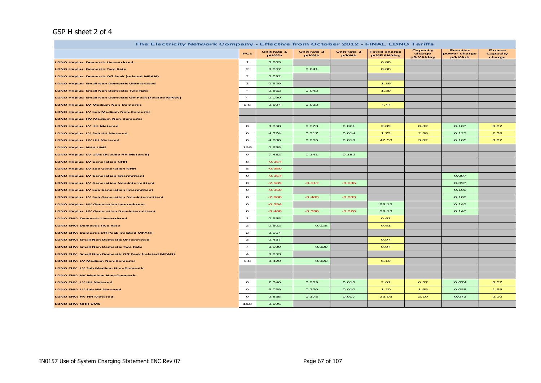## GSP H sheet 2 of 4

| The Electricity Network Company - Effective from October 2012 - FINAL LDNO Tariffs |                |                      |                      |                      |                                   |                                 |                                            |                                            |  |  |  |
|------------------------------------------------------------------------------------|----------------|----------------------|----------------------|----------------------|-----------------------------------|---------------------------------|--------------------------------------------|--------------------------------------------|--|--|--|
|                                                                                    | PCs            | Unit rate 1<br>p/kWh | Unit rate 2<br>p/kWh | Unit rate 3<br>p/kWh | <b>Fixed charge</b><br>p/MPAN/day | Capacity<br>charge<br>p/kVA/day | <b>Reactive</b><br>power charge<br>p/kVArh | <b>Excess</b><br><b>Capacity</b><br>charge |  |  |  |
| <b>LDNO HVplus: Domestic Unrestricted</b>                                          | $\mathbf{1}$   | 0.803                |                      |                      | 0.88                              |                                 |                                            |                                            |  |  |  |
| <b>LDNO HVplus: Domestic Two Rate</b>                                              | $\overline{2}$ | 0.867                | 0.041                |                      | 0.88                              |                                 |                                            |                                            |  |  |  |
| <b>LDNO HVplus: Domestic Off Peak (related MPAN)</b>                               | $\overline{a}$ | 0.092                |                      |                      |                                   |                                 |                                            |                                            |  |  |  |
| <b>LDNO HVplus: Small Non Domestic Unrestricted</b>                                | $\mathbf{3}$   | 0.629                |                      |                      | 1.39                              |                                 |                                            |                                            |  |  |  |
| <b>LDNO HVplus: Small Non Domestic Two Rate</b>                                    | $\overline{a}$ | 0.862                | 0.042                |                      | 1.39                              |                                 |                                            |                                            |  |  |  |
| <b>LDNO HVplus: Small Non Domestic Off Peak (related MPAN)</b>                     | $\overline{a}$ | 0.090                |                      |                      |                                   |                                 |                                            |                                            |  |  |  |
| <b>LDNO HVplus: LV Medium Non-Domestic</b>                                         | $5 - 8$        | 0.604                | 0.032                |                      | 7.47                              |                                 |                                            |                                            |  |  |  |
| <b>LDNO HVplus: LV Sub Medium Non-Domestic</b>                                     |                |                      |                      |                      |                                   |                                 |                                            |                                            |  |  |  |
| <b>LDNO HVplus: HV Medium Non-Domestic</b>                                         |                |                      |                      |                      |                                   |                                 |                                            |                                            |  |  |  |
| <b>LDNO HVplus: LV HH Metered</b>                                                  | $\circ$        | 3.368                | 0.373                | 0.021                | 2.89                              | 0.82                            | 0.107                                      | 0.82                                       |  |  |  |
| LDNO HVplus: LV Sub HH Metered                                                     | $\circ$        | 4.374                | 0.317                | 0.014                | 1.72                              | 2.38                            | 0.127                                      | 2.38                                       |  |  |  |
| <b>LDNO HVplus: HV HH Metered</b>                                                  | $\circ$        | 4.080                | 0.256                | 0.010                | 47.53                             | 3.02                            | 0.105                                      | 3.02                                       |  |  |  |
| LDNO HVplus: NHH UMS                                                               | 1&8            | 0.858                |                      |                      |                                   |                                 |                                            |                                            |  |  |  |
| LDNO HVplus: LV UMS (Pseudo HH Metered)                                            | $\circ$        | 7.482                | 1.141                | 0.182                |                                   |                                 |                                            |                                            |  |  |  |
| <b>LDNO HVplus: LV Generation NHH</b>                                              | 8              | $-0.354$             |                      |                      |                                   |                                 |                                            |                                            |  |  |  |
| LDNO HVplus: LV Sub Generation NHH                                                 | 8              | $-0.350$             |                      |                      |                                   |                                 |                                            |                                            |  |  |  |
| <b>LDNO HVplus: LV Generation Intermittent</b>                                     | $\circ$        | $-0.354$             |                      |                      |                                   |                                 | 0.097                                      |                                            |  |  |  |
| <b>LDNO HVplus: LV Generation Non-Intermittent</b>                                 | $\circ$        | $-2.589$             | $-0.517$             | $-0.036$             |                                   |                                 | 0.097                                      |                                            |  |  |  |
| <b>LDNO HVplus: LV Sub Generation Intermittent</b>                                 | $\circ$        | $-0.350$             |                      |                      |                                   |                                 | 0.103                                      |                                            |  |  |  |
| <b>LDNO HVplus: LV Sub Generation Non-Intermittent</b>                             | $\circ$        | $-2.688$             | $-0.483$             | $-0.033$             |                                   |                                 | 0.103                                      |                                            |  |  |  |
| <b>LDNO HVplus: HV Generation Intermittent</b>                                     | $\circ$        | $-0.354$             |                      |                      | 99.13                             |                                 | 0.147                                      |                                            |  |  |  |
| <b>LDNO HVplus: HV Generation Non-Intermittent</b>                                 | $\circ$        | $-3.408$             | $-0.330$             | $-0.020$             | 99.13                             |                                 | 0.147                                      |                                            |  |  |  |
| <b>LDNO EHV: Domestic Unrestricted</b>                                             | $\mathbf{1}$   | 0.558                |                      |                      | 0.61                              |                                 |                                            |                                            |  |  |  |
| <b>LDNO EHV: Domestic Two Rate</b>                                                 | $\mathbf{z}$   | 0.602                | 0.028                |                      | 0.61                              |                                 |                                            |                                            |  |  |  |
| LDNO EHV: Domestic Off Peak (related MPAN)                                         | $\mathbf{z}$   | 0.064                |                      |                      |                                   |                                 |                                            |                                            |  |  |  |
| <b>LDNO EHV: Small Non Domestic Unrestricted</b>                                   | з              | 0.437                |                      |                      | 0.97                              |                                 |                                            |                                            |  |  |  |
| <b>LDNO EHV: Small Non Domestic Two Rate</b>                                       | $\overline{4}$ | 0.599                | 0.029                |                      | 0.97                              |                                 |                                            |                                            |  |  |  |
| <b>LDNO EHV: Small Non Domestic Off Peak (related MPAN)</b>                        | $\overline{a}$ | 0.063                |                      |                      |                                   |                                 |                                            |                                            |  |  |  |
| <b>LDNO EHV: LV Medium Non-Domestic</b>                                            | $5 - 8$        | 0.420                | 0.022                |                      | 5.19                              |                                 |                                            |                                            |  |  |  |
| <b>LDNO EHV: LV Sub Medium Non-Domestic</b>                                        |                |                      |                      |                      |                                   |                                 |                                            |                                            |  |  |  |
| <b>LDNO EHV: HV Medium Non-Domestic</b>                                            |                |                      |                      |                      |                                   |                                 |                                            |                                            |  |  |  |
| LDNO EHV: LV HH Metered                                                            | $\circ$        | 2.340                | 0.259                | 0.015                | 2.01                              | 0.57                            | 0.074                                      | 0.57                                       |  |  |  |
| LDNO EHV: LV Sub HH Metered                                                        | $\circ$        | 3.039                | 0.220                | 0.010                | 1.20                              | 1.65                            | 0.088                                      | 1.65                                       |  |  |  |
| LDNO EHV: HV HH Metered                                                            | $\circ$        | 2.835                | 0.178                | 0.007                | 33.03                             | 2.10                            | 0.073                                      | 2.10                                       |  |  |  |
| LDNO EHV: NHH UMS                                                                  | 1&8            | 0.596                |                      |                      |                                   |                                 |                                            |                                            |  |  |  |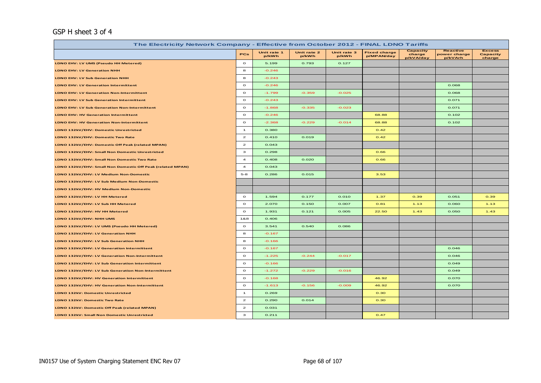## GSP H sheet 3 of 4

| The Electricity Network Company - Effective from October 2012 - FINAL LDNO Tariffs |                |                      |                      |                      |                                   |                                        |                                            |                                     |  |  |  |  |
|------------------------------------------------------------------------------------|----------------|----------------------|----------------------|----------------------|-----------------------------------|----------------------------------------|--------------------------------------------|-------------------------------------|--|--|--|--|
|                                                                                    | <b>PCs</b>     | Unit rate 1<br>p/kWh | Unit rate 2<br>p/kWh | Unit rate 3<br>p/kWh | <b>Fixed charge</b><br>p/MPAN/day | <b>Capacity</b><br>charge<br>p/kVA/day | <b>Reactive</b><br>power charge<br>p/kVArh | <b>Excess</b><br>Capacity<br>charge |  |  |  |  |
| LDNO EHV: LV UMS (Pseudo HH Metered)                                               | $\circ$        | 5.199                | 0.793                | 0.127                |                                   |                                        |                                            |                                     |  |  |  |  |
| <b>LDNO EHV: LV Generation NHH</b>                                                 | 8              | $-0.246$             |                      |                      |                                   |                                        |                                            |                                     |  |  |  |  |
| <b>LDNO EHV: LV Sub Generation NHH</b>                                             | 8              | $-0.243$             |                      |                      |                                   |                                        |                                            |                                     |  |  |  |  |
| <b>LDNO EHV: LV Generation Intermittent</b>                                        | $\circ$        | $-0.246$             |                      |                      |                                   |                                        | 0.068                                      |                                     |  |  |  |  |
| LDNO EHV: LV Generation Non-Intermittent                                           | $\circ$        | $-1.799$             | $-0.359$             | $-0.025$             |                                   |                                        | 0.068                                      |                                     |  |  |  |  |
| <b>LDNO EHV: LV Sub Generation Intermittent</b>                                    | $\circ$        | $-0.243$             |                      |                      |                                   |                                        | 0.071                                      |                                     |  |  |  |  |
| <b>LDNO EHV: LV Sub Generation Non-Intermittent</b>                                | $\circ$        | $-1.868$             | $-0.335$             | $-0.023$             |                                   |                                        | 0.071                                      |                                     |  |  |  |  |
| <b>LDNO EHV: HV Generation Intermittent</b>                                        | $\circ$        | $-0.246$             |                      |                      | 68.88                             |                                        | 0.102                                      |                                     |  |  |  |  |
| <b>LDNO EHV: HV Generation Non-Intermittent</b>                                    | $\circ$        | $-2.368$             | $-0.229$             | $-0.014$             | 68.88                             |                                        | 0.102                                      |                                     |  |  |  |  |
| LDNO 132kV/EHV: Domestic Unrestricted                                              | $\mathbf{1}$   | 0.380                |                      |                      | 0.42                              |                                        |                                            |                                     |  |  |  |  |
| LDNO 132kV/EHV: Domestic Two Rate                                                  | $\overline{a}$ | 0.410                | 0.019                |                      | 0.42                              |                                        |                                            |                                     |  |  |  |  |
| LDNO 132kV/EHV: Domestic Off Peak (related MPAN)                                   | $\mathbf{z}$   | 0.043                |                      |                      |                                   |                                        |                                            |                                     |  |  |  |  |
| LDNO 132kV/EHV: Small Non Domestic Unrestricted                                    | з              | 0.298                |                      |                      | 0.66                              |                                        |                                            |                                     |  |  |  |  |
| LDNO 132kV/EHV: Small Non Domestic Two Rate                                        | $\overline{a}$ | 0.408                | 0.020                |                      | 0.66                              |                                        |                                            |                                     |  |  |  |  |
| LDNO 132kV/EHV: Small Non Domestic Off Peak (related MPAN)                         | $\overline{4}$ | 0.043                |                      |                      |                                   |                                        |                                            |                                     |  |  |  |  |
| LDNO 132kV/EHV: LV Medium Non-Domestic                                             | $5 - 8$        | 0.286                | 0.015                |                      | 3.53                              |                                        |                                            |                                     |  |  |  |  |
| LDNO 132kV/EHV: LV Sub Medium Non-Domestic                                         |                |                      |                      |                      |                                   |                                        |                                            |                                     |  |  |  |  |
| LDNO 132kV/EHV: HV Medium Non-Domestic                                             |                |                      |                      |                      |                                   |                                        |                                            |                                     |  |  |  |  |
| LDNO 132kV/EHV: LV HH Metered                                                      | $\circ$        | 1.594                | 0.177                | 0.010                | 1.37                              | 0.39                                   | 0.051                                      | 0.39                                |  |  |  |  |
| LDNO 132kV/EHV: LV Sub HH Metered                                                  | $\circ$        | 2.070                | 0.150                | 0.007                | 0.81                              | 1.13                                   | 0.060                                      | 1.13                                |  |  |  |  |
| LDNO 132kV/EHV: HV HH Metered                                                      | $\circ$        | 1.931                | 0.121                | 0.005                | 22.50                             | 1.43                                   | 0.050                                      | 1.43                                |  |  |  |  |
| LDNO 132kV/EHV: NHH UMS                                                            | 1&8            | 0.406                |                      |                      |                                   |                                        |                                            |                                     |  |  |  |  |
| LDNO 132kV/EHV: LV UMS (Pseudo HH Metered)                                         | $\circ$        | 3.541                | 0.540                | 0.086                |                                   |                                        |                                            |                                     |  |  |  |  |
| LDNO 132kV/EHV: LV Generation NHH                                                  | 8              | $-0.167$             |                      |                      |                                   |                                        |                                            |                                     |  |  |  |  |
| LDNO 132kV/EHV: LV Sub Generation NHH                                              | 8              | $-0.166$             |                      |                      |                                   |                                        |                                            |                                     |  |  |  |  |
| LDNO 132kV/EHV: LV Generation Intermittent                                         | $\circ$        | $-0.167$             |                      |                      |                                   |                                        | 0.046                                      |                                     |  |  |  |  |
| LDNO 132kV/EHV: LV Generation Non-Intermittent                                     | $\circ$        | $-1.225$             | $-0.244$             | $-0.017$             |                                   |                                        | 0.046                                      |                                     |  |  |  |  |
| LDNO 132kV/EHV: LV Sub Generation Intermittent                                     | $\circ$        | $-0.166$             |                      |                      |                                   |                                        | 0.049                                      |                                     |  |  |  |  |
| LDNO 132kV/EHV: LV Sub Generation Non-Intermittent                                 | $\circ$        | $-1.272$             | $-0.229$             | $-0.016$             |                                   |                                        | 0.049                                      |                                     |  |  |  |  |
| LDNO 132kV/EHV: HV Generation Intermittent                                         | $\circ$        | $-0.168$             |                      |                      | 46.92                             |                                        | 0.070                                      |                                     |  |  |  |  |
| LDNO 132kV/EHV: HV Generation Non-Intermittent                                     | $\circ$        | $-1.613$             | $-0.156$             | $-0.009$             | 46.92                             |                                        | 0.070                                      |                                     |  |  |  |  |
| <b>LDNO 132kV: Domestic Unrestricted</b>                                           | $\mathbf{1}$   | 0.269                |                      |                      | 0.30                              |                                        |                                            |                                     |  |  |  |  |
| LDNO 132kV: Domestic Two Rate                                                      | $\overline{2}$ | 0.290                | 0.014                |                      | 0.30                              |                                        |                                            |                                     |  |  |  |  |
| LDNO 132kV: Domestic Off Peak (related MPAN)                                       | $\overline{a}$ | 0.031                |                      |                      |                                   |                                        |                                            |                                     |  |  |  |  |
| LDNO 132kV: Small Non Domestic Unrestricted                                        | з              | 0.211                |                      |                      | 0.47                              |                                        |                                            |                                     |  |  |  |  |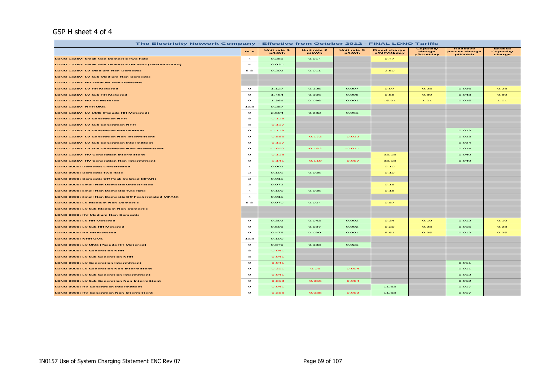#### GSP H sheet 4 of 4

| The Electricity Network Company - Effective from October 2012 - FINAL LDNO Tariffs |                         |                      |                      |                      |                                   |                                 |                                     |                                     |  |  |  |  |
|------------------------------------------------------------------------------------|-------------------------|----------------------|----------------------|----------------------|-----------------------------------|---------------------------------|-------------------------------------|-------------------------------------|--|--|--|--|
|                                                                                    | PCs                     | Unit rate 1<br>p/kWh | Unit rate 2<br>p/kWh | Unit rate 3<br>p/kWh | <b>Fixed charge</b><br>p/MPAN/day | Capacity<br>charge<br>p/kVA/day | Reactive<br>power charge<br>p/kVArh | <b>Excess</b><br>Capacity<br>charge |  |  |  |  |
| LDNO 132kV: Small Non Domestic Two Rate                                            | $\overline{\mathbf{4}}$ | 0.289                | 0.014                |                      | O.47                              |                                 |                                     |                                     |  |  |  |  |
| LDNO 132kV: Small Non Domestic Off Peak (related MPAN)                             | $\overline{\mathbf{4}}$ | 0.030                |                      |                      |                                   |                                 |                                     |                                     |  |  |  |  |
| LDNO 132kV: LV Medium Non-Domestic                                                 | $5 - 8$                 | 0.202                | O.011                |                      | 2.50                              |                                 |                                     |                                     |  |  |  |  |
| LDNO 132kV: LV Sub Medium Non-Domestic                                             |                         |                      |                      |                      |                                   |                                 |                                     |                                     |  |  |  |  |
| LDNO 132kV: HV Medium Non-Domestic                                                 |                         |                      |                      |                      |                                   |                                 |                                     |                                     |  |  |  |  |
| LDNO 132kV: LV HH Metered                                                          | $\circ$                 | 1.127                | 0.125                | 0.007                | 0.97                              | O.28                            | 0.036                               | O.28                                |  |  |  |  |
| LDNO 132kV: LV Sub HH Metered                                                      | $\circ$                 | 1.464                | 0.106                | 0.005                | 0.58                              | O.8O                            | 0.043                               | O.8O                                |  |  |  |  |
| LDNO 132kV: HV HH Metered                                                          | $\circ$                 | 1.366                | 0.086                | 0.003                | 15.91                             | 1.01                            | 0.035                               | 1.01                                |  |  |  |  |
| LDNO 132kV: NHH UMS                                                                | 188                     | 0.287                |                      |                      |                                   |                                 |                                     |                                     |  |  |  |  |
| LDNO 132kV: LV UMS (Pseudo HH Metered)                                             | $\circ$                 | 2.504                | 0.382                | 0.061                |                                   |                                 |                                     |                                     |  |  |  |  |
| <b>LDNO 132kV: LV Generation NHH</b>                                               | 8                       | $-0.118$             |                      |                      |                                   |                                 |                                     |                                     |  |  |  |  |
| LDNO 132kV: LV Sub Generation NHH                                                  | 8                       | $-0.117$             |                      |                      |                                   |                                 |                                     |                                     |  |  |  |  |
| <b>LDNO 132kV: LV Generation Intermittent</b>                                      | $\bullet$               | $-0.118$             |                      |                      |                                   |                                 | 0.033                               |                                     |  |  |  |  |
| <b>LDNO 132kV: LV Generation Non-Intermittent</b>                                  | $\bullet$               | $-0.866$             | $-0.173$             | $-0.012$             |                                   |                                 | 0.033                               |                                     |  |  |  |  |
| LDNO 132kV: LV Sub Generation Intermittent                                         | $\circ$                 | $-0.117$             |                      |                      |                                   |                                 | 0.034                               |                                     |  |  |  |  |
| <b>LDNO 132kV: LV Sub Generation Non-Intermittent</b>                              | $\circ$                 | $-0.900$             | $-0.162$             | $-0.011$             |                                   |                                 | 0.034                               |                                     |  |  |  |  |
| LDNO 132kV: HV Generation Intermittent                                             | $\circ$                 | $-0.118$             |                      |                      | 33.18                             |                                 | 0.049                               |                                     |  |  |  |  |
| LDNO 132kV: HV Generation Non-Intermittent                                         | $\circ$                 | $-1.141$             | $-0.110$             | $-0.007$             | 33.18                             |                                 | 0.049                               |                                     |  |  |  |  |
| <b>LDNO 0000: Domestic Unrestricted</b>                                            | $\mathbf{1}$            | 0.093                |                      |                      | O.1O                              |                                 |                                     |                                     |  |  |  |  |
| <b>LDNO 0000: Domestic Two Rate</b>                                                | $\mathbf{z}$            | 0.101                | 0.005                |                      | O.1O                              |                                 |                                     |                                     |  |  |  |  |
| LDNO 0000: Domestic Off Peak (related MPAN)                                        | $\mathbf{z}$            | 0.011                |                      |                      |                                   |                                 |                                     |                                     |  |  |  |  |
| <b>LDNO 0000: Small Non Domestic Unrestricted</b>                                  | з                       | 0.073                |                      |                      | O.16                              |                                 |                                     |                                     |  |  |  |  |
| <b>LDNO 0000: Small Non Domestic Two Rate</b>                                      | $\overline{\mathbf{4}}$ | 0.100                | 0.005                |                      | O.16                              |                                 |                                     |                                     |  |  |  |  |
| LDNO 0000: Small Non Domestic Off Peak (related MPAN)                              | $\overline{4}$          | 0.011                |                      |                      |                                   |                                 |                                     |                                     |  |  |  |  |
| <b>LDNO 0000: LV Medium Non-Domestic</b>                                           | $5 - 8$                 | 0.070                | 0.004                |                      | 0.87                              |                                 |                                     |                                     |  |  |  |  |
| LDNO 0000: LV Sub Medium Non-Domestic                                              |                         |                      |                      |                      |                                   |                                 |                                     |                                     |  |  |  |  |
| <b>LDNO 0000: HV Medium Non-Domestic</b>                                           |                         |                      |                      |                      |                                   |                                 |                                     |                                     |  |  |  |  |
| LDNO 0000: LV HH Metered                                                           | $\Omega$                | 0.392                | 0.043                | 0.002                | O.34                              | O.1O                            | 0.012                               | O.1O                                |  |  |  |  |
| LDNO 0000: LV Sub HH Metered                                                       | $\Omega$                | 0.509                | 0.037                | 0.002                | O.2O                              | 0.28                            | 0.015                               | 0.28                                |  |  |  |  |
| LDNO 0000: HV HH Metered                                                           | $\circ$                 | 0.475                | 0.030                | 0.001                | 5.53                              | 0.35                            | 0.012                               | 0.35                                |  |  |  |  |
| LDNO 0000: NHH UMS                                                                 | 1&8                     | 0.100                |                      |                      |                                   |                                 |                                     |                                     |  |  |  |  |
| LDNO 0000: LV UMS (Pseudo HH Metered)                                              | $\Omega$                | 0.870                | 0.133                | 0.021                |                                   |                                 |                                     |                                     |  |  |  |  |
| LDNO 0000: LV Generation NHH                                                       | 8                       | $-0.041$             |                      |                      |                                   |                                 |                                     |                                     |  |  |  |  |
| <b>LDNO 0000: LV Sub Generation NHH</b>                                            | 8                       | $-0.041$             |                      |                      |                                   |                                 |                                     |                                     |  |  |  |  |
| <b>LDNO 0000: LV Generation Intermittent</b>                                       | $\circ$                 | $-0.041$             |                      |                      |                                   |                                 | 0.011                               |                                     |  |  |  |  |
| <b>LDNO 0000: LV Generation Non-Intermittent</b>                                   | $\Omega$                | $-0.301$             | $-0.06$              | $-0.004$             |                                   |                                 | 0.011                               |                                     |  |  |  |  |
| LDNO 0000: LV Sub Generation Intermittent                                          | $\Omega$                | $-0.041$             |                      |                      |                                   |                                 | 0.012                               |                                     |  |  |  |  |
| LDNO 0000: LV Sub Generation Non-Intermittent                                      | $\circ$                 | $-0.313$             | $-0.056$             | $-0.004$             |                                   |                                 | 0.012                               |                                     |  |  |  |  |
| <b>LDNO 0000: HV Generation Intermittent</b>                                       | $\circ$                 | $-0.041$             |                      |                      | 11.53                             |                                 | 0.017                               |                                     |  |  |  |  |
| <b>LDNO 0000: HV Generation Non-Intermittent</b>                                   | $\circ$                 | $-0.396$             | $-0.038$             | $-0.002$             | 11.53                             |                                 | 0.017                               |                                     |  |  |  |  |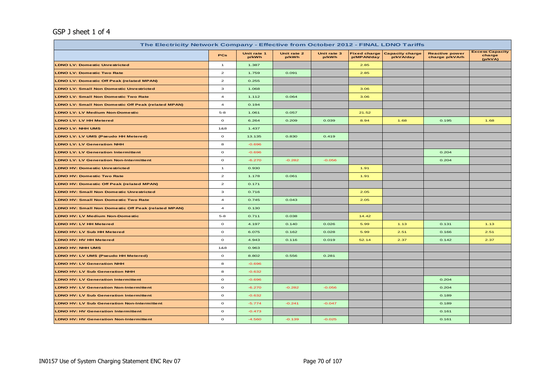## GSP J sheet 1 of 4

| The Electricity Network Company - Effective from October 2012 - FINAL LDNO Tariffs |                         |                      |                      |                      |                                   |                                     |                                         |                                             |  |  |  |  |
|------------------------------------------------------------------------------------|-------------------------|----------------------|----------------------|----------------------|-----------------------------------|-------------------------------------|-----------------------------------------|---------------------------------------------|--|--|--|--|
|                                                                                    | <b>PCs</b>              | Unit rate 1<br>p/kWh | Unit rate 2<br>p/kWh | Unit rate 3<br>p/kWh | <b>Fixed charge</b><br>p/MPAN/day | <b>Capacity charge</b><br>p/kVA/day | <b>Reactive power</b><br>charge p/kVArh | <b>Excess Capacity</b><br>charge<br>(p/kVA) |  |  |  |  |
| <b>LDNO LV: Domestic Unrestricted</b>                                              | $\mathbf{1}$            | 1.387                |                      |                      | 2.85                              |                                     |                                         |                                             |  |  |  |  |
| <b>LDNO LV: Domestic Two Rate</b>                                                  | $\mathbf{z}$            | 1.759                | 0.091                |                      | 2.85                              |                                     |                                         |                                             |  |  |  |  |
| <b>LDNO LV: Domestic Off Peak (related MPAN)</b>                                   | $\mathbf{z}$            | 0.255                |                      |                      |                                   |                                     |                                         |                                             |  |  |  |  |
| <b>LDNO LV: Small Non Domestic Unrestricted</b>                                    | 3                       | 1.068                |                      |                      | 3.06                              |                                     |                                         |                                             |  |  |  |  |
| <b>LDNO LV: Small Non Domestic Two Rate</b>                                        | $\overline{\mathbf{4}}$ | 1.112                | 0.064                |                      | 3.06                              |                                     |                                         |                                             |  |  |  |  |
| <b>LDNO LV: Small Non Domestic Off Peak (related MPAN)</b>                         | $\overline{a}$          | 0.194                |                      |                      |                                   |                                     |                                         |                                             |  |  |  |  |
| <b>LDNO LV: LV Medium Non-Domestic</b>                                             | $5 - 8$                 | 1.061                | 0.057                |                      | 21.52                             |                                     |                                         |                                             |  |  |  |  |
| <b>LDNO LV: LV HH Metered</b>                                                      | $\circ$                 | 6.264                | 0.209                | 0.039                | 8.94                              | 1.68                                | 0.195                                   | 1.68                                        |  |  |  |  |
| <b>LDNO LV: NHH UMS</b>                                                            | 1&8                     | 1.437                |                      |                      |                                   |                                     |                                         |                                             |  |  |  |  |
| LDNO LV: LV UMS (Pseudo HH Metered)                                                | $\mathbf{o}$            | 13.135               | 0.830                | 0.419                |                                   |                                     |                                         |                                             |  |  |  |  |
| <b>LDNO LV: LV Generation NHH</b>                                                  | 8                       | $-0.696$             |                      |                      |                                   |                                     |                                         |                                             |  |  |  |  |
| <b>LDNO LV: LV Generation Intermittent</b>                                         | $\circ$                 | $-0.696$             |                      |                      |                                   |                                     | 0.204                                   |                                             |  |  |  |  |
| <b>LDNO LV: LV Generation Non-Intermittent</b>                                     | $\circ$                 | $-6.270$             | $-0.282$             | $-0.056$             |                                   |                                     | 0.204                                   |                                             |  |  |  |  |
| <b>LDNO HV: Domestic Unrestricted</b>                                              | $\mathbf{1}$            | 0.930                |                      |                      | 1.91                              |                                     |                                         |                                             |  |  |  |  |
| <b>LDNO HV: Domestic Two Rate</b>                                                  | $\mathbf{z}$            | 1.178                | 0.061                |                      | 1.91                              |                                     |                                         |                                             |  |  |  |  |
| <b>LDNO HV: Domestic Off Peak (related MPAN)</b>                                   | $\mathbf{2}$            | 0.171                |                      |                      |                                   |                                     |                                         |                                             |  |  |  |  |
| <b>LDNO HV: Small Non Domestic Unrestricted</b>                                    | 3                       | 0.716                |                      |                      | 2.05                              |                                     |                                         |                                             |  |  |  |  |
| <b>LDNO HV: Small Non Domestic Two Rate</b>                                        | $\overline{\mathbf{4}}$ | 0.745                | 0.043                |                      | 2.05                              |                                     |                                         |                                             |  |  |  |  |
| <b>LDNO HV: Small Non Domestic Off Peak (related MPAN)</b>                         | $\overline{\mathbf{4}}$ | 0.130                |                      |                      |                                   |                                     |                                         |                                             |  |  |  |  |
| <b>LDNO HV: LV Medium Non-Domestic</b>                                             | $5 - 8$                 | 0.711                | 0.038                |                      | 14.42                             |                                     |                                         |                                             |  |  |  |  |
| LDNO HV: LV HH Metered                                                             | $\circ$                 | 4.197                | 0.140                | 0.026                | 5.99                              | 1.13                                | 0.131                                   | 1.13                                        |  |  |  |  |
| <b>LDNO HV: LV Sub HH Metered</b>                                                  | $\circ$                 | 6.075                | 0.162                | 0.028                | 5.99                              | 2.51                                | 0.166                                   | 2.51                                        |  |  |  |  |
| LDNO HV: HV HH Metered                                                             | $\mathbf{o}$            | 4.943                | 0.116                | 0.019                | 52.14                             | 2.37                                | 0.142                                   | 2.37                                        |  |  |  |  |
| <b>LDNO HV: NHH UMS</b>                                                            | 1&8                     | 0.963                |                      |                      |                                   |                                     |                                         |                                             |  |  |  |  |
| LDNO HV: LV UMS (Pseudo HH Metered)                                                | $\circ$                 | 8.802                | 0.556                | 0.281                |                                   |                                     |                                         |                                             |  |  |  |  |
| <b>LDNO HV: LV Generation NHH</b>                                                  | 8                       | $-0.696$             |                      |                      |                                   |                                     |                                         |                                             |  |  |  |  |
| <b>LDNO HV: LV Sub Generation NHH</b>                                              | 8                       | $-0.632$             |                      |                      |                                   |                                     |                                         |                                             |  |  |  |  |
| <b>LDNO HV: LV Generation Intermittent</b>                                         | $\mathbf{o}$            | $-0.696$             |                      |                      |                                   |                                     | 0.204                                   |                                             |  |  |  |  |
| <b>LDNO HV: LV Generation Non-Intermittent</b>                                     | $\circ$                 | $-6.270$             | $-0.282$             | $-0.056$             |                                   |                                     | 0.204                                   |                                             |  |  |  |  |
| <b>LDNO HV: LV Sub Generation Intermittent</b>                                     | $\circ$                 | $-0.632$             |                      |                      |                                   |                                     | 0.189                                   |                                             |  |  |  |  |
| <b>LDNO HV: LV Sub Generation Non-Intermittent</b>                                 | $\circ$                 | $-5.774$             | $-0.241$             | $-0.047$             |                                   |                                     | 0.189                                   |                                             |  |  |  |  |
| <b>LDNO HV: HV Generation Intermittent</b>                                         | $\circ$                 | $-0.473$             |                      |                      |                                   |                                     | 0.161                                   |                                             |  |  |  |  |
| <b>LDNO HV: HV Generation Non-Intermittent</b>                                     | $\mathbf{o}$            | $-4.560$             | $-0.139$             | $-0.025$             |                                   |                                     | 0.161                                   |                                             |  |  |  |  |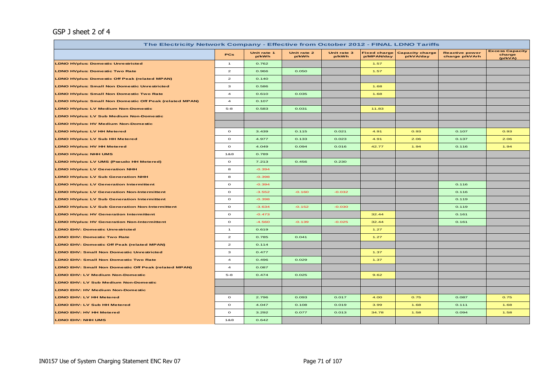## GSP J sheet 2 of 4

| The Electricity Network Company - Effective from October 2012 - FINAL LDNO Tariffs |                         |                      |                      |                      |                                   |                                     |                                         |                                             |  |  |  |
|------------------------------------------------------------------------------------|-------------------------|----------------------|----------------------|----------------------|-----------------------------------|-------------------------------------|-----------------------------------------|---------------------------------------------|--|--|--|
|                                                                                    | PCs                     | Unit rate 1<br>p/kWh | Unit rate 2<br>p/kWh | Unit rate 3<br>p/kWh | <b>Fixed charge</b><br>p/MPAN/day | <b>Capacity charge</b><br>p/kVA/day | <b>Reactive power</b><br>charge p/kVArh | <b>Excess Capacity</b><br>charge<br>(p/kVA) |  |  |  |
| <b>LDNO HVplus: Domestic Unrestricted</b>                                          | $\mathbf{1}$            | 0.762                |                      |                      | 1.57                              |                                     |                                         |                                             |  |  |  |
| <b>LDNO HVplus: Domestic Two Rate</b>                                              | $\overline{2}$          | 0.966                | 0.050                |                      | 1.57                              |                                     |                                         |                                             |  |  |  |
| <b>LDNO HVplus: Domestic Off Peak (related MPAN)</b>                               | $\overline{a}$          | 0.140                |                      |                      |                                   |                                     |                                         |                                             |  |  |  |
| <b>LDNO HVplus: Small Non Domestic Unrestricted</b>                                | $\mathbf{3}$            | 0.586                |                      |                      | 1.68                              |                                     |                                         |                                             |  |  |  |
| <b>LDNO HVplus: Small Non Domestic Two Rate</b>                                    | $\overline{\mathbf{4}}$ | 0.610                | 0.035                |                      | 1.68                              |                                     |                                         |                                             |  |  |  |
| <b>LDNO HVplus: Small Non Domestic Off Peak (related MPAN)</b>                     | $\overline{\mathbf{4}}$ | 0.107                |                      |                      |                                   |                                     |                                         |                                             |  |  |  |
| <b>LDNO HVplus: LV Medium Non-Domestic</b>                                         | $5 - 8$                 | 0.583                | 0.031                |                      | 11.83                             |                                     |                                         |                                             |  |  |  |
| <b>LDNO HVplus: LV Sub Medium Non-Domestic</b>                                     |                         |                      |                      |                      |                                   |                                     |                                         |                                             |  |  |  |
| <b>LDNO HVplus: HV Medium Non-Domestic</b>                                         |                         |                      |                      |                      |                                   |                                     |                                         |                                             |  |  |  |
| <b>LDNO HVplus: LV HH Metered</b>                                                  | $\circ$                 | 3.439                | 0.115                | 0.021                | 4.91                              | 0.93                                | 0.107                                   | 0.93                                        |  |  |  |
| <b>LDNO HVplus: LV Sub HH Metered</b>                                              | $\circ$                 | 4.977                | 0.133                | 0.023                | 4.91                              | 2.06                                | 0.137                                   | 2.06                                        |  |  |  |
| <b>LDNO HVplus: HV HH Metered</b>                                                  | $\circ$                 | 4.049                | 0.094                | 0.016                | 42.77                             | 1.94                                | 0.116                                   | 1.94                                        |  |  |  |
| <b>LDNO HVplus: NHH UMS</b>                                                        | 1&8                     | 0.789                |                      |                      |                                   |                                     |                                         |                                             |  |  |  |
| <b>LDNO HVplus: LV UMS (Pseudo HH Metered)</b>                                     | $\circ$                 | 7.213                | 0.456                | 0.230                |                                   |                                     |                                         |                                             |  |  |  |
| <b>LDNO HVplus: LV Generation NHH</b>                                              | 8                       | $-0.394$             |                      |                      |                                   |                                     |                                         |                                             |  |  |  |
| <b>LDNO HVplus: LV Sub Generation NHH</b>                                          | 8                       | $-0.398$             |                      |                      |                                   |                                     |                                         |                                             |  |  |  |
| <b>LDNO HVplus: LV Generation Intermittent</b>                                     | $\mathbf{o}$            | $-0.394$             |                      |                      |                                   |                                     | 0.116                                   |                                             |  |  |  |
| <b>LDNO HVplus: LV Generation Non-Intermittent</b>                                 | $\circ$                 | $-3.552$             | $-0.160$             | $-0.032$             |                                   |                                     | 0.116                                   |                                             |  |  |  |
| <b>LDNO HVplus: LV Sub Generation Intermittent</b>                                 | $\circ$                 | $-0.398$             |                      |                      |                                   |                                     | 0.119                                   |                                             |  |  |  |
| <b>LDNO HVplus: LV Sub Generation Non-Intermittent</b>                             | $\circ$                 | $-3.634$             | $-0.152$             | $-0.030$             |                                   |                                     | 0.119                                   |                                             |  |  |  |
| <b>LDNO HVplus: HV Generation Intermittent</b>                                     | $\mathbf{o}$            | $-0.473$             |                      |                      | 32.44                             |                                     | 0.161                                   |                                             |  |  |  |
| <b>LDNO HVplus: HV Generation Non-Intermittent</b>                                 | $\circ$                 | $-4.560$             | $-0.139$             | $-0.025$             | 32.44                             |                                     | 0.161                                   |                                             |  |  |  |
| <b>LDNO EHV: Domestic Unrestricted</b>                                             | $\overline{1}$          | 0.619                |                      |                      | 1.27                              |                                     |                                         |                                             |  |  |  |
| <b>LDNO EHV: Domestic Two Rate</b>                                                 | $\overline{a}$          | 0.785                | 0.041                |                      | 1.27                              |                                     |                                         |                                             |  |  |  |
| LDNO EHV: Domestic Off Peak (related MPAN)                                         | $\overline{a}$          | 0.114                |                      |                      |                                   |                                     |                                         |                                             |  |  |  |
| <b>LDNO EHV: Small Non Domestic Unrestricted</b>                                   | $\mathbf{3}$            | 0.477                |                      |                      | 1.37                              |                                     |                                         |                                             |  |  |  |
| <b>LDNO EHV: Small Non Domestic Two Rate</b>                                       | $\overline{\mathbf{4}}$ | 0.496                | 0.029                |                      | 1.37                              |                                     |                                         |                                             |  |  |  |
| LDNO EHV: Small Non Domestic Off Peak (related MPAN)                               | $\overline{\mathbf{4}}$ | 0.087                |                      |                      |                                   |                                     |                                         |                                             |  |  |  |
| <b>LDNO EHV: LV Medium Non-Domestic</b>                                            | $5 - 8$                 | 0.474                | 0.025                |                      | 9.62                              |                                     |                                         |                                             |  |  |  |
| LDNO EHV: LV Sub Medium Non-Domestic                                               |                         |                      |                      |                      |                                   |                                     |                                         |                                             |  |  |  |
| LDNO EHV: HV Medium Non-Domestic                                                   |                         |                      |                      |                      |                                   |                                     |                                         |                                             |  |  |  |
| LDNO EHV: LV HH Metered                                                            | $\circ$                 | 2.796                | 0.093                | 0.017                | 4.00                              | 0.75                                | 0.087                                   | 0.75                                        |  |  |  |
| LDNO EHV: LV Sub HH Metered                                                        | $\circ$                 | 4.047                | 0.108                | 0.019                | 3.99                              | 1.68                                | 0.111                                   | 1.68                                        |  |  |  |
| <b>LDNO EHV: HV HH Metered</b>                                                     | $\circ$                 | 3.292                | 0.077                | 0.013                | 34.78                             | 1.58                                | 0.094                                   | 1.58                                        |  |  |  |
| LDNO EHV: NHH UMS                                                                  | 1&8                     | 0.642                |                      |                      |                                   |                                     |                                         |                                             |  |  |  |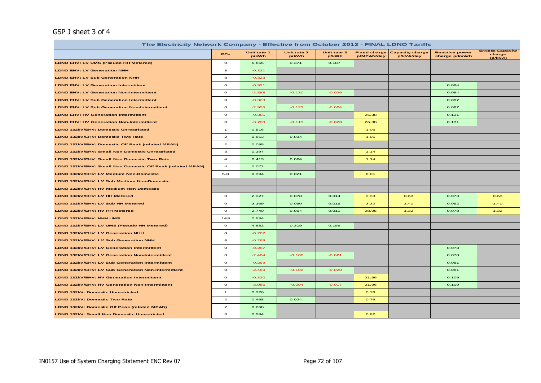## GSP J sheet 3 of 4

| The Electricity Network Company - Effective from October 2012 - FINAL LDNO Tariffs |                |                      |                      |                      |                                   |                                     |                                         |                                             |  |  |  |
|------------------------------------------------------------------------------------|----------------|----------------------|----------------------|----------------------|-----------------------------------|-------------------------------------|-----------------------------------------|---------------------------------------------|--|--|--|
|                                                                                    | PCs            | Unit rate 1<br>p/kWh | Unit rate 2<br>p/kWh | Unit rate 3<br>p/kWh | <b>Fixed charge</b><br>p/MPAN/day | <b>Capacity charge</b><br>p/kVA/day | <b>Reactive power</b><br>charge p/kVArh | <b>Excess Capacity</b><br>charge<br>(p/kVA) |  |  |  |
| LDNO EHV: LV UMS (Pseudo HH Metered)                                               | $\circ$        | 5.865                | 0.371                | 0.187                |                                   |                                     |                                         |                                             |  |  |  |
| <b>LDNO EHV: LV Generation NHH</b>                                                 | 8              | $-0.321$             |                      |                      |                                   |                                     |                                         |                                             |  |  |  |
| <b>LDNO EHV: LV Sub Generation NHH</b>                                             | 8              | $-0.323$             |                      |                      |                                   |                                     |                                         |                                             |  |  |  |
| <b>LDNO EHV: LV Generation Intermittent</b>                                        | $\circ$        | $-0.321$             |                      |                      |                                   |                                     | 0.094                                   |                                             |  |  |  |
| <b>LDNO EHV: LV Generation Non-Intermittent</b>                                    | $\mathbf{o}$   | $-2.888$             | $-0.130$             | $-0.026$             |                                   |                                     | 0.094                                   |                                             |  |  |  |
| <b>LDNO EHV: LV Sub Generation Intermittent</b>                                    | $\circ$        | $-0.323$             |                      |                      |                                   |                                     | 0.097                                   |                                             |  |  |  |
| <b>LDNO EHV: LV Sub Generation Non-Intermittent</b>                                | $\circ$        | $-2.955$             | $-0.123$             | $-0.024$             |                                   |                                     | 0.097                                   |                                             |  |  |  |
| <b>LDNO EHV: HV Generation Intermittent</b>                                        | $\circ$        | $-0.385$             |                      |                      | 26.38                             |                                     | 0.131                                   |                                             |  |  |  |
| <b>LDNO EHV: HV Generation Non-Intermittent</b>                                    | $\circ$        | $-3.708$             | $-0.113$             | $-0.020$             | 26.38                             |                                     | 0.131                                   |                                             |  |  |  |
| LDNO 132kV/EHV: Domestic Unrestricted                                              | $\mathbf{1}$   | 0.516                |                      |                      | 1.06                              |                                     |                                         |                                             |  |  |  |
| LDNO 132kV/EHV: Domestic Two Rate                                                  | $\overline{a}$ | 0.653                | 0.034                |                      | 1.06                              |                                     |                                         |                                             |  |  |  |
| LDNO 132kV/EHV: Domestic Off Peak (related MPAN)                                   | $\mathbf{z}$   | 0.095                |                      |                      |                                   |                                     |                                         |                                             |  |  |  |
| LDNO 132kV/EHV: Small Non Domestic Unrestricted                                    | з              | 0.397                |                      |                      | 1.14                              |                                     |                                         |                                             |  |  |  |
| LDNO 132kV/EHV: Small Non Domestic Two Rate                                        | $\overline{a}$ | 0.413                | 0.024                |                      | 1.14                              |                                     |                                         |                                             |  |  |  |
| LDNO 132kV/EHV: Small Non Domestic Off Peak (related MPAN)                         | $\overline{a}$ | 0.072                |                      |                      |                                   |                                     |                                         |                                             |  |  |  |
| LDNO 132kV/EHV: LV Medium Non-Domestic                                             | $5-8$          | 0.394                | 0.021                |                      | 8.01                              |                                     |                                         |                                             |  |  |  |
| LDNO 132kV/EHV: LV Sub Medium Non-Domestic                                         |                |                      |                      |                      |                                   |                                     |                                         |                                             |  |  |  |
| LDNO 132kV/EHV: HV Medium Non-Domestic                                             |                |                      |                      |                      |                                   |                                     |                                         |                                             |  |  |  |
| LDNO 132kV/EHV: LV HH Metered                                                      | $\circ$        | 2.327                | 0.078                | 0.014                | 3.33                              | 0.63                                | 0.073                                   | 0.63                                        |  |  |  |
| LDNO 132kV/EHV: LV Sub HH Metered                                                  | $\circ$        | 3.369                | 0.090                | 0.016                | 3.32                              | 1.40                                | 0.092                                   | 1.40                                        |  |  |  |
| LDNO 132kV/EHV: HV HH Metered                                                      | $\circ$        | 2.740                | 0.064                | 0.011                | 28.95                             | 1.32                                | 0.078                                   | 1.32                                        |  |  |  |
| LDNO 132kV/EHV: NHH UMS                                                            | 1&8            | 0.534                |                      |                      |                                   |                                     |                                         |                                             |  |  |  |
| LDNO 132kV/EHV: LV UMS (Pseudo HH Metered)                                         | $\circ$        | 4.882                | 0.309                | 0.156                |                                   |                                     |                                         |                                             |  |  |  |
| LDNO 132kV/EHV: LV Generation NHH                                                  | 8              | $-0.267$             |                      |                      |                                   |                                     |                                         |                                             |  |  |  |
| LDNO 132kV/EHV: LV Sub Generation NHH                                              | 8              | $-0.269$             |                      |                      |                                   |                                     |                                         |                                             |  |  |  |
| LDNO 132kV/EHV: LV Generation Intermittent                                         | $\circ$        | $-0.267$             |                      |                      |                                   |                                     | 0.078                                   |                                             |  |  |  |
| LDNO 132kV/EHV: LV Generation Non-Intermittent                                     | $\circ$        | $-2.404$             | $-0.108$             | $-0.021$             |                                   |                                     | 0.078                                   |                                             |  |  |  |
| LDNO 132kV/EHV: LV Sub Generation Intermittent                                     | $\circ$        | $-0.269$             |                      |                      |                                   |                                     | 0.081                                   |                                             |  |  |  |
| LDNO 132kV/EHV: LV Sub Generation Non-Intermittent                                 | $\circ$        | $-2.460$             | $-0.103$             | $-0.020$             |                                   |                                     | 0.081                                   |                                             |  |  |  |
| LDNO 132kV/EHV: HV Generation Intermittent                                         | $\mathbf{o}$   | $-0.320$             |                      |                      | 21.96                             |                                     | 0.109                                   |                                             |  |  |  |
| LDNO 132kV/EHV: HV Generation Non-Intermittent                                     | $\mathbf{o}$   | $-3.086$             | $-0.094$             | $-0.017$             | 21.96                             |                                     | 0.109                                   |                                             |  |  |  |
| LDNO 132kV: Domestic Unrestricted                                                  | $\mathbf{1}$   | 0.370                |                      |                      | 0.76                              |                                     |                                         |                                             |  |  |  |
| LDNO 132kV: Domestic Two Rate                                                      | $\overline{a}$ | 0.468                | 0.024                |                      | 0.76                              |                                     |                                         |                                             |  |  |  |
| <b>LDNO 132kV: Domestic Off Peak (related MPAN)</b>                                | $\mathbf{z}$   | 0.068                |                      |                      |                                   |                                     |                                         |                                             |  |  |  |
| LDNO 132kV: Small Non Domestic Unrestricted                                        | з              | 0.284                |                      |                      | 0.82                              |                                     |                                         |                                             |  |  |  |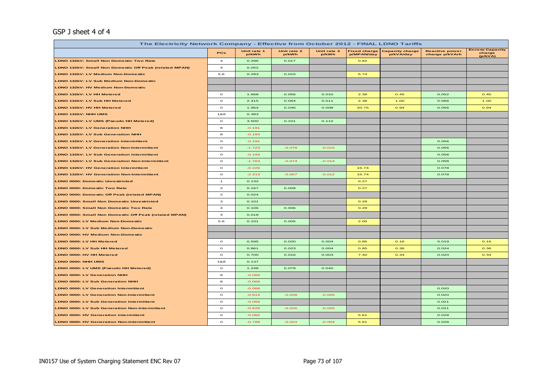#### GSP J sheet 4 of 4

| The Electricity Network Company - Effective from October 2012 - FINAL LDNO Tariffs |                         |                      |                      |                      |                                   |                                     |                                         |                                             |  |  |
|------------------------------------------------------------------------------------|-------------------------|----------------------|----------------------|----------------------|-----------------------------------|-------------------------------------|-----------------------------------------|---------------------------------------------|--|--|
|                                                                                    | PCs                     | Unit rate 1<br>p/kWh | Unit rate 2<br>p/kWh | Unit rate 3<br>p/kWh | <b>Fixed charge</b><br>p/MPAN/day | <b>Capacity charge</b><br>p/kVA/day | <b>Reactive power</b><br>charge p/kVArh | <b>Excess Capacity</b><br>charge<br>(p/kVA) |  |  |
| LDNO 132kV: Small Non Domestic Two Rate                                            | $\overline{a}$          | 0.296                | 0.017                |                      | 0.82                              |                                     |                                         |                                             |  |  |
| LDNO 132kV: Small Non Domestic Off Peak (related MPAN)                             | $\overline{4}$          | 0.052                |                      |                      |                                   |                                     |                                         |                                             |  |  |
| LDNO 132kV: LV Medium Non-Domestic                                                 | $5-8$                   | 0.283                | 0.015                |                      | 5.74                              |                                     |                                         |                                             |  |  |
| LDNO 132kV: LV Sub Medium Non-Domestic                                             |                         |                      |                      |                      |                                   |                                     |                                         |                                             |  |  |
| LDNO 132kV: HV Medium Non-Domestic                                                 |                         |                      |                      |                      |                                   |                                     |                                         |                                             |  |  |
| LDNO 132kV: LV HH Metered                                                          | $\circ$                 | 1.668                | 0.056                | 0.010                | 2.38                              | 0.45                                | 0.052                                   | 0.45                                        |  |  |
| LDNO 132kV: LV Sub HH Metered                                                      | $\circ$                 | 2.415                | 0.064                | 0.011                | 2.38                              | 1.00                                | 0.066                                   | 1.00                                        |  |  |
| LDNO 132kV: HV HH Metered                                                          | $\circ$                 | 1.964                | 0.046                | 0.008                | 20.75                             | 0.94                                | 0.056                                   | 0.94                                        |  |  |
| <b>LDNO 132kV: NHH UMS</b>                                                         | 1&8                     | 0.383                |                      |                      |                                   |                                     |                                         |                                             |  |  |
| LDNO 132kV: LV UMS (Pseudo HH Metered)                                             | $\circ$                 | 3.500                | 0.221                | 0.112                |                                   |                                     |                                         |                                             |  |  |
| <b>LDNO 132kV: LV Generation NHH</b>                                               | 8                       | $-0.191$             |                      |                      |                                   |                                     |                                         |                                             |  |  |
| LDNO 132kV: LV Sub Generation NHH                                                  | 8                       | $-0.193$             |                      |                      |                                   |                                     |                                         |                                             |  |  |
| LDNO 132kV: LV Generation Intermittent                                             | $\mathbf{o}$            | $-0.191$             |                      |                      |                                   |                                     | 0.056                                   |                                             |  |  |
| <b>LDNO 132kV: LV Generation Non-Intermittent</b>                                  | $\circ$                 | $-1.723$             | $-0.078$             | $-0.015$             |                                   |                                     | 0.056                                   |                                             |  |  |
| <b>LDNO 132kV: LV Sub Generation Intermittent</b>                                  | $\circ$                 | $-0.193$             |                      |                      |                                   |                                     | 0.058                                   |                                             |  |  |
| LDNO 132kV: LV Sub Generation Non-Intermittent                                     | $\circ$                 | $-1.763$             | $-0.074$             | $-0.014$             |                                   |                                     | 0.058                                   |                                             |  |  |
| <b>LDNO 132kV: HV Generation Intermittent</b>                                      | $\circ$                 | $-0.229$             |                      |                      | 15.74                             |                                     | 0.078                                   |                                             |  |  |
| LDNO 132kV: HV Generation Non-Intermittent                                         | $\mathbf{o}$            | $-2.213$             | $-0.067$             | $-0.012$             | 15.74                             |                                     | 0.078                                   |                                             |  |  |
| <b>LDNO 0000: Domestic Unrestricted</b>                                            | $\mathbf{1}$            | 0.132                |                      |                      | 0.27                              |                                     |                                         |                                             |  |  |
| <b>LDNO 0000: Domestic Two Rate</b>                                                | $\mathbf{z}$            | 0.167                | 0.009                |                      | 0.27                              |                                     |                                         |                                             |  |  |
| LDNO 0000: Domestic Off Peak (related MPAN)                                        | $\mathbf{z}$            | 0.024                |                      |                      |                                   |                                     |                                         |                                             |  |  |
| <b>LDNO 0000: Small Non Domestic Unrestricted</b>                                  | з                       | 0.101                |                      |                      | 0.29                              |                                     |                                         |                                             |  |  |
| LDNO 0000: Small Non Domestic Two Rate                                             | $\overline{\mathbf{4}}$ | 0.106                | 0.006                |                      | 0.29                              |                                     |                                         |                                             |  |  |
| LDNO 0000: Small Non Domestic Off Peak (related MPAN)                              | $\overline{\mathbf{4}}$ | 0.018                |                      |                      |                                   |                                     |                                         |                                             |  |  |
| LDNO 0000: LV Medium Non-Domestic                                                  | $5 - 8$                 | 0.101                | 0.005                |                      | 2.05                              |                                     |                                         |                                             |  |  |
| LDNO 0000: LV Sub Medium Non-Domestic                                              |                         |                      |                      |                      |                                   |                                     |                                         |                                             |  |  |
| LDNO 0000: HV Medium Non-Domestic                                                  |                         |                      |                      |                      |                                   |                                     |                                         |                                             |  |  |
| LDNO 0000: LV HH Metered                                                           | $\circ$                 | 0.595                | 0.020                | 0.004                | 0.85                              | O.16                                | 0.019                                   | 0.16                                        |  |  |
| LDNO 0000: LV Sub HH Metered                                                       | $\mathbf{o}$            | 0.861                | 0.023                | 0.004                | 0.85                              | 0.36                                | 0.024                                   | 0.36                                        |  |  |
| LDNO 0000: HV HH Metered                                                           | $\circ$                 | 0.700                | 0.016                | 0.003                | 7.40                              | 0.34                                | 0.020                                   | 0.34                                        |  |  |
| LDNO 0000: NHH UMS                                                                 | 1&8                     | 0.137                |                      |                      |                                   |                                     |                                         |                                             |  |  |
| LDNO 0000: LV UMS (Pseudo HH Metered)                                              | $\mathbf{o}$            | 1.248                | 0.079                | 0.040                |                                   |                                     |                                         |                                             |  |  |
| <b>LDNO 0000: LV Generation NHH</b>                                                | 8                       | $-0.068$             |                      |                      |                                   |                                     |                                         |                                             |  |  |
| LDNO 0000: LV Sub Generation NHH                                                   | 8                       | $-0.069$             |                      |                      |                                   |                                     |                                         |                                             |  |  |
| <b>LDNO 0000: LV Generation Intermittent</b>                                       | $\circ$                 | $-0.068$             |                      |                      |                                   |                                     | 0.020                                   |                                             |  |  |
| <b>LDNO 0000: LV Generation Non-Intermittent</b>                                   | $\circ$                 | $-0.614$             | $-0.028$             | $-0.005$             |                                   |                                     | 0.020                                   |                                             |  |  |
| <b>LDNO 0000: LV Sub Generation Intermittent</b>                                   | $\circ$                 | $-0.069$             |                      |                      |                                   |                                     | 0.021                                   |                                             |  |  |
| <b>LDNO 0000: LV Sub Generation Non-Intermittent</b>                               | $\circ$                 | $-0.629$             | $-0.026$             | $-0.005$             |                                   |                                     | 0.021                                   |                                             |  |  |
| <b>LDNO 0000: HV Generation Intermittent</b>                                       | $\circ$                 | $-0.082$             |                      |                      | 5.61                              |                                     | 0.028                                   |                                             |  |  |
| <b>LDNO 0000: HV Generation Non-Intermittent</b>                                   | $\circ$                 | $-0.789$             | $-0.024$             | $-0.004$             | 5.61                              |                                     | 0.028                                   |                                             |  |  |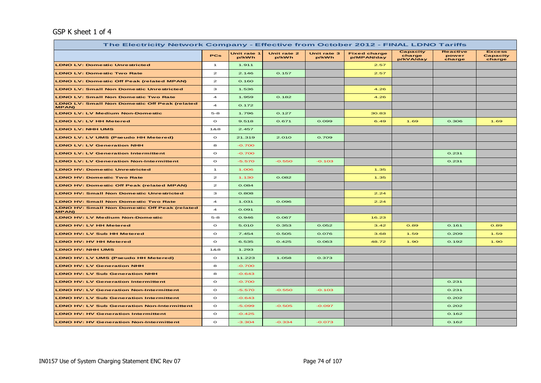#### GSP K sheet 1 of 4

| The Electricity Network Company - Effective from October 2012 - FINAL LDNO Tariffs |                         |                      |                      |                      |                                   |                                        |                                    |                                            |  |  |  |
|------------------------------------------------------------------------------------|-------------------------|----------------------|----------------------|----------------------|-----------------------------------|----------------------------------------|------------------------------------|--------------------------------------------|--|--|--|
|                                                                                    | <b>PCs</b>              | Unit rate 1<br>p/kWh | Unit rate 2<br>p/kWh | Unit rate 3<br>p/kWh | <b>Fixed charge</b><br>p/MPAN/day | <b>Capacity</b><br>charge<br>p/kVA/day | <b>Reactive</b><br>power<br>charge | <b>Excess</b><br><b>Capacity</b><br>charge |  |  |  |
| <b>LDNO LV: Domestic Unrestricted</b>                                              | $\mathbf{1}$            | 1.911                |                      |                      | 2.57                              |                                        |                                    |                                            |  |  |  |
| <b>LDNO LV: Domestic Two Rate</b>                                                  | $\mathbf{z}$            | 2.146                | 0.157                |                      | 2.57                              |                                        |                                    |                                            |  |  |  |
| <b>LDNO LV: Domestic Off Peak (related MPAN)</b>                                   | $\mathbf{z}$            | 0.160                |                      |                      |                                   |                                        |                                    |                                            |  |  |  |
| <b>LDNO LV: Small Non Domestic Unrestricted</b>                                    | з                       | 1.536                |                      |                      | 4.26                              |                                        |                                    |                                            |  |  |  |
| <b>LDNO LV: Small Non Domestic Two Rate</b>                                        | $\overline{a}$          | 1.959                | 0.182                |                      | 4.26                              |                                        |                                    |                                            |  |  |  |
| <b>LDNO LV: Small Non Domestic Off Peak (related</b><br><b>MPAN)</b>               | $\overline{\mathbf{4}}$ | 0.172                |                      |                      |                                   |                                        |                                    |                                            |  |  |  |
| <b>LDNO LV: LV Medium Non-Domestic</b>                                             | $5 - 8$                 | 1.796                | 0.127                |                      | 30.83                             |                                        |                                    |                                            |  |  |  |
| <b>LDNO LV: LV HH Metered</b>                                                      | $\circ$                 | 9.518                | 0.671                | 0.099                | 6.49                              | 1.69                                   | 0.306                              | 1.69                                       |  |  |  |
| LDNO LV: NHH UMS                                                                   | 1&8                     | 2.457                |                      |                      |                                   |                                        |                                    |                                            |  |  |  |
| LDNO LV: LV UMS (Pseudo HH Metered)                                                | $\circ$                 | 21.319               | 2.010                | 0.709                |                                   |                                        |                                    |                                            |  |  |  |
| <b>LDNO LV: LV Generation NHH</b>                                                  | 8                       | $-0.700$             |                      |                      |                                   |                                        |                                    |                                            |  |  |  |
| <b>LDNO LV: LV Generation Intermittent</b>                                         | $\circ$                 | $-0.700$             |                      |                      |                                   |                                        | 0.231                              |                                            |  |  |  |
| <b>LDNO LV: LV Generation Non-Intermittent</b>                                     | $\circ$                 | $-5.570$             | $-0.550$             | $-0.103$             |                                   |                                        | 0.231                              |                                            |  |  |  |
| <b>LDNO HV: Domestic Unrestricted</b>                                              | $\mathbf{1}$            | 1.006                |                      |                      | 1.35                              |                                        |                                    |                                            |  |  |  |
| <b>LDNO HV: Domestic Two Rate</b>                                                  | $\mathbf{z}$            | 1.130                | 0.082                |                      | 1.35                              |                                        |                                    |                                            |  |  |  |
| <b>LDNO HV: Domestic Off Peak (related MPAN)</b>                                   | $\mathbf{z}$            | 0.084                |                      |                      |                                   |                                        |                                    |                                            |  |  |  |
| <b>LDNO HV: Small Non Domestic Unrestricted</b>                                    | з                       | 0.808                |                      |                      | 2.24                              |                                        |                                    |                                            |  |  |  |
| <b>LDNO HV: Small Non Domestic Two Rate</b>                                        | 4                       | 1.031                | 0.096                |                      | 2.24                              |                                        |                                    |                                            |  |  |  |
| <b>LDNO HV: Small Non Domestic Off Peak (related</b><br><b>MPAN)</b>               | $\overline{a}$          | 0.091                |                      |                      |                                   |                                        |                                    |                                            |  |  |  |
| <b>LDNO HV: LV Medium Non-Domestic</b>                                             | $5 - 8$                 | 0.946                | 0.067                |                      | 16.23                             |                                        |                                    |                                            |  |  |  |
| <b>LDNO HV: LV HH Metered</b>                                                      | $\circ$                 | 5.010                | 0.353                | 0.052                | 3.42                              | 0.89                                   | 0.161                              | 0.89                                       |  |  |  |
| <b>LDNO HV: LV Sub HH Metered</b>                                                  | $\circ$                 | 7.454                | 0.505                | 0.076                | 3.68                              | 1.59                                   | 0.209                              | 1.59                                       |  |  |  |
| <b>LDNO HV: HV HH Metered</b>                                                      | $\circ$                 | 6.535                | 0.425                | 0.063                | 48.72                             | 1.90                                   | 0.192                              | 1.90                                       |  |  |  |
| LDNO HV: NHH UMS                                                                   | 1&8                     | 1.293                |                      |                      |                                   |                                        |                                    |                                            |  |  |  |
| <b>LDNO HV: LV UMS (Pseudo HH Metered)</b>                                         | $\circ$                 | 11.223               | 1.058                | 0.373                |                                   |                                        |                                    |                                            |  |  |  |
| <b>LDNO HV: LV Generation NHH</b>                                                  | 8                       | $-0.700$             |                      |                      |                                   |                                        |                                    |                                            |  |  |  |
| <b>LDNO HV: LV Sub Generation NHH</b>                                              | 8                       | $-0.643$             |                      |                      |                                   |                                        |                                    |                                            |  |  |  |
| <b>LDNO HV: LV Generation Intermittent</b>                                         | $\circ$                 | $-0.700$             |                      |                      |                                   |                                        | 0.231                              |                                            |  |  |  |
| <b>LDNO HV: LV Generation Non-Intermittent</b>                                     | $\mathbf{o}$            | $-5.570$             | $-0.550$             | $-0.103$             |                                   |                                        | 0.231                              |                                            |  |  |  |
| <b>LDNO HV: LV Sub Generation Intermittent</b>                                     | $\circ$                 | $-0.643$             |                      |                      |                                   |                                        | 0.202                              |                                            |  |  |  |
| <b>LDNO HV: LV Sub Generation Non-Intermittent</b>                                 | $\circ$                 | $-5.099$             | $-0.505$             | $-0.097$             |                                   |                                        | 0.202                              |                                            |  |  |  |
| <b>LDNO HV: HV Generation Intermittent</b>                                         | $\circ$                 | $-0.425$             |                      |                      |                                   |                                        | 0.162                              |                                            |  |  |  |
| <b>LDNO HV: HV Generation Non-Intermittent</b>                                     | $\circ$                 | $-3.304$             | $-0.334$             | $-0.073$             |                                   |                                        | 0.162                              |                                            |  |  |  |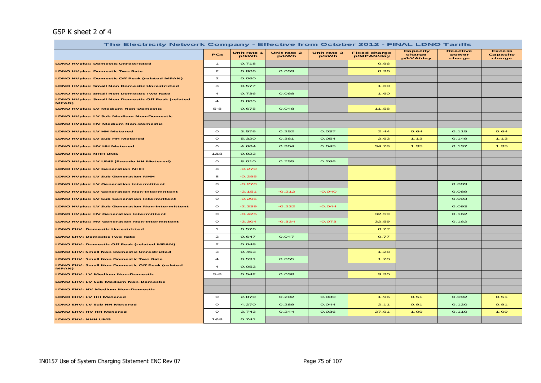#### GSP K sheet 2 of 4

| The Electricity Network Company - Effective from October 2012 - FINAL LDNO Tariffs |                         |                      |                      |                      |                                   |                                 |                                    |                                     |  |  |
|------------------------------------------------------------------------------------|-------------------------|----------------------|----------------------|----------------------|-----------------------------------|---------------------------------|------------------------------------|-------------------------------------|--|--|
|                                                                                    | <b>PCs</b>              | Unit rate 1<br>p/kWh | Unit rate 2<br>p/kWh | Unit rate 3<br>p/kWh | <b>Fixed charge</b><br>p/MPAN/day | Capacity<br>charge<br>p/kVA/day | <b>Reactive</b><br>power<br>charge | <b>Excess</b><br>Capacity<br>charge |  |  |
| <b>LDNO HVplus: Domestic Unrestricted</b>                                          | $\mathbf{1}$            | 0.718                |                      |                      | 0.96                              |                                 |                                    |                                     |  |  |
| <b>LDNO HVplus: Domestic Two Rate</b>                                              | $\mathbf{z}$            | 0.806                | 0.059                |                      | 0.96                              |                                 |                                    |                                     |  |  |
| <b>LDNO HVplus: Domestic Off Peak (related MPAN)</b>                               | $\mathbf{z}$            | 0.060                |                      |                      |                                   |                                 |                                    |                                     |  |  |
| <b>LDNO HVplus: Small Non Domestic Unrestricted</b>                                | з                       | 0.577                |                      |                      | 1.60                              |                                 |                                    |                                     |  |  |
| <b>LDNO HVplus: Small Non Domestic Two Rate</b>                                    | $\overline{\mathbf{4}}$ | 0.736                | 0.068                |                      | 1.60                              |                                 |                                    |                                     |  |  |
| <b>LDNO HVplus: Small Non Domestic Off Peak (related</b><br>MPAN)                  | $\overline{\mathbf{4}}$ | 0.065                |                      |                      |                                   |                                 |                                    |                                     |  |  |
| <b>LDNO HVplus: LV Medium Non-Domestic</b>                                         | $5 - 8$                 | 0.675                | 0.048                |                      | 11.58                             |                                 |                                    |                                     |  |  |
| <b>LDNO HVplus: LV Sub Medium Non-Domestic</b>                                     |                         |                      |                      |                      |                                   |                                 |                                    |                                     |  |  |
| <b>LDNO HVplus: HV Medium Non-Domestic</b>                                         |                         |                      |                      |                      |                                   |                                 |                                    |                                     |  |  |
| LDNO HVplus: LV HH Metered                                                         | $\circ$                 | 3.576                | 0.252                | 0.037                | 2.44                              | O.64                            | 0.115                              | O.64                                |  |  |
| <b>LDNO HVplus: LV Sub HH Metered</b>                                              | $\circ$                 | 5.320                | 0.361                | 0.054                | 2.63                              | 1.13                            | 0.149                              | 1.13                                |  |  |
| <b>LDNO HVplus: HV HH Metered</b>                                                  | $\circ$                 | 4.664                | 0.304                | 0.045                | 34.78                             | 1.35                            | 0.137                              | 1.35                                |  |  |
| <b>LDNO HVplus: NHH UMS</b>                                                        | 1&8                     | 0.923                |                      |                      |                                   |                                 |                                    |                                     |  |  |
| LDNO HVplus: LV UMS (Pseudo HH Metered)                                            | $\mathbf{o}$            | 8.010                | 0.755                | 0.266                |                                   |                                 |                                    |                                     |  |  |
| <b>LDNO HVplus: LV Generation NHH</b>                                              | 8                       | $-0.270$             |                      |                      |                                   |                                 |                                    |                                     |  |  |
| <b>LDNO HVplus: LV Sub Generation NHH</b>                                          | 8                       | $-0.295$             |                      |                      |                                   |                                 |                                    |                                     |  |  |
| <b>LDNO HVplus: LV Generation Intermittent</b>                                     | $\mathbf{o}$            | $-0.270$             |                      |                      |                                   |                                 | 0.089                              |                                     |  |  |
| <b>LDNO HVplus: LV Generation Non-Intermittent</b>                                 | $\circ$                 | $-2.151$             | $-0.212$             | $-0.040$             |                                   |                                 | 0.089                              |                                     |  |  |
| <b>LDNO HVplus: LV Sub Generation Intermittent</b>                                 | $\mathbf{o}$            | $-0.295$             |                      |                      |                                   |                                 | 0.093                              |                                     |  |  |
| <b>LDNO HVplus: LV Sub Generation Non-Intermittent</b>                             | $\circ$                 | $-2.339$             | $-0.232$             | $-0.044$             |                                   |                                 | 0.093                              |                                     |  |  |
| <b>LDNO HVplus: HV Generation Intermittent</b>                                     | $\mathbf{o}$            | $-0.425$             |                      |                      | 32.59                             |                                 | 0.162                              |                                     |  |  |
| <b>LDNO HVplus: HV Generation Non-Intermittent</b>                                 | $\circ$                 | $-3.304$             | $-0.334$             | $-0.073$             | 32.59                             |                                 | 0.162                              |                                     |  |  |
| <b>LDNO EHV: Domestic Unrestricted</b>                                             | $\mathbf{1}$            | 0.576                |                      |                      | 0.77                              |                                 |                                    |                                     |  |  |
| <b>LDNO EHV: Domestic Two Rate</b>                                                 | $\mathbf{z}$            | 0.647                | 0.047                |                      | 0.77                              |                                 |                                    |                                     |  |  |
| <b>LDNO EHV: Domestic Off Peak (related MPAN)</b>                                  | $\mathbf{z}$            | 0.048                |                      |                      |                                   |                                 |                                    |                                     |  |  |
| <b>LDNO EHV: Small Non Domestic Unrestricted</b>                                   | з                       | 0.463                |                      |                      | 1.28                              |                                 |                                    |                                     |  |  |
| <b>LDNO EHV: Small Non Domestic Two Rate</b>                                       | $\overline{\mathbf{4}}$ | 0.591                | 0.055                |                      | 1.28                              |                                 |                                    |                                     |  |  |
| <b>LDNO EHV: Small Non Domestic Off Peak (related</b><br><b>MPAN)</b>              | $\overline{\mathbf{4}}$ | 0.052                |                      |                      |                                   |                                 |                                    |                                     |  |  |
| <b>LDNO EHV: LV Medium Non-Domestic</b>                                            | $5 - 8$                 | 0.542                | 0.038                |                      | 9.30                              |                                 |                                    |                                     |  |  |
| LDNO EHV: LV Sub Medium Non-Domestic                                               |                         |                      |                      |                      |                                   |                                 |                                    |                                     |  |  |
| LDNO EHV: HV Medium Non-Domestic                                                   |                         |                      |                      |                      |                                   |                                 |                                    |                                     |  |  |
| LDNO EHV: LV HH Metered                                                            | $\circ$                 | 2.870                | 0.202                | 0.030                | 1.96                              | 0.51                            | 0.092                              | 0.51                                |  |  |
| LDNO EHV: LV Sub HH Metered                                                        | $\circ$                 | 4.270                | 0.289                | 0.044                | 2.11                              | O.91                            | 0.120                              | O.91                                |  |  |
| LDNO EHV: HV HH Metered                                                            | $\circ$                 | 3.743                | 0.244                | 0.036                | 27.91                             | 1.09                            | 0.110                              | 1.09                                |  |  |
| LDNO EHV: NHH UMS                                                                  | 1&8                     | 0.741                |                      |                      |                                   |                                 |                                    |                                     |  |  |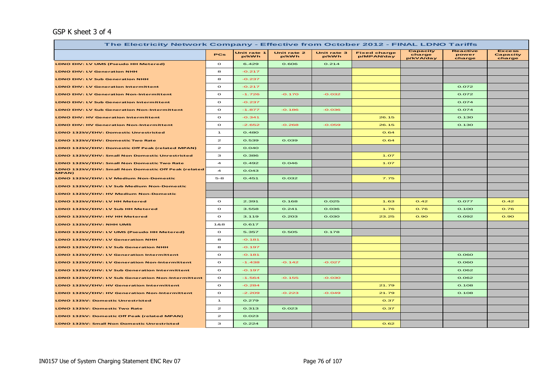#### GSP K sheet 3 of 4

| The Electricity Network Company - Effective from October 2012 - FINAL LDNO Tariffs |                |                      |                      |                      |                                   |                                 |                                    |                                     |  |  |
|------------------------------------------------------------------------------------|----------------|----------------------|----------------------|----------------------|-----------------------------------|---------------------------------|------------------------------------|-------------------------------------|--|--|
|                                                                                    | <b>PCs</b>     | Unit rate 1<br>p/kWh | Unit rate 2<br>p/kWh | Unit rate 3<br>p/kWh | <b>Fixed charge</b><br>p/MPAN/day | Capacity<br>charge<br>p/kVA/day | <b>Reactive</b><br>power<br>charge | <b>Excess</b><br>Capacity<br>charge |  |  |
| LDNO EHV: LV UMS (Pseudo HH Metered)                                               | $\circ$        | 6.429                | 0.606                | 0.214                |                                   |                                 |                                    |                                     |  |  |
| <b>LDNO EHV: LV Generation NHH</b>                                                 | 8              | $-0.217$             |                      |                      |                                   |                                 |                                    |                                     |  |  |
| <b>LDNO EHV: LV Sub Generation NHH</b>                                             | 8              | $-0.237$             |                      |                      |                                   |                                 |                                    |                                     |  |  |
| <b>LDNO EHV: LV Generation Intermittent</b>                                        | $\circ$        | $-0.217$             |                      |                      |                                   |                                 | 0.072                              |                                     |  |  |
| <b>LDNO EHV: LV Generation Non-Intermittent</b>                                    | $\mathbf{o}$   | $-1.726$             | $-0.170$             | $-0.032$             |                                   |                                 | 0.072                              |                                     |  |  |
| <b>LDNO EHV: LV Sub Generation Intermittent</b>                                    | $\circ$        | $-0.237$             |                      |                      |                                   |                                 | 0.074                              |                                     |  |  |
| <b>LDNO EHV: LV Sub Generation Non-Intermittent</b>                                | $\circ$        | $-1.877$             | $-0.186$             | $-0.036$             |                                   |                                 | 0.074                              |                                     |  |  |
| LDNO EHV: HV Generation Intermittent                                               | $\mathbf{o}$   | $-0.341$             |                      |                      | 26.15                             |                                 | 0.130                              |                                     |  |  |
| <b>LDNO EHV: HV Generation Non-Intermittent</b>                                    | $\mathbf{o}$   | $-2.652$             | $-0.268$             | $-0.059$             | 26.15                             |                                 | 0.130                              |                                     |  |  |
| LDNO 132kV/EHV: Domestic Unrestricted                                              | $\mathbf{1}$   | 0.480                |                      |                      | O.64                              |                                 |                                    |                                     |  |  |
| LDNO 132kV/EHV: Domestic Two Rate                                                  | $\mathbf{z}$   | 0.539                | 0.039                |                      | O.64                              |                                 |                                    |                                     |  |  |
| LDNO 132kV/EHV: Domestic Off Peak (related MPAN)                                   | $\mathbf{z}$   | 0.040                |                      |                      |                                   |                                 |                                    |                                     |  |  |
| LDNO 132kV/EHV: Small Non Domestic Unrestricted                                    | з              | 0.386                |                      |                      | 1.07                              |                                 |                                    |                                     |  |  |
| LDNO 132kV/EHV: Small Non Domestic Two Rate                                        | $\overline{a}$ | 0.492                | 0.046                |                      | 1.07                              |                                 |                                    |                                     |  |  |
| LDNO 132kV/EHV: Small Non Domestic Off Peak (related<br>MPAN)                      | $\overline{a}$ | 0.043                |                      |                      |                                   |                                 |                                    |                                     |  |  |
| LDNO 132kV/EHV: LV Medium Non-Domestic                                             | $5 - 8$        | 0.451                | 0.032                |                      | 7.75                              |                                 |                                    |                                     |  |  |
| LDNO 132kV/EHV: LV Sub Medium Non-Domestic                                         |                |                      |                      |                      |                                   |                                 |                                    |                                     |  |  |
| LDNO 132kV/EHV: HV Medium Non-Domestic                                             |                |                      |                      |                      |                                   |                                 |                                    |                                     |  |  |
| LDNO 132kV/EHV: LV HH Metered                                                      | $\circ$        | 2.391                | 0.168                | 0.025                | 1.63                              | O.42                            | 0.077                              | O.42                                |  |  |
| LDNO 132kV/EHV: LV Sub HH Metered                                                  | $\circ$        | 3.558                | 0.241                | 0.036                | 1.76                              | 0.76                            | 0.100                              | 0.76                                |  |  |
| LDNO 132kV/EHV: HV HH Metered                                                      | $\circ$        | 3.119                | 0.203                | 0.030                | 23.25                             | O.9O                            | 0.092                              | 0.90                                |  |  |
| LDNO 132kV/EHV: NHH UMS                                                            | 1&8            | 0.617                |                      |                      |                                   |                                 |                                    |                                     |  |  |
| LDNO 132kV/EHV: LV UMS (Pseudo HH Metered)                                         | $\circ$        | 5.357                | 0.505                | 0.178                |                                   |                                 |                                    |                                     |  |  |
| LDNO 132kV/EHV: LV Generation NHH                                                  | 8              | $-0.181$             |                      |                      |                                   |                                 |                                    |                                     |  |  |
| LDNO 132kV/EHV: LV Sub Generation NHH                                              | 8              | $-0.197$             |                      |                      |                                   |                                 |                                    |                                     |  |  |
| LDNO 132kV/EHV: LV Generation Intermittent                                         | $\circ$        | $-0.181$             |                      |                      |                                   |                                 | 0.060                              |                                     |  |  |
| LDNO 132kV/EHV: LV Generation Non-Intermittent                                     | $\circ$        | $-1.438$             | $-0.142$             | $-0.027$             |                                   |                                 | 0.060                              |                                     |  |  |
| LDNO 132kV/EHV: LV Sub Generation Intermittent                                     | $\circ$        | $-0.197$             |                      |                      |                                   |                                 | 0.062                              |                                     |  |  |
| LDNO 132kV/EHV: LV Sub Generation Non-Intermittent                                 | $\circ$        | $-1.564$             | $-0.155$             | $-0.030$             |                                   |                                 | 0.062                              |                                     |  |  |
| LDNO 132kV/EHV: HV Generation Intermittent                                         | $\circ$        | $-0.284$             |                      |                      | 21.79                             |                                 | 0.108                              |                                     |  |  |
| LDNO 132kV/EHV: HV Generation Non-Intermittent                                     | $\circ$        | $-2.209$             | $-0.223$             | $-0.049$             | 21.79                             |                                 | 0.108                              |                                     |  |  |
| LDNO 132kV: Domestic Unrestricted                                                  | $\mathbf{1}$   | 0.279                |                      |                      | 0.37                              |                                 |                                    |                                     |  |  |
| LDNO 132kV: Domestic Two Rate                                                      | $\mathbf{z}$   | 0.313                | 0.023                |                      | 0.37                              |                                 |                                    |                                     |  |  |
| LDNO 132kV: Domestic Off Peak (related MPAN)                                       | $\mathbf{z}$   | 0.023                |                      |                      |                                   |                                 |                                    |                                     |  |  |
| <b>LDNO 132kV: Small Non Domestic Unrestricted</b>                                 | з              | 0.224                |                      |                      | 0.62                              |                                 |                                    |                                     |  |  |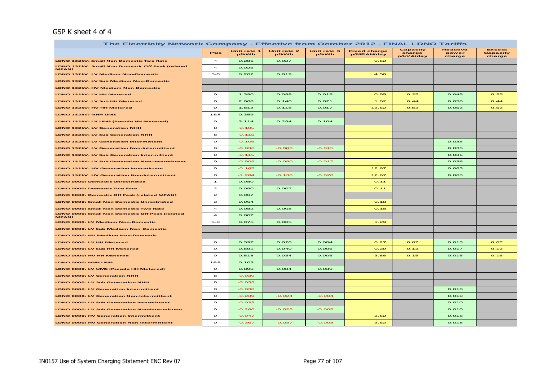#### GSP K sheet 4 of 4

| The Electricity Network Company - Effective from October 2012 - FINAL LDNO Tariffs |                         |                      |                      |                      |                                   |                                 |                                    |                                     |  |  |  |
|------------------------------------------------------------------------------------|-------------------------|----------------------|----------------------|----------------------|-----------------------------------|---------------------------------|------------------------------------|-------------------------------------|--|--|--|
|                                                                                    | PCs                     | Unit rate 1<br>p/kWh | Unit rate 2<br>p/kWh | Unit rate 3<br>p/kWh | <b>Fixed charge</b><br>p/MPAN/day | Capacity<br>charge<br>p/kVA/day | <b>Reactive</b><br>power<br>charge | <b>Excess</b><br>Capacity<br>charge |  |  |  |
| LDNO 132kV: Small Non Domestic Two Rate                                            | $\overline{a}$          | 0.286                | 0.027                |                      | 0.62                              |                                 |                                    |                                     |  |  |  |
| LDNO 132kV: Small Non Domestic Off Peak (related<br>MPAN)                          | $\overline{\mathbf{A}}$ | 0.025                |                      |                      |                                   |                                 |                                    |                                     |  |  |  |
| LDNO 132kV: LV Medium Non-Domestic                                                 | $5-8$                   | 0.262                | 0.019                |                      | 4.50                              |                                 |                                    |                                     |  |  |  |
| LDNO 132kV: LV Sub Medium Non-Domestic                                             |                         |                      |                      |                      |                                   |                                 |                                    |                                     |  |  |  |
| LDNO 132kV: HV Medium Non-Domestic                                                 |                         |                      |                      |                      |                                   |                                 |                                    |                                     |  |  |  |
| LDNO 132kV: LV HH Metered                                                          | $\circ$                 | 1.390                | 0.098                | 0.015                | 0.95                              | O.25                            | 0.045                              | O.25                                |  |  |  |
| LDNO 132kV: LV Sub HH Metered                                                      | $\circ$                 | 2.068                | O.14O                | O.021                | 1.02                              | O.44                            | 0.058                              | O.44                                |  |  |  |
| LDNO 132kV: HV HH Metered                                                          | $\circ$                 | 1.813                | 0.118                | 0.017                | 13.52                             | 0.53                            | 0.053                              | O.53                                |  |  |  |
| LDNO 132kV: NHH UMS                                                                | 188                     | 0.359                |                      |                      |                                   |                                 |                                    |                                     |  |  |  |
| LDNO 132kV: LV UMS (Pseudo HH Metered)                                             | $\circ$                 | 3.114                | 0.294                | 0.104                |                                   |                                 |                                    |                                     |  |  |  |
| LDNO 132kV: LV Generation NHH                                                      | 8                       | $-0.105$             |                      |                      |                                   |                                 |                                    |                                     |  |  |  |
| LDNO 132kV: LV Sub Generation NHH                                                  | 8                       | $-0.115$             |                      |                      |                                   |                                 |                                    |                                     |  |  |  |
| <b>LDNO 132kV: LV Generation Intermittent</b>                                      | $\Omega$                | $-0.105$             |                      |                      |                                   |                                 | 0.035                              |                                     |  |  |  |
| LDNO 132kV: LV Generation Non-Intermittent                                         | $\circ$                 | $-0.836$             | $-0.083$             | $-0.015$             |                                   |                                 | 0.035                              |                                     |  |  |  |
| LDNO 132kV: LV Sub Generation Intermittent                                         | $\circ$                 | $-0.115$             |                      |                      |                                   |                                 | 0.036                              |                                     |  |  |  |
| LDNO 132kV: LV Sub Generation Non-Intermittent                                     | $\circ$                 | $-0.909$             | $-0.090$             | $-0.017$             |                                   |                                 | 0.036                              |                                     |  |  |  |
| LDNO 132kV: HV Generation Intermittent                                             | $\circ$                 | $-0.165$             |                      |                      | 12.67                             |                                 | 0.063                              |                                     |  |  |  |
| LDNO 132kV: HV Generation Non-Intermittent                                         | $\circ$                 | $-1.284$             | $-0.130$             | $-0.028$             | 12.67                             |                                 | 0.063                              |                                     |  |  |  |
| <b>LDNO 0000: Domestic Unrestricted</b>                                            | $\mathbf{1}$            | O.08O                |                      |                      | O.11                              |                                 |                                    |                                     |  |  |  |
| <b>LDNO 0000: Domestic Two Rate</b>                                                | $\mathbf{z}$            | O.090                | 0.007                |                      | 0.11                              |                                 |                                    |                                     |  |  |  |
| LDNO 0000: Domestic Off Peak (related MPAN)                                        | $\mathbf{z}$            | 0.007                |                      |                      |                                   |                                 |                                    |                                     |  |  |  |
| <b>LDNO 0000: Small Non Domestic Unrestricted</b>                                  | з                       | 0.064                |                      |                      | O.18                              |                                 |                                    |                                     |  |  |  |
| LDNO 0000: Small Non Domestic Two Rate                                             | $\overline{a}$          | 0.082                | O.OOB                |                      | O.18                              |                                 |                                    |                                     |  |  |  |
| LDNO 0000: Small Non Domestic Off Peak (related<br>MPAN)                           | $\overline{\mathbf{4}}$ | 0.007                |                      |                      |                                   |                                 |                                    |                                     |  |  |  |
| LDNO 0000: LV Medium Non-Domestic                                                  | $5 - 8$                 | 0.075                | 0.005                |                      | 1.29                              |                                 |                                    |                                     |  |  |  |
| LDNO 0000: LV Sub Medium Non-Domestic                                              |                         |                      |                      |                      |                                   |                                 |                                    |                                     |  |  |  |
| LDNO 0000: HV Medium Non-Domestic                                                  |                         |                      |                      |                      |                                   |                                 |                                    |                                     |  |  |  |
| LDNO 0000: LV HH Metered                                                           | $\circ$                 | 0.397                | 0.028                | 0.004                | O.27                              | O.07                            | 0.013                              | O.07                                |  |  |  |
| LDNO 0000: LV Sub HH Metered                                                       | $\circ$                 | 0.591                | O.040                | O.006                | O.29                              | O.13                            | 0.017                              | O.13                                |  |  |  |
| LDNO 0000: HV HH Metered                                                           | $\circ$                 | 0.518                | 0.034                | 0.005                | 3.86                              | 0.15                            | 0.015                              | 0.15                                |  |  |  |
| LDNO 0000: NHH UMS                                                                 | 188                     | 0.103                |                      |                      |                                   |                                 |                                    |                                     |  |  |  |
| LDNO 0000: LV UMS (Pseudo HH Metered)                                              | $\circ$                 | O.89O                | 0.084                | 0.030                |                                   |                                 |                                    |                                     |  |  |  |
| LDNO 0000: LV Generation NHH                                                       | 8                       | $-0.030$             |                      |                      |                                   |                                 |                                    |                                     |  |  |  |
| <b>LDNO 0000: LV Sub Generation NHH</b>                                            | 8                       | $-0.033$             |                      |                      |                                   |                                 |                                    |                                     |  |  |  |
| <b>LDNO 0000: LV Generation Intermittent</b>                                       | $\circ$                 | $-0.030$             |                      |                      |                                   |                                 | 0.010                              |                                     |  |  |  |
| <b>LDNO 0000: LV Generation Non-Intermittent</b>                                   | $\circ$                 | $-0.239$             | $-0.024$             | $-0.004$             |                                   |                                 | O.O1O                              |                                     |  |  |  |
| LDNO 0000: LV Sub Generation Intermittent                                          | $\circ$                 | $-0.033$             |                      |                      |                                   |                                 | 0.010                              |                                     |  |  |  |
| LDNO 0000: LV Sub Generation Non-Intermittent                                      | $\circ$                 | $-0.260$             | $-0.026$             | $-0.005$             |                                   |                                 | 0.010                              |                                     |  |  |  |
| LDNO 0000: HV Generation Intermittent                                              | $\mathbf{o}$            | $-0.047$             |                      |                      | 3.62                              |                                 | 0.018                              |                                     |  |  |  |
| <b>LDNO 0000: HV Generation Non-Intermittent</b>                                   | $\mathbf{o}$            | $-0.367$             | $-0.037$             | $-0.008$             | 3.62                              |                                 | 0.018                              |                                     |  |  |  |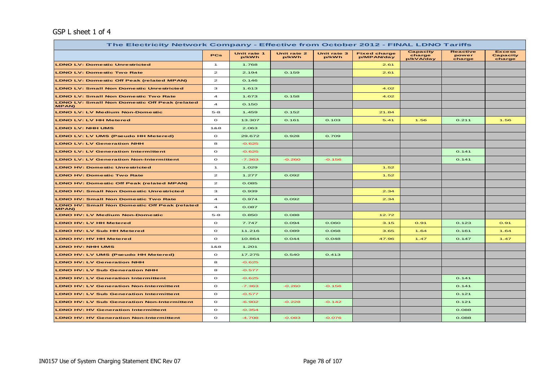#### GSP L sheet 1 of 4

| The Electricity Network Company - Effective from October 2012 - FINAL LDNO Tariffs |                         |                      |                      |                      |                                   |                                 |                                    |                                            |  |  |  |
|------------------------------------------------------------------------------------|-------------------------|----------------------|----------------------|----------------------|-----------------------------------|---------------------------------|------------------------------------|--------------------------------------------|--|--|--|
|                                                                                    | <b>PCs</b>              | Unit rate 1<br>p/kWh | Unit rate 2<br>p/kWh | Unit rate 3<br>p/kWh | <b>Fixed charge</b><br>p/MPAN/day | Capacity<br>charge<br>p/kVA/day | <b>Reactive</b><br>power<br>charge | <b>Excess</b><br><b>Capacity</b><br>charge |  |  |  |
| <b>LDNO LV: Domestic Unrestricted</b>                                              | $\mathbf{1}$            | 1.768                |                      |                      | 2.61                              |                                 |                                    |                                            |  |  |  |
| <b>LDNO LV: Domestic Two Rate</b>                                                  | $\mathbf{z}$            | 2.194                | 0.159                |                      | 2.61                              |                                 |                                    |                                            |  |  |  |
| <b>LDNO LV: Domestic Off Peak (related MPAN)</b>                                   | $\mathbf{z}$            | 0.146                |                      |                      |                                   |                                 |                                    |                                            |  |  |  |
| <b>LDNO LV: Small Non Domestic Unrestricted</b>                                    | з                       | 1.613                |                      |                      | 4.02                              |                                 |                                    |                                            |  |  |  |
| <b>LDNO LV: Small Non Domestic Two Rate</b>                                        | $\overline{a}$          | 1.673                | 0.158                |                      | 4.02                              |                                 |                                    |                                            |  |  |  |
| <b>LDNO LV: Small Non Domestic Off Peak (related</b><br><b>MPAN)</b>               | $\overline{\mathbf{4}}$ | 0.150                |                      |                      |                                   |                                 |                                    |                                            |  |  |  |
| <b>LDNO LV: LV Medium Non-Domestic</b>                                             | $5 - 8$                 | 1.459                | 0.152                |                      | 21.84                             |                                 |                                    |                                            |  |  |  |
| <b>LDNO LV: LV HH Metered</b>                                                      | $\circ$                 | 13.307               | 0.161                | 0.103                | 5.41                              | 1.56                            | 0.211                              | 1.56                                       |  |  |  |
| <b>LDNO LV: NHH UMS</b>                                                            | 1&8                     | 2.063                |                      |                      |                                   |                                 |                                    |                                            |  |  |  |
| <b>LDNO LV: LV UMS (Pseudo HH Metered)</b>                                         | $\circ$                 | 29.672               | 0.928                | 0.709                |                                   |                                 |                                    |                                            |  |  |  |
| <b>LDNO LV: LV Generation NHH</b>                                                  | 8                       | $-0.625$             |                      |                      |                                   |                                 |                                    |                                            |  |  |  |
| <b>LDNO LV: LV Generation Intermittent</b>                                         | $\circ$                 | $-0.625$             |                      |                      |                                   |                                 | 0.141                              |                                            |  |  |  |
| <b>LDNO LV: LV Generation Non-Intermittent</b>                                     | $\circ$                 | $-7.363$             | $-0.260$             | $-0.156$             |                                   |                                 | 0.141                              |                                            |  |  |  |
| <b>LDNO HV: Domestic Unrestricted</b>                                              | $\mathbf{1}$            | 1.029                |                      |                      | 1.52                              |                                 |                                    |                                            |  |  |  |
| <b>LDNO HV: Domestic Two Rate</b>                                                  | $\mathbf{z}$            | 1.277                | 0.092                |                      | 1.52                              |                                 |                                    |                                            |  |  |  |
| <b>LDNO HV: Domestic Off Peak (related MPAN)</b>                                   | $\mathbf{z}$            | 0.085                |                      |                      |                                   |                                 |                                    |                                            |  |  |  |
| <b>LDNO HV: Small Non Domestic Unrestricted</b>                                    | з                       | 0.939                |                      |                      | 2.34                              |                                 |                                    |                                            |  |  |  |
| <b>LDNO HV: Small Non Domestic Two Rate</b>                                        | $\overline{\mathbf{4}}$ | 0.974                | 0.092                |                      | 2.34                              |                                 |                                    |                                            |  |  |  |
| <b>LDNO HV: Small Non Domestic Off Peak (related</b><br><b>MPAN)</b>               | $\overline{\mathbf{4}}$ | 0.087                |                      |                      |                                   |                                 |                                    |                                            |  |  |  |
| <b>LDNO HV: LV Medium Non-Domestic</b>                                             | $5 - 8$                 | 0.850                | 0.088                |                      | 12.72                             |                                 |                                    |                                            |  |  |  |
| <b>LDNO HV: LV HH Metered</b>                                                      | $\circ$                 | 7.747                | 0.094                | 0.060                | 3.15                              | O.91                            | 0.123                              | O.91                                       |  |  |  |
| <b>LDNO HV: LV Sub HH Metered</b>                                                  | $\circ$                 | 11.216               | 0.089                | 0.068                | 3.65                              | 1.64                            | 0.161                              | 1.64                                       |  |  |  |
| <b>LDNO HV: HV HH Metered</b>                                                      | $\circ$                 | 10.864               | 0.044                | 0.048                | 47.96                             | 1.47                            | 0.147                              | 1.47                                       |  |  |  |
| <b>LDNO HV: NHH UMS</b>                                                            | 18.8                    | 1.201                |                      |                      |                                   |                                 |                                    |                                            |  |  |  |
| LDNO HV: LV UMS (Pseudo HH Metered)                                                | $\circ$                 | 17.275               | 0.540                | 0.413                |                                   |                                 |                                    |                                            |  |  |  |
| <b>LDNO HV: LV Generation NHH</b>                                                  | 8                       | $-0.625$             |                      |                      |                                   |                                 |                                    |                                            |  |  |  |
| <b>LDNO HV: LV Sub Generation NHH</b>                                              | 8                       | $-0.577$             |                      |                      |                                   |                                 |                                    |                                            |  |  |  |
| <b>LDNO HV: LV Generation Intermittent</b>                                         | $\circ$                 | $-0.625$             |                      |                      |                                   |                                 | 0.141                              |                                            |  |  |  |
| <b>LDNO HV: LV Generation Non-Intermittent</b>                                     | $\circ$                 | $-7.363$             | $-0.260$             | $-0.156$             |                                   |                                 | 0.141                              |                                            |  |  |  |
| <b>LDNO HV: LV Sub Generation Intermittent</b>                                     | $\circ$                 | $-0.577$             |                      |                      |                                   |                                 | 0.121                              |                                            |  |  |  |
| <b>LDNO HV: LV Sub Generation Non-Intermittent</b>                                 | $\circ$                 | $-6.902$             | $-0.228$             | $-0.142$             |                                   |                                 | 0.121                              |                                            |  |  |  |
| <b>LDNO HV: HV Generation Intermittent</b>                                         | $\circ$                 | $-0.354$             |                      |                      |                                   |                                 | 0.088                              |                                            |  |  |  |
| <b>LDNO HV: HV Generation Non-Intermittent</b>                                     | $\circ$                 | $-4.708$             | $-0.083$             | $-0.076$             |                                   |                                 | 0.088                              |                                            |  |  |  |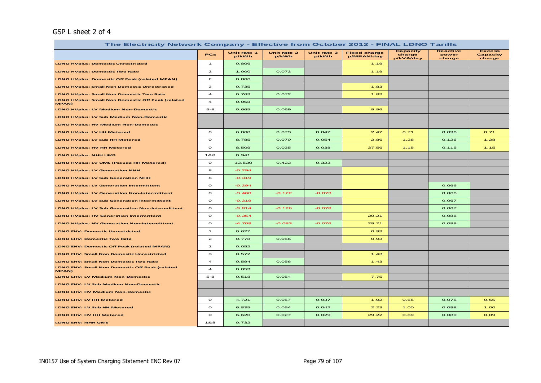#### GSP L sheet 2 of 4

| The Electricity Network Company - Effective from October 2012 - FINAL LDNO Tariffs |                         |                      |                      |                      |                                   |                                 |                                    |                                     |  |  |
|------------------------------------------------------------------------------------|-------------------------|----------------------|----------------------|----------------------|-----------------------------------|---------------------------------|------------------------------------|-------------------------------------|--|--|
|                                                                                    | <b>PCs</b>              | Unit rate 1<br>p/kWh | Unit rate 2<br>p/kWh | Unit rate 3<br>p/kWh | <b>Fixed charge</b><br>p/MPAN/day | Capacity<br>charge<br>p/kVA/day | <b>Reactive</b><br>power<br>charge | <b>Excess</b><br>Capacity<br>charge |  |  |
| <b>LDNO HVplus: Domestic Unrestricted</b>                                          | $\mathbf{1}$            | 0.806                |                      |                      | 1.19                              |                                 |                                    |                                     |  |  |
| <b>LDNO HVplus: Domestic Two Rate</b>                                              | $\mathbf{z}$            | 1.000                | 0.072                |                      | 1.19                              |                                 |                                    |                                     |  |  |
| <b>LDNO HVplus: Domestic Off Peak (related MPAN)</b>                               | $\mathbf{z}$            | 0.066                |                      |                      |                                   |                                 |                                    |                                     |  |  |
| <b>LDNO HVplus: Small Non Domestic Unrestricted</b>                                | з                       | 0.735                |                      |                      | 1.83                              |                                 |                                    |                                     |  |  |
| <b>LDNO HVplus: Small Non Domestic Two Rate</b>                                    | $\overline{\mathbf{4}}$ | 0.763                | 0.072                |                      | 1.83                              |                                 |                                    |                                     |  |  |
| LDNO HVplus: Small Non Domestic Off Peak (related<br>MPAN)                         | $\overline{\mathbf{4}}$ | 0.068                |                      |                      |                                   |                                 |                                    |                                     |  |  |
| <b>LDNO HVplus: LV Medium Non-Domestic</b>                                         | $5 - 8$                 | 0.665                | 0.069                |                      | 9.96                              |                                 |                                    |                                     |  |  |
| LDNO HVplus: LV Sub Medium Non-Domestic                                            |                         |                      |                      |                      |                                   |                                 |                                    |                                     |  |  |
| <b>LDNO HVplus: HV Medium Non-Domestic</b>                                         |                         |                      |                      |                      |                                   |                                 |                                    |                                     |  |  |
| LDNO HVplus: LV HH Metered                                                         | $\circ$                 | 6.068                | 0.073                | 0.047                | 2.47                              | 0.71                            | 0.096                              | O.71                                |  |  |
| LDNO HVplus: LV Sub HH Metered                                                     | $\circ$                 | 8.785                | 0.070                | 0.054                | 2.86                              | 1.28                            | 0.126                              | 1.28                                |  |  |
| <b>LDNO HVplus: HV HH Metered</b>                                                  | $\circ$                 | 8.509                | 0.035                | 0.038                | 37.56                             | 1.15                            | 0.115                              | 1.15                                |  |  |
| <b>LDNO HVplus: NHH UMS</b>                                                        | 1&8                     | 0.941                |                      |                      |                                   |                                 |                                    |                                     |  |  |
| LDNO HVplus: LV UMS (Pseudo HH Metered)                                            | $\circ$                 | 13.530               | 0.423                | 0.323                |                                   |                                 |                                    |                                     |  |  |
| <b>LDNO HVplus: LV Generation NHH</b>                                              | 8                       | $-0.294$             |                      |                      |                                   |                                 |                                    |                                     |  |  |
| <b>LDNO HVplus: LV Sub Generation NHH</b>                                          | 8                       | $-0.319$             |                      |                      |                                   |                                 |                                    |                                     |  |  |
| <b>LDNO HVplus: LV Generation Intermittent</b>                                     | $\circ$                 | $-0.294$             |                      |                      |                                   |                                 | 0.066                              |                                     |  |  |
| <b>LDNO HVplus: LV Generation Non-Intermittent</b>                                 | $\circ$                 | $-3.460$             | $-0.122$             | $-0.073$             |                                   |                                 | 0.066                              |                                     |  |  |
| <b>LDNO HVplus: LV Sub Generation Intermittent</b>                                 | $\circ$                 | $-0.319$             |                      |                      |                                   |                                 | 0.067                              |                                     |  |  |
| <b>LDNO HVplus: LV Sub Generation Non-Intermittent</b>                             | $\circ$                 | $-3.814$             | $-0.126$             | $-0.078$             |                                   |                                 | 0.067                              |                                     |  |  |
| <b>LDNO HVplus: HV Generation Intermittent</b>                                     | $\circ$                 | $-0.354$             |                      |                      | 29.21                             |                                 | 0.088                              |                                     |  |  |
| <b>LDNO HVplus: HV Generation Non-Intermittent</b>                                 | $\circ$                 | $-4.708$             | $-0.083$             | $-0.076$             | 29.21                             |                                 | 0.088                              |                                     |  |  |
| <b>LDNO EHV: Domestic Unrestricted</b>                                             | $\mathbf{1}$            | 0.627                |                      |                      | 0.93                              |                                 |                                    |                                     |  |  |
| <b>LDNO EHV: Domestic Two Rate</b>                                                 | $\mathbf{z}$            | 0.778                | 0.056                |                      | 0.93                              |                                 |                                    |                                     |  |  |
| LDNO EHV: Domestic Off Peak (related MPAN)                                         | $\mathbf{z}$            | 0.052                |                      |                      |                                   |                                 |                                    |                                     |  |  |
| <b>LDNO EHV: Small Non Domestic Unrestricted</b>                                   | з                       | 0.572                |                      |                      | 1.43                              |                                 |                                    |                                     |  |  |
| <b>LDNO EHV: Small Non Domestic Two Rate</b>                                       | $\overline{\mathbf{4}}$ | 0.594                | 0.056                |                      | 1.43                              |                                 |                                    |                                     |  |  |
| <b>LDNO EHV: Small Non Domestic Off Peak (related</b><br>MPAN)                     | $\overline{\mathbf{4}}$ | 0.053                |                      |                      |                                   |                                 |                                    |                                     |  |  |
| <b>LDNO EHV: LV Medium Non-Domestic</b>                                            | $5 - 8$                 | 0.518                | 0.054                |                      | 7.75                              |                                 |                                    |                                     |  |  |
| LDNO EHV: LV Sub Medium Non-Domestic                                               |                         |                      |                      |                      |                                   |                                 |                                    |                                     |  |  |
| LDNO EHV: HV Medium Non-Domestic                                                   |                         |                      |                      |                      |                                   |                                 |                                    |                                     |  |  |
| <b>LDNO EHV: LV HH Metered</b>                                                     | $\circ$                 | 4.721                | 0.057                | 0.037                | 1.92                              | 0.55                            | 0.075                              | 0.55                                |  |  |
| LDNO EHV: LV Sub HH Metered                                                        | $\circ$                 | 6.835                | 0.054                | 0.042                | 2.23                              | 1.00                            | 0.098                              | 1.00                                |  |  |
| LDNO EHV: HV HH Metered                                                            | $\circ$                 | 6.620                | 0.027                | 0.029                | 29.22                             | 0.89                            | 0.089                              | 0.89                                |  |  |
| LDNO EHV: NHH UMS                                                                  | 1&8                     | 0.732                |                      |                      |                                   |                                 |                                    |                                     |  |  |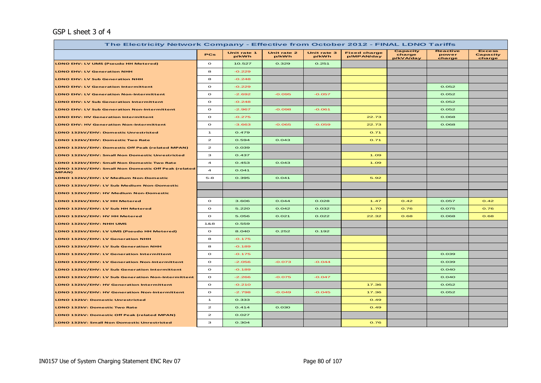#### GSP L sheet 3 of 4

| The Electricity Network Company - Effective from October 2012 - FINAL LDNO Tariffs |                         |                      |                      |                      |                                   |                                 |                                    |                                     |  |  |  |
|------------------------------------------------------------------------------------|-------------------------|----------------------|----------------------|----------------------|-----------------------------------|---------------------------------|------------------------------------|-------------------------------------|--|--|--|
|                                                                                    | PCs                     | Unit rate 1<br>p/kWh | Unit rate 2<br>p/kWh | Unit rate 3<br>p/kWh | <b>Fixed charge</b><br>p/MPAN/day | Capacity<br>charge<br>p/kVA/day | <b>Reactive</b><br>power<br>charge | <b>Excess</b><br>Capacity<br>charge |  |  |  |
| LDNO EHV: LV UMS (Pseudo HH Metered)                                               | $\circ$                 | 10.527               | 0.329                | 0.251                |                                   |                                 |                                    |                                     |  |  |  |
| <b>LDNO EHV: LV Generation NHH</b>                                                 | 8                       | $-0.229$             |                      |                      |                                   |                                 |                                    |                                     |  |  |  |
| LDNO EHV: LV Sub Generation NHH                                                    | 8                       | $-0.248$             |                      |                      |                                   |                                 |                                    |                                     |  |  |  |
| <b>LDNO EHV: LV Generation Intermittent</b>                                        | $\circ$                 | $-0.229$             |                      |                      |                                   |                                 | 0.052                              |                                     |  |  |  |
| <b>LDNO EHV: LV Generation Non-Intermittent</b>                                    | $\circ$                 | $-2.692$             | $-0.095$             | $-0.057$             |                                   |                                 | 0.052                              |                                     |  |  |  |
| LDNO EHV: LV Sub Generation Intermittent                                           | $\circ$                 | $-0.248$             |                      |                      |                                   |                                 | 0.052                              |                                     |  |  |  |
| LDNO EHV: LV Sub Generation Non-Intermittent                                       | $\circ$                 | $-2.967$             | $-0.098$             | $-0.061$             |                                   |                                 | 0.052                              |                                     |  |  |  |
| <b>LDNO EHV: HV Generation Intermittent</b>                                        | $\circ$                 | $-0.275$             |                      |                      | 22.73                             |                                 | 0.068                              |                                     |  |  |  |
| <b>LDNO EHV: HV Generation Non-Intermittent</b>                                    | $\circ$                 | $-3.663$             | $-0.065$             | $-0.059$             | 22.73                             |                                 | 0.068                              |                                     |  |  |  |
| LDNO 132kV/EHV: Domestic Unrestricted                                              | $\mathbf{1}$            | 0.479                |                      |                      | 0.71                              |                                 |                                    |                                     |  |  |  |
| LDNO 132kV/EHV: Domestic Two Rate                                                  | $\mathbf{z}$            | 0.594                | 0.043                |                      | 0.71                              |                                 |                                    |                                     |  |  |  |
| LDNO 132kV/EHV: Domestic Off Peak (related MPAN)                                   | $\mathbf{z}$            | 0.039                |                      |                      |                                   |                                 |                                    |                                     |  |  |  |
| LDNO 132kV/EHV: Small Non Domestic Unrestricted                                    | з                       | 0.437                |                      |                      | 1.09                              |                                 |                                    |                                     |  |  |  |
| LDNO 132kV/EHV: Small Non Domestic Two Rate                                        | $\overline{\mathbf{A}}$ | 0.453                | 0.043                |                      | 1.09                              |                                 |                                    |                                     |  |  |  |
| LDNO 132kV/EHV: Small Non Domestic Off Peak (related<br>MPAN)                      | $\overline{a}$          | 0.041                |                      |                      |                                   |                                 |                                    |                                     |  |  |  |
| LDNO 132kV/EHV: LV Medium Non-Domestic                                             | $5 - 8$                 | 0.395                | 0.041                |                      | 5.92                              |                                 |                                    |                                     |  |  |  |
| LDNO 132kV/EHV: LV Sub Medium Non-Domestic                                         |                         |                      |                      |                      |                                   |                                 |                                    |                                     |  |  |  |
| LDNO 132kV/EHV: HV Medium Non-Domestic                                             |                         |                      |                      |                      |                                   |                                 |                                    |                                     |  |  |  |
| LDNO 132kV/EHV: LV HH Metered                                                      | $\circ$                 | 3.606                | 0.044                | 0.028                | 1.47                              | O.42                            | 0.057                              | 0.42                                |  |  |  |
| LDNO 132kV/EHV: LV Sub HH Metered                                                  | $\circ$                 | 5.220                | 0.042                | 0.032                | 1.70                              | 0.76                            | 0.075                              | 0.76                                |  |  |  |
| LDNO 132kV/EHV: HV HH Metered                                                      | $\circ$                 | 5.056                | 0.021                | 0.022                | 22.32                             | 0.68                            | 0.068                              | 0.68                                |  |  |  |
| LDNO 132kV/EHV: NHH UMS                                                            | 1&8                     | 0.559                |                      |                      |                                   |                                 |                                    |                                     |  |  |  |
| LDNO 132kV/EHV: LV UMS (Pseudo HH Metered)                                         | $\circ$                 | 8.040                | 0.252                | 0.192                |                                   |                                 |                                    |                                     |  |  |  |
| LDNO 132kV/EHV: LV Generation NHH                                                  | 8                       | $-0.175$             |                      |                      |                                   |                                 |                                    |                                     |  |  |  |
| LDNO 132kV/EHV: LV Sub Generation NHH                                              | 8                       | $-0.189$             |                      |                      |                                   |                                 |                                    |                                     |  |  |  |
| LDNO 132kV/EHV: LV Generation Intermittent                                         | $\circ$                 | $-0.175$             |                      |                      |                                   |                                 | 0.039                              |                                     |  |  |  |
| LDNO 132kV/EHV: LV Generation Non-Intermittent                                     | $\circ$                 | $-2.056$             | $-0.073$             | $-0.044$             |                                   |                                 | 0.039                              |                                     |  |  |  |
| LDNO 132kV/EHV: LV Sub Generation Intermittent                                     | $\circ$                 | $-0.189$             |                      |                      |                                   |                                 | 0.040                              |                                     |  |  |  |
| LDNO 132kV/EHV: LV Sub Generation Non-Intermittent                                 | $\circ$                 | $-2.266$             | $-0.075$             | $-0.047$             |                                   |                                 | 0.040                              |                                     |  |  |  |
| LDNO 132kV/EHV: HV Generation Intermittent                                         | $\circ$                 | $-0.210$             |                      |                      | 17.36                             |                                 | 0.052                              |                                     |  |  |  |
| LDNO 132kV/EHV: HV Generation Non-Intermittent                                     | $\circ$                 | $-2.798$             | $-0.049$             | $-0.045$             | 17.36                             |                                 | 0.052                              |                                     |  |  |  |
| LDNO 132kV: Domestic Unrestricted                                                  | $\mathbf{1}$            | 0.333                |                      |                      | O.49                              |                                 |                                    |                                     |  |  |  |
| LDNO 132kV: Domestic Two Rate                                                      | $\mathbf{z}$            | 0.414                | 0.030                |                      | O.49                              |                                 |                                    |                                     |  |  |  |
| LDNO 132kV: Domestic Off Peak (related MPAN)                                       | $\mathbf{z}$            | 0.027                |                      |                      |                                   |                                 |                                    |                                     |  |  |  |
| LDNO 132kV: Small Non Domestic Unrestricted                                        | з                       | 0.304                |                      |                      | 0.76                              |                                 |                                    |                                     |  |  |  |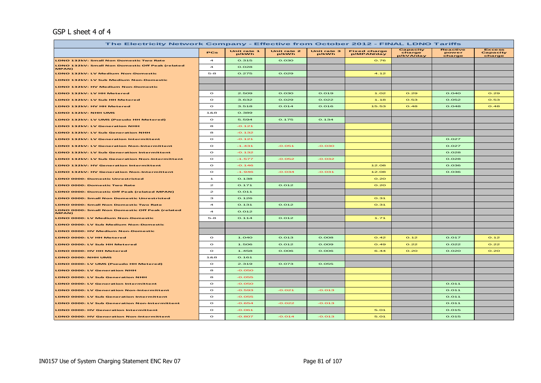#### GSP L sheet 4 of 4

| The Electricity Network Company - Effective from October 2012 - FINAL LDNO Tariffs |                         |                      |                      |                      |                                   |                                        |                                    |                                     |  |  |
|------------------------------------------------------------------------------------|-------------------------|----------------------|----------------------|----------------------|-----------------------------------|----------------------------------------|------------------------------------|-------------------------------------|--|--|
|                                                                                    | PCs                     | Unit rate 1<br>p/kWh | Unit rate 2<br>p/kWh | Unit rate 3<br>p/kWh | <b>Fixed charge</b><br>p/MPAN/day | <b>Capacity</b><br>charge<br>p/kVA/day | <b>Reactive</b><br>power<br>charge | <b>Excess</b><br>Capacity<br>charge |  |  |
| <b>LDNO 132kV: Small Non Domestic Two Rate</b>                                     | $\overline{a}$          | 0.315                | 0.030                |                      | 0.76                              |                                        |                                    |                                     |  |  |
| LDNO 132kV: Small Non Domestic Off Peak (related<br>MPAN)                          | $\overline{\mathbf{A}}$ | 0.028                |                      |                      |                                   |                                        |                                    |                                     |  |  |
| LDNO 132kV: LV Medium Non-Domestic                                                 | $5 - 8$                 | 0.275                | 0.029                |                      | 4.12                              |                                        |                                    |                                     |  |  |
| LDNO 132kV: LV Sub Medium Non-Domestic                                             |                         |                      |                      |                      |                                   |                                        |                                    |                                     |  |  |
| LDNO 132kV: HV Medium Non-Domestic                                                 |                         |                      |                      |                      |                                   |                                        |                                    |                                     |  |  |
| LDNO 132kV: LV HH Metered                                                          | $\circ$                 | 2.509                | 0.030                | 0.019                | 1.02                              | O.29                                   | O.04O                              | O.29                                |  |  |
| LDNO 132kV: LV Sub HH Metered                                                      | $\circ$                 | 3.632                | 0.029                | 0.022                | 1.18                              | 0.53                                   | 0.052                              | 0.53                                |  |  |
| LDNO 132kV: HV HH Metered                                                          | $\circ$                 | 3.518                | 0.014                | 0.016                | 15.53                             | O.48                                   | 0.048                              | O.48                                |  |  |
| LDNO 132kV: NHH UMS                                                                | 188                     | 0.389                |                      |                      |                                   |                                        |                                    |                                     |  |  |
| LDNO 132kV: LV UMS (Pseudo HH Metered)                                             | $\circ$                 | 5.594                | 0.175                | 0.134                |                                   |                                        |                                    |                                     |  |  |
| <b>LDNO 132kV: LV Generation NHH</b>                                               | 8                       | $-0.121$             |                      |                      |                                   |                                        |                                    |                                     |  |  |
| LDNO 132kV: LV Sub Generation NHH                                                  | 8                       | $-0.132$             |                      |                      |                                   |                                        |                                    |                                     |  |  |
| LDNO 132kV: LV Generation Intermittent                                             | $\circ$                 | $-0.121$             |                      |                      |                                   |                                        | 0.027                              |                                     |  |  |
| LDNO 132kV: LV Generation Non-Intermittent                                         | $\circ$                 | $-1.431$             | $-0.051$             | $-0.030$             |                                   |                                        | 0.027                              |                                     |  |  |
| LDNO 132kV: LV Sub Generation Intermittent                                         | $\circ$                 | $-0.132$             |                      |                      |                                   |                                        | 0.028                              |                                     |  |  |
| LDNO 132kV: LV Sub Generation Non-Intermittent                                     | $\circ$                 | $-1.577$             | $-0.052$             | $-0.032$             |                                   |                                        | 0.028                              |                                     |  |  |
| <b>LDNO 132kV: HV Generation Intermittent</b>                                      | $\circ$                 | $-0.146$             |                      |                      | 12.08                             |                                        | 0.036                              |                                     |  |  |
| <b>LDNO 132kV: HV Generation Non-Intermittent</b>                                  | $\circ$                 | $-1.946$             | $-0.034$             | $-0.031$             | 12.08                             |                                        | 0.036                              |                                     |  |  |
| <b>LDNO 0000: Domestic Unrestricted</b>                                            | $\mathbf{1}$            | 0.138                |                      |                      | O.2O                              |                                        |                                    |                                     |  |  |
| <b>LDNO 0000: Domestic Two Rate</b>                                                | $\mathbf{z}$            | 0.171                | 0.012                |                      | O.2O                              |                                        |                                    |                                     |  |  |
| LDNO 0000: Domestic Off Peak (related MPAN)                                        | $\mathbf{z}$            | 0.011                |                      |                      |                                   |                                        |                                    |                                     |  |  |
| <b>LDNO 0000: Small Non Domestic Unrestricted</b>                                  | з                       | 0.126                |                      |                      | O.31                              |                                        |                                    |                                     |  |  |
| LDNO 0000: Small Non Domestic Two Rate                                             | $\overline{4}$          | 0.131                | 0.012                |                      | O.31                              |                                        |                                    |                                     |  |  |
| LDNO 0000: Small Non Domestic Off Peak (related<br>MPAN)                           | $\overline{\mathbf{A}}$ | 0.012                |                      |                      |                                   |                                        |                                    |                                     |  |  |
| <b>LDNO 0000: LV Medium Non-Domestic</b>                                           | $5 - 8$                 | 0.114                | 0.012                |                      | 1.71                              |                                        |                                    |                                     |  |  |
| LDNO 0000: LV Sub Medium Non-Domestic                                              |                         |                      |                      |                      |                                   |                                        |                                    |                                     |  |  |
| LDNO 0000: HV Medium Non-Domestic                                                  |                         |                      |                      |                      |                                   |                                        |                                    |                                     |  |  |
| LDNO 0000: LV HH Metered                                                           | $\circ$                 | 1.040                | 0.013                | 0.008                | O.42                              | O.12                                   | 0.017                              | O.12                                |  |  |
| LDNO 0000: LV Sub HH Metered                                                       | $\circ$                 | 1.506                | 0.012                | 0.009                | O.49                              | O.22                                   | 0.022                              | O.22                                |  |  |
| LDNO 0000: HV HH Metered                                                           | $\circ$                 | 1.458                | 0.006                | 0.006                | 6.44                              | O.2O                                   | 0.020                              | O.2O                                |  |  |
| LDNO 0000: NHH UMS                                                                 | 188                     | 0.161                |                      |                      |                                   |                                        |                                    |                                     |  |  |
| LDNO 0000: LV UMS (Pseudo HH Metered)                                              | $\circ$                 | 2.319                | 0.073                | 0.055                |                                   |                                        |                                    |                                     |  |  |
| LDNO 0000: LV Generation NHH                                                       | 8                       | $-0.050$             |                      |                      |                                   |                                        |                                    |                                     |  |  |
| LDNO 0000: LV Sub Generation NHH                                                   | 8                       | $-0.055$             |                      |                      |                                   |                                        |                                    |                                     |  |  |
| <b>LDNO 0000: LV Generation Intermittent</b>                                       | $\circ$                 | $-0.050$             |                      |                      |                                   |                                        | 0.011                              |                                     |  |  |
| LDNO 0000: LV Generation Non-Intermittent                                          | $\circ$                 | $-0.593$             | $-0.021$             | $-0.013$             |                                   |                                        | 0.011                              |                                     |  |  |
| <b>LDNO 0000: LV Sub Generation Intermittent</b>                                   | $\mathbf{o}$            | $-0.055$             |                      |                      |                                   |                                        | 0.011                              |                                     |  |  |
| <b>LDNO 0000: LV Sub Generation Non-Intermittent</b>                               | $\circ$                 | $-0.654$             | $-0.022$             | $-0.013$             |                                   |                                        | 0.011                              |                                     |  |  |
| <b>LDNO 0000: HV Generation Intermittent</b>                                       | $\circ$                 | $-0.061$             |                      |                      | 5.01                              |                                        | 0.015                              |                                     |  |  |
| <b>LDNO 0000: HV Generation Non-Intermittent</b>                                   | $\circ$                 | $-0.807$             | $-0.014$             | $-0.013$             | 5.01                              |                                        | 0.015                              |                                     |  |  |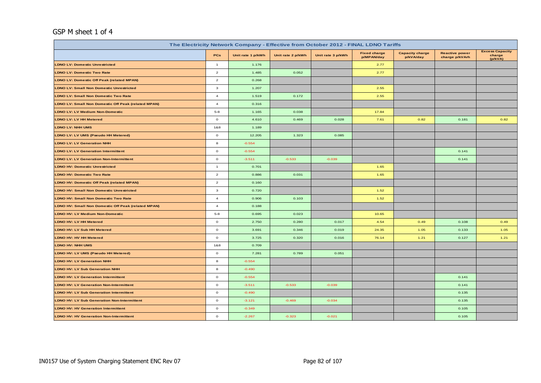#### GSP M sheet 1 of 4

| The Electricity Network Company - Effective from October 2012 - FINAL LDNO Tariffs |                |                   |                   |                   |                                   |                                     |                                         |                                             |  |  |
|------------------------------------------------------------------------------------|----------------|-------------------|-------------------|-------------------|-----------------------------------|-------------------------------------|-----------------------------------------|---------------------------------------------|--|--|
|                                                                                    | <b>PCs</b>     | Unit rate 1 p/kWh | Unit rate 2 p/kWh | Unit rate 3 p/kWh | <b>Fixed charge</b><br>p/MPAN/day | <b>Capacity charge</b><br>p/kVA/day | <b>Reactive power</b><br>charge p/kVArh | <b>Excess Capacity</b><br>charge<br>(p/kVA) |  |  |
| <b>LDNO LV: Domestic Unrestricted</b>                                              | $\mathbf{1}$   | 1.176             |                   |                   | 2.77                              |                                     |                                         |                                             |  |  |
| <b>LDNO LV: Domestic Two Rate</b>                                                  | $\overline{2}$ | 1.485             | 0.052             |                   | 2.77                              |                                     |                                         |                                             |  |  |
| <b>LDNO LV: Domestic Off Peak (related MPAN)</b>                                   | $\overline{2}$ | 0.268             |                   |                   |                                   |                                     |                                         |                                             |  |  |
| <b>LDNO LV: Small Non Domestic Unrestricted</b>                                    | $\mathbf{3}$   | 1.207             |                   |                   | 2.55                              |                                     |                                         |                                             |  |  |
| <b>LDNO LV: Small Non Domestic Two Rate</b>                                        | $\overline{4}$ | 1.519             | 0.172             |                   | 2.55                              |                                     |                                         |                                             |  |  |
| <b>LDNO LV: Small Non Domestic Off Peak (related MPAN)</b>                         | $\overline{4}$ | 0.316             |                   |                   |                                   |                                     |                                         |                                             |  |  |
| <b>LDNO LV: LV Medium Non-Domestic</b>                                             | $5 - 8$        | 1.165             | 0.038             |                   | 17.84                             |                                     |                                         |                                             |  |  |
| <b>LDNO LV: LV HH Metered</b>                                                      | $\circ$        | 4.610             | 0.469             | 0.028             | 7.61                              | 0.82                                | 0.181                                   | 0.82                                        |  |  |
| <b>LDNO LV: NHH UMS</b>                                                            | 1&8            | 1.189             |                   |                   |                                   |                                     |                                         |                                             |  |  |
| LDNO LV: LV UMS (Pseudo HH Metered)                                                | $\circ$        | 12.205            | 1.323             | 0.085             |                                   |                                     |                                         |                                             |  |  |
| <b>LDNO LV: LV Generation NHH</b>                                                  | 8              | $-0.554$          |                   |                   |                                   |                                     |                                         |                                             |  |  |
| <b>LDNO LV: LV Generation Intermittent</b>                                         | $\circ$        | $-0.554$          |                   |                   |                                   |                                     | 0.141                                   |                                             |  |  |
| <b>LDNO LV: LV Generation Non-Intermittent</b>                                     | $\circ$        | $-3.511$          | $-0.533$          | $-0.039$          |                                   |                                     | 0.141                                   |                                             |  |  |
| <b>LDNO HV: Domestic Unrestricted</b>                                              | $\mathbf{1}$   | 0.701             |                   |                   | 1.65                              |                                     |                                         |                                             |  |  |
| <b>LDNO HV: Domestic Two Rate</b>                                                  | $\overline{2}$ | 0.886             | 0.031             |                   | 1.65                              |                                     |                                         |                                             |  |  |
| <b>LDNO HV: Domestic Off Peak (related MPAN)</b>                                   | $\overline{2}$ | 0.160             |                   |                   |                                   |                                     |                                         |                                             |  |  |
| <b>LDNO HV: Small Non Domestic Unrestricted</b>                                    | $\mathbf{3}$   | 0.720             |                   |                   | 1.52                              |                                     |                                         |                                             |  |  |
| <b>LDNO HV: Small Non Domestic Two Rate</b>                                        | $\overline{4}$ | 0.906             | 0.103             |                   | 1.52                              |                                     |                                         |                                             |  |  |
| LDNO HV: Small Non Domestic Off Peak (related MPAN)                                | $\overline{4}$ | 0.188             |                   |                   |                                   |                                     |                                         |                                             |  |  |
| LDNO HV: LV Medium Non-Domestic                                                    | $5 - 8$        | 0.695             | 0.023             |                   | 10.65                             |                                     |                                         |                                             |  |  |
| <b>LDNO HV: LV HH Metered</b>                                                      | $\circ$        | 2.750             | 0.280             | 0.017             | 4.54                              | 0.49                                | 0.108                                   | 0.49                                        |  |  |
| LDNO HV: LV Sub HH Metered                                                         | $\circ$        | 3.691             | 0.346             | 0.019             | 24.35                             | 1.05                                | 0.133                                   | 1.05                                        |  |  |
| LDNO HV: HV HH Metered                                                             | $\circ$        | 3.725             | 0.320             | 0.016             | 76.14                             | 1.21                                | 0.127                                   | 1.21                                        |  |  |
| LDNO HV: NHH UMS                                                                   | 1&8            | 0.709             |                   |                   |                                   |                                     |                                         |                                             |  |  |
| LDNO HV: LV UMS (Pseudo HH Metered)                                                | $\circ$        | 7.281             | 0.789             | 0.051             |                                   |                                     |                                         |                                             |  |  |
| <b>LDNO HV: LV Generation NHH</b>                                                  | 8              | $-0.554$          |                   |                   |                                   |                                     |                                         |                                             |  |  |
| <b>LDNO HV: LV Sub Generation NHH</b>                                              | 8              | $-0.490$          |                   |                   |                                   |                                     |                                         |                                             |  |  |
| <b>LDNO HV: LV Generation Intermittent</b>                                         | $\circ$        | $-0.554$          |                   |                   |                                   |                                     | 0.141                                   |                                             |  |  |
| <b>LDNO HV: LV Generation Non-Intermittent</b>                                     | $\circ$        | $-3.511$          | $-0.533$          | $-0.039$          |                                   |                                     | 0.141                                   |                                             |  |  |
| <b>LDNO HV: LV Sub Generation Intermittent</b>                                     | $\circ$        | $-0.490$          |                   |                   |                                   |                                     | 0.135                                   |                                             |  |  |
| <b>LDNO HV: LV Sub Generation Non-Intermittent</b>                                 | $\circ$        | $-3.121$          | $-0.469$          | $-0.034$          |                                   |                                     | 0.135                                   |                                             |  |  |
| <b>LDNO HV: HV Generation Intermittent</b>                                         | $\circ$        | $-0.349$          |                   |                   |                                   |                                     | 0.105                                   |                                             |  |  |
| <b>LDNO HV: HV Generation Non-Intermittent</b>                                     | $\mathbf 0$    | $-2.267$          | $-0.323$          | $-0.021$          |                                   |                                     | 0.105                                   |                                             |  |  |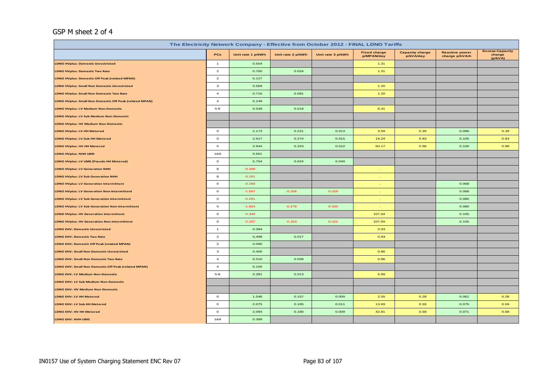#### GSP M sheet 2 of 4

| The Electricity Network Company - Effective from October 2012 - FINAL LDNO Tariffs |                         |                   |                   |                   |                                   |                                     |                                         |                                             |  |  |
|------------------------------------------------------------------------------------|-------------------------|-------------------|-------------------|-------------------|-----------------------------------|-------------------------------------|-----------------------------------------|---------------------------------------------|--|--|
|                                                                                    | PCs                     | Unit rate 1 p/kWh | Unit rate 2 p/kWh | Unit rate 3 p/kWh | <b>Fixed charge</b><br>p/MPAN/day | <b>Capacity charge</b><br>p/kVA/day | <b>Reactive power</b><br>charge p/kVArh | <b>Excess Capacity</b><br>charge<br>(p/kVA) |  |  |
| <b>LDNO HVplus: Domestic Unrestricted</b>                                          | $\overline{1}$          | 0.554             |                   |                   | 1.31                              |                                     |                                         |                                             |  |  |
| <b>LDNO HVplus: Domestic Two Rate</b>                                              | $\overline{2}$          | 0.700             | 0.024             |                   | 1.31                              |                                     |                                         |                                             |  |  |
| LDNO HVplus: Domestic Off Peak (related MPAN)                                      | $\overline{a}$          | 0.127             |                   |                   |                                   |                                     |                                         |                                             |  |  |
| <b>LDNO HVplus: Small Non Domestic Unrestricted</b>                                | $\mathbf{3}$            | 0.569             |                   |                   | 1.20                              |                                     |                                         |                                             |  |  |
| <b>LDNO HVplus: Small Non Domestic Two Rate</b>                                    | $\overline{4}$          | 0.716             | 0.081             |                   | 1.20                              |                                     |                                         |                                             |  |  |
| LDNO HVplus: Small Non Domestic Off Peak (related MPAN)                            | $\overline{\mathbf{4}}$ | 0.149             |                   |                   |                                   |                                     |                                         |                                             |  |  |
| <b>LDNO HVplus: LV Medium Non-Domestic</b>                                         | $5 - 8$                 | 0.549             | 0.018             |                   | 8.41                              |                                     |                                         |                                             |  |  |
| <b>LDNO HVplus: LV Sub Medium Non-Domestic</b>                                     |                         |                   |                   |                   |                                   |                                     |                                         |                                             |  |  |
| <b>LDNO HVplus: HV Medium Non-Domestic</b>                                         |                         |                   |                   |                   |                                   |                                     |                                         |                                             |  |  |
| <b>LDNO HVplus: LV HH Metered</b>                                                  | $\circ$                 | 2.173             | 0.221             | 0.013             | 3.59                              | 0.39                                | 0.086                                   | 0.39                                        |  |  |
| LDNO HVplus: LV Sub HH Metered                                                     | $\circ$                 | 2.917             | 0.274             | 0.015             | 19.24                             | 0.83                                | 0.105                                   | 0.83                                        |  |  |
| LDNO HVplus: HV HH Metered                                                         | $\circ$                 | 2.944             | 0.253             | 0.012             | 60.17                             | 0.96                                | 0.100                                   | 0.96                                        |  |  |
| <b>LDNO HVplus: NHH UMS</b>                                                        | 1&8                     | 0.561             |                   |                   |                                   |                                     |                                         |                                             |  |  |
| LDNO HVplus: LV UMS (Pseudo HH Metered)                                            | $\circ$                 | 5.754             | 0.624             | 0.040             |                                   |                                     |                                         |                                             |  |  |
| <b>LDNO HVplus: LV Generation NHH</b>                                              | 8                       | $-0.268$          |                   |                   |                                   |                                     |                                         |                                             |  |  |
| <b>LDNO HVplus: LV Sub Generation NHH</b>                                          | 8                       | $-0.291$          |                   |                   |                                   |                                     |                                         |                                             |  |  |
| <b>LDNO HVplus: LV Generation Intermittent</b>                                     | $\circ$                 | $-0.268$          |                   |                   |                                   |                                     | 0.068                                   |                                             |  |  |
| <b>LDNO HVplus: LV Generation Non-Intermittent</b>                                 | $\circ$                 | $-1.697$          | $-0.258$          | $-0.019$          | ÷.                                |                                     | 0.068                                   |                                             |  |  |
| <b>LDNO HVplus: LV Sub Generation Intermittent</b>                                 | $\circ$                 | $-0.291$          |                   |                   |                                   |                                     | 0.080                                   |                                             |  |  |
| <b>LDNO HVplus: LV Sub Generation Non-Intermittent</b>                             | $\circ$                 | $-1.854$          | $-0.279$          | $-0.020$          |                                   |                                     | 0.080                                   |                                             |  |  |
| <b>LDNO HVplus: HV Generation Intermittent</b>                                     | $\circ$                 | $-0.349$          |                   |                   | 107.04                            |                                     | 0.105                                   |                                             |  |  |
| <b>LDNO HVplus: HV Generation Non-Intermittent</b>                                 | $\circ$                 | $-2.267$          | $-0.323$          | $-0.021$          | 107.04                            |                                     | 0.105                                   |                                             |  |  |
| <b>LDNO EHV: Domestic Unrestricted</b>                                             | $\mathbf{1}$            | 0.394             |                   |                   | 0.93                              |                                     |                                         |                                             |  |  |
| <b>LDNO EHV: Domestic Two Rate</b>                                                 | $\overline{a}$          | 0.498             | 0.017             |                   | 0.93                              |                                     |                                         |                                             |  |  |
| LDNO EHV: Domestic Off Peak (related MPAN)                                         | $\overline{a}$          | 0.090             |                   |                   |                                   |                                     |                                         |                                             |  |  |
| <b>LDNO EHV: Small Non Domestic Unrestricted</b>                                   | 3                       | 0.405             |                   |                   | 0.86                              |                                     |                                         |                                             |  |  |
| <b>LDNO EHV: Small Non Domestic Two Rate</b>                                       | $\overline{4}$          | 0.510             | 0.058             |                   | 0.86                              |                                     |                                         |                                             |  |  |
| LDNO EHV: Small Non Domestic Off Peak (related MPAN)                               | $\overline{a}$          | 0.106             |                   |                   |                                   |                                     |                                         |                                             |  |  |
| LDNO EHV: LV Medium Non-Domestic                                                   | $5 - 8$                 | 0.391             | 0.013             |                   | 5.99                              |                                     |                                         |                                             |  |  |
| LDNO EHV: LV Sub Medium Non-Domestic                                               |                         |                   |                   |                   |                                   |                                     |                                         |                                             |  |  |
| LDNO EHV: HV Medium Non-Domestic                                                   |                         |                   |                   |                   |                                   |                                     |                                         |                                             |  |  |
| LDNO EHV: LV HH Metered                                                            | $\circ$                 | 1.546             | 0.157             | 0.009             | 2.55                              | 0.28                                | 0.061                                   | 0.28                                        |  |  |
| LDNO EHV: LV Sub HH Metered                                                        | $\circ$                 | 2.075             | 0.195             | 0.011             | 13.69                             | 0.59                                | 0.075                                   | 0.59                                        |  |  |
| LDNO EHV: HV HH Metered                                                            | $\circ$                 | 2.094             | 0.180             | 0.009             | 42.81                             | 0.68                                | 0.071                                   | 0.68                                        |  |  |
| LDNO EHV: NHH UMS                                                                  | 1&8                     | 0.399             |                   |                   |                                   |                                     |                                         |                                             |  |  |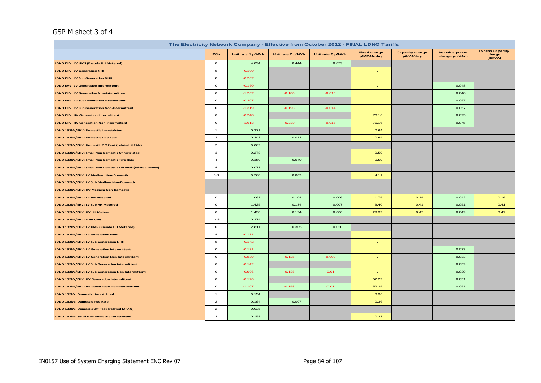#### GSP M sheet 3 of 4

| The Electricity Network Company - Effective from October 2012 - FINAL LDNO Tariffs |                |                   |                   |                   |                                   |                                     |                                         |                                             |  |  |
|------------------------------------------------------------------------------------|----------------|-------------------|-------------------|-------------------|-----------------------------------|-------------------------------------|-----------------------------------------|---------------------------------------------|--|--|
|                                                                                    | PCs            | Unit rate 1 p/kWh | Unit rate 2 p/kWh | Unit rate 3 p/kWh | <b>Fixed charge</b><br>p/MPAN/day | <b>Capacity charge</b><br>p/kVA/day | <b>Reactive power</b><br>charge p/kVArh | <b>Excess Capacity</b><br>charge<br>(p/kVA) |  |  |
| LDNO EHV: LV UMS (Pseudo HH Metered)                                               | $\circ$        | 4.094             | 0.444             | 0.029             |                                   |                                     |                                         |                                             |  |  |
| <b>LDNO EHV: LV Generation NHH</b>                                                 | 8              | $-0.190$          |                   |                   |                                   |                                     |                                         |                                             |  |  |
| <b>LDNO EHV: LV Sub Generation NHH</b>                                             | 8              | $-0.207$          |                   |                   |                                   |                                     |                                         |                                             |  |  |
| <b>LDNO EHV: LV Generation Intermittent</b>                                        | $\circ$        | $-0.190$          |                   |                   |                                   |                                     | 0.048                                   |                                             |  |  |
| <b>LDNO EHV: LV Generation Non-Intermittent</b>                                    | $\circ$        | $-1.207$          | $-0.183$          | $-0.013$          |                                   |                                     | 0.048                                   |                                             |  |  |
| <b>LDNO EHV: LV Sub Generation Intermittent</b>                                    | $\circ$        | $-0.207$          |                   |                   |                                   |                                     | 0.057                                   |                                             |  |  |
| <b>LDNO EHV: LV Sub Generation Non-Intermittent</b>                                | $\circ$        | $-1.319$          | $-0.198$          | $-0.014$          |                                   |                                     | 0.057                                   |                                             |  |  |
| <b>LDNO EHV: HV Generation Intermittent</b>                                        | $\circ$        | $-0.248$          |                   |                   | 76.16                             |                                     | 0.075                                   |                                             |  |  |
| <b>LDNO EHV: HV Generation Non-Intermittent</b>                                    | $\circ$        | $-1.613$          | $-0.230$          | $-0.015$          | 76.16                             |                                     | 0.075                                   |                                             |  |  |
| LDNO 132kV/EHV: Domestic Unrestricted                                              | $\mathbf{1}$   | 0.271             |                   |                   | 0.64                              |                                     |                                         |                                             |  |  |
| LDNO 132kV/EHV: Domestic Two Rate                                                  | $\overline{a}$ | 0.342             | 0.012             |                   | 0.64                              |                                     |                                         |                                             |  |  |
| LDNO 132kV/EHV: Domestic Off Peak (related MPAN)                                   | $\overline{a}$ | 0.062             |                   |                   |                                   |                                     |                                         |                                             |  |  |
| LDNO 132kV/EHV: Small Non Domestic Unrestricted                                    | 3              | 0.278             |                   |                   | 0.59                              |                                     |                                         |                                             |  |  |
| LDNO 132kV/EHV: Small Non Domestic Two Rate                                        | $\overline{4}$ | 0.350             | 0.040             |                   | 0.59                              |                                     |                                         |                                             |  |  |
| LDNO 132kV/EHV: Small Non Domestic Off Peak (related MPAN)                         | $\overline{4}$ | 0.073             |                   |                   |                                   |                                     |                                         |                                             |  |  |
| LDNO 132kV/EHV: LV Medium Non-Domestic                                             | $5 - 8$        | 0.268             | 0.009             |                   | 4.11                              |                                     |                                         |                                             |  |  |
| LDNO 132kV/EHV: LV Sub Medium Non-Domestic                                         |                |                   |                   |                   |                                   |                                     |                                         |                                             |  |  |
| LDNO 132kV/EHV: HV Medium Non-Domestic                                             |                |                   |                   |                   |                                   |                                     |                                         |                                             |  |  |
| LDNO 132kV/EHV: LV HH Metered                                                      | $\circ$        | 1.062             | 0.108             | 0.006             | 1.75                              | 0.19                                | 0.042                                   | 0.19                                        |  |  |
| LDNO 132kV/EHV: LV Sub HH Metered                                                  | $\circ$        | 1.425             | 0.134             | 0.007             | 9.40                              | 0.41                                | 0.051                                   | 0.41                                        |  |  |
| LDNO 132kV/EHV: HV HH Metered                                                      | $\circ$        | 1.438             | 0.124             | 0.006             | 29.39                             | 0.47                                | 0.049                                   | 0.47                                        |  |  |
| LDNO 132kV/EHV: NHH UMS                                                            | 1&8            | 0.274             |                   |                   |                                   |                                     |                                         |                                             |  |  |
| LDNO 132kV/EHV: LV UMS (Pseudo HH Metered)                                         | $\circ$        | 2.811             | 0.305             | 0.020             |                                   |                                     |                                         |                                             |  |  |
| LDNO 132kV/EHV: LV Generation NHH                                                  | 8              | $-0.131$          |                   |                   |                                   |                                     |                                         |                                             |  |  |
| LDNO 132kV/EHV: LV Sub Generation NHH                                              | 8              | $-0.142$          |                   |                   |                                   |                                     |                                         |                                             |  |  |
| LDNO 132kV/EHV: LV Generation Intermittent                                         | $\circ$        | $-0.131$          |                   |                   |                                   |                                     | 0.033                                   |                                             |  |  |
| LDNO 132kV/EHV: LV Generation Non-Intermittent                                     | $\circ$        | $-0.829$          | $-0.126$          | $-0.009$          |                                   |                                     | 0.033                                   |                                             |  |  |
| LDNO 132kV/EHV: LV Sub Generation Intermittent                                     | $\circ$        | $-0.142$          |                   |                   |                                   |                                     | 0.039                                   |                                             |  |  |
| LDNO 132kV/EHV: LV Sub Generation Non-Intermittent                                 | $\circ$        | $-0.906$          | $-0.136$          | $-0.01$           |                                   |                                     | 0.039                                   |                                             |  |  |
| LDNO 132kV/EHV: HV Generation Intermittent                                         | $\circ$        | $-0.170$          |                   |                   | 52.29                             |                                     | 0.051                                   |                                             |  |  |
| LDNO 132kV/EHV: HV Generation Non-Intermittent                                     | $\circ$        | $-1.107$          | $-0.158$          | $-0.01$           | 52.29                             |                                     | 0.051                                   |                                             |  |  |
| <b>LDNO 132kV: Domestic Unrestricted</b>                                           | $\mathbf{1}$   | 0.154             |                   |                   | 0.36                              |                                     |                                         |                                             |  |  |
| LDNO 132kV: Domestic Two Rate                                                      | $\overline{a}$ | 0.194             | 0.007             |                   | 0.36                              |                                     |                                         |                                             |  |  |
| LDNO 132kV: Domestic Off Peak (related MPAN)                                       | $\overline{a}$ | 0.035             |                   |                   |                                   |                                     |                                         |                                             |  |  |
| LDNO 132kV: Small Non Domestic Unrestricted                                        | 3              | 0.158             |                   |                   | 0.33                              |                                     |                                         |                                             |  |  |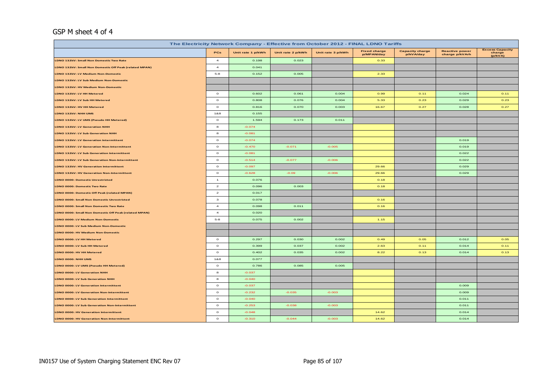#### GSP M sheet 4 of 4

| The Electricity Network Company - Effective from October 2012 - FINAL LDNO Tariffs |                |                   |                   |                   |                                   |                                     |                                         |                                             |  |
|------------------------------------------------------------------------------------|----------------|-------------------|-------------------|-------------------|-----------------------------------|-------------------------------------|-----------------------------------------|---------------------------------------------|--|
|                                                                                    | PCs            | Unit rate 1 p/kWh | Unit rate 2 p/kWh | Unit rate 3 p/kWh | <b>Fixed charge</b><br>p/MPAN/day | <b>Capacity charge</b><br>p/kVA/day | <b>Reactive power</b><br>charge p/kVArh | <b>Excess Capacity</b><br>charge<br>(p/kVA) |  |
| LDNO 132kV: Small Non Domestic Two Rate                                            | $\overline{4}$ | 0.198             | 0.023             |                   | 0.33                              |                                     |                                         |                                             |  |
| LDNO 132kV: Small Non Domestic Off Peak (related MPAN)                             | $\overline{a}$ | 0.041             |                   |                   |                                   |                                     |                                         |                                             |  |
| LDNO 132kV: LV Medium Non-Domestic                                                 | $5-8$          | 0.152             | 0.005             |                   | 2.33                              |                                     |                                         |                                             |  |
| LDNO 132kV: LV Sub Medium Non-Domestic                                             |                |                   |                   |                   |                                   |                                     |                                         |                                             |  |
| LDNO 132kV: HV Medium Non-Domestic                                                 |                |                   |                   |                   |                                   |                                     |                                         |                                             |  |
| LDNO 132kV: LV HH Metered                                                          | $\mathbf{o}$   | 0.602             | 0.061             | 0.004             | 0.99                              | 0.11                                | 0.024                                   | 0.11                                        |  |
| LDNO 132kV: LV Sub HH Metered                                                      | $\circ$        | 0.808             | 0.076             | 0.004             | 5.33                              | 0.23                                | 0.029                                   | 0.23                                        |  |
| LDNO 132kV: HV HH Metered                                                          | $\circ$        | 0.816             | 0.070             | 0.003             | 16.67                             | 0.27                                | 0.028                                   | 0.27                                        |  |
| LDNO 132kV: NHH UMS                                                                | 1&8            | 0.155             |                   |                   |                                   |                                     |                                         |                                             |  |
| LDNO 132kV: LV UMS (Pseudo HH Metered)                                             | $\circ$        | 1.594             | 0.173             | 0.011             |                                   |                                     |                                         |                                             |  |
| LDNO 132kV: LV Generation NHH                                                      | 8              | $-0.074$          |                   |                   |                                   |                                     |                                         |                                             |  |
| LDNO 132kV: LV Sub Generation NHH                                                  | 8              | $-0.081$          |                   |                   |                                   |                                     |                                         |                                             |  |
| LDNO 132kV: LV Generation Intermittent                                             | $\circ$        | $-0.074$          |                   |                   |                                   |                                     | 0.019                                   |                                             |  |
| LDNO 132kV: LV Generation Non-Intermittent                                         | $\mathbf{o}$   | $-0.470$          | $-0.071$          | $-0.005$          |                                   |                                     | 0.019                                   |                                             |  |
| LDNO 132kV: LV Sub Generation Intermittent                                         | $\circ$        | $-0.081$          |                   |                   |                                   |                                     | 0.022                                   |                                             |  |
| LDNO 132kV: LV Sub Generation Non-Intermittent                                     | $\mathbf{o}$   | $-0.514$          | $-0.077$          | $-0.006$          |                                   |                                     | 0.022                                   |                                             |  |
| LDNO 132kV: HV Generation Intermittent                                             | $\circ$        | $-0.097$          |                   |                   | 29.66                             |                                     | 0.029                                   |                                             |  |
| LDNO 132kV: HV Generation Non-Intermittent                                         | $\circ$        | $-0.628$          | $-0.09$           | $-0.006$          | 29.66                             |                                     | 0.029                                   |                                             |  |
| LDNO 0000: Domestic Unrestricted                                                   | $\mathbf{1}$   | 0.076             |                   |                   | 0.18                              |                                     |                                         |                                             |  |
| <b>LDNO 0000: Domestic Two Rate</b>                                                | $\overline{a}$ | 0.096             | 0.003             |                   | 0.18                              |                                     |                                         |                                             |  |
| LDNO 0000: Domestic Off Peak (related MPAN)                                        | $\overline{a}$ | 0.017             |                   |                   |                                   |                                     |                                         |                                             |  |
| LDNO 0000: Small Non Domestic Unrestricted                                         | $\mathbf{3}$   | 0.078             |                   |                   | 0.16                              |                                     |                                         |                                             |  |
| LDNO 0000: Small Non Domestic Two Rate                                             | $\overline{a}$ | 0.098             | 0.011             |                   | 0.16                              |                                     |                                         |                                             |  |
| LDNO 0000: Small Non Domestic Off Peak (related MPAN)                              | $\overline{a}$ | 0.020             |                   |                   |                                   |                                     |                                         |                                             |  |
| LDNO 0000: LV Medium Non-Domestic                                                  | $5 - 8$        | 0.075             | 0.002             |                   | 1.15                              |                                     |                                         |                                             |  |
| LDNO 0000: LV Sub Medium Non-Domestic                                              |                |                   |                   |                   |                                   |                                     |                                         |                                             |  |
| LDNO 0000: HV Medium Non-Domestic                                                  |                |                   |                   |                   |                                   |                                     |                                         |                                             |  |
| LDNO 0000: LV HH Metered                                                           | $\circ$        | 0.297             | 0.030             | 0.002             | 0.49                              | 0.05                                | 0.012                                   | 0.05                                        |  |
| LDNO 0000: LV Sub HH Metered                                                       | $\mathbf{o}$   | 0.399             | 0.037             | 0.002             | 2.63                              | 0.11                                | 0.014                                   | 0.11                                        |  |
| LDNO 0000: HV HH Metered                                                           | $\circ$        | 0.402             | 0.035             | 0.002             | 8.22                              | 0.13                                | 0.014                                   | 0.13                                        |  |
| LDNO 0000: NHH UMS                                                                 | 1&8            | 0.077             |                   |                   |                                   |                                     |                                         |                                             |  |
| LDNO 0000: LV UMS (Pseudo HH Metered)                                              | $\circ$        | 0.786             | 0.085             | 0.005             |                                   |                                     |                                         |                                             |  |
| LDNO 0000: LV Generation NHH                                                       | 8              | $-0.037$          |                   |                   |                                   |                                     |                                         |                                             |  |
| LDNO 0000: LV Sub Generation NHH                                                   | $\bf{a}$       | $-0.040$          |                   |                   |                                   |                                     |                                         |                                             |  |
| LDNO 0000: LV Generation Intermittent                                              | $\circ$        | $-0.037$          |                   |                   |                                   |                                     | 0.009                                   |                                             |  |
| LDNO 0000: LV Generation Non-Intermittent                                          | $\circ$        | $-0.232$          | $-0.035$          | $-0.003$          |                                   |                                     | 0.009                                   |                                             |  |
| LDNO 0000: LV Sub Generation Intermittent                                          | $\circ$        | $-0.040$          |                   |                   |                                   |                                     | 0.011                                   |                                             |  |
| LDNO 0000: LV Sub Generation Non-Intermittent                                      | $\circ$        | $-0.253$          | $-0.038$          | $-0.003$          |                                   |                                     | 0.011                                   |                                             |  |
| LDNO 0000: HV Generation Intermittent                                              | $\circ$        | $-0.048$          |                   |                   | 14.62                             |                                     | 0.014                                   |                                             |  |
| <b>LDNO 0000: HV Generation Non-Intermittent</b>                                   | $\mathbf{o}$   | $-0.310$          | $-0.044$          | $-0.003$          | 14.62                             |                                     | 0.014                                   |                                             |  |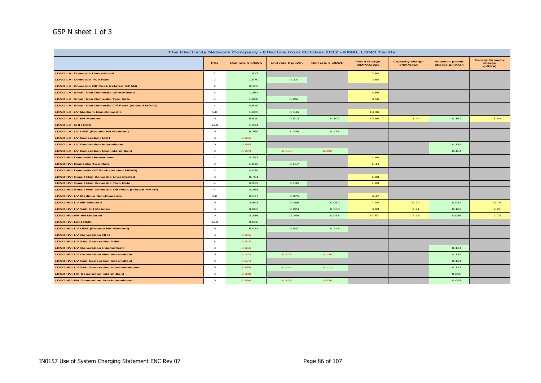### GSP N sheet 1 of 3

|                                                            |                | The Electricity Network Company - Effective from October 2012 - FINAL LDNO Tariffs |                   |                   |                                   |                                     |                                         |                                             |
|------------------------------------------------------------|----------------|------------------------------------------------------------------------------------|-------------------|-------------------|-----------------------------------|-------------------------------------|-----------------------------------------|---------------------------------------------|
|                                                            | PCs            | Unit rate 1 p/kWh                                                                  | Unit rate 2 p/kWh | Unit rate 3 p/kWh | <b>Fixed charge</b><br>p/MPAN/day | <b>Capacity charge</b><br>p/kVA/day | <b>Reactive power</b><br>charge p/kVArh | <b>Excess Capacity</b><br>charge<br>(p/kVA) |
| <b>LDNO LV: Domestic Unrestricted</b>                      | $\overline{1}$ | 1.517                                                                              |                   |                   | 2.80                              |                                     |                                         |                                             |
| <b>LDNO LV: Domestic Two Rate</b>                          | $\overline{a}$ | 1.970                                                                              | 0.227             |                   | 2.80                              |                                     |                                         |                                             |
| <b>LDNO LV: Domestic Off Peak (related MPAN)</b>           | $\overline{a}$ | 0.153                                                                              |                   |                   |                                   |                                     |                                         |                                             |
| <b>LDNO LV: Small Non Domestic Unrestricted</b>            | $\mathbf{3}$   | 1.364                                                                              |                   |                   | 3.56                              |                                     |                                         |                                             |
| <b>LDNO LV: Small Non Domestic Two Rate</b>                | $\overline{4}$ | 1.808                                                                              | 0.261             |                   | 3.56                              |                                     |                                         |                                             |
| <b>LDNO LV: Small Non Domestic Off Peak (related MPAN)</b> | $\overline{4}$ | 0.519                                                                              |                   |                   |                                   |                                     |                                         |                                             |
| <b>LDNO LV: LV Medium Non-Domestic</b>                     | $5-8$          | 1.003                                                                              | 0.145             |                   | 18.36                             |                                     |                                         |                                             |
| <b>LDNO LV: LV HH Metered</b>                              | $\circ$        | 5.610                                                                              | 0.513             | 0.102             | 13.66                             | 1.44                                | 0.162                                   | 1.44                                        |
| <b>LDNO LV: NHH UMS</b>                                    | 1&8            | 1.294                                                                              |                   |                   |                                   |                                     |                                         |                                             |
| LDNO LV: LV UMS (Pseudo HH Metered)                        | $\circ$        | 9.759                                                                              | 1.235             | 0.475             |                                   |                                     |                                         |                                             |
| <b>LDNO LV: LV Generation NHH</b>                          | 8              | $-0.655$                                                                           |                   |                   |                                   |                                     |                                         |                                             |
| <b>LDNO LV: LV Generation Intermittent</b>                 | $\circ$        | $-0.655$                                                                           |                   |                   |                                   |                                     | 0.134                                   |                                             |
| <b>LDNO LV: LV Generation Non-Intermittent</b>             | $\circ$        | $-4.273$                                                                           | $-0.523$          | $-0.136$          |                                   |                                     | 0.134                                   |                                             |
| <b>LDNO HV: Domestic Unrestricted</b>                      | $\mathbf{1}$   | 0.783                                                                              |                   |                   | 1.44                              |                                     |                                         |                                             |
| <b>LDNO HV: Domestic Two Rate</b>                          | $\overline{a}$ | 1.016                                                                              | 0.117             |                   | 1.44                              |                                     |                                         |                                             |
| <b>LDNO HV: Domestic Off Peak (related MPAN)</b>           | $\overline{a}$ | 0.079                                                                              |                   |                   |                                   |                                     |                                         |                                             |
| <b>LDNO HV: Small Non Domestic Unrestricted</b>            | $\mathbf{3}$   | 0.704                                                                              |                   |                   | 1.83                              |                                     |                                         |                                             |
| <b>LDNO HV: Small Non Domestic Two Rate</b>                | $\overline{4}$ | 0.932                                                                              | 0.135             |                   | 1.83                              |                                     |                                         |                                             |
| <b>LDNO HV: Small Non Domestic Off Peak (related MPAN)</b> | $\overline{4}$ | 0.268                                                                              |                   |                   |                                   |                                     |                                         |                                             |
| <b>LDNO HV: LV Medium Non-Domestic</b>                     | $5-8$          | 0.517                                                                              | 0.075             |                   | 9.47                              |                                     |                                         |                                             |
| LDNO HV: LV HH Metered                                     | $\circ$        | 2.893                                                                              | 0.265             | 0.052             | 7.04                              | 0.74                                | 0.084                                   | 0.74                                        |
| <b>LDNO HV: LV Sub HH Metered</b>                          | $\circ$        | 3.083                                                                              | 0.224             | 0.030             | 3.93                              | 2.21                                | 0.102                                   | 2.21                                        |
| <b>LDNO HV: HV HH Metered</b>                              | $\circ$        | 3.386                                                                              | 0.246             | 0.033             | 67.57                             | 2.73                                | 0.085                                   | 2.73                                        |
| <b>LDNO HV: NHH UMS</b>                                    | 1&8            | 0.668                                                                              |                   |                   |                                   |                                     |                                         |                                             |
| LDNO HV: LV UMS (Pseudo HH Metered)                        | $\circ$        | 5.034                                                                              | 0.637             | 0.245             |                                   |                                     |                                         |                                             |
| <b>LDNO HV: LV Generation NHH</b>                          | 8              | $-0.655$                                                                           |                   |                   |                                   |                                     |                                         |                                             |
| <b>LDNO HV: LV Sub Generation NHH</b>                      | 8              | $-0.574$                                                                           |                   |                   |                                   |                                     |                                         |                                             |
| <b>LDNO HV: LV Generation Intermittent</b>                 | $\circ$        | $-0.655$                                                                           |                   |                   |                                   |                                     | 0.134                                   |                                             |
| <b>LDNO HV: LV Generation Non-Intermittent</b>             | $\circ$        | $-4.273$                                                                           | $-0.523$          | $-0.136$          |                                   |                                     | 0.134                                   |                                             |
| <b>LDNO HV: LV Sub Generation Intermittent</b>             | $\circ$        | $-0.574$                                                                           |                   |                   |                                   |                                     | 0.121                                   |                                             |
| <b>LDNO HV: LV Sub Generation Non-Intermittent</b>         | $\circ$        | $-3.855$                                                                           | $-0.444$          | $-0.111$          |                                   |                                     | 0.121                                   |                                             |
| <b>LDNO HV: HV Generation Intermittent</b>                 | $\circ$        | $-0.330$                                                                           |                   |                   |                                   |                                     | 0.098                                   |                                             |
| <b>LDNO HV: HV Generation Non-Intermittent</b>             | $\circ$        | $-2.694$                                                                           | $-0.196$          | $-0.026$          |                                   |                                     | 0.098                                   |                                             |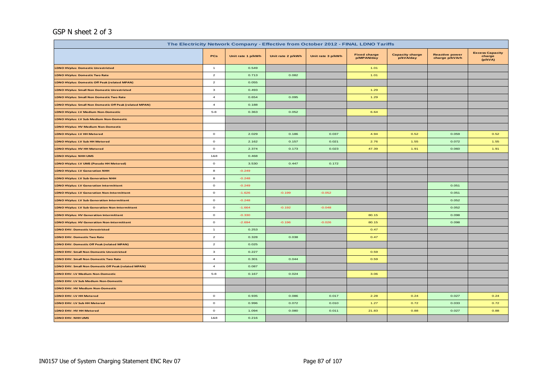#### GSP N sheet 2 of 3

| The Electricity Network Company - Effective from October 2012 - FINAL LDNO Tariffs |                |                   |                   |                   |                                   |                                     |                                         |                                             |  |
|------------------------------------------------------------------------------------|----------------|-------------------|-------------------|-------------------|-----------------------------------|-------------------------------------|-----------------------------------------|---------------------------------------------|--|
|                                                                                    | <b>PCs</b>     | Unit rate 1 p/kWh | Unit rate 2 p/kWh | Unit rate 3 p/kWh | <b>Fixed charge</b><br>p/MPAN/day | <b>Capacity charge</b><br>p/kVA/day | <b>Reactive power</b><br>charge p/kVArh | <b>Excess Capacity</b><br>charge<br>(p/kVA) |  |
| <b>LDNO HVplus: Domestic Unrestricted</b>                                          | $\overline{1}$ | 0.549             |                   |                   | 1.01                              |                                     |                                         |                                             |  |
| <b>LDNO HVplus: Domestic Two Rate</b>                                              | $\overline{a}$ | 0.713             | 0.082             |                   | 1.01                              |                                     |                                         |                                             |  |
| LDNO HVplus: Domestic Off Peak (related MPAN)                                      | $\overline{a}$ | 0.055             |                   |                   |                                   |                                     |                                         |                                             |  |
| LDNO HVplus: Small Non Domestic Unrestricted                                       | 3              | 0.493             |                   |                   | 1.29                              |                                     |                                         |                                             |  |
| <b>LDNO HVplus: Small Non Domestic Two Rate</b>                                    | $\overline{4}$ | 0.654             | 0.095             |                   | 1.29                              |                                     |                                         |                                             |  |
| LDNO HVplus: Small Non Domestic Off Peak (related MPAN)                            | $\overline{4}$ | 0.188             |                   |                   |                                   |                                     |                                         |                                             |  |
| LDNO HVplus: LV Medium Non-Domestic                                                | $5 - 8$        | 0.363             | 0.052             |                   | 6.64                              |                                     |                                         |                                             |  |
| <b>LDNO HVplus: LV Sub Medium Non-Domestic</b>                                     |                |                   |                   |                   |                                   |                                     |                                         |                                             |  |
| <b>LDNO HVplus: HV Medium Non-Domestic</b>                                         |                |                   |                   |                   |                                   |                                     |                                         |                                             |  |
| <b>LDNO HVplus: LV HH Metered</b>                                                  | $\circ$        | 2.029             | 0.186             | 0.037             | 4.94                              | 0.52                                | 0.059                                   | 0.52                                        |  |
| LDNO HVplus: LV Sub HH Metered                                                     | $\circ$        | 2.162             | 0.157             | 0.021             | 2.76                              | 1.55                                | 0.072                                   | 1.55                                        |  |
| LDNO HVplus: HV HH Metered                                                         | $\circ$        | 2.374             | 0.173             | 0.023             | 47.39                             | 1.91                                | 0.060                                   | 1.91                                        |  |
| LDNO HVplus: NHH UMS                                                               | 1&8            | 0.468             |                   |                   |                                   |                                     |                                         |                                             |  |
| LDNO HVplus: LV UMS (Pseudo HH Metered)                                            | $\circ$        | 3.530             | 0.447             | 0.172             |                                   |                                     |                                         |                                             |  |
| <b>LDNO HVplus: LV Generation NHH</b>                                              | 8              | $-0.249$          |                   |                   |                                   |                                     |                                         |                                             |  |
| <b>LDNO HVplus: LV Sub Generation NHH</b>                                          | 8              | $-0.248$          |                   |                   |                                   |                                     |                                         |                                             |  |
| <b>LDNO HVplus: LV Generation Intermittent</b>                                     | $\circ$        | $-0.249$          |                   |                   |                                   |                                     | 0.051                                   |                                             |  |
| <b>LDNO HVplus: LV Generation Non-Intermittent</b>                                 | $\circ$        | $-1.626$          | $-0.199$          | $-0.052$          |                                   |                                     | 0.051                                   |                                             |  |
| <b>LDNO HVplus: LV Sub Generation Intermittent</b>                                 | $\circ$        | $-0.248$          |                   |                   |                                   |                                     | 0.052                                   |                                             |  |
| <b>LDNO HVplus: LV Sub Generation Non-Intermittent</b>                             | $\circ$        | $-1.664$          | $-0.192$          | $-0.048$          |                                   |                                     | 0.052                                   |                                             |  |
| <b>LDNO HVplus: HV Generation Intermittent</b>                                     | $\circ$        | $-0.330$          |                   |                   | 80.15                             |                                     | 0.098                                   |                                             |  |
| <b>LDNO HVplus: HV Generation Non-Intermittent</b>                                 | $\circ$        | $-2.694$          | $-0.196$          | $-0.026$          | 80.15                             |                                     | 0.098                                   |                                             |  |
| <b>LDNO EHV: Domestic Unrestricted</b>                                             | $\overline{1}$ | 0.253             |                   |                   | 0.47                              |                                     |                                         |                                             |  |
| <b>LDNO EHV: Domestic Two Rate</b>                                                 | $\overline{a}$ | 0.328             | 0.038             |                   | 0.47                              |                                     |                                         |                                             |  |
| LDNO EHV: Domestic Off Peak (related MPAN)                                         | $\overline{a}$ | 0.025             |                   |                   |                                   |                                     |                                         |                                             |  |
| <b>LDNO EHV: Small Non Domestic Unrestricted</b>                                   | 3              | 0.227             |                   |                   | 0.59                              |                                     |                                         |                                             |  |
| <b>LDNO EHV: Small Non Domestic Two Rate</b>                                       | $\overline{4}$ | 0.301             | 0.044             |                   | 0.59                              |                                     |                                         |                                             |  |
| LDNO EHV: Small Non Domestic Off Peak (related MPAN)                               | $\overline{4}$ | 0.087             |                   |                   |                                   |                                     |                                         |                                             |  |
| <b>LDNO EHV: LV Medium Non-Domestic</b>                                            | $5 - 8$        | 0.167             | 0.024             |                   | 3.06                              |                                     |                                         |                                             |  |
| LDNO EHV: LV Sub Medium Non-Domestic                                               |                |                   |                   |                   |                                   |                                     |                                         |                                             |  |
| <b>LDNO EHV: HV Medium Non-Domestic</b>                                            |                |                   |                   |                   |                                   |                                     |                                         |                                             |  |
| <b>LDNO EHV: LV HH Metered</b>                                                     | $\circ$        | 0.935             | 0.086             | 0.017             | 2.28                              | 0.24                                | 0.027                                   | 0.24                                        |  |
| LDNO EHV: LV Sub HH Metered                                                        | $\circ$        | 0.996             | 0.072             | 0.010             | 1.27                              | 0.72                                | 0.033                                   | 0.72                                        |  |
| LDNO EHV: HV HH Metered                                                            | $\circ$        | 1.094             | 0.080             | 0.011             | 21.83                             | 0.88                                | 0.027                                   | 0.88                                        |  |
| LDNO EHV: NHH UMS                                                                  | 1&8            | 0.216             |                   |                   |                                   |                                     |                                         |                                             |  |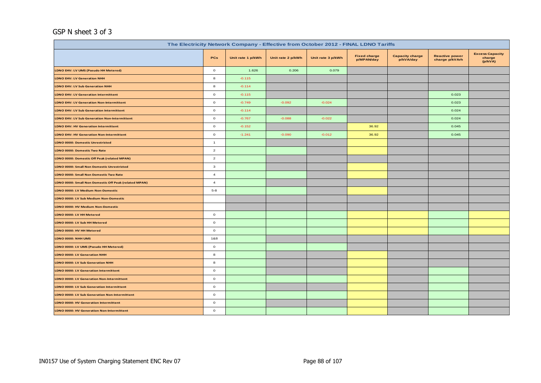#### GSP N sheet 3 of 3

|                                                       |                |                   |                   | The Electricity Network Company - Effective from October 2012 - FINAL LDNO Tariffs |                                   |                                     |                                         |                                             |
|-------------------------------------------------------|----------------|-------------------|-------------------|------------------------------------------------------------------------------------|-----------------------------------|-------------------------------------|-----------------------------------------|---------------------------------------------|
|                                                       | PCs            | Unit rate 1 p/kWh | Unit rate 2 p/kWh | Unit rate 3 p/kWh                                                                  | <b>Fixed charge</b><br>p/MPAN/day | <b>Capacity charge</b><br>p/kVA/day | <b>Reactive power</b><br>charge p/kVArh | <b>Excess Capacity</b><br>charge<br>(p/kVA) |
| LDNO EHV: LV UMS (Pseudo HH Metered)                  | $\circ$        | 1.626             | 0.206             | 0.079                                                                              |                                   |                                     |                                         |                                             |
| <b>LDNO EHV: LV Generation NHH</b>                    | 8              | $-0.115$          |                   |                                                                                    |                                   |                                     |                                         |                                             |
| <b>LDNO EHV: LV Sub Generation NHH</b>                | 8              | $-0.114$          |                   |                                                                                    |                                   |                                     |                                         |                                             |
| <b>LDNO EHV: LV Generation Intermittent</b>           | $\circ$        | $-0.115$          |                   |                                                                                    |                                   |                                     | 0.023                                   |                                             |
| <b>LDNO EHV: LV Generation Non-Intermittent</b>       | $\circ$        | $-0.749$          | $-0.092$          | $-0.024$                                                                           |                                   |                                     | 0.023                                   |                                             |
| <b>LDNO EHV: LV Sub Generation Intermittent</b>       | $\circ$        | $-0.114$          |                   |                                                                                    |                                   |                                     | 0.024                                   |                                             |
| LDNO EHV: LV Sub Generation Non-Intermittent          | $\circ$        | $-0.767$          | $-0.088$          | $-0.022$                                                                           |                                   |                                     | 0.024                                   |                                             |
| LDNO EHV: HV Generation Intermittent                  | $\circ$        | $-0.152$          |                   |                                                                                    | 36.92                             |                                     | 0.045                                   |                                             |
| <b>LDNO EHV: HV Generation Non-Intermittent</b>       | $\circ$        | $-1.241$          | $-0.090$          | $-0.012$                                                                           | 36.92                             |                                     | 0.045                                   |                                             |
| LDNO 0000: Domestic Unrestricted                      | $\mathbf{1}$   |                   |                   |                                                                                    |                                   |                                     |                                         |                                             |
| LDNO 0000: Domestic Two Rate                          | $\overline{a}$ |                   |                   |                                                                                    |                                   |                                     |                                         |                                             |
| LDNO 0000: Domestic Off Peak (related MPAN)           | $\overline{a}$ |                   |                   |                                                                                    |                                   |                                     |                                         |                                             |
| LDNO 0000: Small Non Domestic Unrestricted            | $\mathbf{3}$   |                   |                   |                                                                                    |                                   |                                     |                                         |                                             |
| LDNO 0000: Small Non Domestic Two Rate                | $\overline{4}$ |                   |                   |                                                                                    |                                   |                                     |                                         |                                             |
| LDNO 0000: Small Non Domestic Off Peak (related MPAN) | $\overline{4}$ |                   |                   |                                                                                    |                                   |                                     |                                         |                                             |
| LDNO 0000: LV Medium Non-Domestic                     | $5 - 8$        |                   |                   |                                                                                    |                                   |                                     |                                         |                                             |
| LDNO 0000: LV Sub Medium Non-Domestic                 |                |                   |                   |                                                                                    |                                   |                                     |                                         |                                             |
| LDNO 0000: HV Medium Non-Domestic                     |                |                   |                   |                                                                                    |                                   |                                     |                                         |                                             |
| LDNO 0000: LV HH Metered                              | $\circ$        |                   |                   |                                                                                    |                                   |                                     |                                         |                                             |
| LDNO 0000: LV Sub HH Metered                          | $\circ$        |                   |                   |                                                                                    |                                   |                                     |                                         |                                             |
| LDNO 0000: HV HH Metered                              | $\circ$        |                   |                   |                                                                                    |                                   |                                     |                                         |                                             |
| LDNO 0000: NHH UMS                                    | 1&8            |                   |                   |                                                                                    |                                   |                                     |                                         |                                             |
| LDNO 0000: LV UMS (Pseudo HH Metered)                 | $\circ$        |                   |                   |                                                                                    |                                   |                                     |                                         |                                             |
| LDNO 0000: LV Generation NHH                          | $\bf8$         |                   |                   |                                                                                    |                                   |                                     |                                         |                                             |
| LDNO 0000: LV Sub Generation NHH                      | 8              |                   |                   |                                                                                    |                                   |                                     |                                         |                                             |
| LDNO 0000: LV Generation Intermittent                 | $\circ$        |                   |                   |                                                                                    |                                   |                                     |                                         |                                             |
| LDNO 0000: LV Generation Non-Intermittent             | $\circ$        |                   |                   |                                                                                    |                                   |                                     |                                         |                                             |
| LDNO 0000: LV Sub Generation Intermittent             | $\circ$        |                   |                   |                                                                                    |                                   |                                     |                                         |                                             |
| LDNO 0000: LV Sub Generation Non-Intermittent         | $\circ$        |                   |                   |                                                                                    |                                   |                                     |                                         |                                             |
| LDNO 0000: HV Generation Intermittent                 | $\circ$        |                   |                   |                                                                                    |                                   |                                     |                                         |                                             |
| LDNO 0000: HV Generation Non-Intermittent             | $\circ$        |                   |                   |                                                                                    |                                   |                                     |                                         |                                             |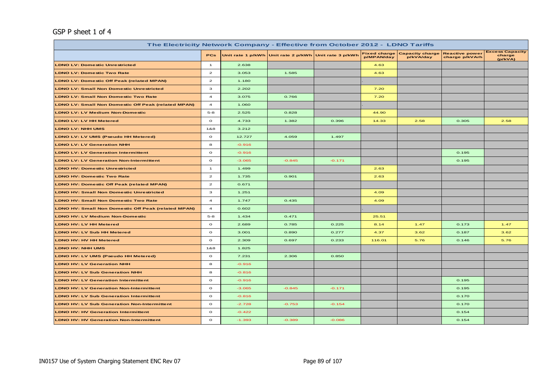#### GSP P sheet 1 of 4

| The Electricity Network Company - Effective from October 2012 - LDNO Tariffs |                                                                                                                                                                                                                                                                                                                                                                                                                         |          |                                                       |          |            |                                           |                                         |                                             |
|------------------------------------------------------------------------------|-------------------------------------------------------------------------------------------------------------------------------------------------------------------------------------------------------------------------------------------------------------------------------------------------------------------------------------------------------------------------------------------------------------------------|----------|-------------------------------------------------------|----------|------------|-------------------------------------------|-----------------------------------------|---------------------------------------------|
|                                                                              | <b>PCs</b>                                                                                                                                                                                                                                                                                                                                                                                                              |          | Unit rate 1 p/kWh Unit rate 2 p/kWh Unit rate 3 p/kWh |          | p/MPAN/day | Fixed charge Capacity charge<br>p/kVA/day | <b>Reactive power</b><br>charge p/kVArh | <b>Excess Capacity</b><br>charge<br>(p/kVA) |
| <b>LDNO LV: Domestic Unrestricted</b>                                        | $\mathbf{1}$                                                                                                                                                                                                                                                                                                                                                                                                            | 2.638    |                                                       |          | 4.63       |                                           |                                         |                                             |
| <b>LDNO LV: Domestic Two Rate</b>                                            | $\mathbf{z}$                                                                                                                                                                                                                                                                                                                                                                                                            | 3.053    | 1.585                                                 |          | 4.63       |                                           |                                         |                                             |
| <b>LDNO LV: Domestic Off Peak (related MPAN)</b>                             | $\mathbf{2}% =\mathbf{2}+\mathbf{2}+\mathbf{3}+\mathbf{4}+\mathbf{5}+\mathbf{5}+\mathbf{5}+\mathbf{6}+\mathbf{6}+\mathbf{6}+\mathbf{5}+\mathbf{5}+\mathbf{6}+\mathbf{6}+\mathbf{6}+\mathbf{5}+\mathbf{6}+\mathbf{6}+\mathbf{6}+\mathbf{6}+\mathbf{6}+\mathbf{6}+\mathbf{6}+\mathbf{6}+\mathbf{6}+\mathbf{6}+\mathbf{6}+\mathbf{6}+\mathbf{6}+\mathbf{6}+\mathbf{6}+\mathbf{6}+\mathbf{6}+\mathbf{6}+\mathbf{6}+\mathbf$ | 1.180    |                                                       |          |            |                                           |                                         |                                             |
| <b>LDNO LV: Small Non Domestic Unrestricted</b>                              | 3                                                                                                                                                                                                                                                                                                                                                                                                                       | 2.202    |                                                       |          | 7.20       |                                           |                                         |                                             |
| <b>LDNO LV: Small Non Domestic Two Rate</b>                                  | $\overline{a}$                                                                                                                                                                                                                                                                                                                                                                                                          | 3.075    | 0.766                                                 |          | 7.20       |                                           |                                         |                                             |
| <b>LDNO LV: Small Non Domestic Off Peak (related MPAN)</b>                   | $\overline{\mathbf{4}}$                                                                                                                                                                                                                                                                                                                                                                                                 | 1.060    |                                                       |          |            |                                           |                                         |                                             |
| <b>LDNO LV: LV Medium Non-Domestic</b>                                       | $5 - 8$                                                                                                                                                                                                                                                                                                                                                                                                                 | 2.525    | 0.828                                                 |          | 44.90      |                                           |                                         |                                             |
| <b>LDNO LV: LV HH Metered</b>                                                | $\circ$                                                                                                                                                                                                                                                                                                                                                                                                                 | 4.733    | 1.382                                                 | 0.396    | 14.33      | 2.58                                      | 0.305                                   | 2.58                                        |
| LDNO LV: NHH UMS                                                             | 1&8                                                                                                                                                                                                                                                                                                                                                                                                                     | 3.212    |                                                       |          |            |                                           |                                         |                                             |
| LDNO LV: LV UMS (Pseudo HH Metered)                                          | $\circ$                                                                                                                                                                                                                                                                                                                                                                                                                 | 12.727   | 4.059                                                 | 1.497    |            |                                           |                                         |                                             |
| <b>LDNO LV: LV Generation NHH</b>                                            | 8                                                                                                                                                                                                                                                                                                                                                                                                                       | $-0.916$ |                                                       |          |            |                                           |                                         |                                             |
| <b>LDNO LV: LV Generation Intermittent</b>                                   | $\circ$                                                                                                                                                                                                                                                                                                                                                                                                                 | $-0.916$ |                                                       |          |            |                                           | 0.195                                   |                                             |
| <b>LDNO LV: LV Generation Non-Intermittent</b>                               | $\circ$                                                                                                                                                                                                                                                                                                                                                                                                                 | $-3.065$ | $-0.845$                                              | $-0.171$ |            |                                           | 0.195                                   |                                             |
| <b>LDNO HV: Domestic Unrestricted</b>                                        | $\mathbf{1}$                                                                                                                                                                                                                                                                                                                                                                                                            | 1.499    |                                                       |          | 2.63       |                                           |                                         |                                             |
| <b>LDNO HV: Domestic Two Rate</b>                                            | $\mathbf{z}$                                                                                                                                                                                                                                                                                                                                                                                                            | 1.735    | 0.901                                                 |          | 2.63       |                                           |                                         |                                             |
| <b>LDNO HV: Domestic Off Peak (related MPAN)</b>                             | $\mathbf{z}$                                                                                                                                                                                                                                                                                                                                                                                                            | 0.671    |                                                       |          |            |                                           |                                         |                                             |
| <b>LDNO HV: Small Non Domestic Unrestricted</b>                              | з                                                                                                                                                                                                                                                                                                                                                                                                                       | 1.251    |                                                       |          | 4.09       |                                           |                                         |                                             |
| <b>LDNO HV: Small Non Domestic Two Rate</b>                                  | $\overline{\mathbf{4}}$                                                                                                                                                                                                                                                                                                                                                                                                 | 1.747    | 0.435                                                 |          | 4.09       |                                           |                                         |                                             |
| <b>LDNO HV: Small Non Domestic Off Peak (related MPAN)</b>                   | $\overline{a}$                                                                                                                                                                                                                                                                                                                                                                                                          | 0.602    |                                                       |          |            |                                           |                                         |                                             |
| <b>LDNO HV: LV Medium Non-Domestic</b>                                       | $5 - 8$                                                                                                                                                                                                                                                                                                                                                                                                                 | 1.434    | 0.471                                                 |          | 25.51      |                                           |                                         |                                             |
| <b>LDNO HV: LV HH Metered</b>                                                | $\circ$                                                                                                                                                                                                                                                                                                                                                                                                                 | 2.689    | 0.785                                                 | 0.225    | 8.14       | 1.47                                      | 0.173                                   | 1.47                                        |
| <b>LDNO HV: LV Sub HH Metered</b>                                            | $\circ$                                                                                                                                                                                                                                                                                                                                                                                                                 | 3.001    | 0.890                                                 | 0.277    | 4.37       | 3.62                                      | 0.187                                   | 3.62                                        |
| LDNO HV: HV HH Metered                                                       | $\circ$                                                                                                                                                                                                                                                                                                                                                                                                                 | 2.309    | 0.697                                                 | 0.233    | 116.01     | 5.76                                      | 0.146                                   | 5.76                                        |
| LDNO HV: NHH UMS                                                             | 1&8                                                                                                                                                                                                                                                                                                                                                                                                                     | 1.825    |                                                       |          |            |                                           |                                         |                                             |
| LDNO HV: LV UMS (Pseudo HH Metered)                                          | $\circ$                                                                                                                                                                                                                                                                                                                                                                                                                 | 7.231    | 2.306                                                 | 0.850    |            |                                           |                                         |                                             |
| <b>LDNO HV: LV Generation NHH</b>                                            | 8                                                                                                                                                                                                                                                                                                                                                                                                                       | $-0.916$ |                                                       |          |            |                                           |                                         |                                             |
| <b>LDNO HV: LV Sub Generation NHH</b>                                        | 8                                                                                                                                                                                                                                                                                                                                                                                                                       | $-0.816$ |                                                       |          |            |                                           |                                         |                                             |
| <b>LDNO HV: LV Generation Intermittent</b>                                   | $\circ$                                                                                                                                                                                                                                                                                                                                                                                                                 | $-0.916$ |                                                       |          |            |                                           | 0.195                                   |                                             |
| <b>LDNO HV: LV Generation Non-Intermittent</b>                               | $\circ$                                                                                                                                                                                                                                                                                                                                                                                                                 | $-3.065$ | $-0.845$                                              | $-0.171$ |            |                                           | 0.195                                   |                                             |
| <b>LDNO HV: LV Sub Generation Intermittent</b>                               | $\mathbf{o}$                                                                                                                                                                                                                                                                                                                                                                                                            | $-0.816$ |                                                       |          |            |                                           | 0.170                                   |                                             |
| <b>LDNO HV: LV Sub Generation Non-Intermittent</b>                           | $\circ$                                                                                                                                                                                                                                                                                                                                                                                                                 | $-2.728$ | $-0.753$                                              | $-0.154$ |            |                                           | 0.170                                   |                                             |
| <b>LDNO HV: HV Generation Intermittent</b>                                   | $\mathbf{o}$                                                                                                                                                                                                                                                                                                                                                                                                            | $-0.422$ |                                                       |          |            |                                           | 0.154                                   |                                             |
| <b>LDNO HV: HV Generation Non-Intermittent</b>                               | $\circ$                                                                                                                                                                                                                                                                                                                                                                                                                 | $-1.393$ | $-0.389$                                              | $-0.086$ |            |                                           | 0.154                                   |                                             |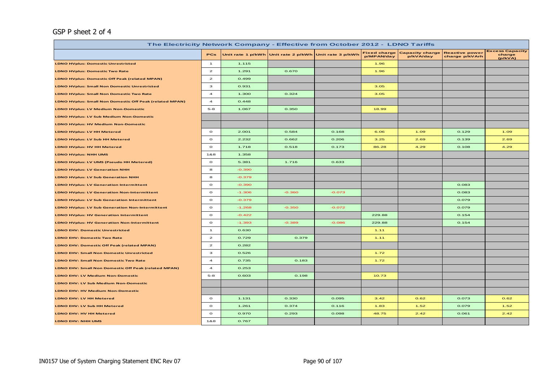#### GSP P sheet 2 of 4

|                                                         | The Electricity Network Company - Effective from October 2012 - LDNO Tariffs |          |                                                       |          |            |                                           |                                         |                                             |  |  |
|---------------------------------------------------------|------------------------------------------------------------------------------|----------|-------------------------------------------------------|----------|------------|-------------------------------------------|-----------------------------------------|---------------------------------------------|--|--|
|                                                         | <b>PCs</b>                                                                   |          | Unit rate 1 p/kWh Unit rate 2 p/kWh Unit rate 3 p/kWh |          | p/MPAN/day | Fixed charge Capacity charge<br>p/kVA/day | <b>Reactive power</b><br>charge p/kVArh | <b>Excess Capacity</b><br>charge<br>(p/kVA) |  |  |
| <b>LDNO HVplus: Domestic Unrestricted</b>               | $\mathbf{1}$                                                                 | 1.115    |                                                       |          | 1.96       |                                           |                                         |                                             |  |  |
| <b>LDNO HVplus: Domestic Two Rate</b>                   | $\overline{a}$                                                               | 1.291    | 0.670                                                 |          | 1.96       |                                           |                                         |                                             |  |  |
| LDNO HVplus: Domestic Off Peak (related MPAN)           | $\overline{a}$                                                               | 0.499    |                                                       |          |            |                                           |                                         |                                             |  |  |
| <b>LDNO HVplus: Small Non Domestic Unrestricted</b>     | $\mathbf{3}$                                                                 | 0.931    |                                                       |          | 3.05       |                                           |                                         |                                             |  |  |
| LDNO HVplus: Small Non Domestic Two Rate                | $\overline{\mathbf{4}}$                                                      | 1.300    | 0.324                                                 |          | 3.05       |                                           |                                         |                                             |  |  |
| LDNO HVplus: Small Non Domestic Off Peak (related MPAN) | $\overline{a}$                                                               | 0.448    |                                                       |          |            |                                           |                                         |                                             |  |  |
| LDNO HVplus: LV Medium Non-Domestic                     | $5 - 8$                                                                      | 1.067    | 0.350                                                 |          | 18.99      |                                           |                                         |                                             |  |  |
| <b>LDNO HVplus: LV Sub Medium Non-Domestic</b>          |                                                                              |          |                                                       |          |            |                                           |                                         |                                             |  |  |
| LDNO HVplus: HV Medium Non-Domestic                     |                                                                              |          |                                                       |          |            |                                           |                                         |                                             |  |  |
| <b>LDNO HVplus: LV HH Metered</b>                       | $\circ$                                                                      | 2.001    | 0.584                                                 | 0.168    | 6.06       | 1.09                                      | 0.129                                   | 1.09                                        |  |  |
| LDNO HVplus: LV Sub HH Metered                          | $\circ$                                                                      | 2.232    | 0.662                                                 | 0.206    | 3.25       | 2.69                                      | 0.139                                   | 2.69                                        |  |  |
| <b>LDNO HVplus: HV HH Metered</b>                       | $\circ$                                                                      | 1.718    | 0.518                                                 | 0.173    | 86.28      | 4.29                                      | 0.108                                   | 4.29                                        |  |  |
| <b>LDNO HVplus: NHH UMS</b>                             | 1&8                                                                          | 1.358    |                                                       |          |            |                                           |                                         |                                             |  |  |
| LDNO HVplus: LV UMS (Pseudo HH Metered)                 | $\circ$                                                                      | 5.381    | 1.716                                                 | 0.633    |            |                                           |                                         |                                             |  |  |
| <b>LDNO HVplus: LV Generation NHH</b>                   | 8                                                                            | $-0.390$ |                                                       |          |            |                                           |                                         |                                             |  |  |
| <b>LDNO HVplus: LV Sub Generation NHH</b>               | 8                                                                            | $-0.379$ |                                                       |          |            |                                           |                                         |                                             |  |  |
| <b>LDNO HVplus: LV Generation Intermittent</b>          | $\circ$                                                                      | $-0.390$ |                                                       |          |            |                                           | 0.083                                   |                                             |  |  |
| <b>LDNO HVplus: LV Generation Non-Intermittent</b>      | $\mathbf{o}$                                                                 | $-1.306$ | $-0.360$                                              | $-0.073$ |            |                                           | 0.083                                   |                                             |  |  |
| <b>LDNO HVplus: LV Sub Generation Intermittent</b>      | $\circ$                                                                      | $-0.379$ |                                                       |          |            |                                           | 0.079                                   |                                             |  |  |
| <b>LDNO HVplus: LV Sub Generation Non-Intermittent</b>  | $\circ$                                                                      | $-1.268$ | $-0.350$                                              | $-0.072$ |            |                                           | 0.079                                   |                                             |  |  |
| <b>LDNO HVplus: HV Generation Intermittent</b>          | $\circ$                                                                      | $-0.422$ |                                                       |          | 229.88     |                                           | 0.154                                   |                                             |  |  |
| <b>LDNO HVplus: HV Generation Non-Intermittent</b>      | $\circ$                                                                      | $-1.393$ | $-0.389$                                              | $-0.086$ | 229.88     |                                           | 0.154                                   |                                             |  |  |
| <b>LDNO EHV: Domestic Unrestricted</b>                  | $\mathbf{1}$                                                                 | 0.630    |                                                       |          | 1.11       |                                           |                                         |                                             |  |  |
| <b>LDNO EHV: Domestic Two Rate</b>                      | $\overline{2}$                                                               | 0.729    | 0.379                                                 |          | 1.11       |                                           |                                         |                                             |  |  |
| LDNO EHV: Domestic Off Peak (related MPAN)              | $\overline{a}$                                                               | 0.282    |                                                       |          |            |                                           |                                         |                                             |  |  |
| <b>LDNO EHV: Small Non Domestic Unrestricted</b>        | з                                                                            | 0.526    |                                                       |          | 1.72       |                                           |                                         |                                             |  |  |
| <b>LDNO EHV: Small Non Domestic Two Rate</b>            | $\overline{a}$                                                               | 0.735    | 0.183                                                 |          | 1.72       |                                           |                                         |                                             |  |  |
| LDNO EHV: Small Non Domestic Off Peak (related MPAN)    | $\overline{4}$                                                               | 0.253    |                                                       |          |            |                                           |                                         |                                             |  |  |
| <b>LDNO EHV: LV Medium Non-Domestic</b>                 | $5 - 8$                                                                      | 0.603    | 0.198                                                 |          | 10.73      |                                           |                                         |                                             |  |  |
| <b>LDNO EHV: LV Sub Medium Non-Domestic</b>             |                                                                              |          |                                                       |          |            |                                           |                                         |                                             |  |  |
| <b>LDNO EHV: HV Medium Non-Domestic</b>                 |                                                                              |          |                                                       |          |            |                                           |                                         |                                             |  |  |
| LDNO EHV: LV HH Metered                                 | $\circ$                                                                      | 1.131    | 0.330                                                 | 0.095    | 3.42       | 0.62                                      | 0.073                                   | 0.62                                        |  |  |
| LDNO EHV: LV Sub HH Metered                             | $\circ$                                                                      | 1.261    | 0.374                                                 | 0.116    | 1.83       | 1.52                                      | 0.079                                   | 1.52                                        |  |  |
| LDNO EHV: HV HH Metered                                 | $\circ$                                                                      | 0.970    | 0.293                                                 | 0.098    | 48.75      | 2.42                                      | 0.061                                   | 2.42                                        |  |  |
| LDNO EHV: NHH UMS                                       | 1&8                                                                          | 0.767    |                                                       |          |            |                                           |                                         |                                             |  |  |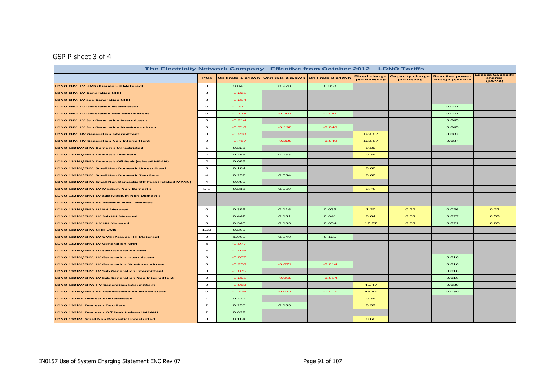### GSP P sheet 3 of 4

|                                                                                                                                                                                            | The Electricity Network Company - Effective from October 2012 - LDNO Tariffs |          |          |          |        |      |       |                                             |  |  |  |
|--------------------------------------------------------------------------------------------------------------------------------------------------------------------------------------------|------------------------------------------------------------------------------|----------|----------|----------|--------|------|-------|---------------------------------------------|--|--|--|
| <b>Reactive power</b><br><b>Fixed charge</b><br><b>Capacity charge</b><br>Unit rate 1 p/kWh Unit rate 2 p/kWh Unit rate 3 p/kWh<br><b>PCs</b><br>p/MPAN/day<br>p/kVA/day<br>charge p/kVArh |                                                                              |          |          |          |        |      |       | <b>Excess Capacity</b><br>charge<br>(p/kVA) |  |  |  |
| LDNO EHV: LV UMS (Pseudo HH Metered)                                                                                                                                                       | $\circ$                                                                      | 3.040    | 0.970    | 0.358    |        |      |       |                                             |  |  |  |
| <b>LDNO EHV: LV Generation NHH</b>                                                                                                                                                         | 8                                                                            | $-0.221$ |          |          |        |      |       |                                             |  |  |  |
| <b>LDNO EHV: LV Sub Generation NHH</b>                                                                                                                                                     | 8                                                                            | $-0.214$ |          |          |        |      |       |                                             |  |  |  |
| <b>LDNO EHV: LV Generation Intermittent</b>                                                                                                                                                | $\circ$                                                                      | $-0.221$ |          |          |        |      | 0.047 |                                             |  |  |  |
| <b>LDNO EHV: LV Generation Non-Intermittent</b>                                                                                                                                            | $\circ$                                                                      | $-0.738$ | $-0.203$ | $-0.041$ |        |      | 0.047 |                                             |  |  |  |
| <b>LDNO EHV: LV Sub Generation Intermittent</b>                                                                                                                                            | $\circ$                                                                      | $-0.214$ |          |          |        |      | 0.045 |                                             |  |  |  |
| <b>LDNO EHV: LV Sub Generation Non-Intermittent</b>                                                                                                                                        | $\circ$                                                                      | $-0.716$ | $-0.198$ | $-0.040$ |        |      | 0.045 |                                             |  |  |  |
| <b>LDNO EHV: HV Generation Intermittent</b>                                                                                                                                                | $\circ$                                                                      | $-0.238$ |          |          | 129.87 |      | 0.087 |                                             |  |  |  |
| <b>LDNO EHV: HV Generation Non-Intermittent</b>                                                                                                                                            | $\circ$                                                                      | $-0.787$ | $-0.220$ | $-0.049$ | 129.87 |      | 0.087 |                                             |  |  |  |
| LDNO 132kV/EHV: Domestic Unrestricted                                                                                                                                                      | $\mathbf{1}$                                                                 | 0.221    |          |          | 0.39   |      |       |                                             |  |  |  |
| LDNO 132kV/EHV: Domestic Two Rate                                                                                                                                                          | $\overline{2}$                                                               | 0.255    | 0.133    |          | 0.39   |      |       |                                             |  |  |  |
| LDNO 132kV/EHV: Domestic Off Peak (related MPAN)                                                                                                                                           | $\mathbf{z}$                                                                 | 0.099    |          |          |        |      |       |                                             |  |  |  |
| LDNO 132kV/EHV: Small Non Domestic Unrestricted                                                                                                                                            | 3                                                                            | 0.184    |          |          | 0.60   |      |       |                                             |  |  |  |
| LDNO 132kV/EHV: Small Non Domestic Two Rate                                                                                                                                                | $\overline{a}$                                                               | 0.257    | 0.064    |          | 0.60   |      |       |                                             |  |  |  |
| LDNO 132kV/EHV: Small Non Domestic Off Peak (related MPAN)                                                                                                                                 | 4                                                                            | 0.089    |          |          |        |      |       |                                             |  |  |  |
| LDNO 132kV/EHV: LV Medium Non-Domestic                                                                                                                                                     | $5 - 8$                                                                      | 0.211    | 0.069    |          | 3.76   |      |       |                                             |  |  |  |
| LDNO 132kV/EHV: LV Sub Medium Non-Domestic                                                                                                                                                 |                                                                              |          |          |          |        |      |       |                                             |  |  |  |
| LDNO 132kV/EHV: HV Medium Non-Domestic                                                                                                                                                     |                                                                              |          |          |          |        |      |       |                                             |  |  |  |
| LDNO 132kV/EHV: LV HH Metered                                                                                                                                                              | $\circ$                                                                      | 0.396    | 0.116    | 0.033    | 1.20   | 0.22 | 0.026 | 0.22                                        |  |  |  |
| LDNO 132kV/EHV: LV Sub HH Metered                                                                                                                                                          | $\circ$                                                                      | 0.442    | 0.131    | 0.041    | 0.64   | 0.53 | 0.027 | 0.53                                        |  |  |  |
| LDNO 132kV/EHV: HV HH Metered                                                                                                                                                              | $\circ$                                                                      | 0.340    | 0.103    | 0.034    | 17.07  | 0.85 | 0.021 | 0.85                                        |  |  |  |
| LDNO 132kV/EHV: NHH UMS                                                                                                                                                                    | 1&8                                                                          | 0.269    |          |          |        |      |       |                                             |  |  |  |
| LDNO 132kV/EHV: LV UMS (Pseudo HH Metered)                                                                                                                                                 | $\circ$                                                                      | 1.065    | 0.340    | 0.125    |        |      |       |                                             |  |  |  |
| LDNO 132kV/EHV: LV Generation NHH                                                                                                                                                          | 8                                                                            | $-0.077$ |          |          |        |      |       |                                             |  |  |  |
| LDNO 132kV/EHV: LV Sub Generation NHH                                                                                                                                                      | 8                                                                            | $-0.075$ |          |          |        |      |       |                                             |  |  |  |
| LDNO 132kV/EHV: LV Generation Intermittent                                                                                                                                                 | $\circ$                                                                      | $-0.077$ |          |          |        |      | 0.016 |                                             |  |  |  |
| LDNO 132kV/EHV: LV Generation Non-Intermittent                                                                                                                                             | $\circ$                                                                      | $-0.258$ | $-0.071$ | $-0.014$ |        |      | 0.016 |                                             |  |  |  |
| LDNO 132kV/EHV: LV Sub Generation Intermittent                                                                                                                                             | $\circ$                                                                      | $-0.075$ |          |          |        |      | 0.016 |                                             |  |  |  |
| LDNO 132kV/EHV: LV Sub Generation Non-Intermittent                                                                                                                                         | $\circ$                                                                      | $-0.251$ | $-0.069$ | $-0.014$ |        |      | 0.016 |                                             |  |  |  |
| LDNO 132kV/EHV: HV Generation Intermittent                                                                                                                                                 | $\circ$                                                                      | $-0.083$ |          |          | 45.47  |      | 0.030 |                                             |  |  |  |
| LDNO 132kV/EHV: HV Generation Non-Intermittent                                                                                                                                             | $\circ$                                                                      | $-0.276$ | $-0.077$ | $-0.017$ | 45.47  |      | 0.030 |                                             |  |  |  |
| <b>LDNO 132kV: Domestic Unrestricted</b>                                                                                                                                                   | $\mathbf{1}$                                                                 | 0.221    |          |          | 0.39   |      |       |                                             |  |  |  |
| LDNO 132kV: Domestic Two Rate                                                                                                                                                              | $\mathbf{z}$                                                                 | 0.255    | 0.133    |          | 0.39   |      |       |                                             |  |  |  |
| LDNO 132kV: Domestic Off Peak (related MPAN)                                                                                                                                               | $\mathbf{z}$                                                                 | 0.099    |          |          |        |      |       |                                             |  |  |  |
| LDNO 132kV: Small Non Domestic Unrestricted                                                                                                                                                | з                                                                            | 0.184    |          |          | 0.60   |      |       |                                             |  |  |  |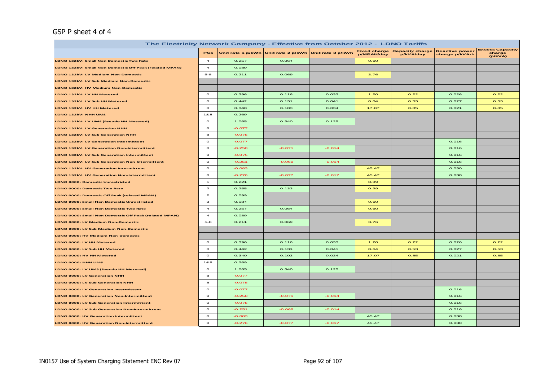#### GSP P sheet 4 of 4

| The Electricity Network Company - Effective from October 2012 - LDNO Tariffs |                |          |                                                       |          |            |                                           |                                         |                                             |
|------------------------------------------------------------------------------|----------------|----------|-------------------------------------------------------|----------|------------|-------------------------------------------|-----------------------------------------|---------------------------------------------|
|                                                                              | <b>PCs</b>     |          | Unit rate 1 p/kWh Unit rate 2 p/kWh Unit rate 3 p/kWh |          | p/MPAN/day | Fixed charge Capacity charge<br>p/kVA/day | <b>Reactive power</b><br>charge p/kVArh | <b>Excess Capacity</b><br>charge<br>(p/kVA) |
| LDNO 132kV: Small Non Domestic Two Rate                                      | $\overline{4}$ | 0.257    | 0.064                                                 |          | 0.60       |                                           |                                         |                                             |
| LDNO 132kV: Small Non Domestic Off Peak (related MPAN)                       | $\overline{4}$ | 0.089    |                                                       |          |            |                                           |                                         |                                             |
| LDNO 132kV: LV Medium Non-Domestic                                           | $5 - 8$        | 0.211    | 0.069                                                 |          | 3.76       |                                           |                                         |                                             |
| LDNO 132kV: LV Sub Medium Non-Domestic                                       |                |          |                                                       |          |            |                                           |                                         |                                             |
| LDNO 132kV: HV Medium Non-Domestic                                           |                |          |                                                       |          |            |                                           |                                         |                                             |
| LDNO 132kV: LV HH Metered                                                    | $\mathbf{o}$   | 0.396    | 0.116                                                 | 0.033    | 1.20       | O.22                                      | 0.026                                   | O.22                                        |
| LDNO 132kV: LV Sub HH Metered                                                | $\circ$        | 0.442    | 0.131                                                 | 0.041    | 0.64       | 0.53                                      | 0.027                                   | 0.53                                        |
| LDNO 132kV: HV HH Metered                                                    | $\circ$        | 0.340    | 0.103                                                 | 0.034    | 17.07      | 0.85                                      | 0.021                                   | 0.85                                        |
| LDNO 132kV: NHH UMS                                                          | 1&8            | 0.269    |                                                       |          |            |                                           |                                         |                                             |
| LDNO 132kV: LV UMS (Pseudo HH Metered)                                       | $\circ$        | 1.065    | 0.340                                                 | 0.125    |            |                                           |                                         |                                             |
| LDNO 132kV: LV Generation NHH                                                | 8              | $-0.077$ |                                                       |          |            |                                           |                                         |                                             |
| LDNO 132kV: LV Sub Generation NHH                                            | 8              | $-0.075$ |                                                       |          |            |                                           |                                         |                                             |
| LDNO 132kV: LV Generation Intermittent                                       | $\circ$        | $-0.077$ |                                                       |          |            |                                           | 0.016                                   |                                             |
| LDNO 132kV: LV Generation Non-Intermittent                                   | $\circ$        | $-0.258$ | $-0.071$                                              | $-0.014$ |            |                                           | 0.016                                   |                                             |
| LDNO 132kV: LV Sub Generation Intermittent                                   | $\mathbf{o}$   | $-0.075$ |                                                       |          |            |                                           | 0.016                                   |                                             |
| LDNO 132kV: LV Sub Generation Non-Intermittent                               | $\circ$        | $-0.251$ | $-0.069$                                              | $-0.014$ |            |                                           | 0.016                                   |                                             |
| LDNO 132kV: HV Generation Intermittent                                       | $\circ$        | $-0.083$ |                                                       |          | 45.47      |                                           | 0.030                                   |                                             |
| LDNO 132kV: HV Generation Non-Intermittent                                   | $\circ$        | $-0.276$ | $-0.077$                                              | $-0.017$ | 45.47      |                                           | 0.030                                   |                                             |
| <b>LDNO 0000: Domestic Unrestricted</b>                                      | $\mathbf{1}$   | 0.221    |                                                       |          | 0.39       |                                           |                                         |                                             |
| <b>LDNO 0000: Domestic Two Rate</b>                                          | $\overline{z}$ | 0.255    | 0.133                                                 |          | 0.39       |                                           |                                         |                                             |
| LDNO 0000: Domestic Off Peak (related MPAN)                                  | $\overline{z}$ | 0.099    |                                                       |          |            |                                           |                                         |                                             |
| LDNO 0000: Small Non Domestic Unrestricted                                   | $\mathbf{3}$   | 0.184    |                                                       |          | 0.60       |                                           |                                         |                                             |
| LDNO 0000: Small Non Domestic Two Rate                                       | $\overline{a}$ | 0.257    | 0.064                                                 |          | 0.60       |                                           |                                         |                                             |
| LDNO 0000: Small Non Domestic Off Peak (related MPAN)                        | $\overline{a}$ | 0.089    |                                                       |          |            |                                           |                                         |                                             |
| LDNO 0000: LV Medium Non-Domestic                                            | $5-8$          | 0.211    | 0.069                                                 |          | 3.76       |                                           |                                         |                                             |
| LDNO 0000: LV Sub Medium Non-Domestic                                        |                |          |                                                       |          |            |                                           |                                         |                                             |
| LDNO 0000: HV Medium Non-Domestic                                            |                |          |                                                       |          |            |                                           |                                         |                                             |
| LDNO 0000: LV HH Metered                                                     | $\circ$        | 0.396    | 0.116                                                 | 0.033    | 1.20       | 0.22                                      | 0.026                                   | 0.22                                        |
| LDNO 0000: LV Sub HH Metered                                                 | $\Omega$       | 0.442    | 0.131                                                 | 0.041    | O.64       | 0.53                                      | 0.027                                   | 0.53                                        |
| LDNO 0000: HV HH Metered                                                     | $\Omega$       | 0.340    | 0.103                                                 | 0.034    | 17.07      | 0.85                                      | 0.021                                   | 0.85                                        |
| LDNO 0000: NHH UMS                                                           | 1&8            | 0.269    |                                                       |          |            |                                           |                                         |                                             |
| LDNO 0000: LV UMS (Pseudo HH Metered)                                        | $\circ$        | 1.065    | 0.340                                                 | 0.125    |            |                                           |                                         |                                             |
| LDNO 0000: LV Generation NHH                                                 | 8              | $-0.077$ |                                                       |          |            |                                           |                                         |                                             |
| LDNO 0000: LV Sub Generation NHH                                             | 8              | $-0.075$ |                                                       |          |            |                                           |                                         |                                             |
| LDNO 0000: LV Generation Intermittent                                        | $\circ$        | $-0.077$ |                                                       |          |            |                                           | 0.016                                   |                                             |
| LDNO 0000: LV Generation Non-Intermittent                                    | $\circ$        | $-0.258$ | $-0.071$                                              | $-0.014$ |            |                                           | 0.016                                   |                                             |
| LDNO 0000: LV Sub Generation Intermittent                                    | $\circ$        | $-0.075$ |                                                       |          |            |                                           | 0.016                                   |                                             |
| LDNO 0000: LV Sub Generation Non-Intermittent                                | $\circ$        | $-0.251$ | $-0.069$                                              | $-0.014$ |            |                                           | 0.016                                   |                                             |
| LDNO 0000: HV Generation Intermittent                                        | $\circ$        | $-0.083$ |                                                       |          | 45.47      |                                           | 0.030                                   |                                             |
| LDNO 0000: HV Generation Non-Intermittent                                    | $\circ$        | $-0.276$ | $-0.077$                                              | $-0.017$ | 45.47      |                                           | 0.030                                   |                                             |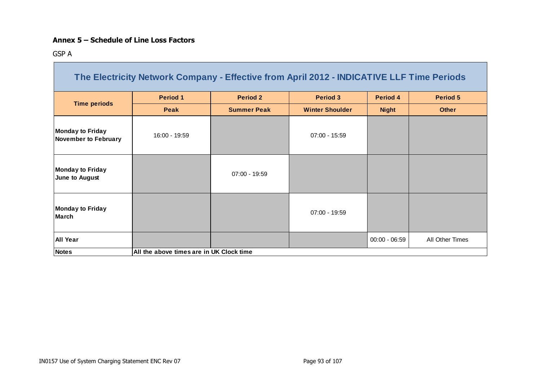#### **Annex 5 – Schedule of Line Loss Factors**

GSP A

|                                                        | The Electricity Network Company - Effective from April 2012 - INDICATIVE LLF Time Periods |                    |                        |                 |                 |
|--------------------------------------------------------|-------------------------------------------------------------------------------------------|--------------------|------------------------|-----------------|-----------------|
|                                                        | <b>Period 1</b>                                                                           | <b>Period 2</b>    | <b>Period 3</b>        | Period 4        | <b>Period 5</b> |
| <b>Time periods</b>                                    | <b>Peak</b>                                                                               | <b>Summer Peak</b> | <b>Winter Shoulder</b> | <b>Night</b>    | <b>Other</b>    |
| <b>Monday to Friday</b><br><b>November to February</b> | 16:00 - 19:59                                                                             |                    | $07:00 - 15:59$        |                 |                 |
| <b>Monday to Friday</b><br>June to August              |                                                                                           | $07:00 - 19:59$    |                        |                 |                 |
| <b>Monday to Friday</b><br><b>March</b>                |                                                                                           |                    | $07:00 - 19:59$        |                 |                 |
| <b>All Year</b>                                        |                                                                                           |                    |                        | $00:00 - 06:59$ | All Other Times |
| <b>Notes</b>                                           | All the above times are in UK Clock time                                                  |                    |                        |                 |                 |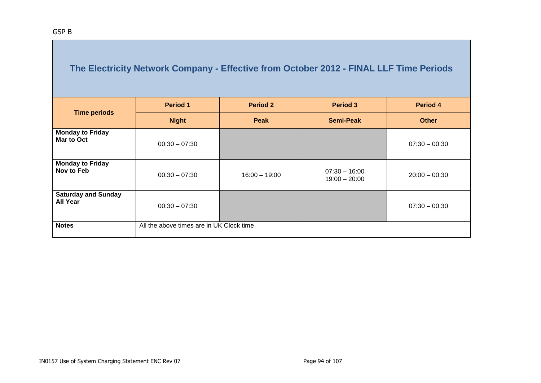| <b>Time periods</b>                           | <b>Period 1</b>                          | <b>Period 2</b> | <b>Period 3</b>                    | Period 4        |
|-----------------------------------------------|------------------------------------------|-----------------|------------------------------------|-----------------|
|                                               | <b>Night</b>                             | Peak            | <b>Semi-Peak</b>                   | <b>Other</b>    |
| <b>Monday to Friday</b><br>Mar to Oct         | $00:30 - 07:30$                          |                 |                                    | $07:30 - 00:30$ |
| <b>Monday to Friday</b><br>Nov to Feb         | $00:30 - 07:30$                          | $16:00 - 19:00$ | $07:30 - 16:00$<br>$19:00 - 20:00$ | $20:00 - 00:30$ |
| <b>Saturday and Sunday</b><br><b>All Year</b> | $00:30 - 07:30$                          |                 |                                    | $07:30 - 00:30$ |
| <b>Notes</b>                                  | All the above times are in UK Clock time |                 |                                    |                 |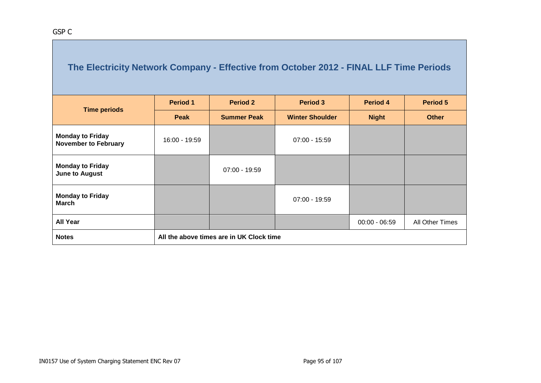| <b>Time periods</b>                                    | <b>Period 1</b> | <b>Period 2</b>                          | <b>Period 3</b>        | Period 4        | <b>Period 5</b> |  |  |  |  |
|--------------------------------------------------------|-----------------|------------------------------------------|------------------------|-----------------|-----------------|--|--|--|--|
|                                                        | <b>Peak</b>     | <b>Summer Peak</b>                       | <b>Winter Shoulder</b> | <b>Night</b>    | <b>Other</b>    |  |  |  |  |
| <b>Monday to Friday</b><br><b>November to February</b> | 16:00 - 19:59   |                                          | $07:00 - 15:59$        |                 |                 |  |  |  |  |
| <b>Monday to Friday</b><br><b>June to August</b>       |                 | $07:00 - 19:59$                          |                        |                 |                 |  |  |  |  |
| <b>Monday to Friday</b><br><b>March</b>                |                 |                                          | $07:00 - 19:59$        |                 |                 |  |  |  |  |
| <b>All Year</b>                                        |                 |                                          |                        | $00:00 - 06:59$ | All Other Times |  |  |  |  |
| <b>Notes</b>                                           |                 | All the above times are in UK Clock time |                        |                 |                 |  |  |  |  |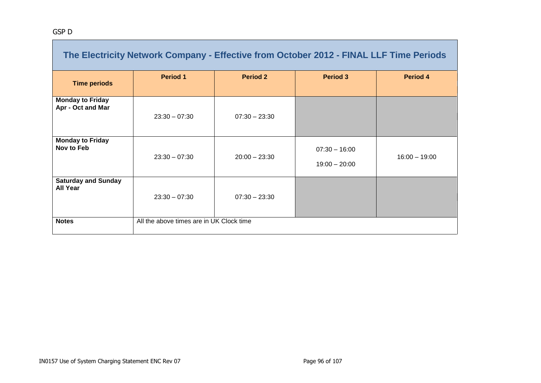**The College** 

|                                               | The Electricity Network Company - Effective from October 2012 - FINAL LLF Time Periods |                 |                                    |                 |
|-----------------------------------------------|----------------------------------------------------------------------------------------|-----------------|------------------------------------|-----------------|
| <b>Time periods</b>                           | <b>Period 1</b>                                                                        | <b>Period 2</b> | <b>Period 3</b>                    | Period 4        |
| <b>Monday to Friday</b><br>Apr - Oct and Mar  | $23:30 - 07:30$                                                                        | $07:30 - 23:30$ |                                    |                 |
| <b>Monday to Friday</b><br>Nov to Feb         | $23:30 - 07:30$                                                                        | $20:00 - 23:30$ | $07:30 - 16:00$<br>$19:00 - 20:00$ | $16:00 - 19:00$ |
| <b>Saturday and Sunday</b><br><b>All Year</b> | $23:30 - 07:30$                                                                        | $07:30 - 23:30$ |                                    |                 |
| <b>Notes</b>                                  | All the above times are in UK Clock time                                               |                 |                                    |                 |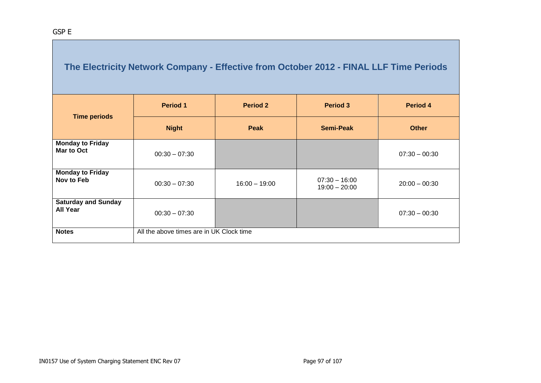| <b>Time periods</b>                           | <b>Period 1</b>                          | <b>Period 2</b> | <b>Period 3</b>                    | Period 4        |
|-----------------------------------------------|------------------------------------------|-----------------|------------------------------------|-----------------|
|                                               | <b>Night</b>                             | Peak            | <b>Semi-Peak</b>                   | <b>Other</b>    |
| <b>Monday to Friday</b><br>Mar to Oct         | $00:30 - 07:30$                          |                 |                                    | $07:30 - 00:30$ |
| <b>Monday to Friday</b><br>Nov to Feb         | $00:30 - 07:30$                          | $16:00 - 19:00$ | $07:30 - 16:00$<br>$19:00 - 20:00$ | $20:00 - 00:30$ |
| <b>Saturday and Sunday</b><br><b>All Year</b> | $00:30 - 07:30$                          |                 |                                    | $07:30 - 00:30$ |
| <b>Notes</b>                                  | All the above times are in UK Clock time |                 |                                    |                 |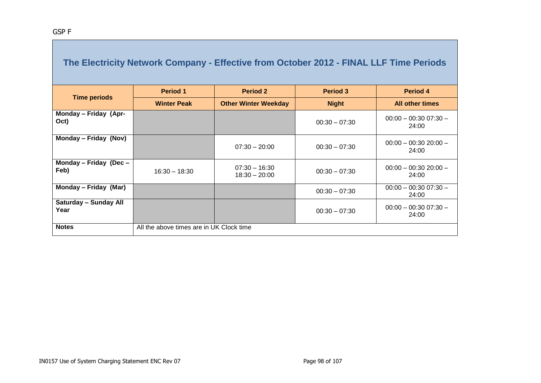|                                      | <b>Period 1</b>                          | <b>Period 2</b>                    | <b>Period 3</b> | Period 4                        |
|--------------------------------------|------------------------------------------|------------------------------------|-----------------|---------------------------------|
| <b>Time periods</b>                  | <b>Winter Peak</b>                       | <b>Other Winter Weekday</b>        | <b>Night</b>    | <b>All other times</b>          |
| Monday - Friday (Apr-<br>Oct)        |                                          |                                    | $00:30 - 07:30$ | $00:00 - 00:3007:30 -$<br>24:00 |
| Monday - Friday (Nov)                |                                          | $07:30 - 20:00$                    | $00:30 - 07:30$ | $00:00 - 00:3020:00 -$<br>24:00 |
| Monday - Friday (Dec -<br>Feb)       | $16:30 - 18:30$                          | $07:30 - 16:30$<br>$18:30 - 20:00$ | $00:30 - 07:30$ | $00:00 - 00:3020:00 -$<br>24:00 |
| Monday - Friday (Mar)                |                                          |                                    | $00:30 - 07:30$ | $00:00 - 00:3007:30 -$<br>24:00 |
| <b>Saturday - Sunday All</b><br>Year |                                          |                                    | $00:30 - 07:30$ | $00:00 - 00:3007:30 -$<br>24:00 |
| <b>Notes</b>                         | All the above times are in UK Clock time |                                    |                 |                                 |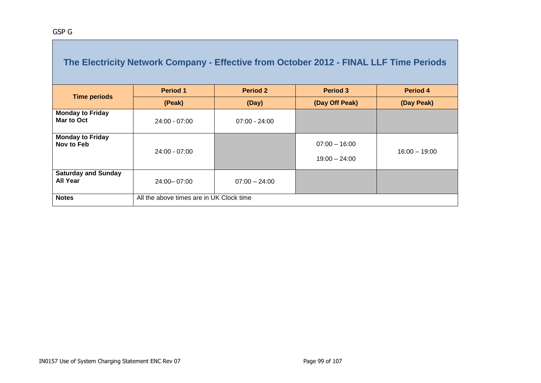|                                               | The Electricity Network Company - Effective from October 2012 - FINAL LLF Time Periods |                 |                                    |                 |
|-----------------------------------------------|----------------------------------------------------------------------------------------|-----------------|------------------------------------|-----------------|
| <b>Time periods</b>                           | <b>Period 1</b>                                                                        | <b>Period 2</b> | <b>Period 3</b>                    | Period 4        |
|                                               | (Peak)                                                                                 | (Day)           | (Day Off Peak)                     | (Day Peak)      |
| <b>Monday to Friday</b><br>Mar to Oct         | $24:00 - 07:00$                                                                        | $07:00 - 24:00$ |                                    |                 |
| <b>Monday to Friday</b><br>Nov to Feb         | $24:00 - 07:00$                                                                        |                 | $07:00 - 16:00$<br>$19:00 - 24:00$ | $16:00 - 19:00$ |
| <b>Saturday and Sunday</b><br><b>All Year</b> | 24:00 - 07:00                                                                          | $07:00 - 24:00$ |                                    |                 |
| <b>Notes</b>                                  | All the above times are in UK Clock time                                               |                 |                                    |                 |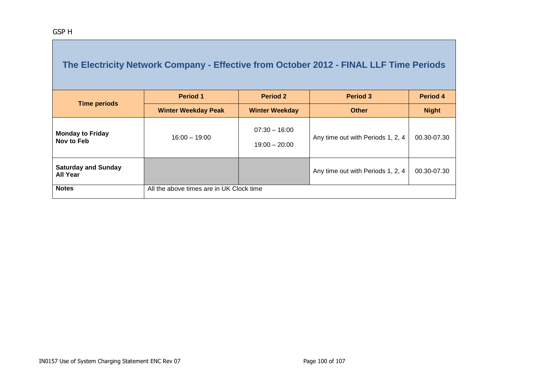| <b>Time periods</b>                           | <b>Period 1</b>                          | <b>Period 3</b><br><b>Period 2</b> |                                   | Period 4     |
|-----------------------------------------------|------------------------------------------|------------------------------------|-----------------------------------|--------------|
|                                               | <b>Winter Weekday Peak</b>               | <b>Winter Weekday</b>              | <b>Other</b>                      | <b>Night</b> |
| <b>Monday to Friday</b><br>Nov to Feb         | $16:00 - 19:00$                          | $07:30 - 16:00$<br>$19:00 - 20:00$ | Any time out with Periods 1, 2, 4 | 00.30-07.30  |
| <b>Saturday and Sunday</b><br><b>All Year</b> |                                          |                                    | Any time out with Periods 1, 2, 4 | 00.30-07.30  |
| <b>Notes</b>                                  | All the above times are in UK Clock time |                                    |                                   |              |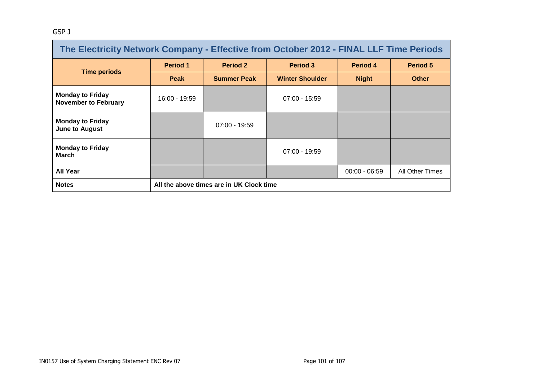#### GSP J

| The Electricity Network Company - Effective from October 2012 - FINAL LLF Time Periods |                 |                                          |                        |                 |                 |  |  |
|----------------------------------------------------------------------------------------|-----------------|------------------------------------------|------------------------|-----------------|-----------------|--|--|
| <b>Time periods</b>                                                                    | <b>Period 1</b> | <b>Period 2</b>                          | <b>Period 3</b>        | Period 4        | Period 5        |  |  |
|                                                                                        | <b>Peak</b>     | <b>Summer Peak</b>                       | <b>Winter Shoulder</b> | <b>Night</b>    | <b>Other</b>    |  |  |
| <b>Monday to Friday</b><br><b>November to February</b>                                 | 16:00 - 19:59   |                                          | $07:00 - 15:59$        |                 |                 |  |  |
| <b>Monday to Friday</b><br><b>June to August</b>                                       |                 | $07:00 - 19:59$                          |                        |                 |                 |  |  |
| <b>Monday to Friday</b><br><b>March</b>                                                |                 |                                          | $07:00 - 19:59$        |                 |                 |  |  |
| <b>All Year</b>                                                                        |                 |                                          |                        | $00:00 - 06:59$ | All Other Times |  |  |
| <b>Notes</b>                                                                           |                 | All the above times are in UK Clock time |                        |                 |                 |  |  |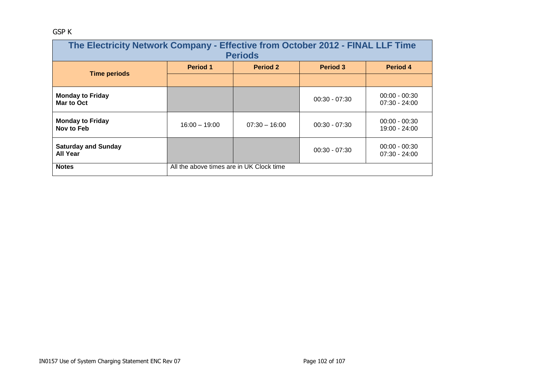### GSP K

| The Electricity Network Company - Effective from October 2012 - FINAL LLF Time<br><b>Periods</b> |                                                       |                 |                 |                                    |  |  |  |
|--------------------------------------------------------------------------------------------------|-------------------------------------------------------|-----------------|-----------------|------------------------------------|--|--|--|
| <b>Time periods</b>                                                                              | <b>Period 1</b>                                       | <b>Period 2</b> | <b>Period 3</b> | Period 4                           |  |  |  |
|                                                                                                  |                                                       |                 |                 |                                    |  |  |  |
| <b>Monday to Friday</b><br>Mar to Oct                                                            |                                                       |                 | $00:30 - 07:30$ | $00:00 - 00:30$<br>$07:30 - 24:00$ |  |  |  |
| <b>Monday to Friday</b><br>Nov to Feb                                                            | $16:00 - 19:00$                                       | $07:30 - 16:00$ | $00:30 - 07:30$ | $00:00 - 00:30$<br>19:00 - 24:00   |  |  |  |
| <b>Saturday and Sunday</b><br><b>All Year</b>                                                    | $00:00 - 00:30$<br>$00:30 - 07:30$<br>$07:30 - 24:00$ |                 |                 |                                    |  |  |  |
| <b>Notes</b>                                                                                     | All the above times are in UK Clock time              |                 |                 |                                    |  |  |  |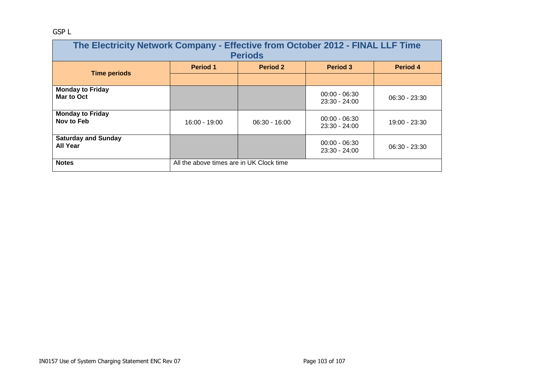### GSP L

| The Electricity Network Company - Effective from October 2012 - FINAL LLF Time<br><b>Periods</b> |                                          |                 |                                    |                 |  |  |  |
|--------------------------------------------------------------------------------------------------|------------------------------------------|-----------------|------------------------------------|-----------------|--|--|--|
| <b>Time periods</b>                                                                              | <b>Period 1</b>                          | <b>Period 2</b> | <b>Period 3</b>                    | Period 4        |  |  |  |
|                                                                                                  |                                          |                 |                                    |                 |  |  |  |
| <b>Monday to Friday</b><br>Mar to Oct                                                            |                                          |                 | $00:00 - 06:30$<br>$23:30 - 24:00$ | $06:30 - 23:30$ |  |  |  |
| <b>Monday to Friday</b><br>Nov to Feb                                                            | 16:00 - 19:00                            | $06:30 - 16:00$ | $00:00 - 06:30$<br>23:30 - 24:00   | 19:00 - 23:30   |  |  |  |
| <b>Saturday and Sunday</b><br><b>All Year</b>                                                    |                                          |                 | $00:00 - 06:30$<br>23:30 - 24:00   | $06:30 - 23:30$ |  |  |  |
| <b>Notes</b>                                                                                     | All the above times are in UK Clock time |                 |                                    |                 |  |  |  |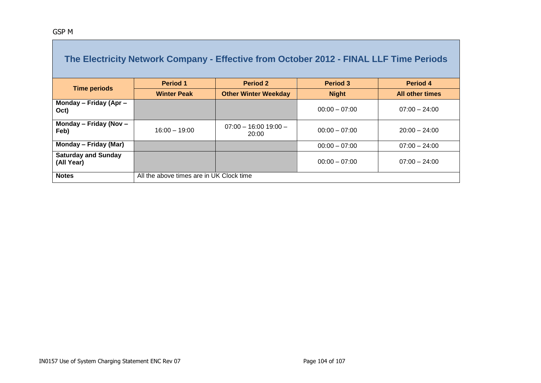| The Electricity Network Company - Effective from October 2012 - FINAL LLF Time Periods |                                          |                                  |                 |                        |  |  |  |
|----------------------------------------------------------------------------------------|------------------------------------------|----------------------------------|-----------------|------------------------|--|--|--|
|                                                                                        | <b>Period 1</b>                          | <b>Period 2</b>                  | <b>Period 3</b> | Period 4               |  |  |  |
| <b>Time periods</b>                                                                    | <b>Winter Peak</b>                       | <b>Other Winter Weekday</b>      | <b>Night</b>    | <b>All other times</b> |  |  |  |
| Monday - Friday (Apr -<br>Oct)                                                         |                                          |                                  | $00:00 - 07:00$ | $07:00 - 24:00$        |  |  |  |
| Monday - Friday (Nov -<br>Feb)                                                         | $16:00 - 19:00$                          | $07:00 - 16:00 19:00 -$<br>20:00 | $00:00 - 07:00$ | $20:00 - 24:00$        |  |  |  |
| Monday – Friday (Mar)                                                                  |                                          |                                  | $00:00 - 07:00$ | $07:00 - 24:00$        |  |  |  |
| <b>Saturday and Sunday</b><br>(All Year)                                               |                                          |                                  | $00:00 - 07:00$ | $07:00 - 24:00$        |  |  |  |
| <b>Notes</b>                                                                           | All the above times are in UK Clock time |                                  |                 |                        |  |  |  |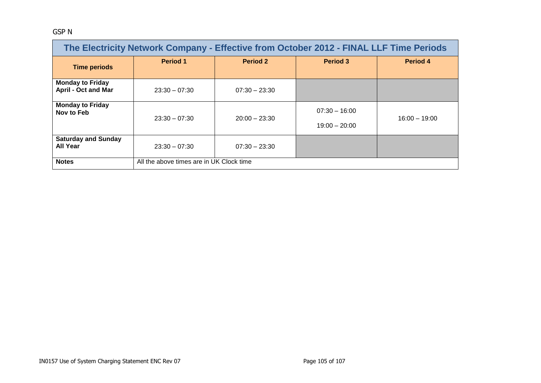#### GSP N

| The Electricity Network Company - Effective from October 2012 - FINAL LLF Time Periods |                                          |                 |                                    |                 |  |  |
|----------------------------------------------------------------------------------------|------------------------------------------|-----------------|------------------------------------|-----------------|--|--|
| <b>Time periods</b>                                                                    | <b>Period 1</b>                          | <b>Period 2</b> | <b>Period 3</b>                    | <b>Period 4</b> |  |  |
| <b>Monday to Friday</b><br><b>April - Oct and Mar</b>                                  | $23:30 - 07:30$                          | $07:30 - 23:30$ |                                    |                 |  |  |
| <b>Monday to Friday</b><br>Nov to Feb                                                  | $23:30 - 07:30$                          | $20:00 - 23:30$ | $07:30 - 16:00$<br>$19:00 - 20:00$ | $16:00 - 19:00$ |  |  |
| <b>Saturday and Sunday</b><br><b>All Year</b>                                          | $23:30 - 07:30$                          | $07:30 - 23:30$ |                                    |                 |  |  |
| <b>Notes</b>                                                                           | All the above times are in UK Clock time |                 |                                    |                 |  |  |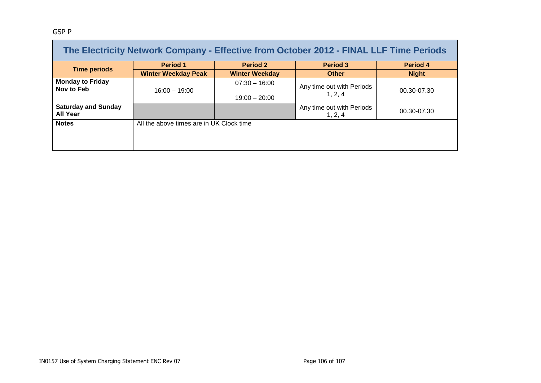#### GSP P

| The Electricity Network Company - Effective from October 2012 - FINAL LLF Time Periods |                                          |                       |                                      |              |  |  |  |
|----------------------------------------------------------------------------------------|------------------------------------------|-----------------------|--------------------------------------|--------------|--|--|--|
| <b>Time periods</b>                                                                    | <b>Period 1</b>                          | <b>Period 2</b>       | <b>Period 3</b>                      | Period 4     |  |  |  |
|                                                                                        | <b>Winter Weekday Peak</b>               | <b>Winter Weekday</b> | <b>Other</b>                         | <b>Night</b> |  |  |  |
| <b>Monday to Friday</b><br>Nov to Feb                                                  | $16:00 - 19:00$                          | $07:30 - 16:00$       | Any time out with Periods            | 00.30-07.30  |  |  |  |
|                                                                                        |                                          | $19:00 - 20:00$       | 1, 2, 4                              |              |  |  |  |
| <b>Saturday and Sunday</b><br><b>All Year</b>                                          |                                          |                       | Any time out with Periods<br>1, 2, 4 | 00.30-07.30  |  |  |  |
| <b>Notes</b>                                                                           | All the above times are in UK Clock time |                       |                                      |              |  |  |  |
|                                                                                        |                                          |                       |                                      |              |  |  |  |